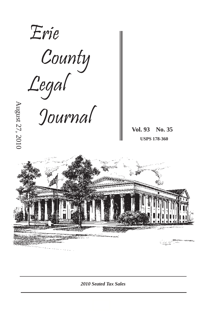

*2010 Seated Tax Sales*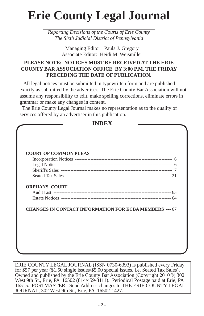# **Erie County Legal Journal**

*Reporting Decisions of the Courts of Erie County The Sixth Judicial District of Pennsylvania*

> Managing Editor: Paula J. Gregory Associate Editor: Heidi M. Weismiller

# **PLEASE NOTE: NOTICES MUST BE RECEIVED AT THE ERIE COUNTY BAR ASSOCIATION OFFICE BY 3:00 P.M. THE FRIDAY PRECEDING THE DATE OF PUBLICATION.**

 All legal notices must be submitted in typewritten form and are published exactly as submitted by the advertiser. The Erie County Bar Association will not assume any responsibility to edit, make spelling corrections, eliminate errors in grammar or make any changes in content.

 The Erie County Legal Journal makes no representation as to the quality of services offered by an advertiser in this publication.

**INDEX**

| <b>COURT OF COMMON PLEAS</b> |                                                               |  |
|------------------------------|---------------------------------------------------------------|--|
|                              |                                                               |  |
|                              |                                                               |  |
|                              |                                                               |  |
| <b>ORPHANS' COURT</b>        |                                                               |  |
|                              |                                                               |  |
|                              |                                                               |  |
|                              | <b>CHANGES IN CONTACT INFORMATION FOR ECBA MEMBERS --- 67</b> |  |
|                              |                                                               |  |

ERIE COUNTY LEGAL JOURNAL (ISSN 0730-6393) is published every Friday for \$57 per year (\$1.50 single issues/\$5.00 special issues, i.e. Seated Tax Sales). Owned and published by the Erie County Bar Association (Copyright 2010©) 302 West 9th St., Erie, PA 16502 (814/459-3111). Periodical Postage paid at Erie, PA 16515. POSTMASTER: Send Address changes to THE ERIE COUNTY LEGAL JOURNAL, 302 West 9th St., Erie, PA 16502-1427.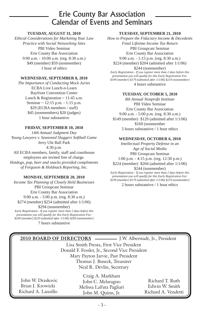# Erie County Bar Association Calendar of Events and Seminars

# **TUESDAY, AUGUST 31, 2010**

*Ethical Considerations for Marketing Your Law Practice with Social Networking Sites* PBI Video Seminar Erie County Bar Association 9:00 a.m. - 10:00 a.m. (reg. 8:30 a.m.) \$49 (member) \$59 (nonmember) 1 hour of ethics

# **WEDNESDAY, SEPTEMBER 8, 2010**

*The Importance of Conducting Mock Juries* ECBA Live Lunch-n-Learn Bayfront Convention Center Lunch & Registration  $\sim$  11:45 a.m. Seminar ~ 12:15 p.m. - 1:15 p.m. \$29 (ECBA members / staff) \$45 (nonmembers) \$20 (judges) 1 hour substantive

# **FRIDAY, SEPTEMBER 10, 2010**

*14th Annual Judgment Day Young Lawyers v. Seasoned Sluggers Softball Game* Jerry Uht Ball Park 4:30 p.m. All ECBA members, family, staff and courthouse

employees are invited free of charge. *Hotdogs, pop, beer and snacks provided compliments of Ferguson & Holdnack Reporting, Inc.*

# **MONDAY, SEPTEMBER 20, 2010**

*Income Tax Planning of Closely Held Businesses*  PBI Groupcast Seminar Erie County Bar Association 9:00 a.m. - 5:00 p.m. (reg. 8:30 a.m.) \$274 (member) \$254 (admitted after 1/1/06) \$294 (nonmember) *Early Registration - If you register more than 2 days before this presentation you will qualify for this Early Registration Fee: \$249 (member) \$229 (admitted after 1/1/06) \$269 (nonmember)*

7 hours substantive

# **TUESDAY, SEPTEMBER 21, 2010**

*How to Prepare the Fiduciary Income & Decedents Final Lifetime Income Tax Return* PBI Groupcast Seminar Erie County Bar Association 9:00 a.m. - 1:15 p.m. (reg. 8:30 a.m.) \$224 (member) \$204 (admitted after 1/1/06) \$244 (nonmember) *Early Registration - If you register more than 2 days before this presentation you will qualify for this Early Registration Fee: \$199 (member) \$179 (admitted after 1/1/06) \$219 (nonmember)*

4 hours substantive

# **TUESDAY, OCTOBER 5, 2010**

*8th Annual Nonprofi t Institute* PBI Video Seminar Erie County Bar Association 9:00 a.m. - 5:00 p.m. (reg. 8:30 a.m.) \$149 (member) \$129 (admitted after 1/1/06) \$169 (nonmember 5 hours substantive / 1 hour ethics

# **WEDNESDAY, OCTOBER 6, 2010**

*Intellectual Property Defense in an Age of Social Media* PBI Groupcast Seminar 1:00 p.m. - 4:15 p.m. (reg. 12:30 p.m.) \$224 (member) \$204 (admitted after 1/1/06) \$244 (nonmember) *Early Registration - If you register more than 2 days before this* 

*presentation you will qualify for this Early Registration Fee: \$199 (member) \$179 (admitted after 1/1/06) \$219 (nonmember)* 2 hours substantive / 1 hour ethics

|                                         | 2010 BOARD OF DIRECTORS - J.W. Alberstadt, Jr., President        |                                   |  |  |
|-----------------------------------------|------------------------------------------------------------------|-----------------------------------|--|--|
| Lisa Smith Presta, First Vice President |                                                                  |                                   |  |  |
|                                         | Donald F. Fessler, Jr., Second Vice President                    |                                   |  |  |
| Mary Payton Jarvie, Past President      |                                                                  |                                   |  |  |
|                                         | Thomas J. Buseck, Treasurer                                      |                                   |  |  |
|                                         | Neal R. Devlin, Secretary                                        |                                   |  |  |
| John W. Draskovic<br>Brian J. Krowicki  | Craig A. Markham<br>John C. Melaragno<br>Melissa LaFata Paoliari | Richard T. Ruth<br>Edwin W. Smith |  |  |

Brian J. Krowicki Richard A. Lanzillo Melissa LaFata Pagliari John M. Quinn, Jr.

Edwin W. Smith Richard A. Vendetti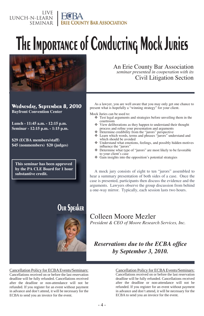### LIVE LUNCH-N-LEARN SEMINAR **ERIE COUNTY BAR ASSOCIATION**

# **The Importance of Conducting Mock Juries**



**Wednesday, September 8, 2010 Bayfront Convention Center**

**Lunch - 11:45 a.m. - 12:15 p.m. Seminar - 12:15 p.m. - 1:15 p.m.**

**\$29 (ECBA members/staff) \$45 (nonmembers) \$20 (judges)**

**This seminar has been approved by the PA CLE Board for 1 hour substantive credit.**

# **Our Speaker**



An Erie County Bar Association *seminar presented in cooperation with its* Civil Litigation Section

As a lawyer, you are well aware that you may only get one chance to present what is hopefully a "winning strategy" for your client.

Mock Juries can be used to:

- Test legal arguments and strategies before unveiling them in the courtroom
- View deliberations as they happen to understand their thought process and refine your presentation and arguments
- Determine credibility from the "jurors" perspective
- Learn which words, terms and phrases "jurors" understand and which should be avoided
- Understand what emotions, feelings, and possibly hidden motives influence the "jurors"
- Determine what type of "jurors" are most likely to be favorable to your client's case
- $\triangleleft$  Gain insights into the opposition's potential strategies

A mock jury consists of eight to ten "jurors" assembled to hear a summary presentation of both sides of a case. Once the case is presented, participants then discuss the evidence and the arguments. Lawyers observe the group discussion from behind a one-way mirror. Typically, each session lasts two hours.

Colleen Moore Mezler *President & CEO of Moore Research Services, Inc.*

# **Reservations due to the ECBA office** *by September 3, 2010.*

Cancellation Policy for ECBA Events/Seminars: Cancellations received on or before the last reservation deadline will be fully refunded. Cancellations received after the deadline or non-attendance will not be refunded. If you register for an event without payment in advance and don't attend, it will be necessary for the ECBA to send you an invoice for the event.

# Cancellation Policy for ECBA Events/Seminars:

Cancellations received on or before the last reservation deadline will be fully refunded. Cancellations received after the deadline or non-attendance will not be refunded. If you register for an event without payment in advance and don't attend, it will be necessary for the ECBA to send you an invoice for the event.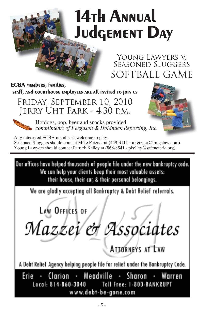# **14th Annual Judgement Day**

Young Lawyers v. Seasoned Sluggers SOFTBALL GAME

**ECBA members, families, staff, and courthouse employees are all invited to join us**

Friday, September 10, 2010 Jerry Uht Park - 4:30 p.m.



Hotdogs, pop, beer and snacks provided *compliments of Ferguson & Holdnack Reporting, Inc.*



Any interested ECBA member is welcome to play. Seasoned Sluggers should contact Mike Fetzner at (459-3111 - mfetzner@kmgslaw.com). Young Lawyers should contact Patrick Kelley at (868-8541 - pkelley@safeneterie.org).

Our offices have helped thousands of people file under the new bankruptcy code. We can help your clients keep their most valuable assets: their house, their car, & their personal belongings.

We are gladly accepting all Bankruptcy & Debt Relief referrals.

LAW OFFICES OF

Mazzei et Associates

**ATIORNEYS AT LAW** 

A Debt Relief Agency helping people file for relief under the Bankruptcy Code.

Erie · Clarion · Meadville · Sharon · Warren Local: 814-860-3040 Toll Free: 1-800-BANKRUPT www.debt-be-gone.com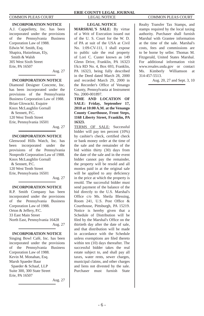# **INCORPORATION NOTICE**

A.J. Cappelletty, Inc. has been incorporated under the provisions of the Pennsylvania Business Corporation Law of 1988. Edwin W. Smith, Esq. Shapira, Hutzelman, Ely, Smith & Walsh 305 West Sixth Street Erie, PA 16507

Aug. 27

# **INCORPORATION NOTICE**

Diamond Designer Concrete, Inc. has been incorporated under the provisions of the Pennsylvania Business Corporation Law of 1988. Brian Glowacki, Esquire Knox McLaughlin Gornall & Sennett, P.C. 120 West Tenth Street Erie, Pennsylvania 16501

Aug. 27

# **INCORPORATION NOTICE**

Glenwood Hills Watch, Inc. has been incorporated under the provisions of the Pennsylvania Nonprofit Corporation Law of 1988. Knox McLaughlin Gornall & Sennett, P.C. 120 West Tenth Street Erie, Pennsylvania 16501 Aug. 27

# **INCORPORATION NOTICE**

R.P. Smith Company has been incorporated under the provisions of the Pennsylvania Business Corporation Law of 1988. Orton & Jeffery, P.C. 33 East Main Street North East, Pennsylvania 16428 Aug. 27

# **INCORPORATION NOTICE**

Singing Bowl Café, Inc. has been incorporated under the provisions of the Pennsylvania Business Corporation Law of 1988. Kevin M. Monahan, Esq. Marsh Spaeder Baur Spaeder & Schaaf, LLP Suite 300, 300 State Street Erie, PA 16507

Aug. 27

# **ERIE COUNTY LEGAL JOURNAL** COMMON PLEAS COURT LEGAL NOTICE COMMON PLEAS COURT

# **LEGAL NOTICE**

**MARSHAL'S SALE:** By virtue of a Writ of Execution issued out of the U. S. Court for the W. D. of PA at suit of the USA at Civil No. 1:09-CV-111, I shall expose to public sale the real property of Lori C. Custer known as 149 Glenn Drive, Franklin, PA 16323 f/k/a RD No. 4, Box 693, Franklin, PA 16323, being fully described in the Deed dated March 28, 2000 and recorded March 29, 2000 in the Recorder's Office of Venango County, Pennsylvania at Instrument No. 2000-001897.

**TIME AND LOCATION OF SALE: Friday, September 17, 2010 at 10:00 A.M. at the Venango County Courthouse, Front Steps, 1168 Liberty Street, Franklin, PA 16323.**

TERMS OF SALE: Successful bidder will pay ten percent (10%) by cashier's check, certified check or bank money order at the time of the sale and the remainder of the bid within thirty (30) days from the date of the sale and in the event bidder cannot pay the remainder, the property will be resold and all monies paid in at the original sale will be applied to any deficiency in the price at which the property is resold. The successful bidder must send payment of the balance of the bid directly to the U.S. Marshal's Office c/o Ms. Sheila Blessing, Room 241, U.S. Post Office & Courthouse, Pittsburgh, PA 15219. Notice is hereby given that a Schedule of Distribution will be filed by the Marshal's Office on the thirtieth day after the date of sale, and that distribution will be made in accordance with the Schedule unless exemptions are filed thereto within ten (10) days thereafter. The successful bidder takes the real estate subject to, and shall pay all taxes, water rents, sewer charges, municipal claims, and other charges and liens not divested by the sale. Purchaser must furnish State

Realty Transfer Tax Stamps, and stamps required by the local taxing authority. Purchaser shall furnish Marshal with Grantee information at the time of the sale. Marshal's costs, fees and commissions are to be borne by seller. Thomas M. Fitzgerald, United States Marshal. For additional information visit www.resales.usda.gov or contact Ms. Kimberly Williamson at 314-457-5513.

Aug. 20, 27 and Sept. 3, 10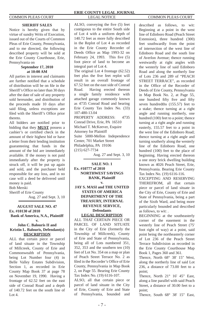# **SHERIFF SALES**

Notice is hereby given that by virtue of sundry Writs of Execution, issued out of the Courts of Common Pleas of Erie County, Pennsylvania, and to me directed, the following described property will be sold at the Erie County Courthouse, Erie, Pennsylvania on

# **September 17, 2010 at 10:00 AM**

All parties in interest and claimants are further notified that a schedule of distribution will be on file in the Sheriff's Office no later than 30 days after the date of sale of any property sold hereunder, and distribution of the proceeds made 10 days after said filing, unless exceptions are filed with the Sheriff's Office prior thereto.

All bidders are notified prior to bidding that they **MUST** possess a cashier's or certified check in the amount of their highest bid or have a letter from their lending institution guaranteeing that funds in the amount of the bid are immediately available. If the money is not paid immediately after the property is struck off, it will be put up again and sold, and the purchaser held responsible for any loss, and in no case will a deed be delivered until money is paid.

Bob Merski

Sheriff of Erie County Aug. 27 and Sept. 3, 10

# **AUGUST SALE NO. 47 Ex. #10130 of 2010 Bank of America, N.A., Plaintiff**

# **v. John C. Balouris II and Kristin L. Balouris, Defendant(s) DESCRIPTION**

ALL that certain piece or parcel of land situate in the Township of Millcreek, County of Erie and Commonwealth of Pennsylvania, being Lot Number four (4) in Belle Valley Estates Subdivision, Section 1, as recorded in Erie County Map Book 37 at page 78 on November 19, 1990. Having a frontage of 62.52 feet on the east side of Conrad Road and a depth of 140.72 feet on the south line of Lot  $4$ .

ALSO, conveying the five (5) feet contiguous to the entire South side of Lot 4 with a uniform depth of 140.72 feet as more fully described in the Replot of Lot 4 as recorded in the Erie County Recorder of Deeds Office as Map 1993-32 on February 24, 1993. This five  $(5)$ foot piece of land to become an integral part of Lot 4. The original Lot 4 frontage (62.52)

feet plus the five feet replot will result in an overall frontage of 67.52 feet on the east side of Conrad Road. Having erected thereon a single family residence with attached garage commonly known as 4735 Conrad Road and bearing Erie County Tax Index No. (33) 107-480-13.04 PROPERTY ADDRESS: 4735 Conrad Drive, Erie, PA 16510 Michael T. McKeever, Esquire Attorney for Plaintiff Suite 5000-Mellon Independence Center, 701 Market Street Philadelphia, PA 19106 (215) 627-7734

Aug. 27 and Sept. 3, 10

# **SALE NO. 1 Ex. #10777 of 2010 NORTHWEST SAVINGS BANK, Plaintiff v.**

# **JAY S. MASI and THE UNITED STATES OF AMERICA DEPARTMENT OF THE TREASURY, INTERNAL REVENUE SERVICE, Defendants LEGAL DESCRIPTION**

ALL THAT CERTAIN PIECE OR PARCEL OF LAND SITUATE in the City of Erie (formerly the Township of Millcreek), County of Erie and State of Pennsylvania, being all of Lots numbered 351, 352, 353 and the southern ten (10) feet of Lot No. 354 on a map or plan of Peach Street Terrace No. 2 as filed in the Recorder's Office of Erie County, Pennsylvania in Map Book 2, on Page 55. Bearing Erie County Tax Index No. (19) 6116-107.

ALSO, all that certain piece or parcel of land situate in the City of Erie, County of Erie and State of Pennsylvania, bounded and described as follows, to wit: Beginning at a point in the west line of Edinboro Road (Peach Street Extension), three hundred (300) feet southwardly from the point of intersection of the west line of Edinboro Road and the south line of Averlon Avenue; thence running westwardly at right angles with the westerly line of said Edinboro Road and along the northerly line of Lots 236 and 289 of "PEACH STREET TERRACE", as recorded in the Office of the Recorder of Deeds of Erie County, Pennsylvania in Map Book No. 2, at Page 55, one hundred fifty five and fifty seven hundredths (155.57) feet to a stake; thence turning at a right angle and running northerly, one hundred (100) feet to a point; thence turning at a right angle and running easterly, 155.57 feet to a point in the west line of the Edinboro Road; thence turning at a right angle and turning southerly along the westerly line of the Edinboro Road, one hundred (100) feet to the place of beginning. Having erected thereon a one story brick dwelling building known as 4026 Peach Street, Erie, Pennsylvania. Bearing Erie County Tax Index No. (19) 6116-116.

EXCEPTING AND RESERVING THEREFROM, all that certain piece or parcel of land situate in the City of Erie, County of Erie and State of Pennsylvania, being a part of the Sixth Ward, and being more particularly bounded and described as follows, to wit: .

BEGINNING at the southeasterly corner of the easement in the westerly line of Peach Street (75' foot right of way) at a point, said point being the northeasterly corner of Lot 236 of the Peach Street Terrace Subdivision as recorded in the Erie County Courthouse Map Book 1, Pages 360 and 361.

Thence, North 68° 38' 15" West, along the northerly line of said Lot 236, a distance of 73.00 feet to a point;

Thence, North 21° 16' 45" East, along a line parallel with said Peach Street, a distance of 30.00 feet to a point;

Thence, South 68° 38' 15" East,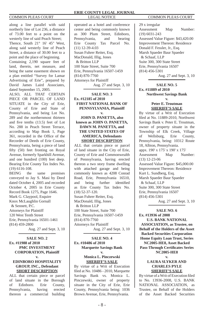along a line parallel with said northerly line of Lot 236, a distance of 73.00 feet to a point on the westerly line of said Peach Street; Thence, South 21° 16' 45" West, along said westerly line of Peach Street, a distance of 30.00 feet to a point and the place of beginning.

Containing 2,190 square feet of land, therein, net measure, and being the same easement shown on a plan entitled "Survey for Lamar Advertising of Erie", prepared by David James Laird Associates, dated September 15, 2005.

ALSO, ALL THAT CERTAIN PIECE OR PARCEL OF LAND SITUATE in the City of Erie, County of Erie and State of Pennsylvania, and being Lot No. 289 and the northernmost thirteen and five tenths  $(13.5)$  feet of Lot No. 288 in Peach Street Terrace, according to Map Book 1, Page 361, recorded in the Office of the Recorder of Deeds of Erie County, Pennsylvania, being a piece of land fifty (50) feet fronting on Royal Avenue, formerly Sparkhill Avenue, and one hundred (100) feet deep. Bearing Erie County Tax Index No. (19) 6116-108.

BEING the same premises conveyed to Jay S. Masi by Deed dated October 4, 2005 and recorded October 4, 2005 in Erie County Record Book 1275, Page 1646. Mark G. Claypool, Esquire Knox McLaughlin Gornall & Sennett, P.C. Attorneys for Plaintiff 120 West Tenth Street Erie, Pennsylvania 16501-1461 (814) 459-2800

Aug. 27 and Sept. 3, 10

# **SALE NO. 2 Ex. #11988 of 2010 PMC INVESTMENT CORPORATION, Plaintiff**

# **v. EDINBORO HOSPITALITY GROUP, INC., Defendant SHORT DESCRIPTION**

ALL that certain piece or parcel of land situate in the Borough of Edinboro. Erie County, Pennsylvania, having erected thereon a commercial building

## **ERIE COUNTY LEGAL JOURNAL** COMMON PLEAS COURT LEGAL NOTICE COMMON PLEAS COURT

operated as a hotel and conference center and being commonly known as 300 Plum Street, Edinboro, Pennsylvania, and bearing Erie County Tax Parcel No. (11) 12-39-4.03 Susan Fuhrer Reiter, Esq. MacDonald, Illig, Jones & Britton LLP 100 State Street, Suite 700 Erie, Pennsylvania 16507-1459 (814) 870-7760 Attorneys for Plaintiff Aug. 27 and Sept. 3, 10

# **SALE NO. 3 Ex. #12185 of 2010 FIRST NATIONAL BANK OF PENNSYLVANIA, Plaintiff v.**

# **JOHN D. PANETTA, also known as JOHN O. PANETTA, DAWN M. PANETTA, and THE UNITED STATES OF AMERICA, Defendants SHORT DESCRIPTION**

ALL that certain piece or parcel of land situate in the City of Erie, County of Erie and Commonwealth of Pennsylvania, having erected thereon a two story frame dwelling with attached garage and being commonly known as 4208 Conrad Road, Erie, Pennsylvania 16510, and being further identified as Erie County Tax Index No. (18) 52-37-120. Susan Fuhrer Reiter, Esq. MacDonald, Illig, Jones & Britton LLP 100 State Street, Suite 700 Erie, Pennsylvania 16507-1459 (814) 870-7760 Attorneys for Plaintiff Aug. 27 and Sept. 3, 10

# **SALE NO. 4**

## **Ex. #10486 of 2010 Marquette Savings Bank v.**

# **Monica L. Pinczewski SHERIFF'S SALE**

By virtue of a Writ of Execution fi led at No. 10486 - 2010, Marquette Savings Bank vs. Monica L. Pinczewski, owner of property situate in the City of Erie, Erie County, Pennsylvania being: 1036 Brown Avenue, Erie, Pennsylvania.

29 x irregular Assessment Map Number: (19) 6031-243 Assessed Value Figure: \$43,420.00 Improvement Thereon: Residence Donald F. Fessler, Jr., Esq. Marsh Spaeder Baur Spaeder & Schaaf, LLP Suite 300, 300 State Street Erie, Pennsylvania 16507 (814) 456-5301

Aug. 27 and Sept. 3, 10

# **SALE NO. 5 Ex. #11889 of 2010 Northwest Savings Bank v.**

# **Peter E. Troutman SHERIFF'S SALE**

By virtue of a Writ of Execution filed at No. 11889-2010, Northwest Savings Bank v. Peter E. Troutman, owner of property situate in the Township of Elk Creek, Village of Wellsburg, Erie County, Pennsylvania, being: 10312 Route 18, Albion, Pennsylvania. appx. 190' x 175' x 190' x 175' Assessment Map Number: (13) 12-23-06 Assessed Value Figure: \$45,000.00 Improvement Thereon: Residence Kurt L. Sundberg, Esq. Marsh Spaeder Baur Spaeder & Schaaf, LLP Suite 300, 300 State Street Erie, Pennsylvania 16507 (814) 456-5301 Aug. 27 and Sept. 3, 10

### **SALE NO. 6 Ex. #13936 of 2008**

**U.S. BANK NATIONAL ASSOCIATION, as Trustee, on Behalf of the Holders of the Asset Backed Securities Corporation Home Equity Loan Trust, Series NC2005-HE8, Asset Backed Pass-Through Certifi cates Series NC2005-HE8** 

# **v. LAURA SLYKER AND CHARLES PYLE SHERIFF'S SALE**

By virtue of a Writ of Execution filed to No. 13936-2008, U.S. BANK NATIONAL ASSOCIATION, as Trustee, on Behalf of the Holders of the Asset Backed Securities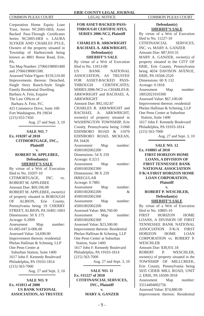Corporation Home Equity Loan Trust, Series NC2005-HE8, Asset Backed Pass-Through Certificates Series NC2005-HE8 v. LAURA SLYKER AND CHARLES PYLE, Owners of the property situated in Township of Harborcreek being known as 4801 Reese Road, Erie, PA.

Tax Map Number: 27066198001400 and 27066198001500.

Assessed Value Figure: \$159,510.00 Improvements thereon: Detached, Single Story Ranch-Style Single Family Residential Dwelling. Barbara A. Fein, Esquire The Law Offices of Barbara A. Fein, P.C. 425 Commerce Drive, Suite 100 Fort Washington, PA 19034 (215) 653-7450

Aug. 27 and Sept. 3, 10

# **SALE NO. 7 Ex. #10207 of 2010 CITIMORTGAGE, INC., Plaintiff v.**

# **ROBERT M. APPLEBEE, Defendant(s) SHERIFF'S SALE**

By virtue of a Writ of Execution filed to No. 10207-10 CITIMORTGAGE, INC. vs. ROBERT M. APPLEBEE Amount Due: \$69,106.08 ROBERT M. APPLEBEE, owner(s) of property situated in BOROUGH OF ALBION, Erie County, Pennsylvania being 19 CHERRY STREET, ALBION, PA 16401-1003 Dimensions: 50 X 175 Acreage: 0.2009 Assessment Map number: 01-005-047.0-006.00 Assessed Value: 54,690.00 Improvement thereon: residential Phelan Hallinan & Schmieg, LLP One Penn Center at Suburban Station, Suite 1400 1617 John F. Kennedy Boulevard Philadelphia, PA 19103-1814 (215) 563-7000

Aug. 27 and Sept. 3, 10

**SALE NO. 9 Ex. #11813 of 2008 US BANK NATIONAL ASSOCIATION, AS TRUSTEE** 

**FOR ASSET-BACKED PASS-THROUGH CERTIFICATES, SERIES 2006-NC2, Plaintiff v. CHARLES R. ARKWRIGHT RACHAEL A. ARKWRIGHT, Defendant(s) SHERIFF'S SALE** By virtue of a Writ of Execution fi led to No. 11813-08 US BANK NATIONAL ASSOCIATION, AS TRUSTEE FOR ASSET-BACKED PASS-THROUGH CERTIFICATES, SERIES 2006-NC2 vs. CHARLES R. ARKWRIGHT and RACHAEL A. ARKWRIGHT Amount Due: \$92,102.87 CHARLES R. ARKWRIGHT and RACHAEL A. ARKWRIGHT, owner(s) of property situated in WASHINGTON TOWNSHIP, Erie County, Pennsylvania being 11060 EDINBORO ROAD & 11070 EDINBORO ROAD, MCKEAN, PA 16426 Assessment Map number: 45001002002200 Dimensions: 54 X 259 Acreage: 0.3211 Assessment Map number: 45001002002300 Dimensions: 98 X 259 IRREGULAR Acreage: 0.7885 Assessment Map number: 45001002002200 & 45001002002300 Assessment Map number: 45001002002200 Assessed Value: \$66,760.00 Assessment Map number: 45001002002300 Assessed Value: \$23,500.00 Improvement thereon: Residential Phelan Hallinan & Schmieg, LLP One Penn Center at Suburban Station, Suite 1400 1617 John F. Kennedy Boulevard Philadelphia, PA 19103-1814 (215) 563-7000 Aug. 27 and Sept. 3, 10

**SALE NO. 11 Ex. #11227 of 2010 CITIFINANCIAL SERVICES, INC., Plaintiff v. MARY A. GANZER** 

**Defendant(s) SHERIFF'S SALE** By virtue of a Writ of Execution filed to No. 11227-10 CITIFINANCIAL SERVICES, INC. vs. MARY A. GANZER Amount Due: \$87,810.55 MARY A. GANZER, owner(s) of property situated in the CITY OF ERIE, Erie County, Pennsylvania being 4034 DAVISON AVENUE, ERIE, PA 16504-2520 Dimensions: 60 X 132 Acreage: 0.1818 Assessment Map number: 18052021010300 Assessed Value: \$67,100.00 Improvement thereon: residential Phelan Hallinan & Schmieg, LLP One Penn Center at Suburban Station, Suite 1400 1617 John F. Kennedy Boulevard Philadelphia, PA 19103-1814 (215) 563-7000 Aug. 27 and Sept. 3, 10

**SALE NO. 12 Ex. #10805 of 2010 FIRST HORIZON HOME LOANS, A DIVISION OF FIRST TENNESSEE BANK NATIONAL ASSOCIATION F/K/A FIRST HORIZON HOME LOAN CORPORATION, Plaintiff**

> **v. ROBERT P. WESCHLER, Defendant(s)**

**SHERIFF'S SALE** By virtue of a Writ of Execution fi led to No. 10805-10

FIRST HORIZON HOME LOANS, A DIVISION OF FIRST TENNESSEE BANK NATIONAL ASSOCIATION F/K/A FIRST HORIZON HOME LOAN CORPORATION vs. ROBERT P. **WESCHLER** 

Amount Due: \$38,931.18 ROBERT P. WESCHLER, owner(s) of property situated in the TOWNSHIP OF MILLCREEK, Erie County, Pennsylvania being 5035 CIDER MILL ROAD, UNIT 2, ERIE, PA 16509-3918 Assessment Map number: 33114494002756 Assessed Value: \$74,880.00 Improvement thereon: Residential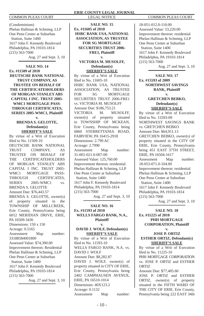(Condominium) Phelan Hallinan & Schmieg, LLP One Penn Center at Suburban Station, Suite 1400 1617 John F. Kennedy Boulevard Philadelphia, PA 19103-1814 (215) 563-7000 Aug. 27 and Sept. 3, 10

**SALE NO. 14 Ex. #11509 of 2010 DEUTSCHE BANK NATIONAL TRUST COMPANY, AS TRUSTEE ON BEHALF OF THE CERTIFICATEHOLDERS OF MORGAN STANLEY ABS CAPITAL I INC. TRUST 2005- WMC1 MORTGAGE PASS-THROUGH CERTIFICATES, SERIES 2005-WMC1, Plaintiff v.** 

> **BRENDA S. GELOTTE, Defendant(s) SHERIFF'S SALE**

By virtue of a Writ of Execution filed to No. 11509-10 DEUTSCHE BANK NATIONAL TRUST COMPANY, AS TRUSTEE ON BEHALF OF THE CERTIFICATEHOLDERS OF MORGAN STANLEY ABS CAPITAL I INC. TRUST 2005- WMC1 MORTGAGE PASS-THROUGH CERTIFICATES, SERIES 2005-WMC1 vs. BRENDA S. GELOTTE Amount Due: \$76,443.57 BRENDA S. GELOTTE, owner(s) of property situated in the TOWNSHIP OF MILLCREEK, Erie County, Pennsylvania being 6012 MERIDIAN DRIVE, ERIE, PA 16509-3436 Dimensions: 150 x 150 Acreage: 0.5165 Assessment Map number: 33188584001800 Assessed Value: \$74,390.00 Improvement thereon: Residential Phelan Hallinan & Schmieg, LLP One Penn Center at Suburban Station, Suite 1400 1617 John F. Kennedy Boulevard Philadelphia, PA 19103-1814 (215) 563-7000 Aug. 27 and Sept. 3, 10

# **ERIE COUNTY LEGAL JOURNAL** COMMON PLEAS COURT LEGAL NOTICE COMMON PLEAS COURT

**SALE NO. 15 Ex. #11605 of 2010 HSBC BANK USA, NATIONAL ASSOCIATION, AS TRUSTEE FOR SG MORTGAGE SECURITIES TRUST 2006- FRE1, Plaintiff v.** 

**VICTORIA M. MUSOLFF, Defendant(s) SHERIFF'S SALE**

By virtue of a Writ of Execution filed to No. 11605-10 HSBC BANK USA, NATIONAL ASSOCIATION, AS TRUSTEE FOR SG MORTGAGE SECURITIES TRUST 2006-FRE1 vs. VICTORIA M. MUSOLFF Amount Due: \$186,753.21 VICTORIA M. MUSOLFF, owner(s) of property situated in TOWNSHIP OF MCKEAN, Erie County, Pennsylvania being 6860 STERRETTANIA ROAD, FAIRVIEW, PA 16415-2918 Dimensions: 2.799 AC Acreage: 2.7990 Assessment Map number: 31-001-021.0-007-00 Assessed Value: 125,760.00 Improvement thereon: residential Phelan Hallinan & Schmieg, LLP One Penn Center at Suburban Station, Suite 1400 1617 John F. Kennedy Boulevard Philadelphia, PA 19103-1814 (215) 563-7000 Aug. 27 and Sept. 3, 10

**SALE NO. 16 Ex. #11593 of 2010 WELLS FARGO BANK, N.A., Plaintiff v. DAVID J. WOLF, Defendant(s) SHERIFF'S SALE** By virtue of a Writ of Execution filed to No. 11593-10 WELLS FARGO BANK, N.A. vs. DAVID J. WOLF Amount Due: \$8,282.87 DAVID J. WOLF, owner(s) of property situated in CITY OF ERIE, Erie County, Pennsylvania being

2402 CAMPHAUSEN AVENUE, ERIE, PA 16510-1014 Dimensions: 40X123.2 Acreage: 0.1132 Assessment Map number:

18-051-012.0-110.00 Assessed Value: 53,220.00 Improvement thereon: residential Phelan Hallinan & Schmieg, LLP One Penn Center at Suburban Station, Suite 1400 1617 John F. Kennedy Boulevard Philadelphia, PA 19103-1814 (215) 563-7000

Aug. 27 and Sept. 3, 10

**SALE NO. 17 Ex. #15593 of 2009 NORTHWEST SAVINGS BANK, Plaintiff v.** 

# **GRETCHEN BEBKO, Defendant(s) SHERIFF'S SALE**

By virtue of a Writ of Execution filed to No. 15593-09 NORTHWEST SAVINGS BANK vs. GRETCHEN BEBKO Amount Due: \$64,911.13 GRETCHEN BEBKO, owner(s) of property situated in the CITY OF ERIE, Erie County, Pennsylvania being 451 EAST 37TH STREET, ERIE, PA 16504-1617 Assessment Map number: 18-053-071.0-104.00 Improvement thereon: residential Phelan Hallinan & Schmieg, LLP One Penn Center at Suburban Station, Suite 1400 1617 John F. Kennedy Boulevard Philadelphia, PA 19103-1814 (215) 563-7000 Aug. 27 and Sept. 3, 10

# **SALE NO. 18 Ex. #11225 of 2010 PHH MORTGAGE CORPORATION, Plaintiff**

# **v. JOSE P. ORTIZ ESTHER ORTIZ, Defendant(s) SHERIFF'S SALE**

By virtue of a Writ of Execution fi led to No. 11225-10 PHH MORTGAGE CORPORATION vs. JOSE P. ORTIZ and ESTHER ORTIZ Amount Due: \$77,405.60

JOSE P. ORTIZ and ESTHER ORTIZ, owner(s) of property situated in the FIFTH WARD OF THE CITY OF ERIE, Erie County, Pennsylvania being 222 EAST 34th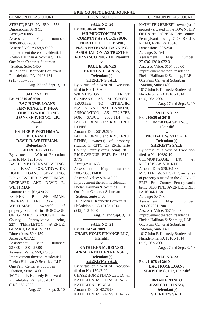STREET, ERIE, PA 16504-1553 Dimensions: 39 X 95 Acreage: 0.0851 Assessment Map number: 18053063022600 Assessed Value: \$58,890.00 Improvement thereon: residential Phelan Hallinan & Schmieg, LLP One Penn Center at Suburban Station, Suite 1400 1617 John F. Kennedy Boulevard Philadelphia, PA 19103-1814 (215) 563-7000

Aug. 27 and Sept. 3, 10

**SALE NO. 19 Ex. #12816 of 2009 BAC HOME LOANS SERVICING, L.P. F/K/A COUNTRYWIDE HOME LOANS SERVICING, L.P., Plaintiff v. ESTHER P. WEITHMAN, DECEASED DAVID R. WEITHMAN, Defendant(s) SHERIFF'S SALE** By virtue of a Writ of Execution fi led to No. 12816-09 BAC HOME LOANS SERVICING, L.P. F/K/A COUNTRYWIDE HOME LOANS SERVICING, L.P. vs. ESTHER P. WEITHMAN, DECEASED AND DAVID R. WEITHMAN Amount Due: \$62,420.27 ESTHER P. WEITHMAN DECEASED AND DAVID R. WEITHMAN, owner(s) of property situated in BOROUGH OF GIRARD BOROUGH, Erie County, Pennsylvania being 227 TEMPLETON AVENUE, GIRARD, PA 16417-1333 Dimensions: 50 x 150 Acreage: 0.1722 Assessment Map number: 23-009-008.0-025.00 Assessed Value: \$58,370.00 Improvement thereon: residential Phelan Hallinan & Schmieg, LLP One Penn Center at Suburban Station, Suite 1400 1617 John F. Kennedy Boulevard Philadelphia, PA 19103-1814 (215) 563-7000 Aug. 27 and Sept. 3, 10

# **ERIE COUNTY LEGAL JOURNAL** COMMON PLEAS COURT LEGAL NOTICE COMMON PLEAS COURT

**SALE NO. 20 Ex. #10506 of 2009 WILMINGTON TRUST COMPANY AS SUCCESSOR TRUSTEE TO CITIBANK, N.A. A NATIONAL BANKING ASSOCIATION, AS TRUSTEE FOR SASCO 2005-11H, Plaintiff** 

# **v. PAUL E. BENES KRISTEN J. BENES, Defendant(s) SHERIFF'S SALE**

By virtue of a Writ of Execution fi led to No. 10506-09 WILMINGTON TRUST COMPANY AS SUCCESSOR TRUSTEE TO CITIBANK, N.A. A NATIONAL BANKING ASSOCIATION, AS TRUSTEE FOR SASCO 2005-11H vs. PAUL E. BENES and KRISTEN J. **BENES** Amount Due: \$91,928.58 PAUL E. BENES and KRISTEN J. BENES, owner(s) of property situated in CITY OF ERIE, Erie County, Pennsylvania being 3811 RICE AVENUE, ERIE, PA 16510- 3776 Acreage: 0.1653 Assessment Map number: 18052053011400 Assessed Value: \$74,610.00 Improvement thereon: residential Phelan Hallinan & Schmieg, LLP One Penn Center at Suburban Station, Suite 1400 1617 John F. Kennedy Boulevard Philadelphia, PA 19103-1814 (215) 563-7000

Aug. 27 and Sept. 3, 10

**SALE NO. 21 Ex. #15042 of 2009 CHASE HOME FINANCE LLC, Plaintiff v. KATHLEEN M. REINSEL A/K/A KATHLEEN REINSEL, Defendant(s) SHERIFF'S SALE** By virtue of a Writ of Execution filed to No. 15042-09 CHASE HOME FINANCE LLC vs. KATHLEEN M. REINSEL A/K/A KATHLEEN REINSEL Amount Due: \$142,788.94

KATHLEEN M. REINSEL A/K/A

KATHLEEN REINSEL, owner(s) of property situated in the TOWNSHIP OF HARBORCREEK, Erie County, Pennsylvania being 7976 BELLE ROAD, ERIE, PA 16510 Dimensions: 80X250 Acreage: 0.4591 Assessment Map number: 27-036-126.0-032.01 Assessed Value: \$107,000.00 Improvement thereon: residential Phelan Hallinan & Schmieg, LLP One Penn Center at Suburban Station, Suite 1400 1617 John F. Kennedy Boulevard Philadelphia, PA 19103-1814 (215) 563-7000 Aug. 27 and Sept. 3, 10

**SALE NO. 22 Ex. #10689 of 2010 CITIMORTGAGE, INC., Plaintiff v.**

# **MICHAEL W. STICKLE, Defendant(s) SHERIFF'S SALE**

By virtue of a Writ of Execution filed to No. 10689-10 CITIMORTGAGE, INC. vs. MICHAEL W. STICKLE Amount Due: \$70,031.33 MICHAEL W. STICKLE, owner(s) of property situated in the CITY OF ERIE, Erie County, Pennsylvania being 3108 PINE AVENUE, ERIE, PA 16504-1158 Acreage: 0.4743 Assessment Map number: 18050072011700 Assessed Value: \$67,530.00 Improvement thereon: residential Phelan Hallinan & Schmieg, LLP One Penn Center at Suburban Station, Suite 1400 1617 John F. Kennedy Boulevard Philadelphia, PA 19103-1814 (215) 563-7000 Aug. 27 and Sept. 3, 10

**SALE NO. 23 Ex. #11078 of 2010 BAC HOME LOANS SERVICING, L.P., Plaintiff v. BRIAN E. TINKO JESSICA L. TINKO, Defendant(s) SHERIFF'S SALE**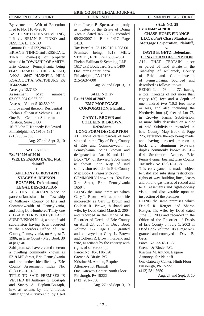By virtue of a Writ of Execution fi led to No. 11078-2010 BAC HOME LOANS SERVICING, L.P. vs. BRIAN E. TINKO and JESSICA L. TINKO Amount Due: \$122,284.78 BRIAN E. TINKO and JESSICA L. TINKO, owner(s) of property situated in TOWNSHIP OF AMITY, Erie County, Pennsylvania being 8647 HASKELL HILL ROAD, A/K/A, 8647 HASKELL HILL ROAD, LOT A, WATTSBURG, PA 16442-9402 Acreage: 12.3130 Assessment Map number: 02-002-004.0-027-00 Assessed Value: \$102,530.00 Improvement thereon: Residential Phelan Hallinan & Schmieg, LLP One Penn Center at Suburban Station, Suite 1400 1617 John F. Kennedy Boulevard

Philadelphia, PA 19103-1814 (215) 563-7000

Aug. 27 and Sept. 3, 10

# **SALE NO. 26 Ex. #10726 of 2010 WELLS FARGO BANK, N.A., Plaintiff v.**

# **ANTHONY G. BOSTAPH STACEY A. DEPKON-BOSTAPH, Defendant(s) LEGAL DESCRIPTION**

ALL THAT CERTAIN piece or parcel of land situate in the Township of Millcreek, County of Erie and Commonwealth of Pennsylvania, and being Lot Numbered Thirty-one (31) of BRIAR WOOD VILLAGE SUBDIVISION No. 4, a plot of said subdivision having been recorded in the Recorders Office of Erie County, Pennsylvania, on August 7, 1986, in Erie County Map Book 30 at page 40.

Said premises have erected thereon a dwelling commonly known as 5219 Mill Street, Erie, Pennsylvania and are further identified by Erie County Assessment Index No. (33) 119-515.1-8.

TITLE TO SAID PREMISES IS VESTED IN Anthony G. Bostaph and Stacey A. Depkon-Bostaph, h/w, as tenants by the entireties with right of survivorship, by Deed from Joseph B. Spero, as and only as trustee of the Estate of Doina Vacalie, dated 04/23/2007, recorded 05/22/2007 in Book 1417, Page 1413. Tax Parcel #: 33-119-515.1-008.00 Premises being: 5219 MILL STREET, ERIE, PA 16509-2581 Phelan Hallinan & Schmieg, LLP 1617 JFK Boulevard, Suite 1400 One Penn Center Plaza Philadelphia, PA 19103 215-563-7000

Aug. 27 and Sept. 3, 10

**SALE NO. 27 Ex. #12300 of 2007 EMC MORTGAGE CORPORATION, Plaintiff, v.** 

**GARY L. BROWN and COLLEEN R. BROWN, Defendants LONG FORM DESCRIPTION**

ALL those certain parcels of land situated in the City of Erie, County of Erie and Commonwealth of Pennsylvania, being known and designated as Lot 10 and 11 of Block "D", of Bayview Subdivision as shown upon Map of said subdivision recorded in Erie County Map Book 1, Pages 272-273.

COMMONLY known as 1324 East 31st Street, Erie, Pennsylvania 16504.

BEING the same premises which Gary L. Brown, who acquired title incorrectly as Garl L. Brown and Colleen R. Brown, husband and wife, by Deed dated March 2, 2004 and recorded in the Office of the Recorder of Deeds of Erie County on April 23, 2004 in Deed Book Volume 1127, Page 1852, granted and conveyed to Gary L. Brown and Colleen R. Brown, husband and wife, as tenants by the entirety with rights of survivorship. Parcel No. 18-5110-320 Grenen & Birsic, P.C. Kristine M. Anthou, Esquire Attorneys for Plaintiff One Gateway Center, Ninth Floor Pittsburgh, PA 15222 (412) 281-7650

Aug. 27 and Sept. 3, 10

**SALE NO. 28 Ex. #10447 of 2010 CHASE HOME FINANCE LLC, s/b/m/t Chase Manhattan Mortgage Corporation, Plaintiff, v.** 

# **DAVID B. GETZ, Defendant LONG FORM DESCRIPTION**

ALL THAT CERTAIN piece or parcel of land situate in the Township of Millcreek, County of Erie, and Commonwealth of Pennsylvania, bounded and described as follows, to wit:

BEING Lots 76 and 77, having a total frontage of not more than eighty (80) feet and a depth of one hundred two (102) feet more or less, and also including the Northerly four (4) feet of Lot 75, in Crowley Farms Subdivision, as more fully described on a plot of said Subdivision recorded in Erie County Map Book 3, Page 225, reference thereto being made, and having erected thereon a brick and aluminum two-story duplex commonly known as 612- 614 Strathmore Avenue, Erie, Pennsylvania, bearing Erie County Tax Index No. (33) 18-15-8.

This conveyance is made subject to valid and subsisting restrictions, rights-of-way, building lines, leases and oil and gas leases of record and to all easements and rights-of-way visible and discoverable upon an inspection of the premises.

BEING the same premises which Daniel R. Rettger and Sharon Rettger, his wife, by Deed dated June 30, 2003 and recorded in the Office of the Recorder of Deeds of Erie County on July 1, 2003 in Deed Book Volume 1030, Page 628, granted and conveyed to David B. Getz.

Parcel No. 33-18-15-8 Grenen & Birsic, P.C. Kristine M. Anthou, Esquire Attorneys for Plaintiff One Gateway Center, Ninth Floor Pittsburgh, PA 15222 (412) 281-7650

Aug. 27 and Sept. 3, 10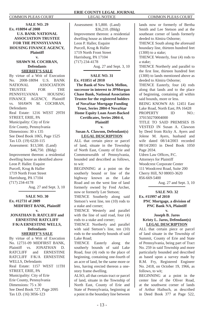**SALE NO. 29 Ex. #18094 of 2008 U.S. BANK NATIONAL ASSOCIATION TRUSTEE FOR THE PENNSYLVANIA HOUSING FINANCE AGENCY, Plaintiff v. SHAWN M. COCHRAN, Defendants SHERIFF'S SALE** By virtue of a Writ of Execution No. 2008-18094 U.S. BANK NATIONAL ASSOCIATION TRUSTEE FOR THE PENNSYLVANIA HOUSING FINANCE AGENCY, Plaintiff vs. SHAWN M. COCHRAN, **Defendants** Real Estate: 1216 WEST 29TH STREET, ERIE, PA Municipality: City of Erie Erie County, Pennsylvania Dimensions: 30 x 135 See Deed Book 1065, Page 1525 Tax I.D. (19) 6220-115 Assessment: \$13,500. (Land) \$46,750. (Bldg) Improvement thereon: a residential dwelling house as identified above Leon P. Haller. Esquire Purcell, Krug & Haller 1719 North Front Street Harrisburg, PA 17104 (717) 234-4178 Aug. 27 and Sept. 3, 10

# **SALE NO. 30 Ex. #12731 of 2009 MIDFIRST BANK, Plaintiff v.**

# **JONATHAN D. RATCLIFF and ERNESTINE RATCLIFF F/K/A ERNESTINE WELLS, Defendants SHERIFF'S SALE**

By virtue of a Writ of Execution No. 12731-09 MIDFIRST BANK, Plaintiff vs. JONATHAN D. RATCLIFF and ERNESTINE RATCLIFF F/K/A ERNESTINE WELLS, Defendants Real Estate: 1157 WEST 11TH STREET, ERIE, PA Municipality: City of Erie Erie County, Pennsylvania Dimensions: 75 x 30 See Deed Book 727, Page 2095 Tax I.D. (16) 3056-123

Assessment: \$ 5,800. (Land) \$36,210. (Bldg) Improvement thereon: a residential dwelling house as identified above Leon P. Haller, Esquire Purcell, Krug & Haller 1719 North Front Street Harrisburg, PA 17104 (717) 234-4178 Aug. 27 and Sept. 3, 10

# **SALE NO. 31**

**Ex. #11851 of 2010 The Bank of New York Mellon, successor in interest to JPMorgan Chase Bank, National Association Trustee for the registered holders of NovaStar Mortgage Funding** 

**Trust, Series 2004-4 NovaStar Home Equity Loan Asset-Backed Certifi cates, Series 2004-4, Plaintiff**

**v.**

# **Susan A. Clawson, Defendant(s) LEGAL DESCRIPTION**

ALL that certain piece or parcel of land, situate in the Township of North East, County of Erie and Commonwealth of Pennsylvania, bounded and described as follows, to wit:

BEGINNING at a point on the southerly bound or line of the highway known as the Lake Road and on the west line of land formerly owned by Fred Archer, now or formerly Lee Stetson;

THENCE Southerly along said Stetson's west line, ten (10) rods to a stake and corner;

THENCE Westerly and parallel with the line of said road, four (4) rods to a stake and corner;

THENCE Northerly and parallel with said Stetson's line, ten (10) rods to the southerly bounds of said Lake Road;

THENCE Easterly along the southerly bounds of said Lake Road, four (4) rods to the place of beginning, containing one-fourth of an acre of land, be the same more or less, having erected thereon a onestory frame dwelling.

ALSO, all that certain tract or parcel of land, situate in the Township of North East, County of Erie and State of Pennsylvania, beginning at a point in the boundary line between

lands now or formerly of Bertha Smith and Lee Stetson and at the southeast corner of lands formerly deeded to Almira Osborne;

THENCE South along the aforesaid boundary line, thirteen hundred feet (1300) to a stake;

THENCE Westerly, four (4) rods to a stake;

THENCE Northerly and parallel to the first line, thirteen hundred feet (1300) to lands mentioned above as deeded to Almira Osborne;

THENCE Easterly, four (4) rods along that lands and to the place of beginning, containing all within said bounds, more or less.

BEING KNOWN AS: 12451 East Lake Road, North East, PA 16428 PROPERTY ID NO.

370150270004000

TITLE TO SAID PREMISES IS VESTED IN Susan A. Clawson by Deed from Ricky A. Ayers and Jolene M. Ayers, husband and wife dated 08/14/2003 recorded 08/14/2003 in Deed Book 1050 Page 2034.

Udren Law Offices, P.C.

Attorneys for Plaintiff

Woodcrest Corporate Center 111 Woodcrest Road, Suite 200 Cherry Hill, NJ 08003-3620 856-669-5400

Aug. 27 and Sept. 3, 10

**SALE NO. 32 Ex. #11997 of 2010 PNC Mortgage, a division of PNC Bank NA, Plaintiff**

# **v. Joseph B. Jaros Kristy L. Jaros, Defendant(s) LEGAL DESCRIPTION**

ALL that certain piece or parcel of land situate in the Township of Summit, County of Erie and State of Pennsylvania, being part of Tract No. 259 in said Township and more particularly bounded and described as based upon a survey made by R.M. Fry, Registered Engineer No. 2418, on October 19, 1966, as follows, to wit;

BEGINNING at a point in the center line of the Oliver Road, at the southwest corner of lands of Arthur Haibuch, as described in Deed Book 377 at Page 522,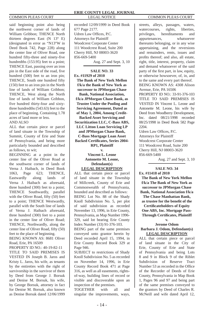said beginning point also being the northwest corner of lands of William Gribbon; THENCE North thirteen degrees East (N 13° E) (designated in error as "N13°W in Deed Book 742, Page 228) along the center line of Oliver Road, one hundred fifty-three and ninety-five hundredths (153.95) feet to a point; THENCE East, passing over an iron pin in the East side of the road, five hundred (500) feet to an iron pin; THENCE, South one hundred fifty (150) feet to an iron pin in the North line of lands of William Gribbon; THENCE, West along the North line of lands of William Gribbon, five hundred thirty-four and sixtythree hundredths (543.63) feet to the place of beginning. Containing 1.78 acres of land more or less.

# AND ALSO

ALL that certain piece or parcel of land situate in the Township of Summit, County of Erie and State of Pennsylvania, and being more particularly bounded and described as follows, to wit;

BEGINNING at a point in the center line of the Oliver Road at the southwest corner of lands of Verna J. Haibach, in Deed Book 1063, Page 623; THENCE, Eastwardly along lands of Verna J. Haibach as aforesaid, three hundred (300) feet to a point; THENCE Southwardly, parallel with the Oliver Road, fifty (50) feet to a point; THENCE Westwardly, parallel with the South line of lands of Verna J. Haibach aforesaid, three hundred (300) feet to a point in the center line of Oliver Road; THENCE, Northwardly, along the center line of Oliver Road, fifty (50) feet to the place of beginning.

BEING KNOWN AS: 8681 Oliver Road, Erie, PA 16509

PROPERTY ID NO.: 40-19-82-11 TITLE TO SAID PREMISES IS VESTED IN Joseph B. Jaros and Kristy L. Jaros, his wife, as tenants by the entireties with the right of survivorship in the survivor of them by Deed from George J. Borsuk and Denise M. Borsuk, his wife, by George Borsuk, attorney in fact for Denise M. Borsuk, also known as Denise Borsuk dated 12/06/1999

# **ERIE COUNTY LEGAL JOURNAL** COMMON PLEAS COURT LEGAL NOTICE COMMON PLEAS COURT

recorded 12/09/1999 in Deed Book 677 Page 2177. Udren Law Offices, P.C. Attorneys for Plaintiff Woodcrest Corporate Center 111 Woodcrest Road, Suite 200 Cherry Hill, NJ 08003-3620 856-669-5400

Aug. 27 and Sept. 3, 10

# **SALE NO. 33 Ex. #11929 of 2010 The Bank of New York Mellon f/k/a the Bank of New York as successor to JPMorgan Chase Bank, National Association, f/k/a JPMorgan Chase Bank, as Trustee Under the Pooling and Servicing Agreement, Dated as of May 1, 2004, Among Credit-Backed Asset Servicing and Securitization LLC, C-Bass ABS, LLC Litton Loan Servicing LP and JPMorgan Chase Bank, C-Bass Mortgage Loan Asset Backed Certifi cates, Series 2004-**

**RP1, Plaintiff**

**v. Vincent L. Leone Antonette M. Leone, Defendant(s) LEGAL DESCRIPTION**

ALL that certain piece or parcel of land situate in the Township of Millcreek, County of Erie and Commonwealth of Pennsylvania, bounded and described as follows: BEING Lot No. 88 of the Shady Knoll Subdivision No. 5, per plot of said subdivision as recorded November 13, 1996, in Erie County, Pennsylvania, as Map Number 1996- 329, said lot bearing Erie County Index Number (33) 91-376-103.

BEING part of the same premises conveyed unto grantor herein by Deed recorded April 15, 1994, in Erie County Record Book 329 at Page 946.

SUBJECT to restrictions of Shady Knoll Subdivision No. 5 as recorded on November 14, 1996, in Erie County Record Book 471 at Page 316, as well as all easements, rightsof-way, building lines of record or visible and discoverable upon an inspection of the premises.

TOGETHER with all and singular the improvements, ways,

streets, alleys, passages, waters, watercourses, rights, liberties, privileges, hereditaments and appurtenances, whatsoever thereunto belonging, or in any wise appertaining, and the reversions and remainders, rents, issues and profits thereof; and also, all estate, right, title, interest, property, claim and demand whatsoever of the said party of the first part, in law, equity, or otherwise howsoever, of, in, and to the same and every part thereof. BEING KNOWN AS: 4308 Alison

Avenue, Erie, PA 16506 PROPERTY ID NO.: 33-91-376-103 TITLE TO SAID PREMISES IS VESTED IN Vincent L. Leone and Antonette M. Leone, his wife by Deed from Woodberry Development, Inc. dated 08/21/1998 recorded 08/25/1998 in Deed Book 582 Page 2204.

Udren Law Offices, P.C. Attorneys for Plaintiff Woodcrest Corporate Center 111 Woodcrest Road, Suite 200 Cherry Hill, NJ 08003-3620 856-669-5400

Aug. 27 and Sept. 3, 10

**SALE NO. 34**

**Ex. #11418 of 2010 The Bank of New York Mellon f/k/a The Bank of New York as successor to JPMorgan Chase Bank, National Association f/k/a The Chase Manhattan Bank,**  as trustee for the benefit of the **Certifi cateholders of Equity One ABS, Inc. Mortgage Pass-Through Certificates, Plaintiff v.**

# **Jerome Odom Barbara J. Odom, Defendant(s) LEGAL DESCRIPTION**

ALL that certain piece or parcel of land situate in the City of Erie, County of Erie and State of Pennsylvania and being Lots 8 and 9 in Block 9 of the Riblet Subdivision of Reserve Tract Number 53 as recorded in the Office of the Recorder of Deeds of Erie County, Pennsylvania in Map Book 1, Pages 96 and 97 and being part of the same premises conveyed to the grantors by Deed of Charles R. McNeill and wife dated April 12,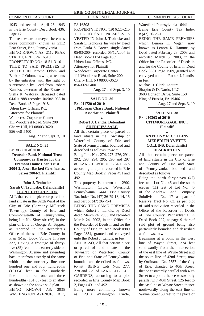1943 and recorded April 26, 1943 in the Erie County Deed Book 436, Page 12.

The real estate conveyed herein is more commonly known as 2112 Pear Street, Erie, Pennsylvania. BEING KNOWN AS: 2112 PEAR STREET, ERIE, PA 16510 PROPERTY ID NO.: 18-5113-101 TITLE TO SAID PREMISES IS VESTED IN Jerome Odom and Barbara J. Odom, his wife, as tenants by the entireties with the right of survivorship by Deed from Robert Kandza, executor of the Estate of Stella K. Walczak, deceased dated 04/01/1988 recorded 04/04/1988 in Deed Book 45 Page 1918. Udren Law Offices, P.C. Attorneys for Plaintiff Woodcrest Corporate Center 111 Woodcrest Road, Suite 200 Cherry Hill, NJ 08003-3620 856-669-5400

Aug. 27 and Sept. 3, 10

# **SALE NO. 35 Ex. #12220 of 2010 Deutsche Bank National Trust Company, as Trustee for the Fremont Home Loan Trust 2004-2, Asset Backed Certifi cates, Series 2004-2, Plaintiff**

# **v. John J. Trohoske Sarah C. Trohoske, Defendant(s) LEGAL DESCRIPTION**

ALL that certain piece or parcel of land situate in the Sixth Ward of the City of Erie (Formerly Millcreek Township), County of Erie and Commonwealth of Pennsylvania, being Lot No. Sixty-six (66) in the plan of Lots of George A. Tupper, as recorded in the Recorders's Office of the said Erie County in Plan (Map) Book Volume 1, Page 337, Having a frontage of thirtyfive (35) feet on the easterly side of Washington Avenue and extending back therefrom easterly of the same width on the northerly line one hundred one and four hundredths (101.04) feet, in the southerly line one hundred one and three hundredths (101.03) feet to an alley as shown on the above said plan. BEING KNOWN AS: 3035 WASHINGTON AVENUE, ERIE,

### PA 16508

PROPERTY ID NO.: (19) 6225-215 TITLE TO SAID PREMISES IS VESTED IN John J. Trohoske and Sarah C. Trohoske, his wife by Deed from Paula S. Breter, single dated 05/03/2004 recorded 05/12/2004 in Deed Book 1134 Page 1009. Udren Law Offices, P.C. Attorneys for Plaintiff Woodcrest Corporate Center 111 Woodcrest Road, Suite 200 Cherry Hill, NJ 08003-3620 856-669-5400

Aug. 27 and Sept. 3, 10

# **SALE NO. 36 Ex. #11720 of 2010 JPMorgan Chase Bank, National Association, Plaintiff**

# **v. Robert J. Landis, Defendant SHERIFF'S SALE**

All that certain piece or parcel of land situate in the Township of Waterford, County of Erie and State of Pennsylvania, bounded and described as follows, to-wit: Being Lots Nos. 274, 275, 276, 291, 292, 293, 294, 295, 296 and 297 of LAKE LEBOEUF GARDENS according to a plot recorded in Erie County Map Book 2, Pages 491 and 492.

This property is known as 12902 Washington Circle, Waterford, Pennsylvania 16441. Erie County Tax Index No. (47) 26-79-13, 14, 15 and part of (47) 26-79-1.

BEING THE SAME PREMISES which Robert J. Landis, by Deed dated March 24, 2003 and recorded March 24, 2003, in the Office for the Recorder of Deeds in and for the County of Erie, in Deed Book 0989 Page 0834, granted and conveyed unto the Robert J. Landis, in fee.

AND ALSO, All that certain piece or parcel of land situate in the Township of Waterford, County of Erie and State of Pennsylvania, bounded and described as follows, to-wit: BEING Lots Nos. 277, 278 and 279 of LAKE LEBOEUF GARDENS, according to a plot recorded in Erie County Map Book 2, Pages 491 and 492.

Being more commonly known as 12918 Washington Circle, Waterford, Pennsylvania 16441 Being Erie County Tax Index # (47) 26-79-1

BEING THE SAME PREMISES which Lenora K. Vogan, now known as Lenora K. Hamme, by Deed dated February 28, 2003 and recorded March 3, 2003, in the Office for the Recorder of Deeds in and for the County of Erie, in Deed Book 0981 Page 1509, granted and conveyed unto the Robert J. Landis, in fee.

Michael J. Clark, Esquire Shapiro & DeNardo, LLC 3600 Horizon Drive, Suite 150 King of Prussia, PA 19406

Aug. 27 and Sept. 3, 10

# **SALE NO. 38 Ex. #10363 of 2010 CITIMORTGAGE INC., Plaintiff**

# **v.**

# **ANTHONY R. COLLINS MEREDITH YVETTE COLLINS, Defendant(s) DESCRIPTION**

All that certain piece or parcel of land situate in the City of Erie and County of Erie and State of Pennsylvania, bounded and described as follows:

Being the north forty-seven (47) feet to a Lot No. 46 and the south eleven (11) feet of Lot No. 45 of the Andrew Land Company Subdivision No. 17 as part of Reserve Tract No. 63, as per plot of said subdivision recorded in the Office of the Recorder of Deeds of Erie County, Pennsylvania, in Deed Book 227, at page 9 thereof said plot of ground being also particularly bounded and described as follows, to wit:

Beginning at a point in the west line of Wayne Street, 274 feet southwardly from the intersection of the east line of Wayne Street and the south line of 42nd Street, now by Ordinance No. 7557 of the City of Erie, changed to 40th Street, thence eastwardly parallel with 40th Street to a point; thence westwardly parallel with 40th Street, 125 feet to the east line of Wayne Street, thence northwardly along the east line of Wayne Street 50 feet to the place of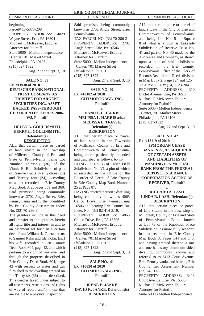beginning. Parcel# 18-5378-208 PROPERTY ADDRESS: 4029 Wayne Street, Erie, PA 16504 Michael T. McKeever, Esquire Attorney for Plaintiff Suite 5000 - Mellon Independence Center, 701 Market Street Philadelphia, PA 19106 (215) 627-1322 Aug. 27 and Sept. 3, 10

**SALE NO. 39 Ex. #11930 of 2010 DEUTSCHE BANK NATIONAL TRUST COMPANY, AS TRUSTEE FOR ARGENT SECURITIES INC., ASSET-BACKED PASS-THROUGH CERTIFICATES, SERIES 2006- W5, Plaintiff v.** 

# **HELEN A. GOULDSMITH KERRY L. GOULDSMITH, Defendant(s) DESCRIPTION**

ALL that certain piece or parcel of land situate in the Township of Millcreek, County of Erie and State of Pennsylvania, being Lot Number Thirty-six (36) of the Vinnie E. Butt Subdivision of part of Reserve Tracts Twenty-three (23) and Twenty four (24), according to a plat recorded in Erie County Map Book 3, at pages 359 and 360. Said premised being commonly known as 2702 Angle Street, Erie, Pennsylvania and further identified by Erie County Assessment Index No. (33) 70-286-3.

The grantors include in this deed and transfer to the grantees herein all right, title and interest in and to an easement set forth in a certain deed from Wiliam J. Goetz, et ux to Samuel Kahn and Ida Kohn, [sic] his wife, recorded in Erie County Deed Book 604, page 43, and which pertains to a right of way over and through the property described in Erie County Deed Book 604, page 43 with respect to water and gas furnished to the dwelling erected on Lot Thirty-six (36) herein described. This deed is taken under subject to all easements, restrictions and rights of way of record and/or those that are visible to a physical inspection.

Said premises being commonly known as 2702 Angle Street, Erie, Pennsylvania. TAX PARCEL NO: (33) 70-286-3 PROPERTY ADDRESS: 2702 Angle Street, Erie, PA 16506 Michael T. McKeever, Esquire Attorney for Plaintiff Suite 5000 - Mellon Independence Center, 701 Market Street Philadelphia, PA 19106 (215) 627-1322

Aug. 27 and Sept. 3, 10

# **SALE NO. 40 Ex. #10102 of 2010 CITIMORTGAGE, INC, Plaintiff v.**

# **DANIEL J. HARRIS MELISSA L. HARRIS a/k/a MELISSA L. TRESSE, Defendant(s) DESCRIPTION**

ALL that certain piece or parcel of land situate in the Township of Millcreek, County of Erie and Commonwealth of Pennsylvania, being more particularly bounded and described as follows, to-wit: BEING Lot No. 35 of Calico Field Subdivision No. VI, a plot of which is recorded in the Office of the Recorder of Deeds of Erie County in Erie County Map Book Number 25 at Page 87; HAVING erected thereon a dwelling being commonly known as 4065 Calico Drive, Erie, Pennsylvania 16506 and bearing Erie County Tax Index No.: (33) 82-414-3.19; PROPERTY ADDRESS: 4065 Calico Drive, Erie, PA 16506 Michael T. McKeever, Esquire Attorney for Plaintiff Suite 5000 - Mellon Independence Center, 701 Market Street Philadelphia, PA 19106 (215) 627-1322 Aug. 27 and Sept. 3, 10

**SALE NO. 41 Ex. #10820 of 2010 CITIMORTGAGE INC., Plaintiff v.**

**IRENE E. JANKE DAVID R. JANKE, Defendant(s) DESCRIPTION**

ALL that certain piece or parcel of land situate in the City of Erie and Commonwealth of Pennsylvania, and being Lot No. 5 in Square 8 of what is known as Lakeside Subdivision of Reserve Trust No. 41 and part of No. 40 made by the Andrews Land Company, as shown upon a plot of said subdivision recorded in the Erie County, Pennsylvania Office of the Clerk of Records Recorder of Deeds division in Map Book 2, Page 124 and 125 TAX PARCEL #: (14) 1123-204 PROPERTY ADDRESS: 310 Euclid Avenue, Erie, PA 16511 Michael T. McKeever, Esquire Attorney for Plaintiff Suite 5000 - Mellon Independence Center, 701 Market Street Philadelphia, PA 19106 (215) 627-1322

Aug. 27 and Sept. 3, 10

**SALE NO. 42 Ex. #12119 of 2010 JPMORGAN CHASE BANK, N.A., AS ACQUIRER OF CERTAIN ASSETS AND LIABILITIES OF WASHINGTON MUTUAL BANK FROM THE FEDERAL DEPOSIT INSURANCE CORPORATION ACTING AS RECEIVER, Plaintiff**

# **v. RICHARD A. LASH LINDA R. LASH, Defendant(s) DESCRIPTION**

ALL that certain piece or parcel of land situate in the Township of Millcreek, County of Erie and State of Pennsylvania. Being known as Lot 73 of the Knobloch Place Subdivision, as more fully set forth in plat recorded in Erie County Map Book 3, Pages 144 and 145, and having erected thereon a one and one-half story aluminum-sided dwelling commonly known and referred to as 3413 Court Avenue, Erie, Pennsylvania, and bearing Erie County Tax Assessment Number (33) 74-311-2.

PROPERTY ADDRESS: 3413 Court Avenue, Erie, PA 16506 Michael T. McKeever, Esquire Attorney for Plaintiff Suite 5000 - Mellon Independence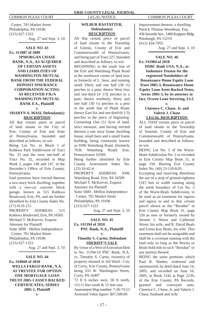Center, 701 Market Street Philadelphia, PA 19106 (215) 627-1322 Aug. 27 and Sept. 3, 10

**SALE NO. 43 Ex. #12887 of 2009 JPMORGAN CHASE BANK, N.A., AS ACQUIRER OF CERTAIN ASSETS AND LIABILITIES OF WASHINGTON MUTUAL BANK FROM THE FEDERAL DEPOSIT INSURANCE CORPORATION ACTING AS RECEIVER F/K/A WASHINGTON MUTUAL BANK F.A., Plaintiff** 

# **v.**

# **SHARYN A. MASI, Defendant(s) DESCRIPTION**

All that certain piece or parcel of land situate in the City of Erie, County of Erie and State of Pennsylvania, bounded and described as follows, to-wit:

Being Lot No. in Block I of Kahkwa Park Subdivision of Tract No. 33 and the west one-half of Tract No. 32, recorded in Map Book 2, pages 146 and 147, in the Recorder's Office of Erie County, Pennsylvania.

Said premises have erected thereon a two-story brick dwelling, together with a two-car concrete block garage, known as 515 Kahkwa Boulevard, Erie, PA, and are further identified by Erie County Index No. (17) 4119-211.

PROPERTY ADDRESS: 515 Kahkwa Boulevard, Erie, PA 16505 Michael T. McKeever, Esquire Attorney for Plaintiff Suite 5000 - Mellon Independence Center, 701 Market Street Philadelphia, PA 19106 (215) 627-1322 Aug. 27 and Sept. 3, 10

**SALE NO. 44 Ex. #10669 of 2010 WELLS FARGO BANK, N.A. AS TRUSTEE FOR OPTION ONE MORTGAGE LOAN TRUST 2005-1 ASSET-BACKED CERTIFICATES, SERIES 2005-1, Plaintiff**

# **WILBUR RASTATTER, Defendant(s) DESCRIPTION**

All that certain piece or parcel of land situate in the Township of Greene, County of Erie and Commonwealth of Pennsylvania, and being part of Tract 227, bounded and described as follows, to-wit: BEGINNING in the south line of the Erie and Wattsburg Plank Road at the northwest corner of land now or formerly of L. Seus, and running south Thirty and one half  $(30 \frac{1}{2})$ perches to a post; thence West four and one-third (4 1/3) perches to a post; thence northerly, thirty and one half (30 ½) perches to a post in the south line of Plank Road; thence East Six and one third (6 1/3) perches to the place of beginning. Containing One (1) Acre of land, strict measure, and having erected thereon a one story frame dwelling house, small barn and a small frame building, being commonly known as 9396 Wattsburg Road, (formerly 7636 Wattsburg Road) Erie, Pennsylvania 16509. Being further identified by Erie County Assessment Index No. (25) 16-42-4. PROPERTY ADDRESS: 9396 Wattsburg Road, Erie, PA 16509 Michael T. McKeever, Esquire Attorney for Plaintiff Suite 5000 - Mellon Independence Center, 701 Market Street Philadelphia, PA 19106 (215) 627-1322

Aug. 27 and Sept. 3, 10

# **SALE NO. 45 Ex. #11394 of 2010 PNC Bank, N.A., Plaintiff**

# **v. Timothy S. Carter, Defendant SHERIFF'S SALE**

By virtue of a Writ of Execution filed to No. 11394-10 PNC Bank, N.A. vs. Timothy S. Carter, owner(s) of property situated in 3rd Ward - City of Corry, Erie County, Pennsylvania being 333 W. Washington Street, Corry, PA 16407

72 ft 6 inches west, 50 ft north, 115-½ feet south & 15 feet east Assessment Map number: 7-26-73-13 Assessed Value figure: \$67,500.00

Improvement thereon: a dwelling Patrick Thomas Woodman, Esq. 436 Seventh Ave., 1400 Koppers Bldg. Pittsburgh, PA 15219 (412) 434-7955

Aug. 27 and Sept. 3, 10

# **SALE NO. 46**

**Ex. #11984 of 2010 HSBC Bank USA, N.A., as Indenture Trustee for the registered Noteholders of Renaissance Home Equity Loan Trust 2005-3, Renaissance Home Equity Loan Asset-Backed Notes, Series 2005-3, by its attorney in fact, Ocwen Loan Servicing, LLC** 

# **v. Clarence C. Chase. Jr. and Valerie J. Chase LEGAL DESCRIPTION**

ALL THAT certain piece or parcel of land situate in the Township of Summit, County of Erie and Commonwealth of Pennsylvania. bounded and described as follows, to-wit:

BEING Lot No. 5 of the Wurst-Beals Subdivision No. 2 as recorded in Erie County Map Book 31, at page 150. Bearing Erie County Index No. (40) 23-110-8.05.

Excepting and reserving therefrom the use of a strip of ground eighteen (18') feet in width running along the north boundary of Lot No. 5 of the Wurst-Beals Subdivision, to be used as an easement for ingress and egress in and to that certain parcel shown as the "Residue" in Erie County Map Book 31, page 150 as now or formerly owned by Jerome J. Wurst and Catherine Wurst, his wife, and R. David Beals and Lorna Kay Beals, his wife. This easement shall not be assignable and shall be a covenant running with the land only so long as the Wursts or Beals hold title to such "Residue" or any portion thereof.

BEING the same premises which Paul R. Mather, widowed and unremarried, by deed dated June 14, 2005, and recorded on June 16, 2005, in Book 1242 at Page 2239, of the Erie County, PA Records, granted and conveyed unto, Clarence C. Chase, Jr. and Valerie J. Chase, husband and wife.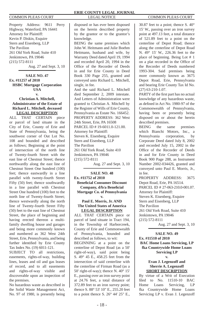Property Address: 9611 Perry Highway, Waterford, PA 16441 Attorney for Plaintiff: Kevin P. Diskin, Esquire Stern and Eisenberg, LLP The Pavilion 261 Old York Road, Suite 410 Jenkintown, PA 19046 (215) 572-8111 Aug. 27 and Sept. 3, 10

# **SALE NO. 47 Ex. #11257 of 2010 HSBC Mortgage Corporation USA v.**

# **Christian A. Mitchell, Administrator of the Estate of Richard L. Mitchell, deceased LEGAL DESCRIPTION**

ALL THAT CERTAIN piece or parcel of land situate in the City of Erie, County of Erie and State of Pennsylvania, being the southwest corner of Out Lot No. 108 and bounded and described as follows; Beginning at the point of intersection of the north line of Twenty-fourth Street with the east line of Chestnut Street; thence northwardly along the east line of Chestnut Street One hundred (100) feet; thence eastwardly in a line parallel with twenty-fourth Street Fifty (50) feet; thence southwardly in a line parallel with Chestnut Street One hundred (100) feet to the north line of Twenty-fourth Street; thence westwardly along the north line of Twenty-fourth Street Fifty (50) feet to the east line of Chestnut Street, the place of beginning and having erected thereon a multifamily dwelling house and garages and being more commonly known and numbered as 362 West 24th Street, Erie, Pennsylvania, and being further identified by Erie County Tax Index No. (19) 6011-121.

SUBJECT TO all restrictions, easements, rights-of-way, building lines, leases and oil and gas leases of record, and to all easements and rights-of-way visible and discoverable upon an inspection of the premises.

No hazardous waste as described in the Solid Waste Management Act, No. 97 of 1980, is presently being disposed or has ever been disposed on the herein described property by the grantor or to the grantor's knowledge.

BEING the same premises which John W. Heitmann and Julie Boehm Heitmann, husband and wife, by Warranty Deed dated April 19, 1994 and recorded April 20, 1994 in the Office of the Recorder of Deeds in and for Erie County in Deed Book 330 Page 255, granted and conveyed unto Richard L. Mitchell, single, in fee.

And the said Richard L. Mitchell died September 2, 2009 intestate. And Letters of Administration were granted to Christian A. Mitchell by the Register of Wills of Erie County, Pennsylvania as Estate No. 166452. PROPERTY ADDRESS: 362 West 24th Street, Erie, PA 16508 PARCEL ID # 19-6011.0-121.00. Attorney for Plaintiff: Steven K. Eisenberg, Esquire Stern and Eisenberg, LLP The Pavilion 261 Old York Road, Suite 410 Jenkintown, PA 19046 (215) 572-8111

Aug. 27 and Sept. 3, 10

**SALE NO. 48 Ex. #11752 of 2010 Benefi cial Consumer Discount Company, d/b/a Benefi cial Mortgage Co. of Pennsylvania v.** 

# **Paul E. Morris, Jr. AND The United States of America LEGAL DESCRIPTION**

ALL THAT CERTAIN piece or parcel of land situate in Tract 194, in the Township of Harborcreek, County of Erie and Commonwealth of Pennsylvania, bounded and described as follows, to wit: BEGINNING at a point on the centerline of Depot Road (as a 50' right-of-way), said point being S. 49° 45 E., 458.25 feet from the intersection of said centerline with the centerline of Firman Road (as a 50' right-of-way); thence N. 40° 15' E., passing over an iron survey point at 24.76 feet, a total distance of 372.89 feet to an iron survey point; thence S. 88° 53' 10" E., 255.20 feet to a point thence S. 26° 44' 25" E.,

30.87 feet to a point; thence S. 40° 15' W., passing over an iron survey point at 497.13 feet, a total distance of 521.89 feet to a point on the centerline of Depot Road; thence along the centerline of Depot Road N. 49° 15' W., 226.36 feet to the place of beginning. Being Lot # 1 on a plat recorded in the Office of the Recorder of Deeds numbered 1993-304. Said premises being more commonly known as 3675 Depot Road, Erie, Pennsylvania and bearing Erie County Tax Id No. (27) 63-210-1.07.

PARTY of the first part has no actual knowledge of any hazardous waste, as defined in Act No. 1980-97 of the Commonwealth of Pennsylvania, having been or presently being disposed on or about the herein described premises.

BEING the same premises which Bianchi Motors, Inc., a Pennsylvania corporation, by Corporate Deed dated July 8, 2002 and recorded July 15, 2002 in the Office of the Recorder of Deeds in and for Erie County in Deed Book 900 Page 288, as Instrument Number 2002-034426, granted and conveyed unto Paul E. Morris, Jr., in fee.

PROPERTY ADDRESS: 3675 Depot Road, Erie, PA 16514. PARCEL ID # 27-063-210.0-001.07. Attorney for Plaintiff: Steven K. Eisenberg, Esquire Stern and Eisenberg, LLP The Pavilion 261 Old York Road, Suite 410 Jenkintown, PA 19046 (215) 572-8111

Aug. 27 and Sept. 3, 10

**SALE NO. 49 Ex. #11510 of 2010 BAC Home Loans Servicing, LP fka Countrywide Home Loans Servicing LP**

# **v. Evan J. Legenzoff and Sherrie A. Legenzoff SHORT DESCRIPTION**

By virtue of a Writ of Execution filed to No. 11510-10 BAC Home Loans Servicing, LP fka Countrywide Home Loans Servicing LP v. Evan J. Legenzoff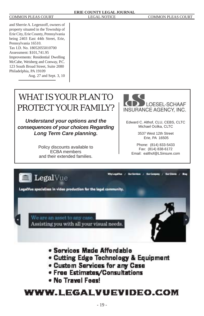# COMMON PLEAS COURT LEGAL NOTICE COMMON PLEAS COURT

and Sherrie A. Legenzoff, owners of property situated in the Township of Erie City, Erie County, Pennsylvania being 2403 East 44th Street, Erie, Pennsylvania 16510. Tax I.D. No. 18052055010700 Assessment: \$101,741.95 Improvements: Residential Dwelling McCabe, Weisberg and Conway, P.C. 123 South Broad Street, Suite 2080 Philadelphia, PA 19109

Aug. 27 and Sept. 3, 10

# WHAT IS YOUR PLAN TO PROTECT YOUR FAMILY?

*Understand your options and the consequences of your choices Regarding Long Term Care planning.*

> Policy discounts available to ECBA members and their extended families.



Edward C. Althof, CLU, CEBS, CLTC Michael Ocilka, CLTC

> 3537 West 12th Street Erie, PA 16505

Phone: (814) 833-5433 Fax: (814) 838-6172 Email: ealthof@LSinsure.com



- . Cutting Edge Technology & Equipment
- . Custom Services for any Case
- Free Estimates/Consultations
- . No Travel Fees!

# **WWW.LEGALVUEVIDEO.COM**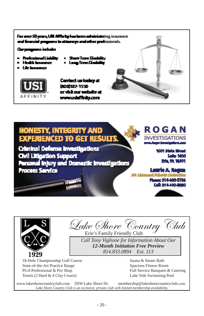For over 50 years, UIII Affinity has been substraintering insurance and financial programs to attacrays and other professionals.

gana induks

- Professional Linkin
- Surt-Tern Dis
- **. Health Insurance** Life locations:
- Long Term Diam



Contact us today at 000327-1550 or visit our website at www.uskilinky.com







Lake *Shove* Country Club

*Call Tony Viglione for Information About Our 12-Month Initiation Free Preview 814.833.0894 Ext. 113*

18-Hole Championship Golf Course State-of-the-Art Practice Range PGA Professional & Pro Shop Tennis (2 Hard & 4 Clay Courts)

Sauna & Steam Bath Spacious Fitness Room Full Service Banquets & Catering Lake Side Swimming Pool

www.lakeshorecountryclub.com 5950 Lake Shore Dr. membership@lakeshorecountryclub.com *Lake Shore Country Club is an exclusive, private club with limited membership availability.*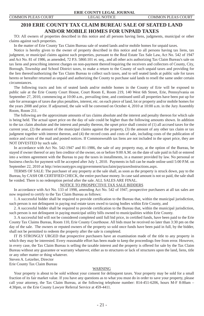# **2010 ERIE COUNTY TAX CLAIM BUREAU SALE OF SEATED LAND AND/OR MOBILE HOMES FOR UNPAID TAXES**

 TO: All owners of properties described in this notice and all persons having liens, judgments, municipal or other claims against such properties.

In the matter of Erie County Tax Claim Bureau sale of seated lands and/or mobile homes for unpaid taxes.

 Notice is hereby given to the owner of property described in this notice and to all persons having tax liens, tax judgment, or municipal claims against such properties, pursuant to the Real Estate Tax Sale Law, Act No. 542 of 1947 and Act No. 81 of 1986, as amended, 72 P.S. 5860.101 et. seq., and all other acts authorizing Tax Claim Bureau's sale on tax liens and prescribing interest charges on non-payment thereof/requiring the receivers and collectors of County, City, Borough, Township and School District taxes, to make a return to the County of such unpaid taxes and providing for the lien thereof/authorizing the Tax Claim Bureau to collect such taxes, and to sell seated lands at public sale for taxes hereto or hereafter returned as unpaid and authorizing the County to purchase said lands to resell the same under certain circumstances.

 The following tracts and lots of seated lands and/or mobile homes in the County of Erie will be exposed to public sale at the Erie County Court House, Court Room E, Room 219, 140 West 6th Street, Erie, Pennsylvania on September 27, 2010, commencing at 10:00 a.m., prevailing time, and continued until all properties have been put up for sale for arrearages of taxes due plus penalties, interest, etc. on each piece of land, lot or property and/or mobile homes for the years 2008 and prior. If adjourned, the sale will be convened on October 4, 2010 at 10:00 a.m. in the Jury Assembly Room, Room 211.

 The following are the approximate amounts of tax claims absolute and the interest and penalty thereon for which sale is being held. The actual upset price on the day of sale could be higher than the following amounts shown. In addition to the tax claim absolute and the interest and penalty thereon, the upset price shall consist of (1) all accrued taxes for the current year, (2) the amount of the municipal claims against the property, (3) the amount of any other tax claim or tax judgment together with interest thereon, and (4) the record costs and costs of sale, including costs of the publication of notice and costs of the mail and posted notices. If Commonwealth tax liens are not included in the upset price, they are NOT DIVESTED by such sale.

 In accordance with Act No. 542-1947 and 81-1986, the sale of any property may, at the option of the Bureau, be stayed if owner thereof or any lien creditor of the owner, on or before 9:00 A.M. on the date of sale paid in full or entered into a written agreement with the Bureau to pay the taxes in installments, in a manner provided by law. No personal or business checks for payment will be accepted after July 1, 2010. Payments in full can be made online until 5:00 P.M. on September 22, 2010 at http://eriecountygov.org/government/taxclaim/paytaxesInstructions.aspx.

 TERMS OF SALE: The purchaser of any property at the sale shall, as soon as the property is struck down, pay to the Bureau, by CASH OR CERTIFIED CHECK, the entire purchase money. In case said amount is not so paid, the sale shall be voided. There is no redemption period after the sale. ALL SALES ARE FINAL.

# NOTICE TO PROSPECTIVE TAX SALE BIDDERS

 In accordance with Act No. 133 of 1998, amending Act No. 542 of 1947, prospective purchasers at all tax sales are now required to certify to the Tax Claim Bureau as follows:

1. A successful bidder shall be required to provide certification to the Bureau that, within the municipal jurisdiction, such person is not delinquent in paying real estate taxes owed to taxing bodies within Erie County, and

2. A successful bidder shall be required to provide certification to the Bureau that, within the municipal jurisdiction, such person is not delinquent in paying municipal utility bills owned to municipalities within Erie County.

3. A successful bid will not be considered completed until full bid price, in certified funds, have been paid to the Erie County Tax Claims Bureau, Room 110, Erie County Courthouse. All bids must be received no later than 3:30 pm on the day of the sale. The owners or reputed owners of the property so sold once funds have been paid in full, by the bidder, shall not be permitted to redeem the property after the sale is completed.

 IT IS STRONGLY URGED that prospective purchasers have an examination made of the title to any property in which they may be interested. Every reasonable effort has been made to keep the proceedings free from error. However, in every case, the Tax Claim Bureau is selling the taxable interest and the property is offered for sale by the Tax Claim Bureau without any guarantee or warranty whatever, either as to structures or lack of structures upon the land, liens, title or any other matter or thing whatever.

Steven A. Letzelter, Director

Erie County Tax Claim Bureau

### WARNING

 Your property is about to be sold without your consent for delinquent taxes. Your property may be sold for a small fraction of its fair market value. If you have any questions as to what you must do in order to save your property, please call your attorney, the Tax Claim Bureau, at the following telephone number: 814-451-6206, hours M-F 8:00am – 4:30pm, or the Erie County Lawyer Referral Service at 459-4411.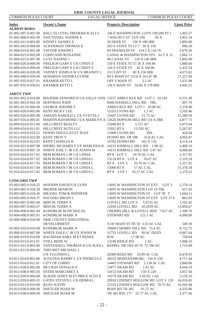# COMMON PLEAS COURT LEGAL NOTICE COMMON PLEAS COURT

| <b>Index</b><br><b>ALBION BORO</b> | <b>Owner's Name</b>                                           | <b>Property Description</b>                   | <b>Upset Price</b> |
|------------------------------------|---------------------------------------------------------------|-----------------------------------------------|--------------------|
| 01-002-007.0-007.00                | <b>BALL ELI ETAL FREDERICK ELI G</b>                          | 246 E WASHINGTON LOTS 199,200 PT 1            | 1,465.57           |
| 01-002-008.0-002.00                | VAN TASSEL NADINE E                                           | 7 WALNUT ST LOT 190<br>50 X                   | 3,852.34           |
| 01-002-011.0-003.00                | KINNEY DANIEL E                                               | 20 DEER ST<br>150 X 180 IRR                   | 1,893.60           |
| 01-003-043.0-004.00                | <b>ACKERMAN THOMAS E</b>                                      | 203 E STATE ST LT 7 50 X 150                  | 900.30             |
| 01-004-019.0-001.00                | YATZOR JOSEPH J                                               | 69 FRANKLIN ST 134.5 X 110.70                 | 5,070.36           |
| 01-004-023.0-002.00                | COPELAND ROXANNE                                              | CANAL & WASHINGTON STS 61.5 X 12              | 1,062.13           |
| 01-004-023.0-007.00 LUTZ NADINE J  |                                                               | 44 CANAL ST<br>118 X 146 IRR                  | 5,803.90           |
|                                    | 01-004-026.0-008.00 FRELIGH GARY E UX CINDY E                 | 150 E STATE ST 57.56 X 169.86                 | 3,868.60           |
|                                    | 01-004-026.0-009.00 FRELIGH GARY E UX CINDY E                 | 144 E STATE ST 42 X 169.86                    | 2,433.54           |
| 01-005-045.0-020.00                | VADNEY JOSHUA W UX BRANDY L                                   | 23 CLIFF ST<br>60 X 150 IRR                   | 4,075.82           |
|                                    | 01-005-048.0-030.00 HOSSMAN SANDRA LYNNE                      | 69 S MAIN ST 153.6 X 161.87 IR                | 17,257.04          |
| 01-007-035.0-027.01                | <b>KRAMER KETTI L</b>                                         | OFF S MAIN ST<br>3.2 AC                       | 1,031.08           |
| 01-007-035.0-030.01                | <b>KRAMER KETTI L</b>                                         | 158 S MAIN ST 54.66 X 178 IRR                 | 4,442.51           |
| <b>AMITY TWP</b>                   |                                                               |                                               |                    |
| 02-001-002.0-014.00                | MAJERIK EDWARD H UX SALLY ANN 13257 ARBUCKLE RD LOT 2 10.243  |                                               | 6,321.49           |
| 02-001-003.0-002.50                | HOFFMAN JOHN                                                  | 8446 HASKELL HILL RD TRL                      | 897.76             |
| 02-001-013.0-004.00                | <b>GEORGE JEROME F</b>                                        | ARBUCKLE RD LOT 1 10.08 AC                    | 2,318.40           |
| 02-005-020.0-003.06                | <b>KENT RICKY LEE</b>                                         | 15355 LYONS RD<br>1.2 AC                      | 5,593.46           |
| 02-005-020.0-005.00                | AMANN HAROLD L UX YVETTA J                                    | 15447 LYONS RD<br>51.75 AC                    | 15,389.50          |
| 02-007-016.0-005.01                | MARTIN RAYMOND J UX MARILYN A 13626 HOPSON HILL RD 116 X IRR  |                                               | 4,877.73           |
| 02-009-024.0-011.00                | HILLCREST REALTY                                              | 15048 RT 8<br>3.157 AC                        | 3,073.04           |
| 02-009-024.0-011.01                | HILLCREST AUTO LLC                                            | 15052 RT 8<br>13.593 AC                       | 5,267.07           |
| 02-011-019.0-019.52                | FENNO DOUGLAS ET JEAN                                         | 15900 LYONS RD<br>TRL                         | 424.04             |
| 02-012-010.0-023.00 KENT TROY V    |                                                               | FENNO RD TR 188<br>55.8 AC CAL                | 4,956.87           |
| 02-012-010.0-023.01                | <b>KENT CHARLES R</b>                                         | 10782 FENNO RD<br>165 X 132                   | 4,114.14           |
| 02-016-023.0-007.08                | BIEBEL RICHARD TUX MARLENA R                                  | 14233 KIMBALL HILL RD 1.08 AC                 | 2,400.10           |
| 02-016-023.0-007.10                | WHITE DAIL C JR UX JOANN M                                    | 14153 KIMBALL HILL RD 5.07 AC                 | 6,068.60           |
| 02-016-024.0-017.01                | BEM ROMAN J JR UX LINDA                                       | RT 8 LOT 5<br>10.76 AC CAL                    | 2,317.91           |
| 02-016-024.0-017.02                | BEM ROMAN J JR UX LINDA L                                     | 15124 RT 8 LOT 4<br>10.67 AC                  | 2,310.18           |
| 02-016-024.0-017.03                | BEM ROMAN J JR UX LINDA L                                     | RT 8 LOT 3<br>10.70 AC CAL                    | 2,317.91           |
| 02-016-024.0-017.04                | BEM ROMAN J JR UX LINDA L                                     | 17 AC CAL<br>15000 RT 8                       | 15,378.34          |
| 02-016-024.0-017.05                | BEM ROMAN J JR UX LINDA L                                     | RT8 LOT1<br>10.37 AC CAL                      | 2,279.22           |
| <b>CONCORD TWP</b>                 |                                                               |                                               |                    |
| 03-003-005.0-018.25                | WOODIN DAVID UX LYNN                                          | 13695 W WASHINGTON ST EXT<br>LOT <sub>3</sub> | 2,270.14           |
| 03-003-005.0-018.28                | PROPER SHARON                                                 | 13695 W WASHINGTON LOT 19 TRL                 | 617.45             |
| 03-003-005.0-018.36                | MEASEL TOM & JENNIFER                                         | 13695 W WASHINGTON ST LOT 39 T                | 1,664.11           |
| 03-003-005.0-018.37                | SOCOSKI BRIAN L                                               | 13695 W WASHINGTON ST EXT LOT 27A             | 862.83             |
| 03-003-007.0-003.06                | <b>MISCIK TERRY A</b>                                         | LOVELL RD LOT 6<br>5.4735 AC                  | 1,102.42           |
| 03-003-007.0-003.07                | <b>MISCIK TERRY A</b>                                         | 12950 LOVELL RD<br>10.2939 AC                 | 13,894.67          |
| 03-004-008.0-001.04                | KONDRLIK M NICHOLAS                                           | CHERRY HILL & LOVELL RDS 7.817 AC             | 1,390.76           |
| 03-004-008.0-005.01                | KONDRLIK MARK N<br>03-004-008.0-018.00 ERIE COUNTY INDUSTRIAL | <b>STEWART RD</b><br>121.1 AC                 | 4,090.89           |
|                                    | DEVELOPMENT                                                   | S OF MAIN ST TR 50 3.53 AC CAL                | 549.39             |
| 03-005-016.0-016.00                | KONDRLIK MARK N                                               | 19600 CHERRY HILL RD 75.4 AC                  | 8,732.75           |
| 03-006-019.0-007.00                | WHITE DALE C JR UX JOANN M                                    | 11755 LOVELL RD<br>39 AC DEED                 | 6,067.64           |
|                                    | 03-006-019.0-014.00 BAGHDAD AMEL M ET RENEE                   | R/W<br>17.90 AC                               | 758.04             |
| 03-010-015.0-011.01                | <b>STILL RENE W</b>                                           | 13180 RIDGE RD<br>1AC                         | 1,968.10           |
| 03-011-013.0-003.00                | VANTASSELL THOMAS H UX JEAN L KEPPEL DR TRS 69 70 72.760 AC   |                                               | 1,716.89           |
| 03-011-013.0-004.00                | THEURET MICHAEL L                                             |                                               |                    |
|                                    | UX YULONDA L                                                  | 24.99 AC CAL<br>20300 REED RD                 | 8,478.93           |
| 03-011-014.0-002.00                | SCOUTEN BARRY L UX PATRICIA S                                 | 20225 SPARTANSBURG 150 X 150                  | 4,717.44           |
| 03-011-014.0-011.01                | <b>CITY OF CORRY</b>                                          | 14465 STEWART RD<br>2.138 AC CAL              | 3,860.06           |
| 03-012-038.0-002.00                | MCCRAY DONALD E                                               | 13877 AKAM RD<br>1.01 AC                      | 4,644.19           |
|                                    | 03-012-038.0-005.03 ESTER MARGARET A                          | 14153 AKAM RD<br>150 X 220                    | 3,057.64           |
|                                    | 03-012-039.0-004.00 SLIKER JANET M ET PRICE SCOT E            | 14579 AKAM RD<br>3.39 AC CAL                  | 3,159.10           |
| 03-012-039.0-005.01                | GATES STEVEN L UX DEBRA L                                     | 20910 LINDSEY HOLLOW RD LOT 3 120             | 16,010.45          |
| 03-013-013.0-019.00 KUSS JUSTIN    |                                                               | 21533 LINDSEY HOLLOW RD 70.75 AC              | 10,365.98          |
| 03-013-038.0-008.00                | SHETLER NOAH M                                                | ROSS RD TR 365<br>91.57 AC                    | 4,335.86           |
|                                    | 03-013-038.0-009.00 SHETLER NOAH M                            | TR 365 RTE 277 55.77 AC CAL                   | 2,977.46           |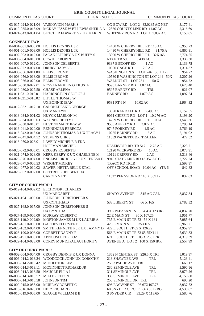| <b>ERIE COUNTY LEGAL JOURNAL</b>           |                                                                                                                           |                                   |                      |
|--------------------------------------------|---------------------------------------------------------------------------------------------------------------------------|-----------------------------------|----------------------|
| <b>COMMON PLEAS COURT</b>                  | <b>LEGAL NOTICE</b>                                                                                                       | <b>COMMON PLEAS COURT</b>         |                      |
|                                            |                                                                                                                           |                                   |                      |
|                                            | 03-017-024.0-021.04 VASCOVICH MARK S<br>03-019-035.0-013.09 MCKAY JESSE W ET LEWIS SHEILA A 12850 COUNTY LINE RD 11.07 AC | OX BOW RD LOT 2 33.0285 AC NET    | 3,177.41<br>2,316.69 |
| 03-021-043.0-001.04                        | BUTCHER EDWARD SR UX KAREN                                                                                                | WHITNEY RUN RD LOT 1 7.037 AC     | 1,150.05             |
|                                            |                                                                                                                           |                                   |                      |
| <b>CONNEAUT TWP</b>                        |                                                                                                                           |                                   |                      |
|                                            | 04-001-001.0-003.00 HOLLIS DENNIS L JR                                                                                    | 14430 W CHERRY HILL RD 110 AC     | 6,958.73             |
| 04-001-001.0-008.00                        | HOLLIS DENNIS L JR                                                                                                        | 14430 W CHERRY HILL RD<br>81.75 A | 6,860.81             |
|                                            | 04-002-003.0-012.00 PACAK JEFFREY A UX BUFFY S                                                                            | 13090 W CHERRY HILL RD 132X165    | 2,774.55             |
| 04-003-004.0-015.00                        | <b>COWHER ROBIN</b>                                                                                                       | RT 6N TR 598<br>3.438 AC          | 1,336.30             |
| 04-006-007.0-012.01                        | JOHNSON DELBERT E                                                                                                         | 9387 BISCOFF RD<br>1 AC           | 2,139.75             |
| 04-007-022.0-004.00 DRURY DARYL L          |                                                                                                                           | 10680 GAGE RD<br>2.6 AC           | 1,314.37             |
| 04-008-056.0-011.00 ELLIS JEROME           |                                                                                                                           | WASHINGTON ST LOT 246 50 X 125    | 954.72               |
| 04-008-056.0-013.00 ELLIS JEROME           |                                                                                                                           | 10530 E WASHINGTON ST LOT 244 50X | 2,207.26             |
| 04-008-056.0-020.00 ELLIS JEROME           |                                                                                                                           | WALNUT ST LOT 251<br>50 X 1       | 954.72               |
|                                            | 04-010-030.0-027.01 ROSS FRANKLIN G TRUSTEE                                                                               | 9595 BARNEY RD 1.87 AC            | 1,625.40             |
| 04-010-030.0-027.50 CHASE ARLENA           |                                                                                                                           | 9595 BARNEY RD<br>TRL             | 921.07               |
| 04-011-031.0-010.01                        | <b>HARRINGTON GEORGE J</b><br>04-011-031.0-010.02 LITTLE THOMAS W                                                         | <b>BARNEY RD</b><br>1.079 AC      | 1,097.54             |
|                                            | UX BONNIE JEAN                                                                                                            | 9531 RT 6 N<br>10.02 AC           | 2,964.32             |
|                                            | 04-012-032.1-017.10 CALONEHESKIE GEORGE                                                                                   |                                   |                      |
|                                            | <b>UX MARILYN</b>                                                                                                         | 13090 RANDALL RD<br>7.493 AC      | 2,157.55             |
|                                            | 04-013-034.0-001.02 HUYCK MARLON M                                                                                        | 9061 GRIFFIN RD LOT 1 10.276 AC   | 3,198.20             |
| 04-013-034.0-003.03 WAGNER BETTY J         |                                                                                                                           | 14209 W CHERRY HILL RD 10 AC      | 1,548.36             |
|                                            | 04-015-038.0-010.01 HUSTON MATTHEW W                                                                                      | 9505 AKERLY RD<br>3.072 AC        | 3,795.14             |
|                                            | 04-016-041.0-020.00 RENNINGER REBECCA                                                                                     | 9747 PORKEY RD<br>1.5 AC          | 2,769.19             |
|                                            | 04-016-042.0-018.00 JOHNSON THOMAS DUX TRACY L                                                                            | 10255 BARNEY RD<br>5 AC           | 5,191.02             |
| 04-017-047.0-004.52                        | <b>STEVENS CHRIS</b>                                                                                                      | 11359 WANETTA DR TRAILER          | 472.52               |
|                                            | 04-018-050.0-023.01 LAVELY MICHELE R FKA                                                                                  |                                   |                      |
|                                            | HOFFMAN MICHEL                                                                                                            | RESERVOIR RD TR 517 12.75 AC      | 5,323.71             |
|                                            | 04-020-072.0-005.01 CROSBY ROBERT B                                                                                       | 12120 WICKWIRE RD<br>10AC         | 3,078.91             |
|                                            | 04-021-074.0-028.00 KERR KERRY K UX CHARLENE M                                                                            | 10121 GRIFFEY RD<br>2AC           | 3,318.46             |
|                                            | 04-023-076.0-004.00 ENGLISH BRUCE G JR UX TERESA F                                                                        | 9945 STATE LINE RD 13.357 AC C    | 2,722.24             |
| 04-023-077.0-006.53 WRIGHT MICKEY          |                                                                                                                           | TRACY RD TRLR                     | 2,598.97             |
| 04-024-077.0-010.02                        | SAWER, NETTA BELLE ETAL                                                                                                   | OFF SCHOOL ROAD 10.04 AC (TR 6    | 842.82               |
|                                            | 04-028-062.0-007.00 COTTRELL DELBERT UX<br><b>CAROLYN ET</b>                                                              | 11527 PENNSIDE RD 110 X 369 IR    | 832.83               |
|                                            |                                                                                                                           |                                   |                      |
| <b>CITY OF CORRY WARD 1</b>                |                                                                                                                           |                                   |                      |
|                                            | 05-019-104.0-009.02 ELCHYNSKI CHARLES                                                                                     |                                   |                      |
|                                            | <b>UX MARGARET</b>                                                                                                        | SHADY AVENUE 1.515 AC CAL         | 8,837.84             |
|                                            | 05-021-104.1-005.00 JOHNSON CHRISTOPHER S                                                                                 |                                   |                      |
|                                            | UX CYNTHIA D                                                                                                              | 533 LIBERTY ST<br>66 X 165        | 2,782.32             |
|                                            | 05-027-168.0-017.00 JOHNSON CHRISTOPHER S                                                                                 |                                   |                      |
|                                            | <b>UX CYNTHIA</b>                                                                                                         | 39 E PLEASANT ST 64.4 X 123 IRR   | 4,837.70             |
|                                            | 05-027-169.0-006.00 MURRAY ROBERT C                                                                                       | 22 E MAIN ST<br>30 X 107.25       | 3,951.77             |
| 05-028-110.0-009.00                        | MORTON JAMES M UX LAURIE A                                                                                                | 735 E MAIN ST TR 53 56 X 181      | 7,085.64             |
|                                            | 05-028-181.0-003.00 GAP DEVELOPMENT                                                                                       | 428 E MAIN ST<br>35X165           | 6,969.21             |
| 05-028-182.0-004.00<br>05-028-190.0-008.00 | SMITH KENNETH P JR UX TAMMY D 422 E SOUTH ST 65 X 126.29<br><b>CORBETT DANNY P</b>                                        | 568 E MAIN ST TR 52 65.75X141     | 4,959.97             |
|                                            | 05-028-191.0-006.00 ABNOOSI BEHROOZ                                                                                       | 671 E SOUTH ST 105 X 268 IRR      | 5,639.83<br>4,319.39 |
|                                            | 05-029-104.0-028.00 CORRY MUNICIPAL AUTHORITY                                                                             | AVENUE A LOT 2 100 X 150 IRR      | 2,557.99             |
|                                            |                                                                                                                           |                                   |                      |
| <b>CITY OF CORRY WARD 2</b>                |                                                                                                                           |                                   |                      |
|                                            | 06-002-004.0-004.00 CROSBY DENNIS R UX DONNA                                                                              | 1362 N CENTER ST 226.5 X TRI      | 5,019.97             |
|                                            | 06-006-014.2-013.24 WOODCOCK JOHN UX DOROTHY                                                                              | 213 SHAWNEE AVE<br>TRL            | 5,123.41             |
| 06-006-014.2-013.42 MIDDLETON KIM          |                                                                                                                           | 250 APACHE AVE TRL                | 668.17               |
| 06-006-014.3-013.11                        | MCGINNETT RICHARD JR                                                                                                      | 230 SEMINOLE AVE<br>TRL           | 3,590.96             |
| 06-006-014.3-013.50 NAUGLE ELLA J          |                                                                                                                           | <b>311 SEMINOLE AVE</b><br>TRL    | 3,979.26             |
| 06-006-014.3-013.52 MILLER ELTON           |                                                                                                                           | 336 SEMINOLE AVE<br>TRL           | 4,150.80             |
| 06-006-014.3-013.58 JOHNSON TIM            |                                                                                                                           | 253 SEMINOLE DR TRL               | 690.20               |
|                                            | 06-009-015.0-055.00 MURRAY ROBERT C                                                                                       | 696 E WAYNE ST 98.67X197.75       | 3,937.52             |
| 06-010-016.0-025.00 HETZ RICHARD           |                                                                                                                           | 60 SNYDER CIRCLE 86X85 IRRG       | 4,538.07             |
| 06-010-019.0-005.00                        | SLAGLE WILLIAM E II                                                                                                       | 3 SNYDER CIR<br>33.29 X 113.65    | 2,580.76             |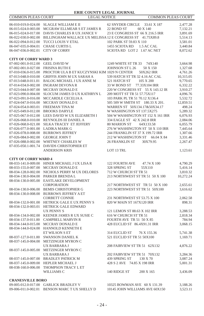| <b>COMMON PLEAS COURT</b>                  | <b>LEGAL NOTICE</b>                                       | <b>COMMON PLEAS COURT</b>                                  |           |
|--------------------------------------------|-----------------------------------------------------------|------------------------------------------------------------|-----------|
|                                            | 06-010-019.0-024.00 SLAGLE WILLIAM E II                   | 62 SNYDER CIRCLE<br>33.61 X 187                            | 2,477.28  |
| 06-015-024.0-003.00                        | MCGRAW ELLMEAR S ET JAMES R                               | 22 BOND ST<br>60 X 140                                     | 7,132.21  |
| 06-015-024.0-017.00                        | DAVIS CHARLES R UX JANICE V                               | 23 E CONGRESS ST 66 X 216.5 IRR                            | 3,891.69  |
| 06-022-030.0-002.00                        | BILLINGHAM WALLACE UX MELISSA 12 E CONGRESS ST 41.75X89.8 |                                                            | 5,514.13  |
| 06-022-094.0-012.00                        | TUCCI LOUIS V ETAL                                        | 102 PARK ST 59.83 X 110                                    | 3,581.01  |
| 06-047-035.0-004.01                        | CHASE CURTIS L                                            | 1455 SCIOTA RD 1.5 AC CAL                                  | 3,440.84  |
| 06-047-036.0-002.01                        | <b>CITY OF CORRY</b>                                      | SCIOTA RD LOT 2 1.67 AC NET                                | 8,072.62  |
|                                            |                                                           |                                                            |           |
| <b>CITY OF CORRY WARD 3</b>                |                                                           |                                                            |           |
| 07-002-001.0-012.00 GEEL DAVID W           |                                                           | 1249 WHITE ST TR 33<br>74X140                              | 3,664.98  |
| 07-002-001.0-027.00                        | <b>FRISINA RUTH E</b>                                     | JOHNSON ST L 26<br>50 X 150                                | 1,327.68  |
| 07-010-036.0-015.00                        | PROCTOR ULA B ET KUCZYNSKI KIM 1029 N CENTER              | 50X262 IRR                                                 | 4,761.26  |
| 07-013-048.0-010.00                        | <b>GRIFFIS JOHN M UX SARAH A</b>                          | 539 HATCH ST TR 32 4.16 AC CAL                             | 10,315.05 |
| 07-013-048.0-011.01                        | BALOG MICHAEL J UX ANNE M                                 | 521 HATCH ST<br>105 X 200                                  | 9,770.65  |
| 07-014-034.0-002.00                        | <b>INGRAM DEVONAR</b>                                     | 33 W BOND ST<br>77.33X104 IRR                              | 6,332.22  |
| 07-023-044.0-007.00                        | MCCRAY DONALD E                                           | 220 W CONGRESS ST 55 X 143.12 IR                           | 3,910.27  |
| 07-023-090.0-004.00                        | SLOCUM JAMES D UX KATHRYN L                               | 209 MOTT ST TR 51 57.75X117                                | 4,096.76  |
| 07-023-091.0-016.00                        | MCCARDLE CECELIA A                                        | 103 PARK PL TR 51 70.12 X136.4                             | 5,532.72  |
| 07-024-047.0-016.00                        | MCCRAY DONALD E                                           | 505 509 W SMITH ST 180.33 X 201.                           | 12,859.51 |
| 07-024-054.0-003.01                        | FREEMAN TINA M                                            | WARREN ST 50X134.17&50X34.17                               | 498.24    |
| 07-025-049.0-012.00                        | <b>BROOKS DARYLE</b>                                      | W WASHINGTON ST 137.5X275                                  | 5,289.32  |
| 07-025-067.0-012.00                        | LEES DAVID W UX ELIZABETH I                               | 504 W WASHINGTON ST 152 X 161 IRR                          | 6,076.93  |
| 07-026-068.0-010.00                        | REYNOLDS III DANIEL A                                     | 334 EAGLE ST 42 X 242.8 IRR                                | 2,084.06  |
| 07-026-068.0-021.00                        | SILKA TRACEY ET JEFFERY                                   | <b>80 MARION ST</b><br>64X133.58                           | 6,055.79  |
| 07-026-077.0-001.00                        | <b>LADIKA MARK G</b>                                      | 276 W WASHINGTON ST 50 X 110 IRR                           | 7,445.64  |
| 07-026-078.0-008.00                        | <b>BURROWS JEFFREY</b>                                    | 244 FRANKLIN ST 37 X 199.72 IRR                            | 1,307.66  |
| 07-026-084.0-002.00                        | <b>GEORGE JOHN T</b>                                      | 212 W WASHINGTON ST<br>66.04 X 84                          | 3,331.46  |
| 07-026-088.0-002.00                        | WHITNEY CHARLES W                                         | <b>26 FRANKLIN ST</b><br>30X79.95                          | 2,267.47  |
|                                            | 07-035-050.1-001.74 DAVIDS CHRISTOPHER ET                 |                                                            |           |
|                                            | <b>ANDERSON KRIS</b>                                      | LOT 13 TRL                                                 | 1,123.61  |
| <b>CITY OF CORRY WARD 4</b>                |                                                           |                                                            |           |
|                                            | 08-033-141.0-009.00 HINER MICHAEL J UX LISA R             | <b>122 FOURTH AVE</b><br>47.74 X 100                       | 4,790.29  |
|                                            | 08-033-155.0-007.00 MCCRAY DONALD E                       | 328 SPRING ST<br>55X110                                    | 5,416.14  |
| 08-034-128.0-002.00                        | NICHOLS PERRY M UX DELORES                                | 712 W CHURCH ST TR 51                                      | 3,810.32  |
| 08-034-130.0-004.00                        | PARKER BRENDA L                                           | 213 NORTHWEST ST TR 51 50 X 100                            | 10,272.24 |
| 08-034-130.0-005.00                        | EASTLAKE DEVELOPMENT                                      |                                                            |           |
|                                            | <b>CORPORATION</b>                                        | 217 NORTHWEST ST TR 51 50 X 100                            | 2,655.61  |
| 08-034-130.0-006.00                        | <b>BEMIS CHRISTOPHER G</b>                                | 223 NORTHWEST ST TR 51 50X100                              | 3,616.62  |
| 08-034-130.0-008.00                        | <b>BURROWS JEFFREY A ET</b>                               |                                                            |           |
|                                            | <b>CORBETT CONNIE</b>                                     | 231 NORTHWEST ST 53.75 X 100                               | 2,062.58  |
| 08-034-132.0-001.00                        | HETRICK GALE E UX PENNY S                                 | 820 W MAIN ST 167X120 IRR                                  | 898.31    |
|                                            | 08-034-132.0-003.01 HETRICK GALE EDWARD                   |                                                            |           |
|                                            | <b>UX PENNY S</b>                                         | 121 LEMON ST 88.63 X 102 IRR                               | 3,288.53  |
| 08-034-134.0-002.00                        | KEENER JAMES R UX SUSIE C                                 | 616 W CHURCH ST TR 51                                      | 2,818.34  |
| 08-034-137.0-011.00                        | <b>CAMPBELL MARVIN R</b>                                  | FOURTH AVE TR 51 50 X 85                                   | 784.94    |
| 08-034-144.0-015.00                        | MCCRAY DONALD E                                           | 428 EUCLID ST 86.4X91.31 IRR                               | 3,068.15  |
|                                            | 08-034-144.0-024.00 HANNOLD KENNETH E                     |                                                            |           |
|                                            | ET WILSON S ET                                            | 314 EUCLID ST<br>76 X 155.36<br>521 EUCLID ST TR 51 50X100 | 5,741.38  |
| 08-037-127.0-011.00<br>08-037-145.0-004.00 | <b>SWANSON DANIEL K</b><br>METZINGER MYRON C              |                                                            | 1,169.71  |
|                                            | UX BARBARA J                                              | 208 FAIRVIEW ST TR 51 62X132                               | 4,876.22  |
|                                            | 08-037-145.0-005.00 METZINGER MYRON C                     |                                                            |           |
|                                            | UX BARBARA J                                              | 202 FAIRVIEW ST TR 51 70X132                               | 3,284.36  |
|                                            | <b>BRADLEY PATRICK M</b>                                  | 439 SPRING ST<br>130 X 70                                  | 3,087.24  |
| 08-037-145.0-007.00<br>08-037-145.0-009.00 | <b>HEPLER MICHAEL J</b>                                   | 428 S 2 AVE 74.85 X 198 IRR                                | 5,001.31  |
| 08-038-160.0-006.00                        | THOMPSON TRACY L ET                                       |                                                            |           |
|                                            | WILLIAMS C                                                | 140 RIDGE ST<br>200 X 165                                  | 3,436.09  |
|                                            |                                                           |                                                            |           |
| <b>CRANESVILLE BORO</b>                    |                                                           |                                                            |           |
|                                            | <b>I LOTTED LET</b>                                       | <b><i>FANT AVET</i></b>                                    | 0.1000    |

| 09-005-012.0-017.00 GARLICK BRADLEY V        | 10325 BOWMAN AVE 60 X 131.39   | 3.188.26 |
|----------------------------------------------|--------------------------------|----------|
| 09-006-011.0-002.01 BENSON MARC TUX SHELLY D | 10145 JOHN WILLIAMS AVE 60X150 | 3,523.11 |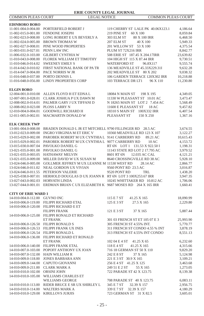COMMON PLEAS COURT LEGAL NOTICE COMMON PLEAS COURT

| <b>EDINBORO BORO</b>                 |                                                                               |                                   |           |
|--------------------------------------|-------------------------------------------------------------------------------|-----------------------------------|-----------|
| 11-001-004.0-004.00                  | PORTERFIELD ROBERT J                                                          | 119 CHERRY ST LALE PK 40.06X123.1 | 4,186.64  |
| 11-002-015.0-001.00                  | <b>FENDONE JOSEPH</b>                                                         | 219 PINE ST<br>60 X 100           | 8,059.84  |
| 11-002-023.0-008.00                  | LONG ROBERT E UX BEVERLY A                                                    | 303 ELM ST<br>80 X 100 IRR        | 6,468.50  |
| 11-002-024.0-005.00                  | <b>BROWN THOMAS W</b>                                                         | 207 ELM ST<br>40 X 100            | 5,949.33  |
| 11-002-027.0-008.01                  | PINE WOOD PROPERTIES                                                          | 201 WILLOW ST 53 X 100            | 4,375.54  |
| 11-003-031.0-027.01                  | PENN LAW INC                                                                  | PLUM ST 72X216 IRR                | 8,842.77  |
| 11-006-032.0-103.00                  | <b>GILBERT CYNTHIA W</b>                                                      | 508 ERIE ST 187.45 X 204.17IRR    | 23,639.82 |
| 11-010-043.0-008.00                  | FLOREK WILLIAM ET TIMOTHY                                                     | 104 HIGH ST 115 X 87.44 IRR       | 9,730.51  |
| 11-010-046.0-014.02                  | <b>SWEENEY EMILY S</b>                                                        | <b>WATERFORD ST</b><br>96.8X117   | 9,555.74  |
| 11-014-042.0-010.02                  | FIRST NATIONAL BANK OF PATR                                                   | 136 MEADVILLE ST 45.33X229.31I    | 9,632.28  |
| 11-014-047.0-004.00                  | PACE NORRIS W JR                                                              | 202 MEADVILLE ST 80 X 202         | 9,038.32  |
| 11-016-048.0-037.00                  | PORTO DENNIS L                                                                | 106 GARDEN TERRACE 120X302 IRR    | 10,218.88 |
| 11-016-048.0-056.00                  | <b>LINDY PROPERTIES CORP</b>                                                  | 103 TERRACE DR LT1<br>96 X 110    | 11,230.80 |
| <b>ELGIN BORO</b>                    |                                                                               |                                   |           |
|                                      | 12-004-001.0-010.00 ALLEN FLOYD H ET EDNAL                                    | 18084 N MAIN ST<br>198 X 195      | 4,349.05  |
| 12-007-001.0-028.01                  | CLARK JOSHUA P UX DAWN M                                                      | 11330 W PLEASANT ST 10.01 AC      | 3,473.47  |
| 12-008-002.0-014.01                  | PALMER GARY J UX TIFFANI D                                                    | N 18265 MAIN ST LOT 2 7.454 AC    | 5,568.49  |
| 12-008-002.0-023.00                  | PLOSS LARRY N                                                                 | 11600 E PLEASANT ST<br>18 AC      | 9,457.82  |
| 12-010-004.0-004.01                  | <b>GOODWILL RICHARD H</b>                                                     | 18310 S MAIN ST 100X332 IRR       | 6,407.54  |
| 12-011-005.0-002.01                  | MACMARTIN DONALD W                                                            | PLEASANT ST<br>150 X 250          | 1,367.16  |
|                                      |                                                                               |                                   |           |
| <b>ELK CREEK TWP</b>                 |                                                                               |                                   |           |
| 13-001-004.0-008.00                  | BRADEN DONALD L JR ET MITCHELL 9790 FILLINGER RD 28.5 AC                      |                                   | 3,674.55  |
| 13-012-023.0-009.00                  | INGRO VIRGINIA M ET ERIC V                                                    | 10360 MEADVILLE RD 123 X 107      | 3,122.27  |
| 13-015-029.0-002.00                  | PAROBEK ROBERT M UX CYNTHIA L 9141 CARBERRY RD                                | 89.21 AC                          | 10,615.43 |
| 13-015-029.0-002.01                  | PAROBEK ROBERT M UX CYNTHIA L 9077 CARBERRY RD                                | 10AC                              | 4,153.72  |
| 13-015-030.0-007.04                  | PAVOLKO DANIEL G                                                              | RT 6N LOT 1 131.53 X 922.50 I     | 1,198.31  |
| 13-021-035.0-001.00                  | PAVOLKO DANIEL G                                                              | 11143 STATE RD LOT 2 17.795 AC    | 3,979.52  |
|                                      | 13-021-035.0-003.05 HATHAWAY MELVIN                                           | 8601 RT 6N<br>12.035 AC CAL       | 4,121.21  |
| 13-021-035.0-009.00                  | MILLER DAVID W UX SUSAN M                                                     | 8640 CROSSINGVILLE RD 38 AC       | 5,928.10  |
| 13-024-046.0-005.00                  | GOLLMER JEFFREY M UX LEANNE M 11530 WEST RD                                   | 28.14 AC                          | 2,866.77  |
| 13-024-046.0-011.02                  | NEAL GORDON UX VIVIAN                                                         | 9560 PONT RD 23.5 AC              | 3,016.87  |
| 13-024-046.0-011.55                  | PETERSON VALERIE                                                              | 9520 PONT RD<br>TRL               | 1,438.20  |
| 13-025-038.0-007.01                  | HERHOLD DOUGLAS D UX JOANN R RT 6N LOT 3 100X253.67 IRR                       |                                   | 3,947.35  |
| 13-027-043.0-002.03                  | <b>HORVATH LINDA</b>                                                          | 10245 WHITTAKER RD 10.812 AC      | 1,706.06  |
|                                      | 13-027-044.0-001.01 ERDMAN BRIAN C UX ELIZABETH K 9687 MOSES RD 264 X 165 IRR |                                   | 1,660.41  |
| <b>CITY OF ERIE WARD 1</b>           |                                                                               |                                   |           |
| 14-010-004.0-112.00 GUVNO INC        |                                                                               | 115 E 7 ST<br>41.25 X 165         | 18,090.99 |
| 14-010-006.0-119.00                  | FILIPPI RICHARD ETAL                                                          | 125 E 3 ST<br>27.5 X 165          | 2,229.80  |
|                                      | 14-010-006.0-120.00 FILIPPI RICHARD E ET                                      |                                   |           |
|                                      | <b>FILIPPI FRANK</b>                                                          | 121 E 3 ST<br>37 X 165            | 5,887.44  |
| 14-010-006.0-125.00                  | FILIPPI RONALD ET RICHARD                                                     |                                   |           |
|                                      | <b>ET FRANK</b>                                                               | 301 03 FRENCH ST ET 105 07 E 3    | 25,993.90 |
| 14-010-006.0-126.50 FILIPPI RONALD S |                                                                               | 305 FRENCH ST 4.55% INT.          | 5,770.77  |
|                                      | 14-010-006.0-126.53 FILIPPI FRANK UX INES                                     | 311 FRENCH ST CONDO 4.55 % INT    | 3,878.19  |
| 14-010-006.0-126.54 FILIPPI RONALD L |                                                                               | 313 FRENCH ST 4.55% INT CONDO     | 8,551.13  |
|                                      | 14-010-006.0-136.00 FILIPPI RICHARD ET RONALD                                 |                                   |           |
|                                      | <b>ET FRANK</b>                                                               | 102 04 E 4 ST 41.25 X 65          | 6,232.60  |
|                                      | 14-010-006.0-140.00 FILIPPI FRANK ETAL                                        | 118 E 4 ST<br>41.25 X 165         | 4,315.66  |
|                                      | 14-010-007.0-103.00 POPOFF ANTHONY UX JOAN                                    | 716 18 GERMAN ST 50 X 110         | 9,829.20  |
|                                      | 14-010-007.0-132.00 HAIN WILLIAM R                                            | 242 E 8 ST 37 X 165               | 5,124.98  |
|                                      | 14-010-009.0-118.00 JONES BARBARA ANN                                         | 221 E 3 ST 30.9 X 165             | 3,109.21  |
|                                      | 14-010-009.0-144.00 CAPUTO GIOVANNI                                           | 256 E 4 ST 41.25 X 125            | 3,463.68  |
| 14-010-009.0-211.00                  | <b>CLARK MARK A</b>                                                           | 249 51 E 2 ST<br>55 X 165         | 1,273.05  |
| 14-010-010.0-102.00 ORSINI JOHN      |                                                                               | 722 PARADE ST 42 X 123.75         |           |
| 14-010-010.0-105.00                  |                                                                               |                                   | 8,139.38  |
|                                      | WILLIAMS CHARLES ET<br>WILLIAMS GEORGE                                        |                                   |           |
|                                      |                                                                               | 708 PARADE ST 40 X 123.75         | 6,083.11  |
| 14-010-010.0-114.00                  | 14-010-010.0-113.00 RIDER BRUCE E SR UX SHIRLEY L                             | 345 E 7 ST<br>32.39 X 157         | 2,956.75  |
| 14-010-010.0-129.00 KIRILLOVS JURJIS | <b>WALTERS MARK A</b>                                                         | 339 E 7 ST<br>32.39 X 157         | 4,180.29  |
|                                      |                                                                               | 723 GERMAN ST 31 X 82.5           | 3,605.01  |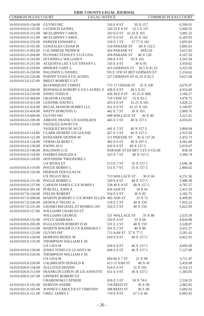| COMMON PLEAS COURT                 | <b>LEGAL NOTICE</b>                                          |                               | <b>COMMON PLEAS COURT</b> |
|------------------------------------|--------------------------------------------------------------|-------------------------------|---------------------------|
| 14-010-010.0-134.00 GUVNO INC      |                                                              | 316 E 8 ST<br>30 X 157        | 6,599.91                  |
|                                    | 14-010-010.0-135.00 UVODICH DANIEL                           | 320 22 E 8 ST<br>52.5 X 157   | 5,949.35                  |
|                                    | 14-010-010.0-212.00 MCELHINNY CAROL                          | 343 E 6 ST 41.25 X 165        | 3,981.32                  |
|                                    | MCELHINNY CAROL                                              |                               |                           |
| 14-010-010.0-213.00                | 14-010-010.0-233.00 PARKER EDWARD L                          | 337 E 6 ST<br>41.25 X 165     | 6,283.03                  |
|                                    |                                                              | 318 E 7 ST<br>37.77 X 165     | 3,695.83                  |
|                                    | 14-010-011.0-101.00 GONZALEZ CESAR M                         | 60 X 132.5<br>510 PARADE ST   | 5,865.61                  |
|                                    | 14-010-011.0-202.00 CALABRESE PATRICK                        | 424 PARADE ST<br>40X120       | 3,657.65                  |
|                                    | 14-010-011.0-204.00 PLONSKI STANLEY S UX LISA                | 418 PARADE ST<br>40 X 120     | 4,167.20                  |
| 14-010-011.0-210.00                | OCONNELL WILLIAM P                                           | 349 E 4 ST<br>30 X 165        | 2,503.58                  |
| 14-010-011.0-215.00                | ACQUISTA LEE S UX TIFFANY L                                  | 335 E 4 ST<br>30 X 95         | 3,059.82                  |
| 14-010-011.0-229.00                | MIDKIFF GARY L                                               | 415 GERMAN ST<br>36.5 X 41.25 | 3,323.50                  |
|                                    | 14-010-011.0-250.00 BALDWIN G DANIEL                         | NS E 5TH ST BET GERMAN ET     | 2,254.62                  |
|                                    | 14-010-012.0-229.00 POPOFF EVAN A UX AGNES                   | 227 GERMAN ST 41.25 X 82.5    | 9,021.68                  |
| 14-010-013.0-112.00                | <b>BREST ROBERT G ET</b>                                     |                               |                           |
|                                    | <b>BLOOMQUIST CHRIST</b>                                     | 715 17 CEDAR ST<br>35 X 100   | 4,676.97                  |
| 14-010-013.0-200.00                | REINWALD ROBERT E UX LAUREL S                                | 438 E 8 ST<br>46.5 X 65       | 4,910.49                  |
| 14-010-013.0-218.00                | JONES TODD D                                                 | 428 30 E 8 ST<br>41.25 X IRR  | 3,166.27                  |
| 14-010-013.0-304.00 OKAFOR LOUISE  |                                                              | 55 X 82.5<br>716 VINE ST      | 3,970.75                  |
|                                    | 14-010-013.0-413.00 LESONIK DAVID L                          | 433 E 6 ST<br>41.25 X 165     | 3,420.21                  |
| 14-010-013.0-414.00                | REGAL MANOR HOMES LLC                                        | 431 E 6 ST<br>41.25 X 165     | 5,100.87                  |
| 14-010-013.0-434.00                | WATTS DOROTHY G                                              | 442 E 7 ST<br>50 X 165        | 2,869.76                  |
| 14-010-013.0-440.00 GUVNO INC      |                                                              | 608 WALLACE ST<br>30 X 40     | 3,221.61                  |
| 14-010-014.0-109.00                | ABBATE FRANK UX KATHLEEN                                     | 445 E 5 ST<br>40 X 157.5      | 4,016.01                  |
| 14-010-014.0-110.00                | VAZQUEZ DAVID UX                                             |                               |                           |
|                                    | VAZQUEZ ROUSE M CE                                           | 441 E 5 ST<br>40 X 157.5      | 3,804.94                  |
|                                    | 14-010-014.0-114.00 CLARK HUBERT UX GOLDIE                   | 427 E 5 ST<br>40 X 157.5      | 2,913.58                  |
|                                    | 14-010-014.0-122.00 KOSZAREK DENNIS M                        | 511 PARADE ST<br>36 X 137.26  | 2,453.73                  |
| 14-010-014.0-124.00 VERNO ALBERT C |                                                              | 402 E 6 ST<br>40 X 107.5      | 4,561.68                  |
| 14-010-014.0-130.00 EWING HO       |                                                              | 426 E 6 ST<br>40 X 157.5      | 5,919.67                  |
| 14-010-015.0-140.00 BALDWIN G D    |                                                              | PARADE ST ES BET 3 ET 4 1X138 | 838.18                    |
| 14-010-016.0-116.00                | DARRES KHALED A                                              | 523 E 7 ST<br>40 X 157.5      | 2,300.74                  |
|                                    | 14-010-016.0-118.00 DOVISHAW THEODORE L                      |                               |                           |
|                                    | UX MYRA ET                                                   | 513 E 7 ST<br>35 X 157.5      | 1,696.38                  |
| 14-010-016.0-119.00                | POGUE BOBBY L                                                | 35 X 157.5<br>511 E 7 ST      | 2,804.02                  |
| 14-010-016.0-124.00                | PIERSON DOUGLAS W                                            |                               |                           |
|                                    | UX PEGGY BEA                                                 | 713 WALLACE ST<br>30 X 60     | 4,251.36                  |
| 14-010-016.0-131.00 POGUE BOBBY L  |                                                              | 520 E 8 ST<br>40 X 157.5      | 3,988.38                  |
|                                    | 14-010-016.0-137.00 CARSON JAMES G UX ROBIN L                | 538 40 E 8 ST<br>40 X 157.5   | 4,787.27                  |
| 14-010-016.0-201.00 PURCELL JOHN A |                                                              | 626 ASH ST<br>34 X 65         | 2,415.59                  |
| 14-010-017.0-134.00 FIELDS ROBERT  |                                                              | 554 E 6 ST<br>30 X 85         | 3,182.75                  |
|                                    | 14-010-017.0-208.00 MARTIN ROBERT G UX MARY ELLEN 402 ASH ST | 33 X 72                       | 4,499.85                  |
|                                    | 14-010-017.0-230.00 DEWOLF TRUDY A                           | 518 E 5 ST<br>40 X 159        | 7,935.23                  |
|                                    | 14-010-017.0-231.00 GHAMO MICHAEL ET ROMEO JAY               | 520 E 5 ST<br>40 X 159        | 5,023.95                  |
| 14-010-018.0-117.00                | WILLIAMS CHARLES ET                                          |                               |                           |
|                                    | <b>WILLIAMS GEORGE</b>                                       | 321 WALLACE ST<br>35 X 80     | 2,633.39                  |
| 14-010-018.0-132.00                | <b>JOYCE BARBARA</b>                                         | 550 E 4 ST<br>33 X 66         | 4,834.08                  |
|                                    | 14-010-018.0-205.00 EGGLESTON ROBERT D III                   | 531 E 2 ST<br>40 X 159        | 3,528.07                  |
|                                    | 14-010-018.0-213.00 MARTIN ROGER D UX BARBARA J              | 501 E 2 ST<br>40 X 80         | 2,631.27                  |
| 14-010-019.0-123.00                | <b>GUVNO INC</b>                                             | 713 ASH ST 27 X 77.5          | 3,281.43                  |
| 14-010-019.0-128.00                | HOPKINS RENEE M                                              | 610 E 8 ST<br>40 X 157.5      | 6,822.95                  |
| 14-010-019.0-135.00                | THOMPSON WILLIAM E III                                       |                               |                           |
|                                    | UX LISA M                                                    | 636 E 8 ST<br>40 X 157.5      | 4,605.09                  |
| 14-010-019.0-138.00                | JONES TODD UX GLADYS M                                       | 646 E 8 ST<br>40 X 157.5      | 7,127.00                  |
| 14-010-019.0-220.00                | THOMPSON WILLIAM E III                                       |                               |                           |
|                                    | UX LISA M                                                    | 604 06 E 7 ST<br>25 X 90      | 3,711.47                  |
| 14-010-019.0-236.00                | <b>GALBREATH DONALD R</b>                                    | 613 15 ASH ST<br>40 X 45      | 3,429.98                  |
| 14-010-020.0-134.00                | SULLIVAN DENNIS                                              | 624 E 6 ST<br>31 X 165        | 6,516.13                  |
| 14-010-020.0-213.00                | FRANKLIN LEROY JR UX ANNETTE                                 | 631 E 4 ST<br>30 X 157.5      | 1,383.05                  |
| 14-010-020.0-247.00                | <b>GINNERY ROBERT ET</b>                                     |                               |                           |
|                                    | <b>GRABOWSKI CATHERI</b>                                     | 656 E 5 ST<br>50 X 74.6       | 2,534.35                  |
| 14-010-021.0-101.00                | <b>HORTON ANDRE</b>                                          | 30 X 90<br>318 REED ST        | 2,082.65                  |
| 14-010-021.0-105.00                | SONNEY CAROLYN ET TIMOTHY                                    | 308 REED ST<br>30 X 90        | 2,682.92                  |
| 14-010-022.0-121.00                | <b>GRILL JAMES L</b>                                         | 710 E 8 ST<br>67.5 X 66       | 6,083.42                  |
|                                    |                                                              |                               |                           |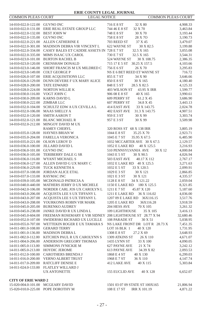| COMMON PLEAS COURT                         | <b>LEGAL NOTICE</b>                                                       | <b>COMMON PLEAS COURT</b>               |                      |
|--------------------------------------------|---------------------------------------------------------------------------|-----------------------------------------|----------------------|
| 14-010-022.0-122.00 GUVNO INC              |                                                                           | 32 X 80                                 |                      |
| 14-010-022.0-131.00                        | ERIE REAL ESTATE GROUP LLC                                                | 716 E 8 ST<br>744 46 E 8 ST<br>32 X 70  | 4,908.33<br>3,463.84 |
| 14-010-022.0-132.00                        | <b>BEST JOHN W</b>                                                        | 748 E 8 ST<br>30 X 70                   |                      |
|                                            | <b>GUVNO INC</b>                                                          | 28 X 70<br>758 E 8 ST                   | 3,193.44             |
| 14-010-022.0-135.00                        |                                                                           |                                         | 3,190.73             |
| 14-010-022.0-221.00                        | ALLEN CATHERINE E                                                         | 703 REED ST<br>37 X 45                  | 3,479.07             |
| 14-010-022.0-301.00<br>14-010-022.0-334.00 | MADISON DEBRA VIR VINCENT L<br>CASEY BALES ET CADDIE ASSETS IN 728 E 7 ST | 622 WAYNE ST<br>30 X 82.5<br>32.5 X 165 | 3,199.88<br>3,055.08 |
| 14-010-022.0-335.00                        | MIMS ISAAC UX CAROL                                                       | 730 E 7 ST<br>32.5 X 165                |                      |
| 14-010-023.0-101.00                        | <b>BURTON RACHEL B</b>                                                    | 524 WAYNE ST<br>30 X 108.75             | 3,544.31<br>2,386.35 |
| 14-010-023.0-120.00                        | <b>CRENSHAW DONALD</b>                                                    | 715 17 E 5 ST 30.25 X 157.5             |                      |
| 14-010-023.0-146.00                        | SHORT FRANCIS M UX MILDRED C                                              | 756 E 6 ST<br>26 X 70                   | 4,103.66<br>3,295.83 |
| 14-010-023.0-149.00                        | <b>COLT GEORGE P</b>                                                      | NS E 6 BET REED ET WAYNE ST             | 716.72               |
| 14-010-026.0-107.00                        | ERIE ACQUISITIONS LLC                                                     | 855 E 7 ST<br>34 X 90                   | 3,646.66             |
| 14-010-026.0-129.00                        | DUNN DEVERE F UX MARY ALICE                                               | 850 E 8 ST<br>30 X 165                  | 4,180.40             |
|                                            | <b>TATE EDWARD</b>                                                        | 848 E 5 ST<br>28.5 X 82.5               |                      |
| 14-010-028.0-200.00<br>14-010-028.0-224.00 | NORTON WILLIE K                                                           | 403 WILSON ST<br>43.95 X IRR            | 4,125.33<br>1,599.77 |
| 14-010-030.0-116.00                        | VOGT JOHN C                                                               | 906 08 E 8 ST<br>40 X 165               | 3,990.61             |
| 14-010-030.0-209.00                        | <b>KARNS DAVID L</b>                                                      | 609 PERRY ST<br>61.2 X 45               | 3,686.90             |
| 14-010-030.0-222.00                        | ZIMBAR LLC                                                                | 607 PERRY ST<br>34.8 X 45               | 3,443.13             |
| 14-010-032.0-104.00                        | SCHULTZ EDW A UX CEVILLA L                                                | 414 EAST AVE<br>33 X 143.75             | 2,024.78             |
| 14-010-032.0-106.00                        | MAAS SHELLY A                                                             | 402 EAST AVE<br>31.3 X 143.75           | 4,907.51             |
| 14-010-032.0-120.00                        | <b>SMITH AARON T</b>                                                      | 30 X 99<br>959 E 3 ST                   | 3,303.74             |
| 14-010-032.0-121.00                        | <b>BLANC MICHAEL R</b>                                                    | 957 E 3 ST<br>30 X 99                   | 3,509.98             |
| 14-010-032.0-212.00                        | MINGOY DAVID M UX                                                         |                                         |                      |
|                                            | <b>RAMEY CHERYL</b>                                                       | 320 ROSS ST 68 X 138 IRR                | 3,805.19             |
| 14-010-035.0-128.00                        | <b>HAYNES BRIAN W</b>                                                     | 1044 E 8 ST<br>35.25 X 70               | 2,923.71             |
| 14-010-035.0-204.00                        | <b>FARELLA VERONICA</b>                                                   | 1045 E 7 ST<br>35.95 X 67.5             | 6,485.90             |
| 14-010-035.0-221.00                        | OLSON LEROY D                                                             | 1032 MCCARTER AVE 30 X 67.5             | 2,129.57             |
| 14-010-036.0-100.00                        | <b>JILLARD DAVID L</b>                                                    | 1052 E LAKE RD<br>40 X 125.5            | 3,216.93             |
| 14-010-036.0-101.00                        | <b>GUVNO INC</b>                                                          | 510 PENNSYLVANIA AVE<br>30 X 12         | 4,000.84             |
| 14-010-036.0-105.00                        | TERIBERRY DALE G SR                                                       | 1043 E 5 ST<br>30 X 90.5                | 4,026.94             |
| 14-010-036.0-116.00                        | <b>WYANT MICHAEL S</b>                                                    | 503 EAST AVE<br>40.17 X 112             | 2,767.17             |
| 14-010-036.0-127.00                        | ALLEN DAVID G UX MARY C                                                   | 1032 E LAKE RD 40 X 125.5               | 3,271.63             |
| 14-010-036.0-229.00                        | TUCK KENNETH A                                                            | 1032 E 5 ST<br>33 X 120.5               | 2,099.91             |
| 14-010-037.0-108.00                        | <b>JORDAN ALICE ETAL</b>                                                  | 1029 E 3 ST<br>30 X 121                 | 2,866.85             |
| 14-010-037.0-133.00                        | <b>RAYMAC INC</b>                                                         | 30 X 121<br>1021 E 3 ST                 | 4,335.57             |
| 14-010-039.0-105.00                        | MCDONALD PATRICIA A                                                       | 34 X 121.22<br>1128 E 8 ST              | 2,059.04             |
| 14-010-040.0-440.00                        | MATHERS JERRY D UX MICHELE                                                | 1150 E LAKE RD<br>180 X 125.5           | 8,321.85             |
| 14-010-042.0-106.00                        | NORDER CARL JOS UX CAROLYN L                                              | 1211 E 7 ST<br>45.87 X 120              | 5,187.60             |
| 14-010-043.0-206.00                        | ACQUISTA LEE S UX TIFFANY L                                               | 1211 E LAKE RD<br>36 X 116.02           | 4,036.00             |
| 14-010-043.0-207.00                        | ACQUISTA LEE S UX TIFFANY L                                               | 1207 09 E LAKE RD<br>36X116.15          | 3,517.76             |
| 14-010-043.0-208.00                        | YOURKONIS ROBIN VIR MARK                                                  | 1205 E LAKE RD<br>36X116.28             | 3,918.59             |
| 14-010-045.0-205.00                        | <b>BURENKO AUDREY</b>                                                     | 204 HESS AVE<br>70 X 105                | 3,261.32             |
| 14-010-045.0-238.00                        | JANKE DAVID R UX LINDA L                                                  | 109 LIGHTHOUSE<br>35 X 105              | 3,416.13             |
| 14-010-045.0-604.00                        | FREEMAN ROSEMARY E VIR SIDNEY 208 LIGHTHOUSE ST 28.77 X 94                |                                         | 32,680.46            |
| 14-010-052.0-107.00                        | SWIDERSKI RICHARD UX LUCILLE                                              | 108 PARADE ST<br>30 X 51                | 5,038.95             |
| 14-010-055.0-707.00                        | WETTEKIN ROGER E UX TAMARA S                                              | NS LAKE FRONT DR LOT R 28.73 X          | 7,451.35             |
| 14-011-001.0-108.00                        | <b>GERARD TERRY</b>                                                       | LOT 16 BLK 1<br>40 X 120                | 1,731.95             |
| 14-011-001.0-136.00                        | <b>MADISON DEBRAL</b>                                                     | 1308 E 8 ST<br>27.2 X 69                | 3,648.93             |
| 14-011-002.0-112.00                        | KITCHEN PAUL R UX CAROLYNN S                                              | 1309 ATKINS ST<br>26 X 110              | 4,671.07             |
| 14-011-004.0-206.00                        | ANDERSON GREGORY THOMAS                                                   | 1435 LYNN ST<br>33 X 100                | 4,090.05             |
| 14-011-005.0-113.00                        | SIMMONS JYNICKIE M                                                        | 627 PAYNE AVE<br>21 X 74                | 3,242.12             |
| 14-011-005.0-213.00                        | <b>HOYDIC JEROME</b>                                                      | 613 PAYNE AVE<br>34.39 X 82             | 2,093.53             |
| 14-011-012.0-100.00                        | <b>CAROTHERS BRENDA J</b>                                                 | 1868 E 4 ST<br>40 X 130                 | 6,299.03             |
| 14-011-016.0-200.00                        | <b>VERNO ALBERT TRUST</b>                                                 | 1968 E 7 ST<br>36 X 110                 | 4,147.74             |
| 14-011-017.0-209.00                        | RATCLIFF DENISE E                                                         | 40 X 115<br>412 LAKE AVE                | 5,303.84             |
| 14-011-024.0-133.00                        | FLATLEY WILLARD J                                                         |                                         |                      |
|                                            | <b>UX ANTONETTE</b>                                                       | 155 EUCLID AVE<br>40 X 128              | 6,652.07             |
|                                            |                                                                           |                                         |                      |
| <b>CITY OF ERIE WARD 2</b>                 |                                                                           |                                         |                      |

| 15-020-004.0-101.00 MCGEARY DAVID |                                    | 1501 03 07 09 STATE ST 100X165 | 21,806.94 |
|-----------------------------------|------------------------------------|--------------------------------|-----------|
|                                   | 15-020-010.0-225.00 POPE DOROTHY M | 108 E 17 ST<br>IRR X 101.19    | 4.871.22  |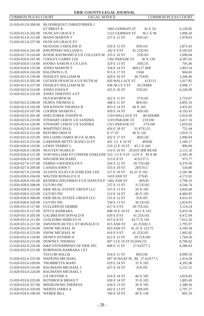| COMMON PLEAS COURT | <b>LEGAL NOTICE</b> | <b>COMMON PLEAS COURT</b> |
|--------------------|---------------------|---------------------------|
|--------------------|---------------------|---------------------------|

|                                            | 15-020-012.0-208.00 BLOOMQUIST CHRISTOPHER J                                                     | 1002 GERMAN ST                         |                      |
|--------------------------------------------|--------------------------------------------------------------------------------------------------|----------------------------------------|----------------------|
|                                            | ET BREST R<br>15-020-013.0-202.00 DUNCAN GRACE S                                                 | 34 X 54<br>1222 GERMAN ST<br>36.5 X 90 | 6,156.85<br>1,896.20 |
| 15-020-013.0-213.00                        | <b>MANN MARTIN T</b>                                                                             | 237 E 12 ST<br>30X143                  | 1,978.63             |
|                                            | 15-020-013.0-237.00 DUNCAN GRACE ET                                                              |                                        |                      |
|                                            | HUSSANI CAROLINE D                                                                               | 250 E 13 ST<br>30X143                  | 3,875.43             |
|                                            | 15-020-016.0-241.00 KRUPINSKI WILLIAM G                                                          | 342 E 9 ST<br>41.25X165                | 4,103.03             |
|                                            | 15-020-017.0-216.00 KOZIK RAYMOND D UX COLLEEN M 335 E 10 ST                                     | 33X165                                 | 1,690.04             |
|                                            | 15-020-018.0-107.00 COOLEY GARRY LEE                                                             | 1302 PARADE ST<br>30 X 130             | 4,287.63             |
|                                            | 15-020-018.0-114.00 HANKS AARON S UX LISA                                                        | 329 E 13 ST<br>34X135                  | 705.46               |
| 15-020-018.0-135.00                        | <b>JONES MARVIN T</b>                                                                            | 334 E 14 ST<br>40X127 IRR              | 1,893.54             |
| 15-020-020.0-226.00 BALDWIN G D            |                                                                                                  | N S E 17 ST<br>1X60                    | 904.85               |
|                                            | 15-020-021.0-130.00 FEEHLEY WILLIAM M                                                            | 420 E 10 ST<br>38.75X95                | 3,246.46             |
|                                            | 15-020-021.0-202.00 LECKER FRANCIS A UX RUTH M                                                   | 820 WALLACE ST<br>41X115               | 1,017.85             |
|                                            | 15-020-021.0-237.00 FEEHLEY WILLIAM M III                                                        | 438 38.5 E 9 ST<br>34.5XIRR            | 3,996.17             |
| 15-020-022.0-214.00                        | <b>JONES DANAP</b>                                                                               | 425 E 10 ST<br>33X165                  | 4,226.09             |
|                                            | 15-020-022.0-232.00 JONES TIMOTHY A ET                                                           |                                        |                      |
|                                            | <b>DUCKWORTH M</b>                                                                               | 422 E 11 ST<br>37X165                  | 2,719.07             |
| 15-020-022.0-240.00                        | <b>HURTA THOMAS G</b>                                                                            | 448 E 11 ST<br>40X165                  | 4,893.10             |
| 15-020-023.0-103.00                        | <b>WILKINSON THOMAS R</b>                                                                        | 453 E 14 ST<br>40 X 105                | 3,455.02             |
|                                            | 15-020-023.0-107.00 COOPER SHARON L                                                              | 439 E 14 ST<br>40X105                  | 4,193.43             |
|                                            | 15-020-023.0-201.00 WIECZOREK JOSEPH W                                                           | 1310 WALLACE ST<br>40.94XIRR           | 2,014.50             |
|                                            | 15-020-023.0-219.00 STEWART LEROY UX SANDRA                                                      | 1319 PARADE ST<br>23X100               | 3,417.16             |
| 15-020-023.0-220.00                        | STEWART LEROY UX SANDRA                                                                          | 1321 PARADE ST<br>27X100               | 1,035.83             |
| 15-020-025.0-116.00 MARTINEZ PAUL          |                                                                                                  | 454 E 18 ST<br>31.87X125               | 751.44               |
| 15-020-025.0-222.00                        | <b>BUFORD ORIAD</b>                                                                              | E 17 ST<br>40 X 120                    | 1,019.72             |
|                                            | 15-020-025.0-225.00 WILLIAMS JAMES M UX ALMA                                                     | 432 E 17 ST<br>40X120                  | 1,006.04             |
|                                            | 15-020-025.0-233.00 GARDNER BETTY JEAN(1/2) ET                                                   | 431 1/2 E 16 ST<br>40X60               | 2,160.17             |
| 15-020-026.0-119.00                        | LEWIS TAMMY L                                                                                    | 510 12 E 10 ST<br>43.5 X 160           | 896.06               |
| 15-020-026.0-131.00                        | 15-020-026.0-130.00 NGUYEN NGHIA D<br>VON WILLIAM ET CONFER DARLENE 533 1/2 E 9 ST LOT A 39 X 80 | 514 E 10 ST 29.65X IRR REAR            | 2,115.10<br>2,305.30 |
|                                            | 15-020-026.0-223.00 WAGNER RICHARD                                                               | 513 E 8 ST<br>41X157.5                 | 973.77               |
|                                            | 15-020-027.0-137.00 FARRIS GWENDOLYN F                                                           | 556 E 12 ST<br>39.75X160               | 4,379.50             |
| 15-020-027.0-209.00                        | CANDIA JOHN T                                                                                    | 555 E 10 ST<br>28X70.5                 | 534.80               |
| 15-020-027.0-219.00                        | ACOSTA JULIO UX DARLENE LEE                                                                      | 517 E 10 ST<br>41.25 X 165             | 2,581.86             |
| 15-020-028.0-104.00                        | <b>WALTER RONALD E II</b>                                                                        | 1410 ASH ST<br>37X45                   | 4,172.81             |
|                                            | 15-020-028.0-105.00 KENDRA ZIEGFRIED P UX DANUTA P 1402 ASH ST                                   | 40X45                                  | 2,796.33             |
| 15-020-028.0-208.00 GUVNO INC              |                                                                                                  | 537 E 13 ST<br>31.5X105                | 4,544.74             |
|                                            | 15-020-028.0-215.00 ERIE REAL ESTATE GROUP LLC                                                   | 515 E 13 ST<br>34 X 105                | 3,826.68             |
| 15-020-028.0-223.00 GUVNO INC              |                                                                                                  | 514 E 14 ST<br>40 X 105                | 4,484.85             |
|                                            | 15-020-028.0-308.00 ERIE REAL ESTATE GROUP LLC                                                   | 535 E 12 ST<br>35X105                  | 4,032.45             |
| 15-020-028.0-320.00 GUVNO INC              |                                                                                                  | 550 E 13 ST<br>30.5X105                | 2,814.91             |
|                                            | 15-020-031.0-117.00 FULLERTON DEBBIE                                                             | 617 E 9 ST<br>39.75X165                | 5,114.24             |
| 15-020-031.0-127.00                        | JOYCE BARBARA                                                                                    | 608 10 E 10 ST<br>44.5 X 165           | 9,419.50             |
|                                            | 15-020-031.0-205.00 GALBREATH DONALD R                                                           | 639 E 8 ST<br>41.25X165                | 4,472.94             |
|                                            | 15-020-031.0-211.00 GUILFORD SHIRLEY H                                                           | 615 E 8 ST<br>43.75 X 165              | 7,012.56             |
|                                            | 15-020-031.0-217.00 SWENSON RUTH L ET RONALD D                                                   | 815 ASH ST<br>41.25X82.5               | 2,795.97             |
|                                            | 15-020-031.0-218.00 SNOW MICHAEL W                                                               | 819 ASH ST<br>41.25 X 123.75           | 4,169.38             |
| 15-020-031.0-223.00                        | SNOW MICHAEL W                                                                                   | 616 E 9 ST<br>41.25X165                | 1,002.85             |
|                                            | 15-020-032.0-118.00 DEWEY ESTHER H                                                               | 612 E 12 ST<br>39.75X160               | 1,764.56             |
| 15-020-032.0-215.00                        | <b>DOWNEY THOMAS</b>                                                                             | 607 13 E 10 ST 65.04X155               | 8,706.82             |
|                                            | 15-020-032.0-220.00 K&D ENTERPRISES OF ERIE INC                                                  | 608 E 11 ST<br>27.62X77.5              | 4,286.03             |
|                                            | 15-020-032.0-231.00 ROBINSON BARBARA J ET                                                        |                                        |                      |
|                                            | <b>TAYLOR WILLIE</b>                                                                             | 654 E 11 ST<br>40X158                  | 4,099.10             |
| 15-020-032.0-233.00                        | <b>WATKINS MICHAEL</b>                                                                           | 607 SCHAAF PL BL 27.62X77.5            | 2,414.28             |
| 15-020-033.0-109.00                        | TROMBETTA MARY                                                                                   | 629 E 14 ST<br>35 X 105                | 4,295.98             |
| 15-020-033.0-110.00<br>15-020-033.0-224.00 | <b>BAUMANN MICHAEL J</b>                                                                         | 627 E 14 ST<br>35X105                  | 5,121.51             |
|                                            | <b>BAUMANN MICHAEL J</b><br>UX DESTINE A                                                         | 616 E 14 ST<br>40 X 105                | 3,816.83             |
| 15-020-033.0-235.00                        | ROTHROCK BRIAN T                                                                                 | 650 E 14 ST<br>35 X 105                | 1,803.49             |
| 15-020-033.0-327.00                        | MIZIKOWSKI THERESA                                                                               | 634 E 13 ST<br>30 X 105                | 2,388.50             |
| 15-020-033.0-329.00                        | WERTH JAMES A                                                                                    | 642 E 13 ST<br>28X105                  | 2,797.27             |
| 15-020-034.0-100.00                        | <b>WEBER BILL</b>                                                                                | 760 E 10 ST<br>40 X 158                | 895.19               |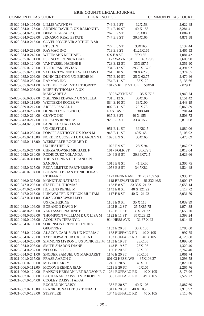| <b>COMMON PLEAS COURT</b>                  | <b>LEGAL NOTICE</b>                                |                              | COMMON PLEAS COURT          |                      |
|--------------------------------------------|----------------------------------------------------|------------------------------|-----------------------------|----------------------|
| 15-020-034.0-105.00 LILLIE WAYNE W         |                                                    | 749 E 9 ST                   | 32X158                      | 2,622.48             |
| 15-020-034.0-126.00                        | ANDINO DAVID R UX RAMONITA                         | 714 E 10 ST                  | 40 X 158                    | 3,281.41             |
| 15-020-034.0-200.00                        | DEIMEL GERALD C                                    | 762 E 9 ST                   | 26X80                       | 1,884.11             |
| 15-020-034.0-209.00                        | <b>JENASON REAL ESTATE</b>                         | 747 E 8 ST                   | 30.5X165                    | 4,871.58             |
| 15-020-034.0-215.00                        | COVEL JOYCE VIR ARTHUR B SR                        |                              |                             |                      |
|                                            | ET SCHN                                            | 727 E 8 ST                   | 33X165                      | 3,137.44             |
| 15-020-034.0-218.00                        | <b>RAYMAC INC</b>                                  | 719 E 8 ST                   | 41.25X165                   | 3,465.53             |
| 15-020-034.0-242.00                        | WITTMANN MICHAEL                                   | SSE8ST                       | .65X165                     | 1,081.42             |
| 15-020-035.0-101.00                        | ESPINO VERONICA DIAZ                               | 1122 WAYNE ST                | 40X79.5                     | 2,603.90             |
| 15-020-035.0-124.00                        | VANTASSEL NADINE E                                 | 728 E 12 ST                  | 35X157.5                    | 3,351.90             |
| 15-020-035.0-125.00                        | <b>TEODORSKI VIVIAN</b>                            | 734 E 12 ST                  | 39.75X157.5                 | 4,391.97             |
| 15-020-035.0-205.00                        | SALTER TYRONE ET WILLIAMS I                        | 761 E 10 ST                  | 28 X 62.75                  | 3,374.55             |
| 15-020-035.0-206.00                        | DUNN CLINTON UX BIRDIE M                           | 757 E 10 ST                  | 35 X 62.75                  | 2,470.46             |
| 15-020-035.0-239.00                        | <b>RAYMAC INC</b>                                  | 754 E 11 ST                  | 35X120                      | 5,135.66             |
| 15-020-035.0-241.00                        | REDEVELOPMENT AUTHORITY                            | 1017.5 REED ST BL            | 58X50                       | 2,029.11             |
| 15-020-036.0-203.00                        | MURPHY THOMAS A UX                                 |                              |                             |                      |
|                                            | MARGARET A                                         | 1302 WAYNE ST                | 35 X 77.5                   | 1,940.74             |
| 15-020-036.0-309.00                        | ZGLINSKI EDWARD UX STELLA                          | 731 E 12 ST                  | 35X105                      | 1,151.42             |
| 15-020-038.0-119.00                        | WETTEKIN ROGER W                                   | 834 E 10 ST                  | 33X100                      | 2,443.19             |
| 15-020-039.0-217.00                        | ARTISE PASCAL J                                    | 802 E 11 ST                  | 29 X 78                     | 6,069.89             |
| 15-020-043.0-202.00                        | DUNNELLY ROBERT C                                  | <b>EAST AVE</b>              | 30X140                      | 781.44               |
| 15-020-043.0-214.00                        | <b>GUVNO INC</b>                                   | 937 E 8 ST                   | 40 X 155                    | 3,508.73             |
| 15-020-043.0-217.00                        | HOPKINS RENEE M                                    | 923 E 8 ST                   | 33 X 155                    | 5,818.08             |
| 15-020-044.0-106.00                        | <b>FARRELL CHARLES M</b>                           |                              |                             |                      |
|                                            | UX CRISTLE L                                       | 951 E 11 ST                  | 39X82.5                     | 1,880.06             |
| 15-020-044.0-232.00                        | POPOFF ANTHONY UX JOAN M                           | 948 E 11 ST                  | 40X165                      | 5,108.92             |
| 15-020-045.0-115.00                        | NORDER C JOSEPH UX CAROLYN L                       | 1025 E 9 ST                  | 33X165                      | 7,475.89             |
| 15-020-045.0-116.00                        | WEISMILLER ROCHARD D                               |                              |                             |                      |
|                                            | UX HEATHER N                                       | 1023 E 9 ST                  | 28 X 94                     | 2,862.07             |
| 15-020-045.0-214.00                        | CHRZANOWSKI MICHAEL F                              | 1017 POLK ST                 | 30X72.5                     | 3,012.04             |
| 15-020-045.0-230.00                        | RODRIGUEZ YOLANDA                                  | 1046 E 9 ST                  | 30.36X72.5                  | 2,629.66             |
| 15-020-045.0-311.00                        | TOBIN DONNA ET BRANDON                             |                              |                             |                      |
|                                            | <b>SANDRA</b>                                      | 1015 E 8 ST                  | 41.5X50                     | 2,305.75             |
| 15-020-045.0-325.00                        | RECA LIMITED PARTNERSHIP                           | 1053 E 8 ST                  | 34.7X82                     | 4,524.48             |
| 15-020-046.0-104.00                        | <b>BOBANGO BRIAN ET NICHOLAS</b>                   |                              |                             |                      |
|                                            | ET JEFFRE                                          |                              | 1122 PENNA AVE 31.75X139.59 | 2,935.17             |
| 15-020-046.0-325.00                        | MONIOT JONATHAN L                                  |                              | 1118 BREWSTER ST BL33X46.5  | 2,000.17             |
| 15-020-047.0-203.00                        | <b>STAFFORD THOMAS</b>                             | 1153 E 8 ST                  | 33.33X121.22                | 3,658.14             |
| 15-020-047.0-207.00                        | HOPKINS RENEE M                                    | 1143 E 8 ST                  | 40 X 121.22                 | 6,117.72             |
| 15-020-047.0-215.00                        | LUN WALTER K ET LUK MUI TAM                        | 1117 E 8 ST                  | 40 X 121.22                 | 3,031.79             |
| 15-020-047.0-311.00                        | GRZEGORZEWSKI LEO                                  |                              |                             |                      |
|                                            | <b>UX CATHERINE</b>                                | 1101 E 9 ST                  | 35 X 115                    | 4,039.99             |
| 15-020-048.0-106.00                        | <b>BOBANGO DAVID N</b>                             | 1102 E 12 ST                 | 25.5X85.75                  | 1,974.38             |
| 15-020-048.0-209.00                        | VANTASSEL NADINE E                                 | 1125 E 11 ST                 | 35X121.22                   | 3,653.20             |
| 15-020-048.0-308.00<br>15-020-049.0-103.00 | THOMPSON WILLIAM E UX LISA M<br>ACQUISTA TIFFANY L | 1122 E 11 ST<br>914 HESS AVE | 35X129.52<br>31.67 X 92     | 3,393.24<br>4,014.45 |
| 15-020-054.0-105.00                        | SORENSON BRENT ET LYONS                            |                              |                             |                      |
|                                            | <b>GEOFFREY</b>                                    | 1153 E 20 ST                 | 30 X 105                    |                      |
| 15-020-054.0-122.00                        | ALACCE CARL V JR UX NORMA J                        | 1138 BUFFALO RD              | 40 X 105                    | 3,785.80<br>997.55   |
| 15-020-054.0-125.00                        | TATE HOWARD JR UX JULIA L                          | 1152 BUFFALO RD              | 40 X 105                    | 4,120.60             |
| 15-020-054.0-205.00                        | SIMMONS MYRON L UX JYNICKIE M 1153 E 19 ST         |                              | 28X105                      | 4,093.60             |
|                                            | 15-020-054.0-208.00 SMITH SHARON DIANE             | 1143 E 19 ST                 | 28X105                      | 1,329.40             |
| 15-020-054.0-237.00                        | <b>NELSON ROSE L</b>                               | 1136 E 20 ST                 | 30X105                      | 3,762.40             |
| 15-020-054.0-241.00                        | SNODER SAMUEL UX MARGARET                          | 1146 E 20 ST                 | 30X105                      | 3,061.74             |
| 15-021-001.0-217.00                        | <b>FRASE AARON C</b>                               | 801 03 HESS AVE              | 35X108.37                   | 4,298.58             |
| 15-021-006.0-103.00                        | <b>MOYER LARRY</b>                                 | 1249 E 20 ST                 | 40X105                      | 3,823.00             |
| 15-021-006.0-112.00                        | MCCOY BRENDA JEAN                                  | 1213 E 20 ST                 | 40X105                      | 2,265.76             |
| 15-021-006.0-124.00                        | RANSON HERMAN L ET RANSON R C 1234 BUFFALO RD      |                              | 40 X 105                    | 3,173.96             |
| 15-021-007.0-100.00                        | BUCHANAN DAISY H VIR ROBERT                        | 1358 BUFFALO RD              | 49 X 105                    | 7,527.22             |
| 15-021-007.0-104.00                        | COOLEY DAISY H A/K/A                               |                              |                             |                      |
|                                            | <b>BUCHANON DAISY</b>                              | 1353 E 20 ST                 | 40 X 105                    | 2,887.60             |
| 15-021-007.0-113.00                        | FRANK DONALD TUX TONIA D                           | 1311 E 20 ST                 | 40 X 105                    | 2,913.92             |
| 15-021-007.0-128.00                        | <b>STEPP LEE</b>                                   | 1344 BUFFALO RD              | 40 X 105                    | 3,110.46             |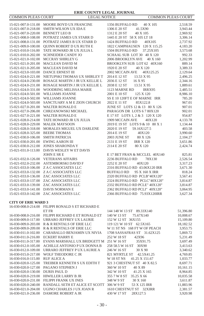| <b>COMMON PLEAS COURT</b>                  | <b>LEGAL NOTICE</b>                                          |                                              | COMMON PLEAS COURT   |
|--------------------------------------------|--------------------------------------------------------------|----------------------------------------------|----------------------|
|                                            | 15-021-007.0-131.00 MOORE BOYD UX FRANCINE                   | 1356 BUFFALO RD<br>40 X 105                  | 2,518.59             |
| 15-021-007.0-218.00                        | SMITH WILSON UX IDA E                                        | 1306 E 20 ST<br>41.5X90                      | 3,943.44             |
| 15-021-007.0-220.00                        | <b>BENNETT LEO B</b>                                         | 1312 E 20 ST<br>40 X 105                     | 2,969.92             |
| 15-021-008.0-108.00                        | POTRATZ JAMES UX STARR D                                     | 1445 E 20 ST 58 X 105 LT 18                  | 3,306.14             |
| 15-021-008.0-131.00                        | POTRATZ JAMES B UX STARR D                                   | 1424 BUFFALO RD<br>40X105                    | 2,737.92             |
| 15-021-009.0-100.00                        | QUINN ROBERT D UX RUTH E                                     | 1822 CAMPHAUSEN 120 X 115.25                 | 4,183.20             |
| 15-021-010.0-116.00                        | TATE HOWARD JR UX JULIA L                                    | 1504 BUFFALO RD<br>37.25X105                 | 3,573.68             |
| 15-021-010.0-202.00                        | SCHNEIDER CANDY JO                                           | SCHAAL SUB LOT 30 40 X 120                   | 992.33               |
| 15-021-021.0-102.00                        | MCCRAY SHIRLEY G                                             | 2006 BROOKLYN AVE 40 X 160                   | 1,202.99             |
| 15-021-021.0-201.00                        | <b>MACLEAN DAVID M</b>                                       | BROOKLYN SUB LOT 62 40X160                   | 889.14               |
| 15-021-021.0-205.00                        | <b>MACLEAN DAVID M</b>                                       | 1920 E 20 ST<br>40 X 120                     | 3,389.33             |
| 15-021-023.0-103.00                        | <b>DANCE ERNEST III</b>                                      | 2002 MCCAIN AVE<br>40X125.25                 | 2,129.64             |
| 15-021-024.0-221.00                        | NIETUPSKI THOMAS UX SHIRLEY T                                | 2014 E 12 ST<br>13.53 X 95                   | 2,496.25             |
| 15-021-024.0-230.00                        | ROSAGE MARTIN J JR UX KELLIE L                               | 2036 E 12 ST<br>16 X 95                      | 2,344.16             |
| 15-021-024.0-231.00                        | ROSAGE MARTIN J JR UX KELLIE L                               | 2038 E 12 ST<br>13.51 X 95                   | 1,889.61             |
| 15-021-024.0-331.00                        | WOODRING MELISSA MARIE                                       | 1123 MARNE RD<br>IRRX95                      | 2,485.51             |
| 15-021-024.0-501.00                        | WILLIAMS JOANNE                                              | 125 X 120<br>2001 E 10 ST                    | 8,986.10             |
| 15-021-024.0-502.00                        | WILLIAMS JOANNE                                              | SS E 10 120FT E OF MARNE IRR                 | 785.20               |
| 15-021-024.0-503.00                        | SANCTUARY A M E ZION CHURCH                                  | 2022 E 11 ST<br>85X122.8                     | 967.01               |
| 15-021-027.0-201.00                        | <b>WALTER RONALD E</b>                                       | JUNE ST LOTS 12 & 13 80 X 126                | 907.01               |
| 15-021-027.0-206.00                        | CHRZANOWSKI MICHAEL                                          | PARAGON DR LOTS 6 7 80X120                   | 902.01               |
| 15-021-027.0-221.00                        | <b>WALTER RONALD E</b>                                       | E 17 ST LOTS 1, 2 & 3 120 X 120              | 954.87               |
| 15-021-028.0-214.00                        | TATE HOWARD JR UX JULIA                                      | 1909 MCCAIN AVE<br>40X120                    | 4,133.78             |
| 15-021-028.0-229.00                        | <b>MALEK MAYSOON</b>                                         | 2019 E 19 ST LOTS 9 & 10 80 X 1              | 1,134.44             |
| 15-021-028.0-318.00                        | MORALES MIGUEL UX DARLENE                                    | 59.16X127.5<br>2020 E 19 ST                  | 403.58               |
| 15-021-028.0-325.00                        | <b>BEEBE THOMAS</b>                                          | 2014 E 19 ST<br>40X120                       | 3,990.60             |
| 15-021-030.0-106.00                        | <b>SMITH PATRICIA</b>                                        | 2003 JUNE ST<br>80 X 126<br>2131 E 19 ST     | 2,104.27<br>3,651.86 |
| 15-021-030.0-201.00<br>15-021-030.0-212.00 | <b>EWING AARON III</b><br>JONES SHARONDA Y                   | <b>IRR X 120</b><br>2114 E 20 ST<br>80 X 120 | 2,424.74             |
| 15-021-031.0-113.00                        | DAVIS WESLEY W ET DAVIS                                      |                                              |                      |
|                                            | JOHN E SR E                                                  | E 17 BET FRAN & MCCLEL 40X140                | 825.81               |
|                                            | 15-021-032.0-126.00 VETERANS AFFAIRS                         | 2236 BUFFALO RD<br>78X130                    | 2,526.54             |
| 15-021-032.0-232.00                        | ASTEMBORSKI DAVID F                                          | 2252 E 20 ST<br>40X120                       | 3,317.23             |
| 15-021-033.0-106.00                        | Z A C ASSOCIATES LLC                                         | 2316 BUFFALO RD 43.06X120 IRR                | 3,671.30             |
| 15-021-033.0-132.00                        | Z A C ASSOCIATES LLC                                         | <b>BUFFALO RD</b><br>95 X 160 X IRR          | 818.24               |
| 15-021-033.0-136.00                        | ZAC ASSOCIATES LLC                                           | 2320 BUFFALO RD PCLB"40X120"                 | 3,567.41             |
|                                            | 15-021-033.0-137.00 ZAC ASSOCIATES LLC                       | 2324 BUFFALO RD PCLC"40X120"                 | 3,814.87             |
| 15-021-033.0-139.00                        | ZAC ASSOCIATES LLC                                           | 2332 BUFFALO RD PCLE" 40X120"                | 3,814.87             |
|                                            | 15-021-033.0-141.00 DAVIS NORMAN E                           | 2362 BUFFALO RD PCLI" 40X120"                | 3,064.95             |
|                                            | 15-021-033.0-142.00 ZAC ASSOCIATES LLC                       | 2366 BUFFALO RD 75.93X120IRR                 | 3,627.34             |
|                                            |                                                              |                                              |                      |
| <b>CITY OF ERIE WARD 3</b>                 |                                                              |                                              |                      |
|                                            | 16-030-008.0-214.00 FILIPPI RONALD S ET RICHARD E<br>ET FR   | 144 148 W 13 ST 89.33X140                    | 51,396.80            |
| 16-030-008.0-216.00                        | FILIPPI RICHARD E ET RONALD ET                               | 140 W 13 ST<br>75.67X140                     | 10,008.67            |
| 16-030-009.0-117.00                        | URRARO JEFFREY UX LAURIE                                     | 152 W 12 ST 36X155                           | 15,109.80            |
| 16-030-009.0-203.00                        | R & R RENTALS OF ERIE LLC                                    | 119 121 W 10 ST 62.5X165                     | 18,182.52            |
| 16-030-009.0-209.00                        | R & R RENTALS OF ERIE LLC                                    | W 11 ST NS 168 FT W OF PEACH                 | 3,953.75             |
| 16-030-011.0-102.00                        | CARABALLO BENJAMIN UX NIVIA                                  | 1708 SASSAFRAS ST 31.62X125                  | 5,869.72             |
| 16-030-011.0-216.00                        | <b>ECKERT HARRY E</b>                                        | 252 W 18 ST<br>42X96                         | 5,231.49             |
|                                            | 16-030-011.0-317.00 EVANS MARSHALL UX BRIDGETT M 251 W 16 ST | 35X91.75                                     | 3,697.49             |
|                                            | 16-030-012.0-105.00 ACHILLE ANTONIO P UX DONNA B             | 258 58.5 W 16 ST 30X90                       | 3,413.63             |
|                                            | 16-030-012.0-109.00 URRARO JEFFREY P UX LAURIE A             | 246 W 16 ST<br>30 X 90                       | 3,340.62             |
| 16-030-015.0-217.00                        | WOLF THEODORE C JR                                           | 821 MYRTLE ST<br>42.5X41.25                  | 4,769.85             |
| 16-030-016.0-115.00                        | <b>RUF ALICE A</b>                                           | W 18 ST NS<br>41.25 X 151.67                 | 1,033.77             |
| 16-030-020.0-125.00                        | TREIBER KENNETH S UX EDITH T                                 | 921 3 CHESTNUT ST 40 X 82.5                  | 8,697.71             |
| 16-030-020.0-127.00                        | PAGANO STEPHEN J                                             | 360 W 10 ST<br>40 X 89                       | 10,161.15            |
| 16-030-020.0-130.00                        | <b>DURIS PAUL D</b>                                          | 342 W 10 ST<br>41.25 X 165                   | 8,964.85             |
| 16-030-020.0-219.00                        | HIWILLER LARRY B JR                                          | 355 7 W 8 ST<br>35.25 X 66                   | 10,035.58            |
| 16-030-020.0-231.00                        | FILIPPI FRANK UX INES                                        | 30 X 160<br>348 W 9 ST                       | 3,611.87             |
| 16-030-020.0-240.00                        | RANDALL SETH ET ALICE ET SCOTT 306 W 9 ST                    | 53 X 125 IRR                                 | 11,883.96            |
| 16-030-021.0-204.00                        | UGINO CHARLES J UX JOAN R                                    | 1610 CHESTNUT ST 32XIRR                      | 2,381.57             |
| 16-030-021.0-236.00                        | DAMORE ROBERT A JR                                           | 430 W 17 ST<br>28X127.5                      | 3,920.98             |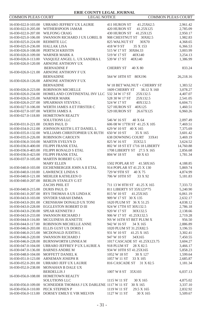| <b>COMMON PLEAS COURT</b>        | <b>LEGAL NOTICE</b>                              |                                | COMMON PLEAS COURT |
|----------------------------------|--------------------------------------------------|--------------------------------|--------------------|
|                                  | 16-030-022.0-103.00 URRARO JEFFREY UX LAURIE     | 411 HURON ST<br>41.25X62.5     | 2,961.42           |
| 16-030-022.0-205.00              | WITHERSPOON JAMAR                                | 420 HURON ST<br>41.25X125      | 2,785.09           |
| 16-030-022.0-207.00              | <b>WILFONG CRAIG</b>                             | 430 HURON ST 41.25X125         | 2,950.17           |
| 16-030-025.0-106.00              | SWANSON RICHARD J UX LOREL B                     | 908 CHESTNUT ST 30X82.5        | 1,982.83           |
| 16-030-025.0-224.00              | <b>REHMITE LLC</b>                               | 825 WALNUT ST<br>30X70         | 4,368.65           |
| 16-030-025.0-236.00 HALLAK LISA  |                                                  | 418 W 9 ST<br>35 X 153         | 6,366.53           |
|                                  | 16-030-026.0-108.00 PERTSCH KRISTIN              | 515 W 17 ST 30X84.33           | 3,003.99           |
| 16-030-026.0-109.00              | WARNER MARK A                                    | 519 W 17 ST<br>40X140          | 3,254.13           |
| 16-030-026.0-113.00              | VASQUEZ ANGEL L. UX SANDRA I.                    | 539 W 17 ST<br>40X140          | 1,386.99           |
| 16-030-026.0-120.00              | ARNONE ANTHONY UX                                |                                |                    |
|                                  | <b>BERNADINE F</b>                               | <b>CHERRY ST</b><br>40 X 80    | 833.24             |
| 16-030-026.0-121.00              | ARNONE ANTHONY F UX                              |                                |                    |
|                                  | <b>BERNADINE</b>                                 | 564 W 18TH ST 80X196           | 26,218.16          |
| 16-030-026.0-126.00              | ARNONE ANTHONY F UX                              |                                |                    |
|                                  | <b>BERNADINE</b>                                 | W 18 BET WALNUT + CHERRY ST    | 1,383.52           |
| 16-030-026.0-223.00              | ROBINSON MICHELLE                                | 1609 CHERRY ST<br>38.12 X 160  | 3,078.27           |
| 16-030-026.0-234.00              | HOMELAND CONTINENTAL INV LLC 532 34 W 17 ST      | 25X132.5                       | 4,407.07           |
| 16-030-026.0-235.00              | <b>WARNER MARK</b>                               | 528 30 W 17 ST<br>25X132.5     | 2,541.05           |
| 16-030-026.0-237.00              | SPEARMAN STEVEN L                                | 524 W 17 ST<br>40X132.5        | 6,604.71           |
| 16-030-027.0-106.00              | WERTH JAMES A ET FIRSTER C                       | 527 HURON ST 40X125            | 1,460.51           |
| 16-030-027.0-107.00              | <b>WERTH JAMES A</b>                             | 529 HURON ST<br>26.67X125      | 6,960.26           |
| 16-030-027.0-118.00              | HOMETOWN REALTY                                  |                                |                    |
|                                  | <b>SOLUTIONS LLC</b>                             | 546 W 16 ST<br>40 X 64         | 2,097.49           |
| 16-030-031.0-221.00              | <b>DURIS PAUL D</b>                              | 606 08 W 17TH ST 41.25 X 105   | 7,469.51           |
| 16-030-034.0-212.00              | JOHNSON KEITH L ET DANIEL L                      | 629 W 10 ST 40 X 165           | 7,375.69           |
| 16-030-035.0-132.00              | WILLIAMS CHRISTOPHER UX RUTH                     | 650 W 10 ST<br>35 X 165        | 3,601.42           |
| 16-030-035.0-226.00              | ROBINSON CAROLYN                                 | 638 DOWNING COURT 33X41        | 3,469.19           |
| 16-030-036.0-310.00              | <b>MARTIN EVELYN D</b>                           | 825 W 16 ST<br>35X52.5         | 3,624.52           |
| 16-030-036.0-400.00              | FILIPPI FRANK ETAL                               | 802 W 18 ST ET 1716 18 LIBERTY | 14,760.88          |
| 16-030-036.0-403.00              | FILIPPI RONALD S ETAL                            | 1708 LIBERTY ST 27.5 X 165     | 2,856.68           |
| 16-030-036.0-423.00              | <b>FILIPPI FRANK ETAL</b>                        | 804 W 18 ST<br>60 X 63         | 1,781.34           |
| 16-030-037.0-105.00              | <b>MARTIN ROBERT G UX</b>                        |                                |                    |
|                                  | <b>MARY ELLEN</b>                                | 1502 POPLAR ST 41.58X165       | 4,188.85           |
| 16-030-040.0-103.00              | EICHENBERGER JOHN A II ETAL                      | 914 POPLAR ST 41.25 X 130      | 5,869.74           |
| 16-030-040.0-110.00              | <b>LAWRENCE LINDA S</b>                          | 729 W 9TH ST<br>40 X 75        | 4,874.99           |
| 16-030-040.0-121.00              | MEHLER KATHLEEN O                                | 706 W 10TH ST<br>33 X 92       | 5,181.83           |
| 16-030-040.0-207.00              | BERLIN STANLEY G ET                              |                                |                    |
|                                  | ZACHS PHIL ET                                    | 711 13 W 8TH ST 41.25 X 165    | 7,333.72           |
| 16-030-040.0-215.00 DURIS PAUL D |                                                  | 811 LIBERTY ST 35X123*75       | 5,240.90           |
| 16-030-041.0-207.00              | RYS THOMAS A UX LINDA K                          | 815 W 10 ST<br>41.25X165       | 6,061.19           |
| 16-030-043.0-103.00              | SNYDER SARAH EMMA                                | 909 W 17 ST 30 X 135           | 2,632.17           |
| 16-030-043.0-201.00              | CRENSHAW DONALD UX TONI                          | 1620 PLUM ST 36 X 51.25        | 4,038.12           |
| 16-030-043.0-228.00              | EGGLESTON ROBERT D III                           | 924 W 17TH ST 30X132.5         | 2,786.18           |
| 16-030-043.0-230.00              | SPEAR KENNETH J                                  | 920 W 17 ST<br>30X132.5        | 2,138.66           |
| 16-030-043.0-233.00              | <b>SWANSON RICHARD J</b>                         | 906 W 17 ST 41.25X132.5        | 2,719.28           |
| 16-030-044.0-116.00              | MCGUINESS JEANETTE                               | NS W 16TH ST BET PLUM X        | 956.50             |
| 16-030-044.0-117.00              | ROBINSON MICHELLE ANNE                           | 942 W 16 ST<br>34 X 165        | 2,886.89           |
| 16-030-046.0-203.00              | ELLIS GUST UX DORIS I                            | 1020 PLUM ST 31.25X82.5        | 3,196.55           |
| 16-030-046.0-215.00              | MCDONALD JUDITH L                                | 931 W 10 ST 41.25 X 165        | 3,302.41           |
| 16-030-046.0-220.00              | <b>SWANSON RICHARD J</b>                         | 947 W 10 ST<br>34X165          | 7,450.55           |
|                                  | 16-030-046.0-228.00 BURNSWORTH LINNEA M          | 1017 CASCADE ST 41.25X123.75   | 3,604.27           |
|                                  | 16-030-047.0-104.00 URRARO JEFFREY P UX LAURIE A | 918 PLUM ST 28 X 82.5          | 3,466.17           |
|                                  | 16-030-047.0-136.00 BARNES ANDRE M               | 934 W 10TH ST 41.25X165        | 5,858.23           |
|                                  | 16-030-048.0-104.00 MOFFETT DANIEL K             | 1052 W 18 ST<br>30 X 127       | 1,599.64           |
| 16-030-051.0-123.00              | ARNEMAN JOSEPH R                                 | 1057 W 11 ST<br>33 X 105       | 2,685.87           |
| 16-030-052.0-201.00              | URRARO JEFF UX LAURIE                            | 816 CASCADE ST 31 X 82.5       | 1,181.34           |
| 16-030-052.0-238.00              | MONAHAN B DALE UX                                |                                |                    |
|                                  | <b>BERDELLIS J</b>                               | 1007 W 8 ST 35X103             | 6,037.13           |
| 16-030-056.0-108.00              | HOMETOWN REALTY                                  |                                |                    |
|                                  | <b>SOLUTIONS LLC</b>                             | 1115 W 11 ST<br>30 X 165       | 4,875.02           |
| 16-030-056.0-109.00              | SCHNEIDER THOMAS J UX DARLENE 1117 W 11 ST       | 30 X 165                       | 3,337.10           |
| 16-030-056.0-110.00              | PECK STEPHEN P                                   | 29.5 X 165<br>1119 W 11 ST     | 2,832.92           |
|                                  | 16-030-056.0-113.00 DORSEY EMILY E VIR MELVIN    | 1127 W 11 ST<br>30 X 165       | 5,509.67           |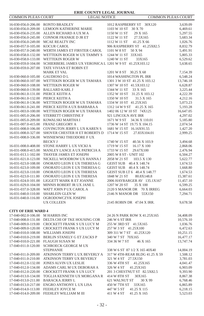| <b>COMMON PLEAS COURT</b>                  | <b>LEGAL NOTICE</b>                                                                |                                | <b>COMMON PLEAS COURT</b> |
|--------------------------------------------|------------------------------------------------------------------------------------|--------------------------------|---------------------------|
| 16-030-056.0-206.00 RONTO BRADLEY          |                                                                                    | 1012 RASPBERRY ST 30X120       | 3,639.09                  |
|                                            | 16-030-056.0-209.00 LEMOON KATHERINE MARIE                                         | 1103 W 10 ST 30 X 70           | 6,469.61                  |
| 16-030-056.0-235.00                        | ALLEN RICHARD A UX M A                                                             | 1150 W 11 ST<br>29 X 165       | 5,297.55                  |
| 16-030-056.0-245.00                        | CONNOR FRANKIE D JR ET                                                             | 1122 W 11 ST<br>27.5X165       | 5,683.34                  |
| 16-030-056.0-249.00                        | MCAE REALTY INC                                                                    | 1112 W 11 ST<br>41.25 X 66     | 1,026.76                  |
| 16-030-057.0-105.00                        | <b>KOCUR CAROL</b>                                                                 | 906 RASPBERRY ST 41.25X82.5    | 8,832.79                  |
| 16-030-057.0-240.00                        | WERTH JAMES ET FIRSTER CAROL                                                       | 1101 W 8 ST<br>50 X 94         | 5,491.91                  |
|                                            | WETTEKIN ROGER W UX TAMMY S                                                        | 1244 W 11 ST 33X165            |                           |
| 16-030-058.0-132.00                        | WETTEKIN ROGER W                                                                   | 1240 W 11 ST                   | 5,805.33                  |
| 16-030-058.0-133.00<br>16-030-059.0-104.00 |                                                                                    | 33X165                         | 6,529.62                  |
| 16-030-059.0-207.00                        | SCHIERBERL JAMES UX VERONICA L 1201 W 9 ST 41.25X103.12<br>TATE VIVIAN ET ROBIN ET |                                | 5,638.65                  |
|                                            | <b>MARK ET VAL</b>                                                                 | 1201 W 8 ST 30.25 X 68         | 7,154.39                  |
| 16-030-060.0-105.00                        | <b>GAUDIOSO D L</b>                                                                | 1014 WASHINGTON PL IRR         | 6,548.24                  |
| 16-030-060.0-107.00                        | WETTEKIN ROGER W UX TAMARA                                                         | 1301 3 W 10 ST 41.25 X 103.12  | 13,746.18                 |
| 16-030-060.0-108.00                        | WETTEKIN ROGER W                                                                   | 1307 W 10 ST 41.5X103.12       | 6,628.87                  |
| 16-030-060.0-139.00                        | <b>BALLARD KARL J</b>                                                              | 1344 W 11 ST<br>33 X 165       | 3,225.44                  |
| 16-030-061.0-131.00                        | PIERCE KEITH A                                                                     | 1352 W 10 ST 31.25 X 103.12    | 4,222.39                  |
| 16-030-061.0-132.00 PIERCE KEITH A         |                                                                                    | 1350 W 10 ST<br>31.5 X 165     | 4,212.16                  |
| 16-030-061.0-136.00                        | WETTEKIN ROGER W UX TAMARA                                                         | 1334 W 10 ST 41.25X165         | 5,073.23                  |
| 16-030-061.0-241.00                        | PIERCE KEITH A UX BARBARA A                                                        | 1312 14 W 9 ST 41.25 X 165     | 5,193.28                  |
| 16-031-003.0-100.00                        | WETTEKIN ROGER W UX TAMARA                                                         | 1402 06 12 W 10 ST 74X125      | 16,647.05                 |
| 16-031-005.0-206.00                        | STERRETT CHRISTINE F                                                               | 921 LINCOLN AVE IRR            | 4,297.02                  |
|                                            | 16-031-005.0-209.00 KOWALSKI MARTHA I                                              | 1671 W 9 ST 34.36 X 110.01     | 5,185.80                  |
| 16-031-007.0-415.00                        | <b>FRANZ GREGORY A</b>                                                             | 1736 W 14 ST 19.75 X 104.15    | 2,074.54                  |
| 16-031-008.0-106.00                        | COVINGTON JERRY L UX KAREN S                                                       | 1681 W 15 ST 16.16X91.55       | 1,427.20                  |
| 16-031-008.0-327.00                        | SHOVER CHESTER H ET ROBERTS D                                                      | 1714 W 15 ST<br>27.83X104.01   | 2,999.25                  |
| 16-031-008.0-336.00                        | WISNIEWSKI THEODORE F UX                                                           |                                |                           |
|                                            | <b>BECKY J</b>                                                                     | 1740 W 15 ST<br>40.56 X 103.9  | 3,494.68                  |
| 16-031-008.0-408.00                        | STONE HARRY L UX VICKI A                                                           | 1719 W 15 ST<br>16.17 X 100    | 2,868.06                  |
| 16-031-008.0-415.00                        | MANLEY LANCE A UX PATRICIA A                                                       | 1733 W 15 ST<br>29.67X100      | 2,476.94                  |
| 16-031-013.1-102.00                        | THAYER JAMES ET JOSEPH                                                             | 2005 W 8 ST - UNIT 102         | 6,504.27                  |
| 16-031-021.0-123.00                        | NICKELL WOODROW UX HANNA J                                                         | 2058 W 21 ST<br>103.5 X 130    | 5,622.77                  |
| 16-031-023.0-108.00                        | ONORATO LEON E UX THERESA G                                                        | GEIST SUB 40.4 X 148.74        | 1,674.53                  |
| 16-031-023.0-109.00                        | ONORATO LEON E UX THERESA G                                                        | GEIST SUB 40.4 X 148.74        | 1,668.80                  |
| 16-031-023.0-110.00                        | ONORATO LEON E UX THERESA                                                          | GEIST SUB LT 6 40.4 X 148.77   | 1,674.53                  |
| 16-031-023.0-111.00                        | ONORATO LEON E UX THERESA                                                          | 1848 W 21 ST<br>80.8X148.8     | 15,387.61                 |
| 16-031-024.0-101.00                        | LIGGETT MARK R ET JOANNE                                                           | 2006 HAYBARGER AV 135.1X167    | 11,457.10                 |
| 16-031-029.0-104.00                        | MINNIS ROBERT JR UX JANE L                                                         | 1207 W 20 ST<br>35 X 100       | 6,599.25                  |
| 16-031-037.0-328.00                        | WATT JOHN P UX CAROL A                                                             | 2120 S MANOR DR 70 X IRREG     | 6,664.03                  |
| 16-031-040.0-110.00                        | <b>SHARLEIN GLEN W</b>                                                             | 2146 N MANOR DR 55X150         | 7,294.71                  |
| 16-031-040.0-116.00                        | OGRODOWCZYK JOSEPH                                                                 |                                |                           |
|                                            | <b>UX COLLEEN</b>                                                                  | 2145 ROBIN DR 47.04 X IRR.     | 9,678.58                  |
|                                            |                                                                                    |                                |                           |
| <b>CITY OF ERIE WARD 4</b>                 |                                                                                    |                                |                           |
| 17-040-002.0-106.00 M HARRIS INC           |                                                                                    | 24 26 N PARK ROW X 41.25X165   | 34,408.09                 |
|                                            | 17-040-008.0-131.00 DELTA CHI OF TKE HOUSING COR                                   | 246 W 6 ST IRR                 | 10,576.10                 |
| 17-040-009.0-119.00                        | CROCKETT FRANK S UX LUCY M                                                         | 255 W 3RD ST 41.5X165          | 1,036.76                  |
|                                            | 17-040-009.0-120.00 CROCKETT FRANK S UX LUCY M                                     | 257 W 3 ST 41.25X100           | 6,472.63                  |
| 17-040-010.0-108.00                        | WILLIAMS JOSEPH                                                                    | 309 311 W 7 ST 41.25X120       | 10,251.15                 |
| 17-040-010.0-219.00                        | BERLIN STANELY G ET ZACKS P                                                        | 340 W 7 ST 70X165              | 16,477.17                 |
| 17-040-010.0-221.00                        | FLAUGH SUSAN M                                                                     | 334 36 W 7 ST<br>46 X 165      | 13,747.74                 |
| 17-040-011.0-120.00                        | SCHROECK GEORGE M UX                                                               |                                |                           |
|                                            | <b>STEPHANIE</b>                                                                   | 338 W 6 ST 87 1/2 X 165 40X40  | 14,004.19                 |
| 17-040-011.0-209.00                        | ATKINSON TERRY L UX BEVERLY A                                                      | 317 W 4TH-REAR BLDG 41.25 X 59 | 1,508.12                  |
| 17-040-011.0-210.00                        | ATKINSON TERRY UX BEVERLY                                                          | 321 W 4 ST 27.5X150            | 3,781.03                  |
| 17-040-012.0-132.00                        | JONES ALVIN UX LESLIE                                                              | 41.25X165<br>336 W 4TH ST      | 4,041.47                  |
| 17-040-012.0-134.00                        | ADAMS CARL M UX DEBORAH A                                                          | 326 W 4 ST<br>41.25X165        | 6,903.09                  |
| 17-040-012.0-220.00                        | CROCKETT FRANK S UX LUCY                                                           | 201 3 CHESTNUT ST 82.5X82.5    | 9,393.90                  |
| 17-040-013.0-134.00                        | TOGLIA KENNETH UX MORGANA R                                                        | 414 W 8TH ST<br>30X165         | 8,867.38                  |
| 17-040-013.0-211.00                        | <b>BARACKA JERRY L</b>                                                             | 621 WALNUT ST<br>30 X 99       | 6,768.46                  |
| 17-040-013.0-217.00                        | ENGRO ANTHONY L UX LISA                                                            | 450 W 7TH ST<br>33X165         | 6,865.89                  |
| 17-040-014.0-113.00                        | FEEHLEY JOYCE M                                                                    | 447 W 5 ST<br>41.25 X 115      | 6,218.15                  |
| 17-040-014.0-209.00                        | FEEHLEY WILLIAM M III                                                              | 411 W 4 ST<br>41.25 X 165      | 5,523.03                  |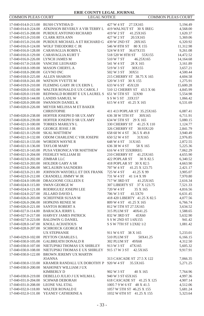| COMMON PLEAS COURT                 | <b>LEGAL NOTICE</b>                                                        |                              | COMMON PLEAS COURT |
|------------------------------------|----------------------------------------------------------------------------|------------------------------|--------------------|
| 17-040-014.0-213.00 BUSH CYNTHIA D |                                                                            | 427 W 4 ST<br>27.5X165       | 5,194.49           |
|                                    | 17-040-014.0-224.00 ATKINSON BEVERLY A VIR TERRY L 419 WALNUT ST 30 X IREG |                              | 4,568.00           |
|                                    | 17-040-015.0-208.00 PURDUE ANTONIO RICHARD                                 | 419 W 2 ST<br>41.25X165      | 1,620.37           |
| 17-040-015.0-210.00                | <b>CLARK RITA ANN</b>                                                      | 427 W 2 ST<br>20.5X165       | 5,369.06           |
|                                    | 17-040-015.0-216.00 PURDUE MICHAEL A ET RICHARD G 439 W 2ND ST             | 28X165                       | 6,320.92           |
| 17-040-016.0-124.00                | WOLF THEODORE C JR                                                         | 546 W 8TH ST<br>80 X 155     | 11,312.98          |
|                                    | 17-040-016.0-128.00 CARAVAGLIA ROBIN L                                     | 524 W 8 ST<br>36.67X155      | 9,261.08           |
|                                    | 17-040-016.0-129.00 CARAVAGLIA KURT T                                      | 518 520 W 8TH ST<br>55X155   | 14,472.52          |
| 17-040-016.0-226.00 LYNCH JAMES M  |                                                                            | 510 W 7 ST<br>46.25X165      | 14,164.68          |
|                                    | 17-040-017.0-218.00 VANCISE LEONARD                                        | 541 W 4 ST<br>28 X 165       | 3,161.89           |
|                                    | 17-040-018.0-109.00 MASON CHERYL A                                         | 30X155<br>519 W 3 ST         | 3,657.21           |
| 17-040-018.0-200.00 GUVNO INC      |                                                                            | 502 W 3 ST<br>30X51          | 4,500.44           |
| 17-040-018.0-225.00 ALLEN SHARON   |                                                                            | 215 CHERRY ST 38.75 X 165    | 4,604.58           |
| 17-040-018.0-241.00                | WATSON YVETTE M                                                            | 520 W 3 ST 30 X 155          | 1,275.91           |
|                                    | 17-040-019.0-210.00 FLEMING GARY JR UX ERIN L                              | 633 W 6 ST 45X120            | 15,600.28          |
| 17-040-020.0-102.00                | WALTER RONALD E UX CAROL J                                                 | 510 12 CHERRY ST 43.5 X 66   | 4,845.99           |
| 17-040-020.0-119.00                | REINWALD ROBERT E UX LAUREL S                                              | 651 W 5TH ST 32X90           | 5,554.98           |
|                                    | 17-040-020.0-144.00 LANDIS SAMUEL W                                        | S S W 5 ST .33X157           | 1,066.42           |
| 17-040-020.0-209.00                | <b>SWANSON DANIEL K</b>                                                    | 615 W 4 ST 41.25 X 165       | 6,531.69           |
| 17-040-020.0-226.00                | MEYER MELISSA M ET BAKER                                                   |                              |                    |
|                                    | <b>CHRISTOPHE</b>                                                          | 411 413 POPLAR ST 35.25X165  | 6,087.41           |
|                                    | 17-040-020.0-238.00 HOFFER JOSEPH D SR UX AMY                              | 636 38 W 5TH ST<br>30X165    | 6,711.91           |
|                                    | 17-040-020.0-239.00 HOFFER JOSEPH D SR UX AMY                              | 634 W 5TH ST 29 X 165        | 5,080.15           |
| 17-040-021.0-100.00                | TORRES MARILYN L                                                           | 330 CHERRY ST 41.25 X 110    | 1,124.77           |
| 17-040-021.0-101.00                | <b>GEORGE JESSE J JR</b>                                                   | 326 CHERRY ST<br>30.93X120   | 2,841.79           |
| 17-040-021.0-129.00                | <b>SKAL MATTHEW</b>                                                        | 658 60 W 4 ST 36.5 X 49.8    | 3,940.49           |
| 17-040-021.0-132.00                | ODOM CHARLENE C VIR JOSEPH                                                 | 650 52 W 4 ST<br>31X165      | 2,976.85           |
|                                    | 17-040-021.0-133.00 WORDEN WAYNE R                                         | 648 W 4 ST 31X165            | 2,872.55           |
| 17-040-021.0-136.00                | <b>TAYLOR MARY</b>                                                         | 636 38 W 4 ST<br>58 X 165    | 5,225.36           |
|                                    | 17-040-021.0-143.00 PUSA VERONICA VIR MATTHEW                              | 616 W 4 ST 55XIRREG          | 7,062.29           |
| 17-040-021.0-204.00                | FEEHLEY WILLIAM III                                                        | 210 CHERRY ST 41.25X165      | 4,655.90           |
| 17-040-023.0-202.00                | ZIMBAR LLC                                                                 | 422 POPLAR ST<br>30 X 82.5   | 6,340.52           |
|                                    | 17-040-023.0-203.00 HOLDER GARY A SR                                       | 418 POPLAR ST 30 X 82.5      | 4,663.90           |
| 17-040-023.0-206.00                | <b>MCLAURIN SAUNDERS</b>                                                   | 707 W 4 ST<br>41.25 X 123.75 | 2,421.17           |
| 17-040-023.0-211.00                | JOHNSON WAYDELL ET DIX FRANK                                               | 725 W 4 ST<br>41.25 X 99     | 3,905.07           |
| 17-040-023.0-212.00                | CRANDELL JIMMY W JR                                                        | 731 W 4 ST 41 1/4 X 99       | 7,970.80           |
| 17-040-024.0-109.00                | DRAGOONE COLLEEN E                                                         | 717 W 3RD ST<br>41.25X165    | 2,616.34           |
| 17-040-024.0-115.00                | <b>SWAN GEORGE W</b>                                                       | 307 LIBERTY ST 37 X 123.75   | 7,521.33           |
| 17-040-024.0-121.00                | RODRIGUEZ JOSEPH LEE                                                       | 720 W 4 ST<br>35 X 165       | 4,816.56           |
| 17-040-024.0-227.00                | JILLARD DAVID L                                                            | 706 W 3 ST<br>41.5X70        | 6,631.45           |
| 17-040-026.0-203.00                | SCHEFFNER SUSAN M                                                          | 418 420 LIBERTY 41.25 X 82.5 | 4,077.56           |
|                                    | 17-040-026.0-206.00 HOPKINS RENEE M                                        | 809 W 4 ST 41.25 X 165       | 6,766.74           |
|                                    | 17-040-026.0-221.00 SANTOS ROBERT A                                        | 812 W 5TH ST 27.5X165        | 3,634.52           |
| 17-040-027.0-114.00                | <b>BARACKA JERRY L</b>                                                     | 315 PLUM ST<br>40X41.25      | 1,588.65           |
|                                    | 17-040-027.0-217.00 HARVEY JAMES PATRICK                                   | 832 W 3RD ST<br>45X60        | 5,632.90           |
| 17-040-027.0-223.00                | <b>BALDWIN G DANIEL</b>                                                    | S S W 2ND ST 1/4X155         | 941.42             |
| 17-040-028.0-147.00                | KNOLL ACHATIOUS                                                            | S S W 7TH ST 1/2X82 1/2      | 1,081.42           |
| 17-040-028.0-207.00                | <b>SCHROECK GEORGE M</b>                                                   |                              |                    |
|                                    | <b>UX STEPHANIE</b>                                                        | 911 W 6 ST 38 X 165          | 5,233.01           |
|                                    | 17-040-029.0-102.00 PEYTON CHARLES L                                       | 510 PLUM ST<br>50X41.25      | 6,166.15           |
| 17-040-030.0-105.00                | <b>GALBREATH DONALD R</b>                                                  | 302 PLUM ST 49X68            | 4,312.50           |
| 17-040-030.0-107.00                | NIETUPSKI THOMAS UX SHIRLEY                                                | 913 W 3 ST<br>47X165         | 5,605.32           |
|                                    | 17-040-030.0-108.00 NIETUPSKI THOMAS E UX SHIRLEY                          | 915 17 W 3 ST 42.5X165       | 9,917.91           |
| 17-040-030.0-122.00                | BROWN JEREMY UX MARTIN                                                     |                              |                    |
|                                    | <b>JOANNA</b>                                                              | 313 CASCADE ST 27.5 X 122    | 7,066.35           |
| 17-040-030.0-133.00                | KRAMER RANDALL UX DOROTHY P                                                | 920 W 4 ST<br>35.5X165       | 5,271.25           |
| 17-040-030.0-200.00                | MAHONEY WILLIAM J UX                                                       |                              |                    |
|                                    | <b>KIMBERLY D</b>                                                          | 902 W 3 ST<br>40 X 165       | 7,764.96           |
| 17-040-030.0-219.00                | DEBELLO JULIO J UX WILMA L                                                 | 940 W 3 ST 65X165            | 4,997.36           |
| 17-040-031.0-204.00                | <b>SCHWAB DEBORAH</b>                                                      | 618 CASCADE ST 41.25 X 125   | 4,907.14           |
| 17-040-031.0-208.00                | LEONE VAL ETAL                                                             | 1005 7 9 W 6 ST 48 X 41.5    | 4,512.06           |
| 17-040-032.0-118.00                | WALTER RONALD E                                                            | 1057 W 5TH ST 46.25 X 155    | 5,681.24           |
|                                    | 17-040-032.0-131.00 YEANEY CATHERINE A                                     | 1032 W 6TH ST 41.25 X 155    | 5,323.64           |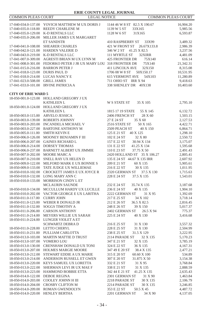| COMMON PLEAS COURT                         | <b>LEGAL NOTICE</b>                                                |                                           | <b>COMMON PLEAS COURT</b> |
|--------------------------------------------|--------------------------------------------------------------------|-------------------------------------------|---------------------------|
|                                            | 17-040-034.0-137.00 YOVICH MATTHEW MUX DORIS J                     | 1144 46 W 8 ST 82.5 X 190.67              | 16,904.20                 |
| 17-040-035.0-118.00                        | REEDY CHARLENE M                                                   | 1139 W 5 ST<br>33X165                     | 5,985.56                  |
| 17-040-035.0-129.00                        | <b>K-D RENTALS LLC</b>                                             | 1128 W 6 ST<br>31X165                     | 6,593.87                  |
| 17-040-035.0-206.00                        | MILLER JAMES UX MARGARET                                           |                                           |                           |
|                                            | <b>ET SANDSTR</b>                                                  | 410 RASPBERRY ST<br>33X99                 | 3,489.32                  |
| 17-040-041.0-108.00                        | <b>SHEARER CHARLES</b>                                             | 421 W FRONT ST 26.67X133.8                | 2,986.39                  |
|                                            | 17-040-042.0-121.00 HARDEN VALERIE D                               | 346 W 2 ST 41.25 X 82.5                   | 3,237.56                  |
| 17-040-043.0-219.00 K-D RENTALS LLC        |                                                                    | 111 MYRTLE ST<br>32XIRR                   | 4,481.09                  |
| 17-041-007.0-309.00                        | AGRESTI BRIAN M UX LYNN M                                          | <b>425 FRONTIER DR</b><br>75X140          | 616.14                    |
|                                            | 17-041-008.0-301.00 FEDORKO PETER J JR UX MARY LOU 318 FRONTIER DR | 75X140                                    | 21,342.31                 |
| 17-041-015.0-216.00                        | <b>BARRON PETER J</b>                                              | 411 LINCOLN AVE<br>32X150                 | 8,315.08                  |
| 17-041-018.0-123.00 DURIS PAUL D           |                                                                    | 1706 08 W 8 ST<br>50X150.17               | 10,531.95                 |
| 17-041-018.0-214.00 LUCAS NANCY E          |                                                                    | <b>615 VERMONT AVE</b><br>54X103          | 11,280.89                 |
| 17-041-023.0-508.00                        | <b>GRILL JAMES</b>                                                 | 711 OHIO ST IRR X 94                      | 9,418.63                  |
|                                            | 17-041-033.0-101.00 IRVINE PATRICIA A                              | 338 SHENLEY DR 40X138                     | 10,403.60                 |
|                                            |                                                                    |                                           |                           |
| <b>CITY OF ERIE WARD 5</b>                 |                                                                    |                                           |                           |
|                                            | 18-050-001.0-123.00 HOLLAND GREGORY J UX                           |                                           |                           |
|                                            | <b>KATHLEEN L</b>                                                  | <b>W S STATE ST</b><br>35 X 105           | 2,795.10                  |
|                                            | 18-050-001.0-124.00 HOLLAND GREGORY J UX                           |                                           |                           |
|                                            | <b>KATHLEEN L</b>                                                  | 1815 17 19 STATE<br>55 X 145              | 6,132.72                  |
| 18-050-003.0-115.00                        | ARVELO JESSICA                                                     | 2406 FRENCH ST<br>28 X 60                 | 1,503.15                  |
|                                            | 18-050-003.0-139.00 ROBERTS JOHNNY                                 | 27 E 24 ST<br>35 X 60<br>2516 STATE ST    | 2,127.53                  |
| 18-050-003.0-203.00                        | INCANDELA MICHAEL V                                                | 50 X 165                                  | 4,422.71                  |
| 18-050-003.0-227.00                        | <b>BARTONE ANTHONY M</b>                                           | 2509 PEACH ST<br>40 X 150<br>40 X 125     | 6,864.71                  |
| 18-050-005.0-111.00<br>18-050-006.0-126.00 | <b>SMITH KEVIN E</b><br>MOONEY BENJAMIN F III                      | 125 E 21 ST<br>102 E 24 ST                | 1,298.10                  |
|                                            |                                                                    | 32 X 80<br>157 E 22 ST                    | 2,550.72                  |
| 18-050-006.0-214.00                        | 18-050-006.0-207.00 GAINES RICHARD L<br>DORSEY THOMAS              | 30.94 X 134<br>131 E 22 ST<br>41.25 X 134 | 3,175.07<br>1,595.68      |
| 18-050-006.0-237.00                        | BARNETT ALBERT UX JIMMIE                                           | 110 E 23 ST<br>37.75 X 50                 | 2,491.43                  |
| 18-050-007.0-202.00                        | MOORE MARC A                                                       | 2420 HOLLAND ST 35 X 106.27               | 2,805.41                  |
| 18-050-007.0-210.00                        | SNELL RAY UX HELEN D                                               | 135 E 24 ST 44.67 X 135 IRR               | 2,607.92                  |
| 18-050-009.0-122.00                        | MILFORD MARK E UX BONNIE S                                         | 209 E 21 ST<br>60 X 135                   | 5,905.61                  |
| 18-050-009.0-133.00                        | TATE JUDGE UX WILLIEMAE                                            | 216 E 22 ST<br>30 X 135                   | 1,011.95                  |
| 18-050-010.0-102.00                        | CROCKETT JAMES E UX JOYCE R                                        | 2320 GERMAN ST<br>37.5 X 130              | 1,715.63                  |
| 18-050-010.0-132.00                        | LONG MARY ANN C                                                    | 37.5 X 135<br>228 E 24 ST                 | 1,543.01                  |
|                                            | 18-050-010.0-133.00 MORRISON CINDY L ET                            |                                           |                           |
|                                            | <b>MCLAURIN SAUNDE</b>                                             | 232 E 24 ST<br>35.74 X 135                | 3,187.68                  |
| 18-050-010.0-134.00                        | MCCULLUM HARDY UX LUCILLE                                          | 236 E 24 ST<br>40 X 135                   | 1,904.10                  |
| 18-050-010.0-202.00                        | VACTOR GEORGE E UX LARITHA                                         | 2222 GERMAN ST<br>31 X 95                 | 1,392.69                  |
| 18-050-011.0-117.00                        | <b>CURRY JOHN</b>                                                  | 217 E 25 ST<br>34 X 102                   | 3,718.14                  |
| 18-050-011.0-123.00                        | WEBER R DONALD JR                                                  | 212 E 26 ST<br>36.5 X 82.5                | 2,816.45                  |
| 18-050-011.0-132.00                        | SOGGS TIMOTHY A                                                    | 248 E 26 ST<br>39 X 150                   | 5,017.37                  |
| 18-050-011.0-206.00                        | <b>CARSON ANTHONY</b>                                              | 2402 GERMAN ST<br>26.5 X 94               | 775.37                    |
| 18-050-011.0-214.00                        | MEYERS WILLIE UX SARAH                                             | 225 E 24 ST<br>40 X 130                   | 3,416.68                  |
| 18-050-011.0-224.00                        | LUNGER VIOLET A ET                                                 |                                           |                           |
|                                            | SCHWARTZ DEBRA D                                                   | 216 E 25 ST<br>31 X 130                   | 3,557.32                  |
| 18-050-011.0-228.00 LETTO CHERYL           |                                                                    | 228 E 25 ST<br>31 X 130                   | 2,504.99                  |
| 18-050-011.0-231.00                        | PULLIAM CARLOTTA                                                   | 238 E 25 ST<br>31.5 X 129                 | 3,222.95                  |
| 18-050-013.0-103.00                        | <b>MARTIN MATTIE D TRUST</b>                                       | 2114 PARADE ST<br>32 X 135                | 5,170.23                  |
| 18-050-013.0-107.00                        | <b>VOMERO LOU</b>                                                  | 347 E 21 ST<br>32 X 135                   | 3,785.19                  |
| 18-050-013.0-130.00                        | CRENSHAW DONALD UX TONI                                            | 324 E 22 ST<br>36 X 135                   | 4,167.31                  |
| 18-050-013.0-207.00                        | <b>HOLMES MARGIE MOORE</b>                                         | 347 49 E 20 ST<br>38.4 X 135              | 2,477.21                  |
| 18-050-013.0-212.00                        | STEWART EDDIE A UX MARIE                                           | 315 E 20 ST<br>60.60 X 100                | 534.89                    |
| 18-050-013.0-214.00                        | ANDERSON RUSSELL ET GWEN                                           | 31.875 X 50<br>307 E 20 ST                | 3,154.38                  |
| 18-050-013.0-220.00                        | KEYS SAMUEL UX LORETTA                                             | 332 E 21 ST<br>31 X 95                    | 3,768.84                  |
| 18-050-013.0-222.00                        | SHERMAN LEVI JR UX MAE F                                           | 338 E 21 ST<br>31 X 135                   | 2,888.59                  |
| 18-050-013.0-223.00                        | HAMMOND BOBBIE ETTA                                                | 342 44 E 21 ST<br>41.25 X 135             | 2,635.43                  |
| 18-050-014.0-122.00                        | <b>DEBOE REGINA</b>                                                | 2301 GERMAN ST<br>31 X 90                 | 1,463.84                  |
| 18-050-014.0-203.00                        | <b>COOLEY JOHNN H III</b>                                          | 2218 PARADE ST<br>30 X 135                | 2,106.79                  |
| 18-050-014.0-204.00                        | CROSBY CLIFTON M                                                   | 2214 PARADE ST<br>30 X 135                | 3,246.85                  |
| 18-050-014.0-209.00                        | ROMAN GWENDOLYN                                                    | 353 E 22 ST<br>50.5 X 45                  | 4,487.72                  |
| 18-050-014.0-220.00                        | <b>HENLEY BERTHA</b>                                               | 2201 GERMAN ST<br>34 X 90                 | 4,137.05                  |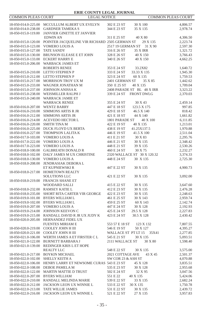| <b>COMMON PLEAS COURT</b>                  | <b>LEGAL NOTICE</b>                                        |                            |                             | <b>COMMON PLEAS COURT</b> |
|--------------------------------------------|------------------------------------------------------------|----------------------------|-----------------------------|---------------------------|
|                                            | 18-050-014.0-225.00 MCCULLUM ALBERT UX EVELYN              | 302 E 23 ST                | 30 X 100                    | 4,806.57                  |
| 18-050-014.0-238.00                        | <b>GARDNER TAMEKAS</b>                                     | 344 E 23 ST                | 35 X 135                    | 2,978.74                  |
| 18-050-015.0-119.00                        | <b>JANVIER GINETTE ET JANVIER</b>                          |                            |                             |                           |
|                                            | <b>EDWIN AN</b>                                            | 311 E 25 ST                | 40 X 80                     | 4,306.50                  |
| 18-050-015.0-120.00                        | POINTER JACQUELINE VIR RICHARD 2505 GERMAN ST              |                            | 29 X 135                    | 2,223.74                  |
| 18-050-015.0-123.00                        | VOMERO LOUIS A                                             | 2517 19 GERMAN ST          | 31 X 90                     | 2,597.30                  |
| 18-050-015.0-127.00                        | <b>TATE SANDY</b>                                          | 316 E 26 ST                | 35 X IRR                    | 1,321.72                  |
|                                            | 18-050-015.0-130.00 BRUNSON ELEASE E ET JOHN               | 328 E 26 ST                | 40 X 150                    | 3,766.43                  |
| 18-050-015.0-133.00                        | <b>ECKERT HARRY E</b>                                      | 340 E 26 ST                | 40 X 150                    | 4,662.25                  |
| 18-050-015.0-206.00                        | <b>WARBACK JAMES ET</b>                                    |                            |                             |                           |
|                                            | ROBERTS RENEE                                              | 353 E 24 ST                | 33.2X82                     | 1,640.72                  |
|                                            | 18-050-015.0-210.00 LETTO STEPHEN P                        | 333 E 24 ST                | 33.33 X 135                 | 1,945.30                  |
|                                            | 18-050-015.0-212.00 LETTO STEPHEN P                        | 323 E 24 ST                | 60 X 135                    | 1,759.53                  |
| 18-050-015.0-217.00                        | MORRISON TROY UX M                                         | 2401 GERMAN ST             | 35 X 85                     | 1,442.62                  |
| 18-050-015.0-233.00                        | WAGNER JONATHAN M                                          | 350 E 25 ST                | 40 X 135                    | 1,709.04                  |
| 18-050-015.0-237.00                        | <b>JOHNSON ANISSA K</b>                                    |                            | 2408 PARADE ST BL 48 X IRR  | 3,323.22                  |
| 18-050-015.0-238.00                        | WEISMILLER RALPH J                                         | 339 E 24 ST                | <b>FRONT DWLG</b>           | 2,370.03                  |
| 18-050-015.0-240.00                        | <b>WARRACK JAMIE ET</b>                                    |                            |                             |                           |
|                                            | <b>WARRACK RENEE</b>                                       | 355 E 24 ST                | 30 X 43                     | 2,459.14                  |
| 18-050-016.0-207.00                        | <b>WENTZ BARRY</b>                                         | 447 E 18 ST                | 123.5 X 175                 | 997.85                    |
| 18-050-016.0-210.00                        | <b>SIMMONS ARTIS R JR</b>                                  | 429 E 18 ST                | 46.5 X 140                  | 818.42                    |
| 18-050-016.0-212.00                        | <b>SIMMONS ARTIS JR</b>                                    | 421 E 18 ST                | 44 X 140                    | 1,661.82                  |
| 18-050-016.0-214.00                        | ACEVEDO HECTOR L                                           | 1801 PARADE ST             | 40 X 100                    | 6,111.85                  |
| 18-050-016.0-220.00                        | <b>SMITH TINA M</b>                                        | 422 E 19 ST                | 40 X 135                    | 1,213.01                  |
|                                            | 18-050-016.0-225.00 DUCK FLOYD UX BERTA                    | 438 E 19 ST                | 41.25X137.5                 | 1,970.88                  |
| 18-050-016.0-227.00                        | THOMPSON LALITA K                                          | 446 E 19 ST                | 41.5 X 100                  | 2,511.04                  |
| 18-050-017.0-103.00 VOMERO LOUIS A         | <b>VOMERO LOUIS A</b>                                      | 411 E 21 ST<br>446 E 21 ST | 30 X 83<br>30 X 135         | 2,295.76                  |
| 18-050-017.0-222.00<br>18-050-017.0-223.00 | <b>VOMERO LOUIS A</b>                                      | 448 E 21 ST                | 39 X 135                    | 2,348.42                  |
| 18-050-018.0-100.00                        | <b>GALBREATH DONALD R</b>                                  | 460 E 24 ST                | 30 X 75                     | 2,530.26<br>2,232.27      |
| 18-050-018.0-102.00                        | DALY JAMES M UX CHRISTINE                                  |                            | 2320 WALLACE ST 30 X 120.32 | 3,374.33                  |
| 18-050-018.0-130.00                        | VOMERO LOUIS A                                             | 448 E 24 ST                | 30 X 135                    | 2,725.30                  |
| 18-050-018.0-208.00                        | JENDRASIAK DEBORA L                                        |                            |                             |                           |
|                                            | ET KUPNIEWSKI R                                            | 447 E 22 ST                | 30 X 135                    | 4,900.73                  |
| 18-050-018.0-217.00                        | HOMETOWN REALTY                                            |                            |                             |                           |
|                                            | <b>SOLUTIONS LLC</b>                                       | 421 E 22 ST                | 30 X 135                    | 3,092.00                  |
|                                            | 18-050-018.0-219.00 FRANCIS SHANE ET                       |                            |                             |                           |
|                                            | <b>WOODARD SALLI</b>                                       | 415 E 22 ST                | 30 X 135                    | 3,647.60                  |
| 18-050-018.0-232.00 RAMSEY KATIE L         |                                                            | 412 E 23 ST                | 30 X 135                    | 2,476.28                  |
| 18-050-018.0-235.00                        | SHORT RITA CARTER VIR GEORGE                               | 422 E 23 ST                | 30 X 135                    | 2,248.63                  |
| 18-050-019.0-101.00                        | <b>BYERS WILLIAM L</b>                                     | 461 E 25 ST                | 30 X 143                    | 2,959.74                  |
|                                            | 18-050-019.0-102.00 BYERS WILLIAM L                        | 459 E 25 ST                | 60 X 143                    | 2,142.74                  |
| 18-050-019.0-207.00                        | <b>VOMERO LOUIS A</b>                                      | 447 E 24 ST                | 30 X 128                    | 2,192.93                  |
| 18-050-019.0-214.00                        | JOHNSON KEEVON C                                           | 425 E 24 ST                | 29.5 X 128                  | 2,227.83                  |
| 18-050-019.0-215.00                        | RANDALL DAVID R JR UX JUDY K                               | 423 E 24 ST                | 30.5 X 128                  | 2,430.42                  |
| 18-050-020.0-205.00                        | HERNANDEZ FIDEL UX                                         |                            |                             |                           |
|                                            | <b>FUENTES MIRIAM E</b>                                    | 553 57 E 18 ST             | 123 X 132                   | 7,807.55                  |
|                                            | 18-050-020.0-219.00 COOLEY JOHN H III                      | 546 E 19 ST                | 50 X 127                    | 4,395.27                  |
| 18-050-020.0-221.00                        | COOLEY JOHN H III                                          | WALLACE ST PT LT 15        | 35X41                       | 2,277.85                  |
| 18-050-021.0-106.00                        | WERTH JAMES A ET FIRSTER C L                               | 545 E 21 ST                | 30 X 135                    | 5,093.51                  |
| 18-050-021.0-122.00                        | <b>BURNETT BARBARA J</b>                                   | 2111 WALLACE ST            | 30 X 80                     | 1,598.40                  |
| 18-050-021.0-139.00                        | REDINGER KRIS L ET HOPE                                    |                            |                             |                           |
|                                            | <b>REALTY LLC</b>                                          | 548 E 22 ST                | 30 X 135                    | 3,575.00                  |
| 18-050-021.0-217.00                        | <b>BOYKIN MICHAEL</b>                                      | 2021 COTTAGE AVE           | 43 X 45                     | 2,501.37                  |
| 18-050-022.0-102.00                        | SHELLY KEITH A                                             | SW COR 23 & ASH ST         |                             | 4,070.88                  |
| 18-050-022.0-106.00                        | HENRY LARRY ET NEWSOME CURAS 543 E 23 ST<br>DEBOE PAMELA M | 535 E 23 ST                | 45 X 128<br>30 X 128        | 3,835.51                  |
| 18-050-022.0-108.00<br>18-050-022.0-122.00 | <b>MARTIN MATTIE D TRUST</b>                               | 502 E 24 ST                | 32 X 95                     | 2,955.68<br>3,047.56      |
| 18-050-022.0-207.00                        | <b>BYERS WILLIAM</b>                                       | 551 E 22                   | 40 X 135                    | 5,424.06                  |
| 18-050-022.0-210.00                        | RANDALL MELINDA MARIE                                      | 539 E 22 ST                | 33 X 135                    | 2,682.24                  |
| 18-050-022.0-212.00                        | JACKSON LEON UX WINNIE L                                   | 533 E 22 ST                | 30 X 135                    | 1,750.78                  |
| 18-050-022.0-213.00                        | TATE WILLIE JAMES                                          | 531 E 22 ST                | 30 X 135                    | 2,439.72                  |
| 18-050-022.0-216.00                        | JACKSON LEON UX WINNIE L                                   | 521 E 22 ST                | 27 X 135                    | 3,957.83                  |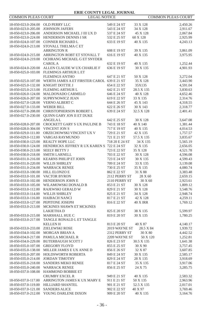| <b>COMMON PLEAS COURT</b>         | LEGAL NOTICE                               |                | COMMON PLEAS COURT |          |
|-----------------------------------|--------------------------------------------|----------------|--------------------|----------|
| 18-050-023.0-204.00 OLD PERRY LLC |                                            | 549 E 24 ST    | 33 X 128           | 2,450.26 |
| 18-050-023.0-205.00               | <b>JOHNSON JAFERS</b>                      | 543 E 24 ST    | 34 X 128           | 2,911.67 |
| 18-050-023.0-206.00               | ANDERSON MICHAEL J III UX D                | 537 E 24 ST    | 45 X 128           | 2,067.84 |
| 18-050-023.0-224.00               | HENDERSON DENNIS I SR                      | 532 E 25 ST    | 60 X 128           | 2,925.99 |
| 18-050-024.0-107.00               | CONNER RICHARD L                           | 633 E 19 ST    | 40 X 135           | 4,243.13 |
| 18-050-024.0-213.00               | STOVALL THELMA C ET                        |                |                    |          |
|                                   | <b>ARRINGTON R</b>                         | 608 E 19 ST    | 39 X 135           | 3,861.09 |
| 18-050-024.0-215.00               | ARRINGTON ROBT ET STOVALL T                | 616 E 19 ST    | 40 X 135           | 3,975.95 |
| 18-050-024.0-219.00               | OCHRANG MICHAEL G ET SNYDER                |                |                    |          |
|                                   | <b>CAROL A</b>                             | 632 E 19 ST    | 40 X 135           | 1,252.44 |
| 18-050-024.0-220.00               | ALLEN CLAUDE W UX CHARLIE F                | 636 E 19 ST    | 30 X 135           | 4,901.93 |
| 18-050-025.0-103.00               | FLEMINGS ARTHUR L ET                       |                |                    |          |
|                                   | <b>FLEMINGS ANTHO</b>                      | 647 E 21 ST    | 50 X 128           | 3,272.04 |
| 18-050-025.0-107.00               | WERTH JAMES A ET FIRSTER CAROL 639 E 21 ST |                | 35 X 128           | 3,443.90 |
| 18-050-025.0-132.00               | KNIGHT DOTTIE J                            | 654 E 22 ST    | 35X135             | 4,591.04 |
| 18-050-025.0-213.00               | <b>FLEMING ARTHUR L</b>                    | 642 E 21 ST    | 28.5 X 135         | 3,830.63 |
| 18-050-026.0-124.00               | MALDONADO CARMELO                          | 646 E 24 ST    | 40 X 128           | 4,652.46 |
| 18-050-026.0-207.00               | SUPRYNOWICZ JEAN                           | 619 E 22 ST    | 33 X 135           | 2,314.76 |
| 18-050-027.0-128.00               | VERNO ALBERT C                             | 644 E 26 ST    | 45 X 143           | 4,318.55 |
| 18-050-027.0-133.00               | WEBER BILL                                 | 622 E 26 ST    | 30 X 143           | 2,318.77 |
| 18-050-027.0-208.00               | CHRISTOPHERSON ROBERT L                    | 639 E 24 ST    | 32.5 X 128         | 2,401.41 |
| 18-050-027.0-230.00               | QUINN GARY JON II ET DUKE                  |                |                    |          |
|                                   | <b>ANGELA L</b>                            | 642 E 25 ST    | 30 X 128           | 3,647.08 |
| 18-050-028.0-207.00               | CROCKETT GARY S UX PAULINE B               | 743 E 18 ST    | 40 X 140           | 1,381.44 |
| 18-050-028.0-304.00               | <b>VINCENT JON S</b>                       | 717 E 19 ST    | 40 X 135           | 4,014.53 |
| 18-050-029.0-111.00               | ORZECHOWSKI VINCENT UX V                   | 729 E 21 ST    | 42 X 135           | 1,757.57 |
| 18-050-029.0-112.00               | VARGAS RAYMUNDO                            | 721 E 21 ST    | 57.5 X 135         | 3,835.67 |
| 18-050-030.0-123.00               | REALTY HOPE LLC                            | 718 20 E 24 ST | 34 X 135           | 5,565.19 |
| 18-050-030.0-124.00               | HENDRICKS JEFFREY R UX KAREN S 722 E 24 ST |                | 32 X 135           | 2,656.05 |
| 18-050-030.0-213.00               | SEELY BETTY J                              | 723 E 22 ST    | 35 X 128           | 4,521.78 |
| 18-050-030.0-218.00               | <b>SMITH LARNELL</b>                       | 703 E 22 ST    | 30 X 128           | 4,596.08 |
| 18-050-031.0-216.00               | <b>KEARNS PHILIP ET JOHN</b>               | 723 E 24 ST    | 30 X 135           | 4,599.43 |
| 18-050-031.0-220.00               | WILLIS SHIRLEY                             | 709 E 24 ST    | 33 X 135           | 3,139.08 |
| 18-050-031.0-234.00               | <b>WARRACK RENEE</b>                       | 730 E 25 ST    | 35 X 135           | 4,080.74 |
| 18-050-033.0-100.00               | HILL ELONZO E                              | 862 E 22 ST    | 31 X 88            | 3,383.48 |
| 18-050-033.0-101.00               | VACTOR BYRON                               | 2112 PERRY ST  | $28$ X $60\,$      | 2,659.15 |
| 18-050-033.0-102.00               | HENDERSON JOHN E                           | 2110 PERRY ST  | 30 X 60            | 2,923.61 |
| 18-050-033.0-105.00               | WILAMOWSKI DONALD B                        | 853 E 21 ST    | 30 X 128           | 1,809.12 |
| 18-050-033.0-112.00               | RAJEWSKI GERALD W                          | 829 E 21 ST    | 30 X 128           | 3,548.76 |
| 18-050-033.0-114.00               | WILLIS SHIRLEY                             | 825 E 21 ST    | 34 X 128           | 2,948.74 |
| 18-050-033.0-116.00               | <b>HAIBACH NANCI</b>                       | 817 E 21 ST    | 42 X 128           | 4,259.11 |
| 18-050-033.0-127.00               | PEPITONE JOSEPH                            | 816 E 22 ST    | 40 X IRR           | 1,769.12 |
| 18-050-033.0-213.00               | MCKINES SHAWN ET MCKINES                   |                |                    |          |
|                                   | LAKIETHA D                                 | 825 E 20 ST    | 38 X 135           | 5,599.97 |
| 18-050-033.0-215.00               | MARSHALL HUE C                             | 819 E 20 ST    | 30 X 135           | 1,780.25 |
| 18-050-033.0-217.00               | TANGLE RONALD L ET TANGLE                  |                |                    |          |
|                                   | <b>KELLENH</b>                             | 813 E 20 ST    | 40 X 87            | 4,140.17 |
| 18-050-033.0-233.00               | <b>ZIELEWSKI ROSE</b>                      | 2019 WAYNE ST  | 28.5 X 84          | 1,939.72 |
| 18-050-034.0-102.00               | MORGAN BRIAN A                             | 2312 PERRY ST  | 30 X 80            | 4,442.52 |
| 18-050-034.0-217.00               | PAMULA MICHAEL R                           | 2209 WAYNE ST  | 50 X 120           | 1,252.81 |
| 18-050-034.0-229.00               | <b>BUTERBAUGH SCOTT J</b>                  | 826 E 23 ST    | 30.5 X 135         | 1,641.38 |
| 18-050-035.0-107.00 GREGORY FLOYD |                                            | 855 E 25 ST    | 30 X 90            | 3,757.45 |
| 18-050-035.0-138.00               | MILLER JAMES E UX ANNE D                   | 856 E 26 ST    | 32 X 87            | 3,607.85 |
| 18-050-035.0-207.00               | HOLDSWORTH ROBERTA                         | 849 E 24 ST    | 30 X 135           | 2,585.17 |
| 18-050-035.0-214.00               | <b>JORDAN TIMOTHY</b>                      | 829 E 24 ST    | 28 X 135           | 3,918.69 |
| 18-050-035.0-218.00               | SANDERS MEKO RENEE                         | 817 E 24 ST    | 35 X 135           | 3,917.06 |
| 18-050-035.0-240.00               | <b>WARRACK RENEE</b>                       | 856 E 25 ST    | 24 X 75            | 3,285.75 |
| 18-050-037.0-108.00               | HAMMOND BOBBIE ET                          |                |                    |          |
|                                   | <b>CRUMBY EXCEL R</b>                      | 949 E 21 ST    | 40 X 135           | 2,583.32 |
| 18-050-037.0-117.00               | ARRINGTON JAMES K UX MARY E                | 911 E 21 ST    | 50 X 135           | 2,963.96 |
| 18-050-037.0-119.00               | HILLIARD SHANTEL                           | 901 E 21 ST    | 52.5 X 135         | 2,017.01 |
| 18-050-037.0-121.00               | <b>SANDERS ALICE</b>                       | 902 E 22 ST    | 40 X 97            | 3,769.46 |
| 18-050-037.0-212.00               | YOUNG DARLENE DIXON                        | 909 E 20 ST    | 40 X 135           | 3,164.76 |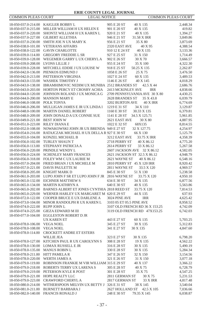| <b>COMMON PLEAS COURT</b>                  | <b>LEGAL NOTICE</b>                                            |                                          | <b>COMMON PLEAS COURT</b> |
|--------------------------------------------|----------------------------------------------------------------|------------------------------------------|---------------------------|
|                                            | 18-050-037.0-214.00 KAIGLER BOBBY L                            | 905 E 20 ST<br>40 X 135                  | 2,448.34                  |
| 18-050-037.0-215.00                        | MILLER WILLIAM H UX HELEN E                                    | 901 E 20 ST<br>40 X 135                  | 419.82                    |
| 18-050-037.0-220.00                        | SHONTZ WILLIAM H UX KAREN L                                    | 920 E 21 ST<br>40 X 135                  | 1,394.27                  |
| 18-050-037.0-227.00                        | <b>GILBERT ALLETHIA</b>                                        | 946 E 21 ST<br>31.58 X IRR               | 3,849.86                  |
| 18-050-037.0-230.00                        | SMITH JOE N UX MARY K                                          | 956 E 21 ST<br>35 X 80                   | 3,873.69                  |
| 18-050-038.0-101.00                        | <b>VETERANS AFFAIRS</b>                                        | 40 X 95<br>2320 EAST AVE                 | 4,388.54                  |
| 18-050-038.0-122.00                        | <b>GAVIN CHARLOTTE</b>                                         | 910 12 E 24 ST<br>40 X 135               | 3,133.36                  |
| 18-050-039.0-114.00                        | <b>GREGORY FREDDIE L SR</b>                                    | 927 E 25 ST<br>31 X 150                  | 1,714.49                  |
| 18-050-039.0-128.00                        | WEGEMER GARRY L UX CHERYL A                                    | 902 E 26 ST<br>30 X 70                   | 3,666.57                  |
| 18-050-039.0-208.00                        | <b>LYONS LILLIE J</b>                                          | 955 E 24 ST<br>35 X 100                  | 4,322.30                  |
| 18-050-039.0-228.00                        | MITCHELL EDDIE J UX LOUISE W                                   | 918 E 25 ST<br>50.25 X 135               | 2,262.87                  |
| 18-050-042.0-136.00                        | PIENKOS EDMUND J                                               | 1058 E 26 ST<br>25 X 75                  | 3,476.50                  |
| 18-050-042.0-213.00                        | PATTERSON VIRGINIA                                             | 1027 E 24 ST<br>60 X 135                 | 3,489.53                  |
| 18-050-043.0-133.00                        | <b>WASHEK TIMOTHY J</b>                                        | 1146 E 26 ST<br>40 X 145                 | 4,018.29                  |
| 18-050-043.0-138.00                        | IBRAMHIMOVIC NEDIM UX MUNIBA 2512 BRANDES ST                   | 42.5 X 44                                | 2,686.76                  |
| 18-050-043.0-203.00                        | HORTON PERCY ET CROSBY ACHIA                                   | 2413 MCKINLEY AVE<br>IRR                 | 4,838.66                  |
| 18-050-044.0-120.00                        | JOHNSON ROLAND J UX MONICA G                                   | 2709 PENNSYLVANIA AVE 30 X 80            | 4,430.25                  |
| 18-050-044.0-200.00                        | <b>MANSON MARY E</b>                                           | 2628 BRANDES ST<br>35 X 43.8             | 6,039.79                  |
| 18-050-046.0-108.00                        | POLK TONYA                                                     | 3202 BURTON AVE<br><b>40 X IRR</b>       | 6,774.69                  |
| 18-050-046.0-206.00                        | MULLIGAN JAMES E JR UX LINDA I                                 | 1219 E 31 ST<br>34 X 110                 | 3,129.87                  |
| 18-050-048.0-100.00                        | MARTIN DANIEL ROBERT                                           | 1160 E 30 ST<br>30.33 X 135              | 6,379.81                  |
| 18-050-048.0-209.00                        | JOHN DONALD A UX CONNIE SUE                                    | 1141 E 28 ST<br>34.5 X 125.71            | 5,961.85                  |
| 18-050-049.0-221.00                        | <b>BEST JOHN W</b>                                             | 2621 EAST AVE<br>30 X 80                 | 4,887.95                  |
| 18-050-051.0-223.00                        | RILEY DIANA E                                                  | 1022 E 32 ST<br>68X135                   | 8,814.55                  |
| 18-050-052.0-108.00<br>18-050-054.0-216.00 | NOWAKOWSKI JOHN JR UX BRENDA 949 E 27 ST                       | 32 X 127.75                              | 4,254.97<br>5,125.79      |
| 18-050-055.0-104.00                        | RATAJCZAK MICHAEL H UX DELLA R 927 E 30 ST<br>KONZEL MICHAEL B | 66 X 130<br>3212 EAST AVE<br>33.75 X IRR | 4,358.39                  |
| 18-050-056.0-102.00                        | TURLEY SHAUN T                                                 | 2718 PERRY ST<br>40 X 86.12              | 4,775.20                  |
| 18-050-056.0-113.00                        | STEPHANY PATRICIA A                                            | 2614 PERRY ST<br>33 X 86.12              | 5,267.58                  |
| 18-050-056.0-220.00                        | PRINDLE WENDY L                                                | 2607 JACKSON AVE 32 X 86.12              | 4,582.05                  |
| 18-050-056.0-224.00                        | SCHENLEY MARY FRANCES                                          | 2621 JACKSON ST 32.5 X 86.12             | 4,948.79                  |
| 18-050-056.0-318.00                        | FOLEY WM C UX LAURIE M                                         | 2621 WAYNE ST<br>40 X 86.12              | 6,548.16                  |
| 18-050-057.0-204.00                        | FRIED BRIAN J UX MICHELE M                                     | 2810 PERRY ST 45 X 120 IRR               | 8,920.42                  |
| 18-050-057.0-221.00                        | DAVIS PAULETTE M                                               | 2811 WAYNE ST<br>33.5 X 120              | 4,969.57                  |
| 18-050-058.0-205.00                        | <b>KNIGHT MARK D</b>                                           | 845 E 30 ST<br>51 X 130                  | 5,238.58                  |
| 18-050-061.0-203.00                        | LUPO JOHN F SR ET LUPO JOHN F JR 2816 WAYNE ST                 | 33.75 X 120                              | 4,950.10                  |
| 18-050-065.0-132.00                        | EICHNER MATTHEW S                                              | 634 E 30 ST<br>34 X 135                  | 6,877.56                  |
| 18-050-065.0-134.00                        | <b>MARTIN KATHRYN A</b>                                        | 640 E 30 ST<br>40 X 135                  | 5,563.86                  |
| 18-050-065.0-202.00                        | BARNES ALBERT ET JONES CYNTHIA 2818 REED ST                    | 33.75 X 120                              | 7,814.53                  |
| 18-050-065.0-229.00                        | WERNER HARLEY UX MARGARET M 620 E 29 ST                        | 44 X 135                                 | 637.93                    |
| 18-050-072.0-122.00                        | COOPER BRUCE E UX DARLENE A                                    | 3024 PINE AVE<br><b>IRR</b>              | 4,625.42                  |
| 18-050-073.0-104.00                        | MINOR RANDOLPH R UX KAREN L                                    | 3103 05 ET 05.5 PINE AVE                 | 8,958.52                  |
| 18-050-074.0-222.00                        | <b>RUPP JOHN L</b>                                             | 3107 OLD FRENCH RD 36 X 153.25           | 4,742.09                  |
| 18-050-074.0-225.00                        | <b>GIEZA EDWARD M III</b>                                      | 3119 OLD FRENCH RD 47X153.25             | 6,742.03                  |
| 18-050-077.0-104.00                        | <b>EGGLESTON ROBERT D JR</b>                                   |                                          |                           |
| 18-050-078.0-106.00                        | UX KAREN ET                                                    | 443 E 27 ST<br>60 X 135                  | 5,703.25                  |
|                                            | <b>VEGA NOEL</b>                                               | 345 E 27 ST<br>30 X 135<br>341 E 27 ST   | 5,312.83                  |
| 18-050-078.0-108.00<br>18-050-078.0-114.00 | <b>VEGA NOEL</b><br>CROCKETT ANDRE ET ESTERS                   | 30 X 135                                 | 4,847.60                  |
|                                            | <b>WILLIE JEA</b>                                              | 323 E 27 ST<br>30 X 135                  | 6,798.20                  |
|                                            | 18-050-078.0-127.00 KITCHEN PAUL R UX CAROLYNN S               | 308 E 28 ST<br>19 X 135                  | 4,562.22                  |
|                                            | 18-050-078.0-130.00 LOMAX RUSSELL E JR                         | 316 E 28 ST<br>30 X 135                  | 5,490.19                  |
| 18-050-078.0-135.00 MANUS ROBIN L          |                                                                | 330 E 28 ST<br>30 X 135                  | 5,284.34                  |
| 18-050-078.0-211.00 HITT PAMELA R          |                                                                | 347 E 26 ST<br>32 X 150                  | 3,154.56                  |
| 18-050-078.0-220.00 WERTH JAMES A          |                                                                | 321 E 26 ST<br>31 X 150                  | 3,077.18                  |
| 18-050-079.0-119.00                        | ROBINSON FRANKIE M VIR WILLIAM 315 E 29 ST                     | 40 X 137                                 | 3,366.22                  |
| 18-050-079.0-218.00                        | ROBERTS TERRY UX LARENAS                                       | 305 E 28 ST<br>40 X 75                   | 6,728.79                  |
| 18-050-079.0-219.00                        | PETERSON KYLE R POST                                           | 301 E 28 ST<br>35 X 75                   | 4,547.25                  |
| 18-050-079.0-221.00                        | HOPE REALTY LLC                                                | 2811 GERMAN ST<br>30 X 75                | 5,231.53                  |
| 18-050-079.0-223.00                        | CRAWFORD CHERYL A                                              | 2817 GERMAN ST<br><b>33 X IRR</b>        | 4,817.48                  |
| 18-050-080.0-214.00                        | WITHERSPOON MELVIN UX BETTY J 326 E 31 ST                      | 38 X 145                                 | 3,540.04                  |
| 18-050-081.0-211.00                        | <b>BURNETT BARBARA J</b>                                       | 2627 HOLLAND ST 42.5 X 105               | 7,036.66                  |
|                                            | 18-050-082.0-140.00 FRANCIS RONALD J                           | 248 E 30 ST<br>79.35 X 145               | 6,038.87                  |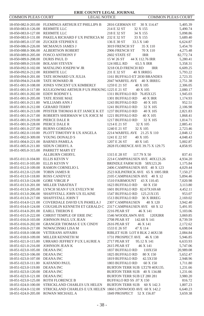| COMMON PLEAS COURT                         | <b>LEGAL NOTICE</b>                                        | COMMON PLEAS COURT                                      |                      |
|--------------------------------------------|------------------------------------------------------------|---------------------------------------------------------|----------------------|
| 18-050-082.0-203.00                        | FLEMINGS ARTHUR ET PHILLIPS B                              | 2816 GERMAN ST<br>30 X 114.47                           | 5,405.39             |
| 18-050-083.0-126.00                        | REHMITE LLC                                                | 214 E 32 ST<br>32 X 155                                 | 5,490.74             |
| 18-050-083.0-127.00                        | REHMITE LLC                                                | 218 E 32 ST<br>34 X 155                                 | 5,098.86             |
| 18-050-083.0-131.00                        | PAKELA RICHARD F UX PATRICIA M                             | 232 E 32 ST<br>33 X 155                                 | 5,689.40             |
| 18-050-085.0-137.00                        | <b>ZUCKER STEPHEN E</b>                                    | 136 E 30 ST<br>33.5 X 140                               | 6,624.87             |
| 18-050-086.0-226.00                        | MCMANUS JAMES J                                            | 3019 FRENCH ST<br>35 X 110                              | 5,454.70             |
| 18-050-088.0-306.00                        | <b>ALBERTSON ROBERT</b>                                    | 2906 FRENCH ST<br>70 X 110                              | 4,275.48             |
| 18-050-089.0-205.00                        | <b>FOSCO ANTHONY F</b>                                     | 2602 STATE ST<br><b>IRR</b>                             | 82,772.74            |
| 18-050-089.0-208.00                        | <b>DURIS PAUL D</b>                                        | 15 W 26 ST<br>44 X 112.76 IRR                           | 5,280.41             |
| 18-050-089.0-219.00                        | <b>BOLASH STEVEN</b>                                       | 124 HILL RD<br>65.5 X IRR                               | 5,358.31             |
| 18-050-092.0-102.00                        | MATALINO JOSEPH W JR                                       | 3218 OLD FRENCH RD<br>IRR                               | 6,609.25             |
| 18-050-092.0-212.00                        | REHMITE LLC                                                | 231 E 32 ST<br>40 X IRREG                               | 5,793.22             |
| 18-050-094.0-201.00                        | TATE HOWARD UX JULIA                                       | 1161 BUFFALO ET 2030 BRANDES                            | 2,723.35             |
| 18-050-094.0-214.00                        | TATE HOWARD JR                                             | 2047 WARFEL AVE<br>40 X IRREG                           | 2,751.38             |
| 18-051-001.0-108.00                        | JONES VINCENT UX KIMBERLY                                  | 1259 E 21 ST<br>40 X 105                                | 2,306.05             |
| 18-051-001.0-117.00                        | KULIGOWSKI ARTHUR P UX PHOUNG 1225 E 21 ST                 | 40 X 105                                                | 2,080.17             |
| 18-051-001.0-202.00                        | EDDY RODNEY L                                              | 1311 BUFFALO RD 76.85X125                               | 1,945.03             |
| 18-051-001.0-205.00                        | TATE JESSIE MAE                                            | 1301 BUFFALO RD<br><b>40 X IRR</b>                      | 1,174.93             |
| 18-051-001.0-211.00                        | WILLIAMS ANN J                                             | 1243 BUFFALO RD<br>40 X 105                             | 952.51               |
| 18-051-001.0-212.00                        | <b>GERARD TERRY</b>                                        | 1241 BUFFALO RD<br>32 X 105                             | 2,106.98             |
| 18-051-001.0-213.00                        | PFISTER THOMAS R ET JANICE K ET                            | 1237 BUFFALO RD<br>40 X 105                             | 2,821.83             |
| 18-051-001.0-217.00                        | ROBERTS SHERMAN W UX JOICE M                               | 1221 BUFFALO RD<br>40 X 105                             | 1,868.41             |
| 18-051-001.0-219.00<br>18-051-001.0-228.00 | PIERCE DALE R<br>PIERCE DALE R                             | 1217 BUFFALO RD<br>32 X 105<br>1214 E 21 ST<br>32 X 105 | 1,814.71             |
| 18-051-001.0-237.00                        | <b>BURNS GORDAN</b>                                        | 1240 E 21 ST<br>32 X 105                                | 2,885.41<br>2,723.46 |
| 18-051-002.0-110.00                        | PLOTT TIMOTHY R UX ANGELA                                  | 2214 WARFEL AVE 21.25 X 110                             | 2,848.12             |
| 18-051-002.0-309.00                        | YOUNG DONALD S                                             | 1241 E 22 ST<br>40 X 105                                | 4,048.43             |
| 18-051-004.0-221.00                        | <b>BARNES PAMELA</b>                                       | 1207 E 26 ST<br>40 X 145                                | 5,002.87             |
| 18-051-005.0-211.00                        | SIDUN CHERYL A                                             | 2828 FLORENCE AVE 39.75 X 129.75                        | 4,858.95             |
| 18-051-005.0-315.00                        | PARRETT MARY ET                                            |                                                         |                      |
|                                            | <b>ALLBURN CHERYL</b>                                      | 1315 E 28 ST<br>117.79 X 50                             | 837.41               |
| 18-051-011.0-104.00                        | ELLIS KEVIN V                                              | 2214 CAMPHAUSEN AVE 40X123.26                           | 4,934.20             |
| 18-051-011.0-105.00                        | <b>ELLIS KEVIN V</b>                                       | BRINDLE FARM SUB 58X123.26                              | 1,175.84             |
| 18-051-012.0-109.00                        | RAMON CORNELIO L                                           | 2406 CAMPHAUSEN AVE 40 X 123                            | 4,029.44             |
| 18-051-012.0-123.00                        | TOBIN JAMES R                                              | 2523 KILPATRICK AVE 65 X 1005 IRR                       | 7,150.27             |
| 18-051-013.0-118.00                        | <b>ROSS CANDYCE</b>                                        | 2105 CAMPHAUSEN AVE 40 X 12                             | 5,894.46             |
| 18-051-013.0-124.00                        | <b>GORE VIRGIE P</b>                                       | 1510 FAIRMOUNT<br>43 X 110.45                           | 7,020.98             |
| 18-051-013.0-201.00                        | MILLER TABATHA T                                           | 1623 BUFFALO RD<br>60 X 150                             | 3,113.80             |
| 18-051-013.0-205.00                        | LYNCH SEAN F UX EVELYN M                                   | 1601 BUFFALO RD 82.67X169.68                            | 4,452.11             |
| 18-051-013.0-206.00                        | SHAFFSTALL JOHN UX ELAINE                                  | 1547 BUFFALO RD<br>125.21X135                           | 953.07               |
| 18-051-013.0-217.00                        | SHAFFSTALL JOHN T                                          | 1513 BUFFALO RD<br>30 X IRREG                           | 2,169.02             |
| 18-051-014.0-121.00                        | COVERDALE DAVID UX PAMELA J                                | 2307 CAMPHAUSEN<br>40 X 120                             | 3,942.40             |
| 18-051-014.0-124.00                        | COUGHLIN KENNETH ET GERALD C                               | 2317 CAMPHAUSEN AVE 60 X 12                             | 5,491.95             |
| 18-051-014.0-201.00                        | <b>EARLL THERON E</b>                                      | 2216 PEAR ST<br>46 X 141                                | 5,103.06             |
| 18-051-015.0-222.00                        | CHRIST TEMPLE OF ERIE INC                                  | 1546 WOODLAWN AVE<br>120XIRR                            | 3,069.85             |
| 18-051-016.0-103.00                        | JOHNSON PAUL UX JEAN<br><b>GRANGER THOMAS E UX CINDY</b>   | 2708 PEAR ST<br>142.68 X 141<br>2616 PEAR ST            | 8,739.59             |
| 18-051-016.0-202.00<br>18-051-016.0-217.00 | NOWACINSKI LISA M                                          | 46 X 141<br>1533 E 26 ST<br>47 X 114                    | 2,172.62<br>6,698.04 |
| 18-051-018.0-108.00                        | <b>VETERANS AFFAIRS</b>                                    | RIBLET SUB LOT 8 BLK 2 46X138                           | 2,084.84             |
| 18-051-018.0-109.00                        | MILLER KENNETH M                                           | 1731 PROSPECT AVE<br>46 X 138                           | 5,946.85             |
| 18-051-021.0-115.00                        | URRARO JEFFREY P UX LAURIE A                               | 2717 PEAR ST<br>95.12 X 141                             | 6,633.93             |
| 18-051-021.0-216.00                        | JOHNSON JEAN K                                             | 2615 PEAR ST<br>46 X 141                                | 5,747.06             |
| 18-051-023.0-105.00 DEANA INC              |                                                            | 1837 BUFFALO RD<br>110X150                              | 20,989.08            |
| 18-051-023.0-106.00                        | DEANA INC                                                  | 1825 BUFFALO RD<br>80 X 150                             | 5,652.47             |
| 18-051-023.0-107.00                        | <b>DEANAINC</b>                                            | 1819 BUFFALO RD<br>42.5X150                             | 2,948.96             |
| 18-051-023.0-111.00                        | KAFANDO PAUL                                               | 1803 BUFFALO RD<br>60 X 150                             | 1,711.80             |
| 18-051-023.0-119.00                        | DEANA INC                                                  | BURTON TERR SUB LT278 40X135.                           | 1,231.66             |
| 18-051-023.0-120.00                        | <b>DEANAINC</b>                                            | BURTON TERR SUB 40 X 134.88                             | 1,231.66             |
| 18-051-023.0-121.00                        | <b>DEANAINC</b>                                            | BURTON TERR SUB LT 280 281                              | 3,980.20             |
| 18-051-023.0-125.00                        | <b>ROTH FLORENCE B</b>                                     | BUFFALO RD SS .07 X 150                                 | 816.72               |
| 18-051-024.0-100.00                        | STRICKLAND CHARLES UX HELEN                                | <b>BURTON TERR SUB</b><br>60 X 142.3                    | 1,807.23             |
| 18-051-024.0-132.00                        | STRICKLAND CHARLES E UX HELEN 1860 LINNWOOD AVE 60 X 142.2 |                                                         | 6,640.23             |
| 18-051-024.0-205.00                        | ROWAN MICHAEL A                                            | 1849 PROSPECT 52 X 156.87                               | 3,659.38             |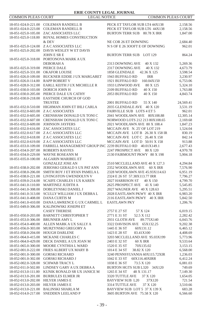| <b>COMMON PLEAS COURT</b> | <b>LEGAL NOTICE</b>                                      |                                  | <b>COMMON PLEAS COURT</b> |
|---------------------------|----------------------------------------------------------|----------------------------------|---------------------------|
| 18-051-024.0-221.00       | COLEMAN RANDELL B                                        | PECK ET TAYLOR SUB LT4 44X138    | 2,158.56                  |
| 18-051-024.0-223.00       | COLEMAN RANDELL B                                        | PECK ET TAYLOR SUB LT6 44X138    | 2,158.56                  |
| 18-051-025.0-105.00       | ZAC ASSOCIATES LLC                                       | BURTON TERR SUB 80.78 X IRR      | 1,847.00                  |
| 18-051-025.0-118.00       | ROYAL HOMES CONSTRUCTION                                 |                                  |                           |
|                           | & DEV                                                    | NE COR 26 ET DOWNING             | 2,684.40                  |
| 18-051-025.0-124.00       | Z A C ASSOCIATES LLC                                     | N S OF E 26 300FT E OF DOWNING   | 962.01                    |
| 18-051-025.0-202.00       | DAVIS WESLEY W ET DAVIS                                  |                                  |                           |
|                           | JOHN E SR E                                              | <b>BURTON TERR SUB LOT 129</b>   | 864.24                    |
| 18-051-025.0-318.00       | PORTONOVA MARK A UX                                      |                                  |                           |
|                           | DEBORAH A                                                | 2313 DOWNING AVE<br>40 X 132     | 5,269.36                  |
| 18-051-025.0-319.00       | PIERCE DALE                                              | 2317 DOWNING AVE<br>40 X 132     | 4,673.79                  |
| 18-051-025.0-331.00       | <b>OKAFOR LOUISE</b>                                     | 1858 GLENDALE<br>42.36 X 125     | 3,598.54                  |
| 18-051-026.0-109.00       | BUCKNER EDDIE J UX MARGARET                              | 1943 BUFFALO RD<br><b>IRR</b>    | 3,230.97                  |
| 18-051-026.0-114.00       | <b>RAPP ROBERT V</b>                                     | 1921 BUFFALO RD<br>160.04X150    | 6,753.06                  |
| 18-051-028.0-312.00       | EARLL KEITH J UX MICHELLE R                              | 1933 LINWOOD AVE<br>80 X 125     | 5,324.10                  |
| 18-051-030.0-103.00       | DORICH JOHN H                                            | 2109 BUFFALO RD<br>40 X 150      | 1,763.88                  |
| 18-051-030.0-205.00       | PIERCE DALE UX CATHY                                     | 2053 BUFFALO RD<br>40 X 150      | 4,843.74                  |
|                           | 18-051-030.0-218.00 EASTSIDE CHURCH OF GOD               |                                  |                           |
|                           | <b>TRUSTEE</b>                                           | 2001 BUFFALO RD<br>55 X 140      | 24,569.41                 |
| 18-051-032.0-510.00       | HIGHMAN JOHN ET IHLI CARLA                               | 2035 GLENDALE AVE 40 X 120       | 3,531.19                  |
| 18-051-032.0-603.00       | <b>ZACASSOCIATES</b>                                     | FAIRVILLE SUB LOTS 4 ET 5        | 962.01                    |
| 18-051-032.0-605.00       | CRENSHAW DONALD UX TONI C                                | 2041 WOODLAWN AVE 80X108.88      | 12,305.14                 |
| 18-051-032.0-607.00       | CRENSHAW DONALD UX TONI C                                | NORWOOD LOTS 212 213 80X108.65   | 2,169.68                  |
| 18-051-032.0-609.00       | <b>JOHNSON JAYFERS</b>                                   | 2021 WOODLAWN AVE 80 X 108.4     | 1,847.23                  |
| 18-051-032.0-616.00       | ZAC ASSOCIATES LLC                                       | MCCAIN AVE N. 25' OF LOT 219     | 1,524.04                  |
| 18-051-032.0-617.00       | Z A C ASSOCIATES LLC                                     | MCCAIN AVE LOT B 26.30 X 158 IR  | 830.19                    |
| 18-051-032.0-618.00       | Z A C ASSOCIATES LLC                                     | MCCAIN AVE LOTC 26.40 X 158      | 842.14                    |
| 18-051-032.0-619.00       | Z A C ASSOCIATES LLC                                     | MCCAIN AVE LOT D 50.91 X 158     | 913.88                    |
| 18-051-033.0-109.00       | FARRELL MANAGEMENT GROUP INC 2239 BUFFALO RD 40.01X149.1 |                                  | 2,677.43                  |
| 18-051-034.0-207.00       | <b>ROBERTS RAYFES</b>                                    | 2247 PROSPECT AVE<br>80 X 120    | 4,970.78                  |
| 18-051-034.0-229.00       | WAYNE ROSEANN M                                          | 2130 FAIRMOUNT PKWY 80 X 198     | 5,904.18                  |
| 18-051-035.0-100.00       | ALGARIN MARIBEL ET                                       | 2510 MCCLELLAND AVE 40 X 127.3   |                           |
| 18-051-038.0-202.00       | <b>GONZALEZ JOSE AN</b><br>JERIOSKI GERALD S UX PAT ANN  | 2352 WOODLAWN AVE 60 X IRR       | 4,294.84                  |
| 18-051-038.0-206.00       | SMITH ROY J ET RYAN PAMELA L                             | 2328 WOODLAWN AVE 45.93X114.63   | 7,576.90<br>6,951.19      |
| 18-051-038.0-221.00       | LIVINGSTON GWENDOLYN V                                   | 2324 E 26 ST 57.38X113.77 IRR    | 7,796.27                  |
| 18-051-039.0-214.00       | SCAIFE CHARLES I UX KAREN                                | 2027 HARRISON ST<br>40 X 150     | 4,799.70                  |
| 18-051-041.0-110.00       | MARTINEZ JUDITH A                                        | 2625 PROSPECT AVE 41 X 140       | 5,545.85                  |
| 18-051-041.0-308.00       | DOBUZYNSKI DANIEL J                                      | 2027 WAGNER AVE 40 X 128.63      | 5,295.51                  |
| 18-051-041.0-313.00       | SCULLY WILLIAM J UX DEBRA L                              | 2028 EASTLAWN PKWY 40 X IRR      | 6,983.20                  |
| 18-051-041.0-408.00       | <b>DANA CURTIS M</b>                                     | 2116 EASTLAWN PKWY 40 X IRR      | 5,842.50                  |
| 18-051-041.0-410.00       | DANA LAWRENCE G UX CARMEL L                              | <b>EASTLAWN PKY</b>              | 1,206.76                  |
| 18-051-049.0-306.00       | KALINOWSKI JOSEPH ET                                     |                                  |                           |
|                           | <b>CASEY THERESE</b>                                     | 2757 E 27 ST<br>57 X 124         | 6,019.15                  |
| 18-051-050.0-203.00       | <b>BARNETT CHRISTOPHER T</b>                             | 2771 E 31 ST<br>52.5 X 112       | 2,282.42                  |
| 18-051-053.0-306.00       | <b>BRUNNER AMY L</b>                                     | 2931 GLOTH AVE<br>89.775X140     | 6,043.76                  |
| 18-051-054.0-400.00       | ALLEN MARK A UX SALLY A                                  | 3322 DAVISON AVE 65X132.25       | 9,202.38                  |
| 18-051-056.0-303.00       | MURZYNSKI GREGORY A                                      | 1445 E 36 ST<br>60X131.12        | 6,465.12                  |
| 18-051-058.0-204.00       | HOUGH DARLENE                                            | 1423 E 28 ST<br>83.41X100        | 4,408.69                  |
| 18-051-064.0-415.00       | MCKANE CHARLES C                                         | 3203 MCCLELLAND AVE 95.03X199    | 5,773.96                  |
|                           | 18-051-064.0-429.00 DECK DANIEL A UX JOAN M              | 2403 E 32 ST<br><b>60 X IRR</b>  | 9,533.64                  |
|                           | 18-051-065.0-300.00 MOORE CYNTHIA L WARD                 | 1520 E 35 ST<br>70X135.02        | 3,153.15                  |
|                           | 18-052-001.0-222.00 FRIES ALBERT UX MARY B               | 1014 E 34 ST<br>38.82 X 120      | 6,568.00                  |
| 18-052-001.0-300.00       | <b>GORSKI RICHARD</b>                                    | 3240 PENNSYLVANIA 60X115.72XIR   | 1,236.03                  |
| 18-052-001.0-302.00       | <b>GORSKI RICHARD J</b>                                  | 1042 E 33 ST<br>60X116.40XIRR    | 6,412.24                  |
| 18-052-002.0-328.00       | SCHWAB TRACY L                                           | 1038 E 36 ST<br>73.5 X 120       | 6,081.03                  |
| 18-052-011.0-502.00       | LINDSEY GARY A UX DEBRA A                                | BURTON HGTS SUB L320 34X120      | 749.69                    |
| 18-052-013.0-111.00       | KUNIK RONALD SR UX JANICE M                              | 1265 E 34 ST<br>48 X 131.17      | 7,149.30                  |
| 18-052-013.0-201.00       | <b>BURBULES ELMER JR</b>                                 | 3320 TUTTLE AVE<br>37 X 120      | 1,654.05                  |
| 18-052-013.0-202.00       | HILYER JAMES E                                           | <b>BAYVIEW SUB L20</b><br>37X120 | 721.54                    |
| 18-052-013.0-203.00       | <b>HILYER JAMES E</b>                                    | 3314 TUTTLE AVE<br>37 X 120      | 3,510.66                  |
| 18-052-013.0-221.00       | <b>BALINSKI SHARLA M</b>                                 | BAYVIEW SUB LOT 5 37 X 139 X     | 683.28                    |
| 18-052-014.0-217.00       | SNEDDEN LEELAND P                                        | 3605 BURTON AVE 75.58 X 120      | 6,566.60                  |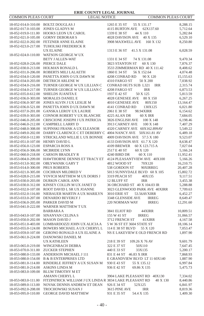| COMMON PLEAS COURT                         | <b>LEGAL NOTICE</b>                                                             | <b>COMMON PLEAS COURT</b>                               |                       |
|--------------------------------------------|---------------------------------------------------------------------------------|---------------------------------------------------------|-----------------------|
|                                            | 18-052-014.0-310.00 BOLTZ DOUGLAS J                                             | 1265 E 35 ST<br>55 X 131.17                             | 8,288.15              |
|                                            | 18-052-017.0-103.00 JONES GLADYS M                                              | 4115 BURTON AVE<br>62X137.60                            | 5,712.64              |
| 18-052-019.0-111.00                        | HOOKS LEON UX CAROL                                                             | 1339 E 38 ST<br>44 X 110                                | 5,282.84              |
| 18-052-021.0-105.00                        | <b>GORNY DEBORAH S</b>                                                          | 4028 DAVISON AVE<br>40 X 135                            | 6,529.10              |
|                                            | 18-052-022.0-202.00 FETZNER ANNE ELAINE                                         | 3908 MAXWELL AVE<br>160 X 132                           | 8,250.80              |
| 18-052-023.0-217.00                        | TUHOLSKI FREDERICK R                                                            |                                                         |                       |
|                                            | UX ELAINE                                                                       | 1313 E 36 ST<br>41.5 X 131.08                           | 6,028.59              |
| 18-052-024.0-110.00                        | WATSON GEORGE W UX                                                              |                                                         |                       |
|                                            | <b>BETY J ALLEN-WAT</b>                                                         | 1331 E 34 ST<br>74 X 131.08                             | 9,470.34              |
| 18-052-028.0-226.00 PIERCE DALE            |                                                                                 | 3823 STANTON ST<br>60 X 130                             | 7,876.37              |
| 18-052-030.0-213.00                        | HOLMAN RONALD L                                                                 | 3533 ZIMMERMAN RD 40 X 111.42                           | 8,408.62              |
|                                            | 18-052-031.0-206.00 ROBERTS MILI LALAETH                                        | 1860 E 34 ST<br>56 X 152.64                             | 4,074.48              |
|                                            | 18-052-034.0-120.00 PANETTA JOHN O UX DAWN M                                    | 4208 CONRAD RD<br>90 X 120                              | 15,155.63             |
|                                            | 18-052-034.0-203.00 DIETRICH ARLENE W                                           | 4310 FARGO ST<br>50 X 200                               | 7,038.92              |
|                                            | 18-052-034.0-216.00 TURNER GEORGE W UX LILLIAN C                                | CONRAD HGTS SUB L321<br>IRR                             | 2,315.74              |
| 18-052-034.0-217.00                        | TURNER GEORGE W UX LILLIAN C                                                    | 4208 FARGO ST<br><b>IRR</b>                             | 6,873.53              |
| 18-052-035.0-612.00                        | SHIELDS JUANITA E                                                               | 1937 E 42 ST<br>50 X 125                                | 5,813.59              |
|                                            | 18-052-036.0-303.00 MORALES DANIEL E                                            | 4028 GENESEE AVE<br>80 X 150                            | 6,267.25              |
| 18-052-036.0-307.00                        | JONES ALVIN J UX LESLIE M                                                       | 4010 GENESEE AVE<br>80X150                              | 13,164.47             |
|                                            | 18-052-036.0-521.00 PANETTA JOHN D UX DAWN M                                    | 4141 CONRAD RD<br>130X125                               | 6,021.80              |
|                                            | 18-052-037.0-201.00 GANSKA LEROY UX LAURIE                                      | 2061 E 38 ST<br>98.94XIRR                               | 6,154.62              |
|                                            | 18-052-039.0-303.00 CONNOR ROBERT V UX BLANCHE                                  | 4225 ALAN DR<br>60 X IRR                                | 7,684.05              |
| 18-052-046.0-205.00                        | CRISCIONE JOSEPH J UX PATRICIA                                                  | 3826 ENGLISH AVE<br>100 X 148                           | 6,198.46              |
| 18-052-046.0-212.00                        | CAMPBELL LARRY D                                                                | 3913 CARNEY AVE<br>100 X 148                            | 7,407.29              |
| 18-052-048.0-308.00                        | SUPINSKI FRANK A UX ELEANOR                                                     | 4320 CARNEY AVE 60X162.899AV                            | 5,549.22              |
|                                            | 18-052-049.0-202.00 DARBY CLARENCE C ET DEBERRY C 4004 NANCY AVE 50X161.81 AV   |                                                         | 6,489.18              |
| 18-052-050.0-112.00                        | STRICKLAND WILLIE L UX BONNIE                                                   | 4009 DAVISON AVE 57.5 X 180                             | 9,523.07              |
| 18-052-051.0-107.00 HENRY DAVID L          |                                                                                 | 4133 DAVISON AVE 61.7 X 120                             | 8,638.47              |
|                                            | 18-052-056.0-123.00 ESPARCIA ROSS A                                             | 4109 BREWER<br>60 X 123.715 A                           | 7,027.04              |
| 18-052-056.0-306.00 MCBRIDE LYNN           |                                                                                 | 2517 E 40 ST<br>60 X 120                                | 5,166.24              |
| 18-052-060.0-218.00                        | <b>CARSON BRADLEY R</b>                                                         | 4240 BIRD DR<br>60 X 110                                | 11,952.41             |
|                                            | 18-053-004.0-209.00 HAWTHORNE DENNIS ET TRACY ET 4124 PLEASANTVIEW AVE 40X100   |                                                         | 5,166.26              |
|                                            | 18-053-013.0-302.00 OBLYWANIK GARY T                                            | 4812 WOOD ST<br>70X120                                  | 16,210.75             |
| 18-053-014.0-300.00 PRUS ROBERTA           |                                                                                 | 538 GORDON ST<br>90XIRREG                               | 20,407.28             |
| 18-053-021.0-305.00                        | COCHRAN MILDRED V                                                               | 5013 SUNNYDALE BLVD 60 X 105                            | 15,802.72             |
| 18-053-028.0-215.00                        | YOVICH MATTHEW M UX DORIS J                                                     | 3319 PEACH ST<br>40X135                                 | 9,117.51              |
|                                            | 18-053-030.0-203.00 DURKIN CAROL ANN                                            | 12 BLUFF ST<br><b>IRR</b>                               | 3,455.38              |
|                                            | 18-053-030.0-312.00 KINSEY COLLIN M UX JANET D                                  | 36 ORCHARD ST 40 X 104.03 IR                            | 5,288.88              |
| 18-053-032.0-107.00                        | ROOT DAVID L SR UX JOANNE                                                       | 3023 GLENWOOD PARK AVE 40XIRR                           | 7,709.63              |
| 18-053-032.0-116.00                        | NIEBAUER MARTIN A UX MARILYN                                                    | 3010 ERIE ST<br>53.56AVXIRR                             | 6,452.27              |
| 18-053-033.0-207.00                        | DENARDO BEVERLY J                                                               | 3348 GLENSIDE AVE<br><b>IRREG</b>                       | 8,649.47              |
| 18-053-036.0-205.00 PARKER DAVID M         |                                                                                 | 220 NORMAN WAY<br><b>IRREG</b>                          | 12,291.60             |
|                                            | 18-053-041.0-222.00 WARNER MATTHEW TUX                                          |                                                         |                       |
|                                            | <b>BARBARAA</b>                                                                 | 3841 ELIOT RD<br>44XIRR                                 | 10,809.51             |
| 18-053-043.0-107.00<br>18-053-050.0-202.00 | SINANYAN CELINA S<br><b>MASON DAVID J</b>                                       | 155 W 41 ST<br><b>IRREG</b><br>3712 FRENCH ST<br>41XIRR | 31,066.57             |
|                                            | 18-053-051.0-403.00 LOMBARDOZZI JOHN UX ALICIA A                                | 5 W 36 ST ET 3604 STATE ST                              | 4,167.58<br>18,106.14 |
|                                            |                                                                                 | 55 X 120                                                |                       |
| 18-053-059.0-107.00                        | 18-053-055.0-124.00 BOWERS MICHAEL A UX CHERYL L<br>GERONO RONALD A UX ELAINE A | 114 E 38 ST BLVD<br>NS E LAKEVIEW E OLD FRENCH RD       | 7,053.47<br>1,897.90  |
|                                            | 18-053-061.0-224.00 DANOWSKI DANIEL M                                           |                                                         |                       |
|                                            | <b>UX KATHLEEN</b>                                                              | 218 E 39 ST<br>109.26 X 76 AV                           | 9,601.79              |
| 18-053-065.0-219.00                        | WINGENBACH DEBRA                                                                | 322 E 37 ST<br>50X110                                   | 7,647.45              |
|                                            | 18-053-070.0-311.00 ZUCKER STEPHEN                                              | 440 E 33 ST<br>33X135                                   | 5,200.17              |
| 18-053-080.0-133.00                        | ANDERSON MICHAEL J 111                                                          | 831 E 44 ST<br>46.83 X IRR                              | 7,868.93              |
|                                            | 18-053-080.0-154.00 B & B ENTERPRISES LTD                                       | E GRANDVIEW BLVD LT 11 60X140                           | 1,887.90              |
| 18-053-081.0-114.00                        | RINDERLE JEFFREY A UX SUSAN M                                                   | 930 E 43 ST<br>55 X 135.12                              | 6,997.84              |
| 18-053-081.0-214.00 ASKINS LINDA M         |                                                                                 | 936 E 42 ST<br>69.86 X 135                              | 5,475.73              |
|                                            | 18-053-083.0-109.00 BLUM TIMOTHY M ET                                           |                                                         |                       |
|                                            | AMANN CHERYL L                                                                  | 3904 LAKE PLEASANT RD 40X130                            | 7,334.02              |
| 18-053-083.0-111.00                        | FITZPATRICK WILLIAM J UX LINDA R 3834 LAKE PLEASANT RD                          | 40 X 130                                                | 8,440.86              |
| 18-053-089.0-113.00                        | NOVAK DENNIS ANDREW ET DEAN                                                     | 926 E 34 ST<br>52X125                                   | 6,841.97              |
| 18-053-092.0-208.00                        | TROCHOWSKI SUSAN J                                                              | 3615 PINE AVE<br>IRR                                    | 8,819.36              |
|                                            | 18-053-095.0-110.00 GEORGE DAVID MATTHEW                                        | 54.4 X 135<br>931 E 35 ST                               | 1,409.30              |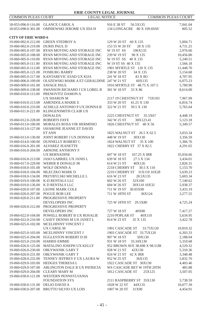| <b>ERIE COUNTY LEGAL JOURNAL</b>           |                                                                                     |                                                       |                           |
|--------------------------------------------|-------------------------------------------------------------------------------------|-------------------------------------------------------|---------------------------|
| <b>COMMON PLEAS COURT</b>                  | <b>LEGAL NOTICE</b>                                                                 |                                                       | <b>COMMON PLEAS COURT</b> |
|                                            | 18-053-096.0-116.00 GLANCE CAROL A<br>18-053-098.0-301.00 OMNIEWSKI JEROME UX IDA H | 916 E 38 ST<br>56.5X135<br>134 LONGACRE 80 X 109.69AV | 7,041.04<br>805.52        |
| <b>CITY OF ERIE WARD 6</b>                 |                                                                                     |                                                       |                           |
|                                            | 19-060-002.0-212.00 GREEN STEDROY A                                                 | 129 W 20 ST 60 X 135                                  | 5,004.71                  |
| 19-060-002.0-219.00                        | <b>DURIS PAUL D</b>                                                                 | 153 55 W 20 ST<br>28 X 135                            | 4,731.25                  |
|                                            | 19-060-005.0-107.00 RYAN MOVING AND STORAGE INC                                     | W 19 ST SS<br>106X135                                 | 2,976.66                  |
| 19-060-005.0-108.00                        | RYAN MOVING AND STORAGE INC                                                         | 239 W 19 ST<br>90 X 135                               | 10,456.80                 |
| 19-060-005.0-110.00                        | RYAN MOVING AND STORAGE INC                                                         | W 19 ST SS 40 X 135                                   | 5,240.51                  |
| 19-060-005.0-111.00                        | RYAN MOVING AND STORAGE INC                                                         | W 19 ST SS 40 X 135                                   | 1,566.18                  |
| 19-060-005.0-112.00                        | RYAN MOVING AND STORAGE INC                                                         | 1901 MYRTLE ST 120 X 135                              | 11,448.70                 |
| 19-060-005.0-121.00 FOSBURG BARRY          |                                                                                     | 238 W 20 ST<br>34 X 135                               | 5,154.68                  |
| 19-060-005.0-217.00<br>19-060-006.0-109.00 | KANTAREVIC ESAD UX KIJA                                                             | 241 W 18 ST<br>43 X 8O                                | 4,707.95                  |
| 19-060-009.0-101.00                        | OLSZEWSKI MARK A ET GERALDINE 247 W 21 ST<br><b>SAVAGE PAUL</b>                     | 60X135<br>1916 MYRTLE ST 48.75 X 107.5                | 6,075.23<br>5,789.90      |
| 19-060-009.0-238.00                        | SWANSON RICHARD J UX LOREL B                                                        | 301 W 18 ST<br>33 X 86                                | 8,614.00                  |
| 19-060-010.0-115.00                        | PRENOVITZ DAMON A                                                                   |                                                       |                           |
|                                            | <b>UX SHARON M</b>                                                                  | 2117 19 CHESTNUT ST<br>73X103                         | 7,967.99                  |
| 19-060-010.0-213.00                        | <b>AMENDOLA MARIE E</b>                                                             | 333 W 20 ST<br>41.25 X 130                            | 6,816.74                  |
| 19-060-010.0-233.00                        | ACHILLE ANTONIO P UX DONNA B                                                        | 322 W 21 ST<br>39.5 X 130                             | 5,765.64                  |
| 19-060-011.0-221.00                        | KLINGENSMITH CLAIR UX                                                               |                                                       |                           |
|                                            | DONALDA                                                                             | 2225 CHESTNUT ST<br>35.5X67                           | 4,448.19                  |
| 19-060-012.0-228.00                        | <b>ROBERTS FAYE</b>                                                                 | 342 W 25 ST<br>38X123.41                              | 5,123.18                  |
| 19-060-013.0-100.00                        | MORALES ROSA VIR HERMINIO                                                           | 1826 CHESTNUT ST 40 X 56                              | 5,349.57                  |
|                                            | 19-060-013.0-127.00 IAVARONE JEANNE ET DAVID<br>ET ANN                              | 1825 WALNUT ST 26.5 X 62.5                            | 3,033.34                  |
| 19-060-013.0-130.00                        | JOINT ROBERT J UX DONNA M                                                           | 448 W 19 ST<br>30X130                                 | 3,356.59                  |
| 19-060-014.0-100.00                        | DUNNELLY ROBERT C                                                                   | 1824 WALNUT ST<br>35 X 100                            | 5,366.76                  |
| 19-060-016.0-201.00                        | ALVAREZ JEANETTE                                                                    | 1822 CHERRY ST 37 X 82.5                              | 4,291.65                  |
| 19-060-016.0-204.00                        | <b>ARNONE ANTHONY F</b>                                                             |                                                       |                           |
|                                            | <b>UX BERNADINE</b>                                                                 | 607 W 18 ST<br>167.25 X IRR                           | 35,034.66                 |
| 19-060-016.0-213.00                        | JASO GABRIEL UX JANIS L                                                             | 639 W 18 ST<br>27.5 X 134                             | 3,434.01                  |
| 19-060-017.0-229.00                        | WEBER R DONALD JR                                                                   | 614 W 21 ST<br>40X126                                 | 2,826.31                  |
| 19-060-018.0-101.00                        | <b>WOLF DENNIS A</b>                                                                | 2218 CHERRY ST<br>30.5 X 110                          | 5,153.70                  |
|                                            | 19-060-018.0-104.00 MLECZKO MARK D                                                  | 2210 CHERRY ST 31X110 16X28                           | 5,639.23                  |
| 19-060-018.0-134.00                        | PRZYBYLSKI MICHELLE L                                                               | 616 W 23 ST<br>28.5X135<br>32X100                     | 5,603.34                  |
| 19-060-019.0-100.00<br>19-060-019.0-136.00 | K-D RENTALS LLC<br>K D RENTALS LLC                                                  | 602 W 26 ST<br>604 W 26 ST<br>30X110 10X32            | 7,140.62<br>5,938.37      |
| 19-060-020.0-107.00                        | <b>LEONE MARK COLE</b>                                                              | 711 W 19 ST<br>30.05X90                               | 3,433.19                  |
| 19-060-020.0-207.00 POGUE BOB LEE          |                                                                                     | 711 W 18TH ST<br>36X124                               | 3,277.55                  |
| 19-060-020.0-211.00                        | PROGRESSIVE PROPERTY                                                                |                                                       |                           |
|                                            | DEVELOPERS INC                                                                      | 725 W 18TH ST 29.5X80                                 | 4,725.24                  |
| 19-060-020.0-212.00                        | PROGRESSIVE PROPERTY                                                                |                                                       |                           |
|                                            | <b>DEVELOPERS INC</b>                                                               | 727 W 18 ST<br>40X80                                  | 7,417.27                  |
|                                            | 19-060-022.0-104.00 POWELL ROBERT B UX ROSALIE                                      | 2210 POPLAR ST<br>40X110                              | 5,634.95                  |
| 19-060-022.0-216.00                        | CASEY DENNIS M UX JANET L                                                           | 814 W 23 ST<br>35 X 135                               | 3,422.78                  |
|                                            | 19-060-025.0-102.00 MCELHINNY VINCENT J<br><b>UX CAROL M</b>                        | 1901 CASCADE ST<br>33.75X120                          | 10,810.32                 |
|                                            | 19-060-025.0-103.00 MCELHINNY VINCENT J                                             | 1903 CASCADE ST 33.75X120                             | 6,303.33                  |
|                                            | 19-060-025.0-204.00 EGGLESTON ROBERT D III                                          | 907 W 18 ST<br>50X130                                 | 2,188.04                  |
| 19-060-025.0-210.00 HARRIS EMMIE           |                                                                                     | 931 W 18 ST 33.34X130                                 | 5,310.68                  |
|                                            | 19-060-026.0-125.00 MATALINO JOSEPH UX KELLY                                        | 952 BROWN AVE 38.698 X 98.51IR                        | 4,529.32                  |
|                                            | 19-060-026.0-230.00 OBLYWANIK GARY T                                                | 928 W 21 ST<br>42X130                                 | 5,310.36                  |
| 19-060-026.0-231.00                        | <b>OBLYWANIK GARY T</b>                                                             | 924 W 21 ST 42 X IRR                                  | 3,348.48                  |
| 19-060-028.0-232.00                        | TENNEY JEFFREY F UX LAURA W                                                         | 952 W 25 ST<br>36X135                                 | 5,832.76                  |
| 19-060-029.0-103.00                        | HEDGES THERESA L                                                                    | 1922 CASCADE ST 30X130                                | 4,403.46                  |
| 19-060-029.0-107.00                        | ARLINGTON DALE R UX PATRICIA                                                        | WS CASCADE BET W 19TH 20TH                            | 485.88                    |
| 19-060-029.0-204.00                        | <b>CLEARY MARY M</b>                                                                | 1812 CASCADE ST<br>25X125                             | 3,507.05                  |
| 19-060-030.0-121.00                        | WESTERN PENNSYLVANIA<br><b>FOUNDATION SYS</b>                                       | 2111 RASPBERRY ST 35X130                              | 5,738.59                  |
| 19-060-030.0-131.00                        | DELIO DAVID A                                                                       | 1028 W 22 ST<br>44X135                                | 10,077.39                 |
|                                            | 19-060-030.0-207.00 BRUTTO SILVIO UX LOIS                                           | 1007 W 20 ST<br>31X90                                 | 4,454.91                  |
|                                            |                                                                                     |                                                       |                           |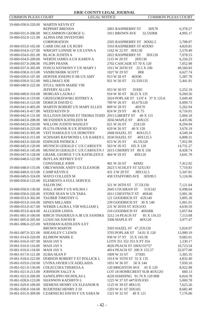| COMMON PLEAS COURT                         | <b>LEGAL NOTICE</b>                            |                                         | <b>COMMON PLEAS COURT</b> |
|--------------------------------------------|------------------------------------------------|-----------------------------------------|---------------------------|
|                                            | 19-060-030.0-220.00 MARTIN KEVIN ET            |                                         |                           |
|                                            | REPPART BRENDA                                 | 2001 RASPBERRY ST<br>30X70              | 6,378.27                  |
| 19-060-031.0-206.00                        | MCCAMMON GEORGE G                              | 1011 BROWN AVE<br>32.5XIRR              | 4,995.17                  |
| 19-060-032.0-121.00                        | ALPHA ONE INVESTORS                            |                                         |                           |
|                                            | <b>CORPORATION</b>                             | 2505 RASPBERRY ST 30X82.5               | 5,708.97                  |
| 19-060-033.0-102.00                        | <b>CARR OSCAR UX RUBY</b>                      | 1916 RASPBERRY ST 4OX9O                 | 4,829.81                  |
| 19-060-034.0-127.00                        | WRIGHT LONNIE W UX LYNN A                      | 1162 W 22 ST 30X130                     | 5,570.49                  |
| 19-060-034.0-201.00                        | <b>BLACK JUDITH A</b>                          | 2022 RASPBERRY ST<br>30X120             | 7,078.53                  |
| 19-060-034.0-209.00                        | WERTH JAMES A UX KAREN A                       | 1115 W 20 ST<br>28X130                  | 6,226.23                  |
| 19-060-037.0-206.00                        | <b>FILIPPI FRANK</b>                           | 2702 CASCADE ST 70 X 120                | 7,052.98                  |
| 19-060-037.0-305.00                        | FOSCO ANTHONY F UX MARY J                      | 1011 W 26TH ST 32.5 X 100               | 49,560.83                 |
| 19-060-038.0-313.00                        | VANBUSKIRK SCOTT                               | 1027 W 29 ST<br><b>IRR</b>              | 6,627.74                  |
| 19-060-039.0-107.00                        | HOFFER JOSEPH D SR UX AMY                      | 913 W 28 ST<br>40X90                    | 5,387.78                  |
| 19-060-039.0-312.00                        | MILLIMACI JOE                                  | 921 W 26 ST<br>33.33X135                | 5,441.91                  |
| 19-060-040.0-222.00                        | <b>STULL SHON MARIE VIR</b>                    |                                         |                           |
|                                            | <b>JEFFERY ALLEN</b>                           | 953 W 30 ST<br>35X85                    | 5,252.19                  |
| 19-060-040.0-316.00                        | MORGAN LAURA J                                 | 916 W 30 ST 38.25 X 135                 | 9,260.56                  |
| 19-060-041.0-119.00                        | <b>GRZEGORZEWSKI JEFFREY A</b>                 | 2624 POPLAR ST LOT 4 37 X 125.6         | 5,049.49                  |
| 19-060-041.0-123.00                        | DORICH DAVID G                                 | 709 W 26 ST<br>45.67X120                | 6,099.73                  |
| 19-060-041.0-405.00                        | MARTIN ROBERT UX MARY ELLEN                    | 809 W 28 ST<br>40X70                    | 5,262.94                  |
| 19-060-041.0-417.00                        | WEED KEVIN D                                   | 824 W 29 ST<br>40 X 75                  | 6,716.01                  |
| 19-060-042.0-131.00                        | SULLIVAN DENNIS ET THOMA TODD 2915 LIBERTY ST  | 40 X 115                                | 5,004.18                  |
| 19-060-043.0-208.00                        | MCFADDEN KATHLEEN M                            | 2656 MAPLE ST 40X125                    | 4,435.96                  |
| 19-060-043.0-220.00                        | WILLOW JUDITH WAISLEY                          | 621 W 26 ST<br>25X120                   | 8,294.94                  |
| 19-060-043.0-223.00                        | PLUTA FRANK R UX JENIFER JO                    | 629 W 26 ST<br>40 X 120                 | 3,676.19                  |
| 19-060-043.0-305.00                        | VEIT HAROLD E UX DOROTHY                       | 2668 HAZEL ST<br>40X125.5               | 4,549.34                  |
| 19-060-043.0-315.00                        | SCHNARS RAYMOND L UX KAREN L 2630 HAZEL ST     | 40X125.5                                | 6,808.31                  |
| 19-060-043.0-320.00                        | <b>EDINGER PATRICK J</b>                       | 653 W 26 ST<br>45.5X120                 | 7,952.99                  |
| 19-060-045.0-120.00                        | MUNSCH GERALD C UX CAROLYN                     | 563 W 26 ST<br>105 X 120                | 14,731.27                 |
| 19-060-045.0-145.00                        | MUNSCH GERALD C UX CAROLYN J                   | 2615 CHERRY ST 80 X 150                 | 8,428.74                  |
| 19-060-047.0-128.00                        | GRAML GEORGE TUX KATHLEEN E                    | 464 W 29 ST<br>40X120                   | 3,641.79                  |
|                                            | 19-060-048.0-122.00 BOYLAN JEFFREY D ET        |                                         |                           |
|                                            | <b>CONSTABLE JOHN</b>                          | 401 W 26 ST<br>44X82                    | 7,412.92                  |
| 19-060-048.0-135.00                        | OBLYWANIK ANDY UX ELEANOR                      | 2623 5 SCHLEY ST 32X13O                 | 7,710.83                  |
| 19-060-049.0-313.00                        | <b>CAMP KEVIN E</b>                            | 431 3 W 29 ST<br>38X132.5               | 5,347.81                  |
| 19-060-049.0-324.00                        | MAYO COLLEEN M                                 | <b>458 STAFFORD AVE</b><br>30X99.5      | 5,124.06                  |
|                                            | 19-060-050.0-125.00 ELEMENTS A FULL SERVICE    |                                         |                           |
|                                            | <b>SALON INC</b>                               | 321 W 26TH ST 37.5X156                  | 7,121.64                  |
| 19-060-050.0-136.00                        | HALL JOHN F UX WILMA J                         | 2645 COCHRAN ST<br>51X142               | 6,998.04                  |
| 19-060-050.0-226.00                        | STONE SEAN W UX TARA                           | 2611 CHESTNUT ST 40X40                  | 5,001.36                  |
| 19-060-053.0-302.00                        | TAUBER TIMOTHY G                               | 121 GOODRICH ST 45X140                  | 3,895.18                  |
| 19-060-053.0-316.00 HINES MILLARD          |                                                | 239 GOODRICH ST 30 X 140                | 5,961.01                  |
| 19-060-053.0-417.00                        | WEBER LAURA L VIR WILLIAM L                    | 231 W 26TH ST 3OX1OO                    | 4,630.59                  |
| 19-060-053.0-424.00                        | ALLGEIER LINDA                                 | 216 GOODRICH ST 40XIRR                  | 5,057.84                  |
| 19-061-001.0-100.00                        | BIRCH THADDEUS A JR UX SANDRA 3212 14 PEACH ST | 85 X 116.53                             | 7,113.68                  |
| 19-061-005.0-205.00                        | LUSZCAK DAVID B                                | 3306 MAPLE ST<br>40X120                 | 3,977.47                  |
| 19-061-006.0-225.00                        | WEISMAN KATHLEEN A ET<br><b>BROWN MARTIN</b>   | 3503 HAZEL ST 47.25X120                 |                           |
| 19-061-007.0-321.00                        | <b>SHEASLEY C LEWIS</b>                        | 3703 POPLAR ST 54.01 X 120              | 5,024.97                  |
| 19-061-014.0-220.00                        | <b>KLIMOW MARK E</b>                           | 936 W 37 ST 55 X 143.58                 | 13,989.19                 |
|                                            | <b>MASI JAY S</b>                              | LOTS 351 352 353 X PT 354               | 9,682.61                  |
| 19-061-016.0-107.00                        | <b>MASI JAY S</b>                              | 4026 PEACH ST 100X155*57                | 1,230.17<br>10,723.54     |
| 19-061-016.0-116.00<br>19-061-016.0-118.00 | <b>MASI JAY S</b>                              | 4014 PEACH ST 200 X 155.57              | 32,077.00                 |
|                                            | ZUBA SEAN P                                    | 37X85                                   |                           |
| 19-061-017.0-121.00<br>19-061-018.0-222.00 | DOBSON ROBERT F ET POLLICK L                   | 1009 W 33 ST<br>1014 W 35TH ST 55 X 135 | 5,365.35<br>4,832.40      |
| 19-061-019.0-218.00                        | UVINA JAVIER UX ADELAIDA                       | 1051 W 36 ST<br>50 X 144                | 7,050.10                  |
| 19-061-021.0-130.00                        | COLECCHIA THERESA A                            | 120 BRIGHTON AVE<br>45 X 120            | 8,922.98                  |
| 19-061-021.0-213.00                        | JOHNSON SALLY A                                | LOT 18 HOMECREST SUB 4OX12O             | 660.13                    |
| 19-061-022.0-206.00                        | SANFILIPPO NICHOLAS L                          | 4226 HARDING 91.70 X 120 IRR            | 6,024.78                  |
| 19-061-028.0-123.00                        | SHANNON KATHRYN L                              | 1225 W 37 ST 44*30X100                  | 5,069.78                  |
| 19-061-029.0-109.00                        | SIEMENS HENRY UX ELEANOR R                     | 1125 W 39 ST 48X135                     | 7,623.26                  |
| 19-061-030.0-104.00                        | RUDENSKI HENRY Z III                           | 1203 W 41 ST 50X165                     | 8,682.49                  |
| 19-061-031.0-309.00                        | CZARNECKI DAVID F UX SARA M                    | 1321 W 32 ST 40 X 121                   | 7,176.06                  |
|                                            |                                                |                                         |                           |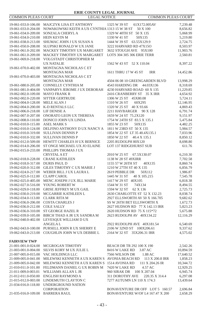| COMMON PLEAS COURT  | <b>LEGAL NOTICE</b>                           | <b>COMMON PLEAS COURT</b>          |           |
|---------------------|-----------------------------------------------|------------------------------------|-----------|
| 19-061-033.0-106.00 | MAJCZYK LISA ET ANTHONY                       | 1325 W 39 ST<br>61X172.005AV       | 7,239.48  |
| 19-061-033.0-204.00 | NOWAKOWSKI KEITH A UX CYNTHIA 1313 15 W 38 ST | 50 X 100                           | 8,656.82  |
| 19-061-034.0-209.00 | SONZALA CHERYL A                              | 1329 W 40TH ST 50 X 135            | 5,068.99  |
| 19-061-034.0-210.00 | HEIN KEVIN M                                  | 1330 W 41 ST<br>50X135             | 5,219.80  |
| 19-061-038.0-213.00 | SHUMAC JOHN J UX SUSAN A                      | 1444 W 39 ST 63.55X129.9           | 2,724.75  |
| 19-061-050.0-208.00 | SLUPSKI RONALD W UX JANE                      | 3222 HARVARD RD 47X15O             | 8,503.97  |
| 19-061-061.0-202.00 | MACKEY TIMOTHY UX MARGARET                    | 3632 STOUGH AVE 95X100             | 11,903.76 |
| 19-061-061.0-209.00 | MACKEY TIMOTHY UX MARGARET                    | LOTS 304 305 306 ERIE TERR         | 2,560.81  |
| 19-061-069.0-218.00 | VOLGSTADT CHRISTOPHER M                       |                                    |           |
|                     | <b>UX NATALIE</b>                             | 1562 W 43 ST 52 X 110.04           | 8,397.22  |
| 19-061-070.0-402.00 | MONTAGNA NICHOLAS C ET                        |                                    |           |
|                     | MONTAGNA MAR                                  | 1611 THRU 17 W 45 ST<br><b>IRR</b> | 14,452.86 |
| 19-061-070.0-403.00 | MONTAGNA NICHOLAS C ET                        |                                    |           |
|                     | <b>MONTAGNA MAR</b>                           | 4504 06 08 10 GREENGARDEN BLVD     | 13,998.29 |
| 19-061-080.0-205.00 | CONNELLY CYNTHIA M                            | 4543 HARDING DR<br>44.03X136       | 8,318.69  |
| 19-061-081.0-404.00 | VANPARYS JEROME J UX DEBORAH                  | 4230 HARVARD ROAD 60 X 135         | 11,229.85 |
| 19-062-002.0-109.00 | <b>MAYO FRANK R</b>                           | 2416 CRANBERRY ST 35 X IRR         | 4,654.92  |
| 19-062-002.0-220.00 | <b>SITTER GERTRUDE</b>                        | 1306 W 25 ST 45X80.08              | 5,724.11  |
| 19-062-004.0-128.00 | MELE ALAN J                                   | 1310 W 26 ST<br>60X295             | 12,146.95 |
| 19-062-004.0-200.00 | K-D RENTALS LLC                               | 1320 W 25 ST 40 X 93.66            | 4,869.43  |
| 19-062-006.0-218.00 | LIF DENISE A                                  | 2211 HAYBARGER<br>90 X 128         | 6,791.74  |
| 19-062-007.0-207.00 | ONORATO LEON UX THERESA                       | 1659 W 24 ST 75.2X120              | 9,151.97  |
| 19-062-008.0-110.00 | DONICO JOHN UX LINDA                          | 1754 W 24TH ST 83.5 X 135.1        | 5,475.84  |
| 19-062-010.0-115.00 | <b>ASEL MARK S</b>                            | 1855 W 23 ST<br>50X135             | 4,482.25  |
| 19-062-010.0-124.00 | DELFINO ANTHONY D UX NANCY A                  | 1811 W 23RD ST 50 X 135            | 5,984.57  |
| 19-062-010.0-319.00 | <b>SULLIVAN DENNIS P</b>                      | 1854 W 22 ST LT 35 40.4X135.1      | 7,033.96  |
| 19-062-010.0-332.00 | <b>SULLIVAN DENNIS P</b>                      | 1850 W 22 ST 40.4 X 135.1          | 8,850.12  |
| 19-062-012.0-509.00 | HEWITT CHARLES H UX BERNICE                   | 2205 RUDOLPH 80X120                | 8,698.80  |
| 19-062-014.0-206.00 | ST ONGE MICHAEL UX JO ELAINE                  | <b>LOT 137 RIDGEHURST SUB</b>      | 611.76    |
| 19-062-015.0-233.00 | PHILLIPS THOMAS J UX                          |                                    |           |
|                     | <b>CRYSTAL A ET</b>                           | 2010 W 25 ST<br>67.5X130.07        | 6,210.30  |
| 19-062-018.0-228.00 | <b>CRANE KATHLEEN</b>                         | 1138 W 28 ST 49XIRR                | 7,702.58  |
| 19-062-018.0-317.00 | <b>DURIS PAUL D</b>                           | 1155 57 W 26TH ST<br>40X135        | 8,860.74  |
| 19-062-020.0-312.00 | GILES TIMOTHY C UX MARIE J                    | 1210 W 27TH ST 40 X 135            | 6,856.79  |
| 19-062-024.0-217.00 | WEBER BILL J UX LAURA L                       | 2619 PEBBLE DR<br>50X112           | 1,986.87  |
| 19-062-025.0-112.00 | <b>CLAPP CAROL</b>                            | 1445 W 31 ST<br>40 X 105.215       | 7,545.78  |
| 19-062-025.0-405.00 | MENC JOSEPH J UX JILL MARIE                   | 1417 W 29 ST 40X105                | 6,818.38  |
| 19-062-027.0-516.00 | YOUNG ROBERT W                                | 1544 W 31 ST<br>74X134             | 8,494.55  |
| 19-062-029.0-118.00 | <b>GRISE JEFFREY M UX GAIL</b>                | 1594 W 32 ST<br>62 X 136           | 2,725.73  |
| 19-062-030.0-219.00 | MCGARRIE KATHLEEN L                           | 2630 CHARLOTTE ST 52 X 132.23      | 8,038.74  |
| 19-062-034.0-113.00 | <b>CLARK RITA M</b>                           | 2927 ELLSWORTH AV 50 X 166.705     | 9,682.62  |
| 19-062-036.0-206.00 | COSTA CHARLES J                               | SS W 26TH BET ELLSWORTH X          | 1,672.73  |
| 19-062-036.0-212.00 | <b>COLE SALLY</b>                             | 2627 HUDSON RD 77 X 142.13 IRR     | 5,823.23  |
| 19-062-036.0-310.00 | ST GEORGE HAZEL R                             | 2620 HUDSON RD 75 X 115*72         | 5,675.88  |
| 19-062-039.0-105.00 | BIRCH THAD A JR UX SANDRA M                   | 2623 RUDOLPH AV 40X134.22          | 12,116.29 |
| 19-062-040.0-402.00 | LEVESQUE WILLIAM D UX                         |                                    |           |
|                     | <b>ANGELAL</b>                                | 2922 RUDOLPH AVE 40X181.54         | 6,540.69  |
| 19-062-043.0-100.00 | PURSELL JOHN R UX SHERRY E                    | 2106 W 32ND ST 100X206.61          | 9,337.62  |
| 19-062-043.0-213.00 | COUGHLIN JOHN W UX DEBBIE L                   | 2164 W 32 ST 35X206.31 IRR         | 4,575.02  |
|                     |                                               |                                    |           |
| <b>FAIRVIEW TWP</b> |                                               |                                    |           |
|                     | 21-001-001.0-024.00 MCGROGAN TIMOTHY          | BEACH DR TR 292 100 X 190          | 2,542.26  |
| 21-003-001.0-004.00 | SILVIS KORY M UX JULIE L                      | 8416 W LAKE RD<br>3.87 AC          | 10,894.59 |
| 21-007-005.0-015.00 | VAC HOLDINGS LLC                              | 7566 WILSON DR<br>1.88 AC          | 17,640.52 |
| 21-009-005.0-041.00 | MILEWSKI KENNETH A UX KAREN S AVONIA BEACH RD | 113 X 200.8 IRR                    | 1,858.23  |
| 21-009-005.0-042.00 | MILEWSKI KENNETH A UX KAREN S                 | 1514 AVONIA RD<br>111 X 204.26 IR  | 10,344.72 |
| 21-010-011.0-101.00 | FELDMANN DANIEL G UX ROBIN M                  | 7420 W LAKE RD<br>4.57 AC          | 12,929.25 |
| 21-011-009.0-003.01 | WILLIAMS ALLAN L JR                           | 960 SIRAK DR<br>100 X 207.04       | 6,945.74  |
| 21-012-011.0-050.00 | ENGLISH RAYMOND A                             | 311 DOROTHY AVE<br>220.35 X 314.4  | 6,297.08  |
| 21-015-012.0-003.00 | LINDEMUTH CLAYTON C                           | 7277 AUTUMN LN 110 X 174.3         | 13,439.64 |
| 21-034-016.0-118.00 | UNDERGROUND NATION                            |                                    | 2,696.84  |
|                     | CORPORATION                                   | BONAVENTURE DR OFF LOT 5 160.57    |           |

21-035-016.0-109.00 BARRERA RAUL BONAVENTURE W/OF L4 167.47 X 200 2,658.29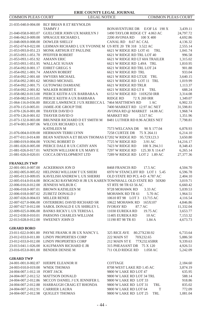# COMMON PLEAS COURT LEGAL NOTICE COMMON PLEAS COURT

# **ERIE COUNTY LEGAL JOURNAL**

|                                                           | 21-035-040.0-004.00 BLY BRIAN R ET REYNOLDS                |                                                                 |                      |
|-----------------------------------------------------------|------------------------------------------------------------|-----------------------------------------------------------------|----------------------|
|                                                           | <b>TAMMY J</b>                                             | BONAVENTURE DR E/OF L6 190 X                                    | 3,439.11             |
| 21-040-058.0-003.07                                       | GUELCHER JOHN UX MARILYN J                                 | 1490 TAYLOR RIDGE CT 4.063 AC                                   | 24,797.72            |
| 21-046-062.0-009.00                                       | SPRAGUE RICHARD L                                          | 2200 AVONIA RD<br>100 X 400                                     | 4,692.86             |
| 21-048-069.0-008.00                                       | <b>DOWLER SHELLY</b>                                       | CANAL RD 8.67 AC CAL                                            | 4,136.32             |
| 21-052-074.0-022.00                                       | LEHMAN RICHARD L UX YVONNE M US RTE 20 TR 318 3.522 AC     |                                                                 | 2,555.14             |
| 21-053-093.0-051.23                                       | MONK ARTHUR ET PAULINE                                     | 6621 W RIDGE RD LOT 41<br>TRL                                   | 1,041.74             |
| 21-053-093.1-051.70 PFEFFER ROBERT                        |                                                            | 6621 W RIDGE RD TRL LOT 40                                      | 996.58               |
| 21-053-093.1-051.92                                       | <b>AMANN ERIC</b>                                          | 6621 W RIDGE RD LT 60A TRAILER                                  | 1,315.02             |
| 21-053-093.1-051.95                                       | <b>WALLACE SUSAN</b>                                       | 6621 W RIDGE RD L49A TRL                                        | 1,810.95             |
| 21-054-092.0-001.17                                       | <b>EHRET GREGG S</b>                                       | 6621 W RIDGE RD TRL LOT 24                                      | 901.88               |
| 21-054-092.1-001.74                                       | <b>AMANN ROBERT</b>                                        | 6621 W RIDGE RD TRL                                             | 933.04               |
| 21-054-092.2-001.60                                       | <b>SWYERS MICHAEL</b>                                      | 6621 W RIDGE RD LT32E TRL                                       | 3,640.15             |
| 21-054-092.2-001.62                                       | MOSKO MICHAEL                                              | 6621 W RIDGE RD LOT 11 TRL                                      | 1,019.99             |
| 21-054-092.2-001.75                                       | <b>GUTOWSKI DAMIANE</b>                                    | 6621 W RIDGE RD TRLR                                            | 1,113.37             |
| 21-054-092.2-001.82                                       | <b>WALKER ROBERT E</b>                                     | 6621 W RIDGE RD LT 8<br>TRL                                     | 688.24               |
| 21-058-082.0-013.00                                       | PIERCE KEITH A UX BARBARA A                                | 6153 W RIDGE RD 110X250 IRR                                     | 3,314.08             |
| 21-058-082.0-015.01                                       | PIERCE KEITH A UX BARBARA                                  | <b>RIDGE RD</b><br>72 X 269 IRR                                 | 1,349.07             |
| 21-064-116.0-036.00                                       | BIGGIE LAWRENCE J UX REBECCA L 7464 MATTHEWS RD            | 1 AC                                                            | 6,902.33             |
| 21-070-115.0-005.01<br>21-070-126.0-001.00 THAYER DAVID O | JAMIE-JOE GROUP THE                                        | 7400 MARKET RD 12.97 AC NET                                     | 31,598.81            |
|                                                           | THAYER DAVID O                                             | AVONIA RD @ MARKET 14.08 AC<br>MARKET RD<br>3.517 AC            | 1,968.74             |
| 21-070-126.0-001.02                                       | BRUNNER RICHARD D ET SMITH M                               | 8481 LUTHER RD 8.96 ACRES NET                                   | 1,351.96<br>7,798.81 |
| 21-073-132.0-003.00<br>21-074-001.0-007.06                | WILCOX RICHARD L UX                                        |                                                                 |                      |
|                                                           | <b>KATHLEEN M</b>                                          | 7573 WELCANA DR<br>90 X 177.04                                  | 6,878.93             |
|                                                           | 21-076-004.0-039.00 HERMANN TERRI LYNN                     | 7258 CURTZE DR<br>75 X 264.11                                   | 6,214.10             |
| 21-077-011.0-014.00                                       | BEAN NATHAN A ET BEAN THOMAS E7202 W RIDGE RD              | 95.72X123.3                                                     | 3,650.80             |
| 21-080-019.0-004.00                                       | YOUNG ROBERT D                                             | 7725 W RIDGE RD<br>3.91 AC                                      | 14,216.17            |
| 21-081-026.0-005.00                                       | PIERCE DALE R UX CATHY ANN                                 | 7423 W RIDGE RD<br>100 X 294.3 I                                | 8,348.43             |
| 21-081-026.0-017.01                                       | WATSON WILLIAM R UX MARY E                                 | 7297 W RIDGE RD<br>125.30 X 114.47                              | 6,265.14             |
| 21-081-026.0-020.01                                       | COCCA DEVELOPMENT LTD                                      | 7289 W RIDGE RD LOT 2 1.89 AC                                   | 27,377.36            |
|                                                           |                                                            |                                                                 |                      |
| <b>FRANKLIN TWP</b>                                       |                                                            |                                                                 |                      |
| 22-001-001.0-007.00                                       | ACKERMAN JON D                                             | 8468 FRANCIS RD<br>17.5 AC                                      | 4,504.70             |
| 22-002-005.0-005.02<br>22-005-013.0-009.05                | HELINSKI WILLIAM T UX SHERI<br>KAVELISH ANDREW L UX SHERRI | 6970 W STANCLIFF RD LOT 1 5.45<br>OLD STATE RD PCL 4-D 4.787 AC | 6,596.78<br>2,404.10 |
| 22-005-014.0-014.00                                       | BOGACKI RAYMOND H JR UX KAREN TOWNHALL OLD STATE RD 50X80  |                                                                 | 3,019.71             |
| 22-006-016.0-012.00                                       | JENNESS WILBUR C                                           | ST RTE 98 TR 63 56 AC                                           | 6,660.42             |
| 22-006-018.0-007.01                                       | <b>BROWN KATHLEEN M</b>                                    | 9728 MOHAWK RD<br>3.33 AC                                       | 5,039.53             |
| 22-006-018.0-007.02                                       | ZUBETZ DONALD J                                            | MOHAWK RD TR 61<br>5.70 AC                                      | 1,964.51             |
| 22-007-026.0-004.03                                       | <b>MILLER RENEE</b>                                        | 10610 RT 98 LOT 3<br>13.715 AC                                  | 4,116.54             |
| 22-007-027.0-006.00                                       | OSTERBERG DAVID RICHARD SR                                 | 10622 MOHAWK RD<br>165X107                                      | 4,846.86             |
| 22-007-027.0-012.00                                       | SABOL DONALD E UX SHIRLEY L                                | <b>IVORAY RD</b><br>87.7 AC                                     | 11,332.04            |
| 22-009-025.0-006.00                                       | <b>BANKS RICKY L UX TERESA L</b>                           | 11030 EUREKA RD<br>19.75 AC                                     | 3,653.77             |
| 22-012-030.0-010.01                                       | PARSONS CHARLES WILLIAM                                    | 11405 EUREKA RD<br>10AC                                         | 7,153.32             |
| 22-013-028.0-012.00                                       | <b>SWEENEY JOHN D</b>                                      | 11190 RT 98 TR 83<br>1.84A                                      | 4,673.73             |
|                                                           |                                                            |                                                                 |                      |
| <b>GIRARD BORO</b>                                        |                                                            |                                                                 |                      |
| 23-011-022.0-001.00                                       | PAYNE FRANK H JR UX NANCY L                                | 325 RICE AVE<br>80.27X230.92                                    | 6,733.64             |
| 23-012-033.0-011.00                                       | LINDY PROPERTIES CORP                                      | 222 MAIN ST<br>70X232.65                                        | 5,886.50             |
| 23-012-033.0-012.00                                       | <b>LINDY PROPERTIES CORP</b>                               | 212 MAIN ST E<br>77X232.65IRR                                   | 9,339.63             |
| 23-013-041.1-026.00                                       | KAUFMANN RICHARD E JR                                      | 315 PHEASANT DR<br>75 X 120                                     | 4,926.51             |
|                                                           | 23-016-053.0-001.00 BENDER DENISE M                        | 711 OLD RIDGE RD 1.058 AC                                       | 5,242.09             |
| <b>GIRARD TWP</b>                                         |                                                            |                                                                 |                      |
| 24-001-001.0-002.87                                       | <b>HJERPE ELEANOR H</b>                                    | COTTAGE                                                         | 2,184.60             |
| 24-003-010.0-019.00                                       | <b>WNEK THOMAS</b>                                         | 8708 WEST LAKE RD 1.45 AC                                       | 3,874.19             |
| 24-004-007.1-012.18                                       | <b>FOHT JACK</b>                                           | 9800 W LAKE RD LOT 47                                           | 635.95               |
| 24-004-007.2-012.52                                       | <b>MATTSON DONALD</b>                                      | 9800 W LAKE RD LOT 34 TRL                                       | 588.14               |
| 24-004-007.2-012.86                                       | MCCOY DANIEL J UX JENNIFER L                               | 9800 W LAKE RD LOT 33                                           | 918.86               |
| 24-004-007.2-012.88                                       | HARBAUGH CRAIG ET RHONDA                                   | 9800 W LAKE RD LOT 31<br>TRL                                    | 835.02               |
| 24-004-007.2-012.91                                       | CARRIER LAURA                                              | 9800 W LAKE RD LOT 64<br>T                                      | 772.09               |
|                                                           | 24-004-007.2-012.98 OUIGLEY THOMAS                         | 9800 W LAKE RD LOT 25<br>TRL                                    | 1.081.04             |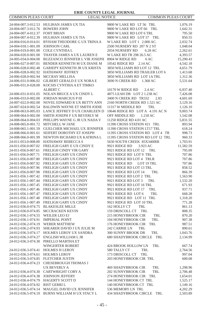| COMMON PLEAS COURT              | <b>LEGAL NOTICE</b>                                            | COMMON PLEAS COURT                                            |                      |
|---------------------------------|----------------------------------------------------------------|---------------------------------------------------------------|----------------------|
|                                 | 24-004-007.3-012.53 HULIHAN JAMES UX TIA                       | 9800 W LAKE RD LT 56 TRL                                      | 1,076.19             |
| 24-004-007.3-012.76 BOWERS JOHN |                                                                | 9800 W LAKE RD LOT 66 TRL                                     | 1,642.31             |
| 24-004-007.4-012.37             | <b>FOHT BRIAN</b>                                              | 9800 W LAKE RD LOT 6 TRL                                      | 795.50               |
| 24-004-007.4-012.39             | HULIHAN JAMES UX TIA                                           | 9800 W LAKE RD LOT 57 TRL                                     | 850.55               |
| 24-004-016.0-014.01             | BYHAM THEODORE G UX TRINA A                                    | W LAKE RD LOT 1 2.000 AC.                                     | 2,032.74             |
| 24-004-018.1-001.09             | <b>JOHNSON CARL</b>                                            | 2500 NURSERY RD 207 N 2 ST                                    | 1,048.04             |
| 24-004-019.0-001.00             | COLE CYNTHIA L                                                 | 2034 NURSERY RD<br>6.28 AC                                    | 2,262.61             |
|                                 |                                                                |                                                               |                      |
| 24-004-020.0-001.00             | THAYER JAMES A UX LAUREN E                                     | W LAKE RD TR 298 26.5 AC<br>6 AC                              | 4,393.57             |
| 24-005-034.0-004.00             | BUZZANCO JENNIFER L VIR JOSEPH<br>BENDER KENNETH M UX DIANE M  | 8904 W RIDGE RD<br>10542 RIDGE RD 2.14 AC                     | 15,290.43            |
| 24-006-027.0-007.01             |                                                                |                                                               | 4,542.18             |
| 24-006-028.0-002.48             | GARIEPY KENNETH JR UX KRISTA                                   | 3850 WILLIAMS RD LOT 12 TRL<br>3850 WILLIAMS RD TRAILER LOT 6 | 4,651.79             |
| 24-006-028.0-002.92             | <b>HATHAWAY JEFFREY</b>                                        | 3850 WILLIAMS RD LOT 1A TRL                                   | 1,413.68             |
| 24-006-028.0-002.94             | MCCRAY MELLISA                                                 | 3690 N CREEK RD<br>1.368 AC                                   | 1,312.36<br>5,531.64 |
| 24-006-031.0-006.02             | <b>GILBERT GERALD E UX NORA E</b><br>KOCSIS CYNTHIA A ET TIMKO |                                                               |                      |
| 24-006-031.0-028.00             | <b>ALBERT C</b>                                                |                                                               |                      |
|                                 |                                                                | 10170 W RIDGE RD<br>2.4 AC                                    | 6,937.40             |
| 24-006-031.0-031.05             | NOLAN BRUCE A UX CINDY L                                       | 4875 LEAH DR LOT 2 1.238 AC                                   | 7,426.08             |
| 24-006-033.0-002.00             | <b>JORDAN MARCIUS P III</b>                                    | 3400 N CREEK RD TR332<br>2.83                                 | 4,601.69             |
| 24-007-022.0-002.00             | NOVEL EDWARD R UX BETTY ANN                                    | 2160 NORTH CREEK RD 1.521 AC                                  | 3,129.16             |
| 24-007-024.0-002.54             | <b>BALDWIN WAYNE ET SMITH JODIE</b>                            | 11317 W MIDDLE RD<br>TRL                                      | 1,126.10             |
| 24-008-063.0-005.03             | LANCE JEFFREY D UX CHARLEEN D                                  | 10646 RIDGE RD LOT A 4.191 AC N                               | 9,003.74             |
| 24-008-064.0-002.00             | SMITH JOSEPH F UX BEVERLY M                                    | OFF MIDDLE RD<br>1.218 AC                                     | 1,542.08             |
| 24-008-064.0-004.03             | PHILLIPS WAYNE G JR UX NADA V                                  | 11250 RIDGE RD 4.01 AC                                        | 5,831.55             |
| 24-008-065.0-001.72             | MITCHELL W JANE                                                | 11390 CROSS STATION #21 TRL                                   | 893.94               |
| 24-008-065.1-001.59             | GUELCHER MICHAEL UX JENNIFER                                   | 11390 CROSS STATION LT17 TRL                                  | 618.24               |
| 24-008-066.0-001.61             | SEIFERT DOROTHY ET JOSEPH                                      | 11395 CROSS STATION RD LOT 4 TR                               | 998.73               |
| 24-008-066.0-001.99             | NEWTON RICHARD UX KATRINA L                                    | 11395 CROSS STATION RD LOT 12 TRL                             | 960.33               |
| 24-011-053.0-008.00             | HATHAWAY REBECCA S                                             | 5630 SOUTH CREEK 85X340IRR                                    | 1,703.91             |
| 24-011-056.0-007.02             | FRELIGH GARY E UX CINDY E                                      | 9921 RIDGE RD<br>3.923 AC                                     | 11,582.59            |
| 24-011-056.0-007.61             | <b>FRELIGH CINDY VIR GARY</b>                                  | 9921 RIDGE RD LOT 12<br>TRL                                   | 795.09               |
| 24-011-056.0-007.71             | FRELIGH GARY UX CINDY                                          | 9921 RIDGE RD LOT 9 TRL                                       | 707.86               |
| 24-011-056.0-007.80             | FRELIGH GARY UX CINDY                                          | 9921 RIDGE RD LOT 4 TRLR                                      | 707.86               |
| 24-011-056.0-007.92             | FRELIGH GARY UX CINDY                                          | 9921 RIDGE RD<br>LOT 19 TRL                                   | 707.86               |
| 24-011-056.0-007.96             | FRELIGH GARY UX CINDY                                          | 9921 RIDGE RD LOT 13 TRL                                      | 858.52               |
| 24-011-056.0-007.98             | FRELIGH GARY UX CINDY                                          | 9921 RIDGE RD LOT 14<br>TRL                                   | 866.39               |
| 24-011-056.1-007.42             | FRELIGH GARY UX CINDY                                          | 9921 RIDGE RD LOT 2 TRL                                       | 1,563.90             |
| 24-011-056.1-007.44             | FRELIGH GARY UX CINDY                                          | 9921 RIDGE RD LOT 3<br>TRL                                    | 1,532.20             |
| 24-011-056.1-007.45             | FRELIGH GARY UX CINDY                                          | 9921 RIDGE RD LOT 16 TRL                                      | 671.93               |
| 24-011-056.1-007.46             | FRELIGH GARY UX CINDY                                          | 9921 RIDGE RD LOT 17<br>TRL                                   | 937.71               |
| 24-011-056.1-007.47             | FRELIGH GARY UX CINDY                                          | 9921 RIDGE RD LOT 6<br>TRL                                    | 668.28               |
| 24-011-056.1-007.48             | FRELIGH GARY UX CINDY                                          | 9921 RIDGE RD LOT 11 TRL                                      | 1,318.20             |
| 24-011-056.1-007.49             | FRELIGH GARY UX CINDY                                          | 9921 RIDGE RD LOT 10 TRL                                      | 771.28               |
| 24-012-036.0-074.75             | <b>BLAKESLEE MILLE</b>                                         | 162 HOLLY CT<br>TRL                                           | 861.13               |
| 24-012-036.0-074.85             | MCCRACKEN KEVIN                                                | 159 DRISCOLL CT TRL                                           | 808.35               |
| 24-012-036.1-074.55             | WEILER LEO EJ                                                  | 215 HONEYBROOK CIR<br>TRL                                     | 870.20               |
| 24-012-036.1-074.91             | <b>IMPERIAL POINT</b>                                          | 104 HONEYBROOK CIR<br>TRL                                     | 907.38               |
| 24-012-036.2-074.19             | WEBER MATTHEW                                                  | 176 HONEYBROOK CIR<br>TRL                                     | 987.51               |
| 24-012-036.2-074.93             | SHEARER DAVID J UX JULIE M                                     | 242 CARRIE LN<br>TRL                                          | 890.61               |
| 24-012-036.3-074.17             | HOLMES LEROY UX SANDRA                                         | 300 SUNNY BROOK DR<br>TRL                                     | 1,043.76             |
| 24-012-036.3-074.27             | <b>ENGLISH WILLIAM L JR</b>                                    | 680 SHADYBROOK CIRCLE TRL                                     | 2,134.99             |
| 24-012-036.3-074.30             | PIRELLO MARTHA ET                                              |                                                               |                      |
|                                 | WINGERTER ROBERT                                               | 424 BROOK HOLLOW LN<br>TRL                                    | 667.74               |
| 24-012-036.3-074.41             | <b>HOLMES H LEROY</b>                                          | 580 TALLY CT<br>TRL                                           | 2,764.56             |
| 24-012-036.3-074.61             | <b>HOLMES LEROY</b>                                            | 173 DRISCOLL CT<br>TRL                                        | 997.04               |
| 24-012-036.3-074.85             | <b>FLETCHER JUSTIN</b>                                         | 203 HONEYBROOK CIR TRL                                        | 600.68               |
| 24-012-036.4-074.23             | CHESEBROUGH THOMAS J                                           |                                                               |                      |
|                                 | <b>UX BEVERLY A</b>                                            | <b>469 SHADYBROOK CIR</b><br>TRL                              | 1,298.96             |
| 24-012-036.4-074.30             | <b>CARTWRIGHT CORY A</b>                                       | 202 SUNNYBROOK CIR<br>TRL                                     | 2,706.48             |
| 24-012-036.4-074.38             | <b>JOHNSON JEFFERY</b>                                         | 274 HONEYBROOK CIR<br>TRL                                     | 1,654.01             |
| 24-012-036.4-074.79             | <b>HAGERTY SCOTT D</b>                                         | 144 HONEYBROOK CT TRL                                         | 1,525.17             |
| 24-012-036.4-074.92             | RIST GERRI L                                                   | 140 HONEYBROOK CT TRL                                         | 1,149.16             |
| 24-012-036.5-074.14             | MAUGEL DAVID UX JENNIFER                                       | 536 MEMORY LN TRL                                             | 4,202.29             |
| 24-012-036.5-074.19             | BURNS WILLIAM H UX STACY L                                     | 434 SHADYBROOK CIRCLE<br>TRL                                  | 2,503.89             |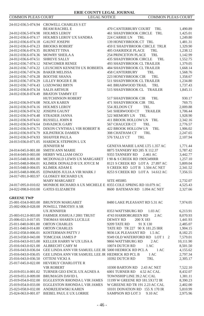| <b>COMMON PLEAS COURT</b>          | <b>LEGAL NOTICE</b>                                         |                                   | <b>COMMON PLEAS COURT</b> |
|------------------------------------|-------------------------------------------------------------|-----------------------------------|---------------------------|
|                                    | 24-012-036.5-074.94 CROWELL CHARLES S ET                    |                                   |                           |
|                                    | <b>BEAM RACHEL E</b>                                        | 470 CANTERBURY COURT<br>TRL       | 1,490.89                  |
| 24-012-036.5-074.98 HOLMES LEROY   |                                                             | 461 SHADYBROOK CIRCLE TRL         | 1,425.01                  |
| 24-012-036.6-074.17                | HOLMES LEROY UX SANDRA                                      | 224 CARRIE LN<br>TRL              | 1,249.80                  |
| 24-012-036.6-074.18                | <b>GAUNT JOSEPH</b>                                         | 139 HONEYBROOK CT TRL             | 1,481.31                  |
| 24-012-036.6-074.23 BROOKS ROBERT  |                                                             | 459 E SHADYBROOK CIRCLE TRLR      | 1,329.90                  |
| 24-012-036.6-074.35 BURNETT TINA   |                                                             | <b>405 OAKRIDGE PLACE</b><br>TRL  | 1,238.12                  |
| 24-012-036.6-074.36 MOWRY SHEILA A |                                                             | <b>254 PRINCETON PLACE</b><br>TRL | 1,142.99                  |
| 24-012-036.6-074.51                | <b>SHREVE SALLY</b>                                         | 435 SHADYBROOK CIRCLE<br>TRL      | 1,552.75                  |
|                                    | 24-012-036.7-074.12 NEWCOMER RENEE                          | <b>493 SHADYBROOK CL TRAILER</b>  | 1,379.05                  |
|                                    | 24-012-036.7-074.22 LEUSCHEN KENNETH UX ROBERTA             | <b>484 SHADYBROOK CL TRAILER</b>  | 1,668.14                  |
| 24-012-036.7-074.26 BAKER MELISSA  |                                                             | <b>458 CANTERBURY</b><br>TRL      | 1,568.76                  |
| 24-012-036.7-074.28 BOOTHE SHANA   |                                                             | 223 HONEYBROOK CIR<br>TRL         | 1,358.67                  |
|                                    | 24-012-036.7-074.29 LILLEY ROGER E JR                       | 511 SHADYBROOK CL TRAILER         | 1,234.80                  |
| 24-012-036.7-074.43 LOZOWSKI BRYN  |                                                             | 441 BRIARWOOD TRAIL<br>TRL        | 1,737.43                  |
| 24-012-036.8-074.34                | <b>SALIS ARTHUR</b>                                         | 515 SHADYBROOK CL TRAILER         | 1,845.11                  |
|                                    | 24-012-036.8-074.49 BRATON TAMMY ET                         |                                   |                           |
|                                    | <b>HUTCHINSON ROBERT</b>                                    | 517 SHADYBROOK CIR<br>TRL         | 930.17                    |
| 24-012-036.9-074.08                | <b>NOLAN KAREN</b>                                          | 471 SHADYBROOK CIR TRL            | 769.75                    |
| 24-012-036.9-074.16 HOLMES LEROY   |                                                             | 554 JELDON CT<br>TRL              | 2,009.88                  |
| 24-012-036.9-074.32                | <b>JOSEPH GAUNT</b>                                         | 541 SHERWOOD CT<br><b>TRAILER</b> | 1,706.44                  |
| 24-012-036.9-074.48 STRADER JANNA  |                                                             | 522 MEMORY LN TRL                 | 1,928.90                  |
| 24-012-036.9-074.61                | RUSSELL JOHN R                                              | 411 BROOK HOLLOW LN TRL           | 2,342.16                  |
| 24-012-036.9-074.64                | DAVADICK GARY                                               | 567 CHAUCER CT<br>TRL             | 2,776.57                  |
| 24-012-036.9-074.71                | DIXON CYNTHIA L VIR ROBERT R                                | <b>422 BROOK HOLLOW LN</b><br>TRL | 1,906.02                  |
| 24-012-036.9-074.79                | KILPATRICK DAMIEN                                           | 308 CHATHAM CT<br>TRL             | 2,247.65                  |
| 24-012-036.9-074.93                | <b>SHAFFER PAULA</b>                                        | 576 TALLY CT<br>TRL               | 2,107.94                  |
|                                    | 24-013-036.0-071.05 HARDICK STEPHON LUX                     |                                   |                           |
|                                    | <b>JENNIFER M</b>                                           | GENEVA MARIE LANE LT5 1.357 AC    | 1,771.44                  |
| 24-014-045.0-001.00                | <b>SMITH ANN MARIE</b>                                      | 8875 TANNERY RD 285 X 112.37      | 5,787.42                  |
| 24-014-049.0-003.00                | HERBY WILLIAM OSCO                                          | 9355 TANNERY RD<br>2.461 AC       | 3,442.77                  |
|                                    | 24-015-048.0-001.00 MCDONALD LEWIS UX MARGARET              | I 90 & S CREEK RD 190X349IRR      | 1,257.10                  |
| 24-015-048.0-004.01                | KLIMEK DONALD R UX JOYCE M                                  | 8121 S CREEK RD LOT A 27.897 AC   | 5,809.04                  |
| 24-015-048.0-004.05                | KLIMEK ADAM E                                               | S CREEK RD LOT B 1.504 AC NET     | 2,341.52                  |
| 24-015-048.0-006.05                | EDWARDS JULIA A VIR MARK J                                  | 8253 S CREEK RD LOT A 14.612 AC   | 7,356.55                  |
| 24-017-091.0-003.97                | <b>GLOSKEY RICHARD UX</b>                                   |                                   |                           |
|                                    | MARY MARGARET                                               | SITE #85085                       | 2,732.07                  |
| 24-017-095.0-010.02                | MONROE RICHARD A UX MICHELE E 8355 COLE SPRING RD 10.079 AC |                                   | 4,525.43                  |
| 24-022-098.0-010.00                | <b>GATES ELIZABETH</b>                                      | 8600 BATEMAN RD 1.094 AC NET      | 2,327.66                  |
|                                    |                                                             |                                   |                           |
| <b>GREENE TWP</b>                  |                                                             |                                   |                           |
| 25-001-034.0-003.00                | BRUNTON MARGARET                                            | 8480 LAKE PLEASANT RD 5.31 AC     | 7,974.05                  |
| 25-002-006.0-028.00                | POWELL TIMOTHY A SR                                         |                                   |                           |
|                                    | UX JENNIFER                                                 | 8353 WATTSBURG RD<br>$1.03$ AC    | 6,213.91                  |
|                                    | 25-003-012.0-003.00 FARMER JOSHUA J 2001 TRUST              | 4743 HARBORGREEN RD<br>2AC        | 8,070.93                  |
| 25-006-021.0-017.05                | THOMAS SHAREN LUCILLE                                       | DEWEY RD<br>200 X 183             | 1,441.93                  |
| 25-011-040.0-001.00 ORTON CHARLES  |                                                             | 9209 TATE RD<br>91 X 130          | 2,485.07                  |
| 25-011-040.0-014.00                | <b>ORTON CHARLES</b>                                        | TATE RD TR 227 90 X 181.25 IRR    | 1,904.15                  |
| 25-012-058.0-006.01                | KOSTERMAN PATTY J                                           | 9036 LK PLEASANT RD<br>1.5AC      | 8,182.25                  |
| 25-013-058.0-043.00                | TOMCZAK JAMES P                                             | 9349 OLD WATERFORD RD LOT 1 2     | 7,579.01                  |
| 25-016-043.0-015.00                | KELLER HARRY W UX LISA A                                    | 9866 WATTSBURG RD<br>2AC          | 10,111.90                 |
| 25-016-043.0-021.00                | ALBRECHT CARY M                                             | 10074 DUTCH RD<br>1 AC            | 8,501.50                  |
| 25-016-043.0-036.04                | GEE LINDA ANN VIR SAMUEL LEE JR 5000 HEDRICK RD PCL A       | 1 AC                              | 4,155.62                  |
| 25-016-043.0-036.05                | GEE LINDA ANN VIR SAMUEL LEE JR HEDRICK RD PCL B            | 1 AC                              | 2,797.34                  |
| 25-016-043.0-036.50                | OTTENI VICKI A                                              | 10392 DUTCH RD<br>TRL             | 2,305.17                  |
| 25-017-045.0-022.00                | HEVERLY CHARLOTTE R                                         |                                   |                           |
|                                    | <b>VIR ROBERT</b>                                           | 10300 BARTON RD 2.43 AC NET       | 7,522.10                  |
| 25-019-051.0-001.02                | TURNER GEO ENCIL UX AGNES A                                 | 6001 TURNER RD 4.52 AC CAL        | 8,432.07                  |
| 25-019-051.0-009.00                | <b>BRUMAGIN DAVID L</b>                                     | TOWNSHIP LINE 39.2 AC CAL         | 1,381.11                  |
| 25-019-054.0-032.00                | EGGLESTON RHONDA L VIR JAMES                                | 11199 W GREENE RD 181.5X172 IR    | 8,390.23                  |
| 25-019-054.0-033.00                | EGGLESTON RHONDA L VIR JAMES                                | W GREENE RD TR 191 2.23 AC CAL    | 2,402.00                  |
|                                    | 25-023-058.0-032.00 ANDRZEJEWSKI KAREN                      | 10101 DONATION RD 155 X 170 IR    | 5,810.99                  |
|                                    | 25-024-063.0-001.07 BIEBEL PAUL E UX LORRIE                 | SAMPSON RD LOT 3<br>9.10 AC       | 2,975.96                  |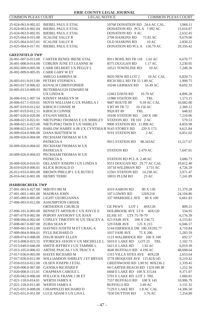| <b>COMMON PLEAS COURT</b>          | <b>LEGAL NOTICE</b>                                               |                                                        | <b>COMMON PLEAS COURT</b> |
|------------------------------------|-------------------------------------------------------------------|--------------------------------------------------------|---------------------------|
|                                    | 25-024-063.0-002.02 BIEBEL PAUL E ETAL                            | 10760 DONATION RD 24.6 AC CAL.                         | 3,968.11                  |
|                                    | 25-024-063.0-002.04 BIEBEL PAUL E ETAL                            | DONATION RD PCLA 7.992 AC                              | 15,616.07                 |
|                                    | 25-024-063.0-002.05 BIEBEL PAUL E ETAL                            | DONATION RD 9 AC                                       | 2,632.45                  |
|                                    |                                                                   |                                                        |                           |
| 25-025-064.0-015.00                | <b>SCALISE SALLY R</b>                                            | 2700 HASKINS RD<br>71.81 AC                            | 9,679.00                  |
| 25-025-064.0-015.01                | <b>SCALISE SALLY R</b>                                            | <b>OLD HASKINS RD</b><br>10AC                          | 2,830.22                  |
| 25-025-064.0-017.01                | BIEBEL PAUL E ETAL                                                | DONATION RD PCL A 136.79 AC                            | 29,356.42                 |
| <b>GREENFIELD TWP</b>              |                                                                   |                                                        |                           |
|                                    | 26-001-007.0-013.00 CARTER RENEE IRENE ETAL                       | 8911 ROHL RD TR 118 1.02 AC                            | 6,670.77                  |
| 26-001-008.0-014.00                | COBURN JUNE ET LEANNE M                                           | 8375 DUGGAN RD<br>1.17 AC                              | 3,230.05                  |
| 26-002-009.0-005.00                | CARR DELBERT UX PEGGY L                                           | 10521 TOWNLINE RD<br>10AC                              | 7,248.36                  |
| 26-002-009.0-005.05 CARR GARY W ET |                                                                   |                                                        |                           |
|                                    | SMEGO SABRINA M                                                   | 9020 NEW RD LOT 2<br>10 AC CAL                         | 6,820.71                  |
| 26-003-011.0-013.00                | PETERS STEPHEN L                                                  | RICH HILL RD TR 55 1.89 AC                             | 1,999.75                  |
| 26-003-017.0-006.02                | KOVACH CHRISTOPHER                                                | 10246 GERMAN RD<br>16.49 AC                            | 8.692.33                  |
| 26-005-013.0-009.03                | <b>BUTERBAUGH EDWARD M</b>                                        |                                                        |                           |
|                                    | UX LINDA R                                                        | 12463 DAVIS RD<br>10.79 AC                             | 4,896.28                  |
|                                    | 26-006-016.1-007.54 KINNEY MARILYN M                              | 11980 STATION RD<br>TRL                                | 1,573.15                  |
| 26-006-017.1-019.01                | HOVIS WILLIAM G UX PAMELA J                                       | 9687 ROUTE 89<br>9.39 AC CAL                           | 10,082.00                 |
|                                    | 26-007-019.0-012.02 KIRSCH CONNIE M                               | S RT 89 TR 72<br>10.156 AC                             | 2,360.12                  |
| 26-007-019.0-012.51 KIRSCH CONNIE  |                                                                   | 9928 RT 89<br>TRL                                      |                           |
|                                    |                                                                   |                                                        | 648.92                    |
| 26-007-020.0-020.00 EYAJAN SHEILA  |                                                                   | 10106 STATION RD 140 X 180                             | 7,210.06                  |
|                                    | 26-008-021.0-022.01 NIETUPSKI THOMAS E UX SHIRLEY                 | STATION RD TR 103 2 AC                                 | 579.53                    |
|                                    | 26-008-021.0-023.00 NIETUPSKI THOS E UX SHIRLEY                   | 9900 STATION RD 11.898 AC                              | 4,859.98                  |
|                                    | 26-008-022.0-017.01 BARLOW HARRY A JR UX CYNTHIA B 9143 STOREY RD | 220 X 173                                              | 4,621.84                  |
|                                    | 26-009-024.0-006.00 DANA MATTHEW H                                | 9191 STATION RD<br>2AC                                 | 6,851.02                  |
|                                    | 26-009-026.0-004.00 PECKHAM THOMAS W UX                           |                                                        |                           |
|                                    | PATRICIA A                                                        | 9915 STATION RD<br>98.343AC                            | 12,217.67                 |
|                                    | 26-009-026.0-004.02 PECKHAM THOMAS W UX                           |                                                        |                           |
|                                    | PATRICIA A                                                        | <b>STATION RD</b><br>2.479 AC                          | 7,647.01                  |
|                                    | 26-009-026.0-004.03 PECKHAM THOMAS W UX                           |                                                        |                           |
|                                    | PATRICIA A                                                        | STATION RD PCL A 2.48 AC                               | 3,686.73                  |
| 26-009-026.0-016.01                | DELANEY JOSEPH J UX LINDA S                                       | 9551 DOUGAN RD 29.77 AC CAL                            | 10,812.40                 |
| 26-010-029.0-006.01                | KLICK RONALD D                                                    | 10718 WILDMAN RD<br>3.731 AC                           | 4,726.29                  |
| 26-012-033.0-003.00                | BROWN PHILLIP L UX RUTH E                                         | 12501 STATION RD<br>14.238 AC                          | 3,971.47                  |
| 26-016-041.0-001.00 HENRY TERRI    |                                                                   | 10031 PLUM RD<br>23 AC                                 | 7,241.89                  |
| <b>HARBORCREEK TWP</b>             |                                                                   |                                                        |                           |
| 27-001-003.0-027.00 MBOTO IBI M    |                                                                   | 4319 AARON RD<br>80 X 130                              | 11,379.28                 |
| 27-001-003.1-001.00                | <b>MADRAS JOHN</b>                                                | 107 LOWRY RD<br>120X218                                | 24,104.86                 |
| 27-005-089.0-005.00                | LIGHT GEORGIANNA                                                  | 337 SPARKHILL AVE<br>80 X 100                          | 6,661.83                  |
|                                    | 27-006-093.0-012.00 ASSUMPTION GREEK                              |                                                        |                           |
|                                    | ORTHODOX CHURCH                                                   |                                                        |                           |
|                                    | 27-006-101.0-003.00 BENNETT ARTHUR C UX JOYCE E                   | GE PKWY<br>LOT 1<br>40X120<br>HOLBROOK AVE LT 8 40X120 | 809.21<br>534.95          |
|                                    | 27-007-079.0-002.00 POPOFF ANTHONY UX JOAN                        | <b>ELSIE ST</b><br>LTS 75-78-79                        |                           |
|                                    | CONLEY TIMOTHY W UX TRACEY A 623 FAIR AVE                         | 100 X 236.75                                           | 6,176.39                  |
| 27-008-066.0-002.00                | <b>ZUBA SEAN P</b>                                                | 529 FAIR AVE<br>125 X 215                              | 4,153.81                  |
| 27-008-067.0-007.00                |                                                                   |                                                        | 6,046.57                  |
|                                    | 27-009-061.0-012.00 HAYNES JUDITH M ET CRAIG A                    | 5144 EBERSOLE DR 100.3X292.77                          | 4,710.84                  |
| 27-009-064.0-004.01                | PYLE RICHARD D                                                    | 1037 FAIR AVE<br>75 X 200                              | 5,283.59                  |
|                                    | 27-009-074.0-008.00 DAUB MARY ELLEN                               | 1123 WALBRIDGE RD 100 X 100                            | 692.57                    |
| 27-013-008.0-023.55                | STORICKS JASON V UX MICHELLE L 5010 E LAKE RD                     | LOT 25 TRL                                             | 1,102.73                  |
| 27-013-049.0-046.00                | SMITH JEFFREY J UX TAMMIE L                                       | 5415 E LAKE RD<br>1.92 AC                              | 6,019.39                  |
| 27-013-105.0-006.02                | ARTISE PASCAL J UX TRACY A                                        | 4646 BUFFALO RD 4.196 AC                               | 48,608.64                 |
| 27-017-036.0-003.00                | HAYES RICHARD M                                                   | 1315 VILLA SITES AVE 40X228                            | 2,653.64                  |
| 27-017-036.0-012.00                | WILLIAMSON SHIRLEY J ET BRYAN                                     | 5778 IROQUOIS AVE 115.82X145                           | 9,210.42                  |
| 27-018-033.0-012.00                | OLSEN JOSEPH J ETAL                                               | GREENWOOD RD L90 92 80X236.2                           | 2,339.45                  |
| 27-020-008.0-067.00                | <b>GANSKA RICHARD P</b>                                           | 94 CARTER BEACH RD 132X180 IR                          | 1,252.36                  |
| 27-020-008.0-115.01                | CHAPMAN CAROLE L                                                  | 6668 E LAKE RD 100 X 315.64                            | 9,371.07                  |
| 27-020-042.0-006.68                | POLLOCK FRANK J JR ET                                             | 5701 E LAKE RD LOT 3 TRL                               | 1,060.81                  |
| 27-021-118.0-014.01                | <b>WERTH JAMES A</b>                                              | 7557 BUFFALO RD<br>108 X 145                           | 10,906.79                 |
| 27-021-118.0-015.00                | <b>WERTH JAMES A</b>                                              | <b>BUFFALO RD</b><br>2.69 AC                           | 3,131.32                  |
| 27-025-031.0-008.00                | CHIAPPAZZI RICHARD D                                              | 7129 E LAKE RD<br>1.8 AC CAL                           | 14,306.50                 |
|                                    | 27-025-031.0-051.00 LUCE ADAM S UX LISA L                         | 7630 DUTTON RD<br>1.76 AC                              | 7,254.89                  |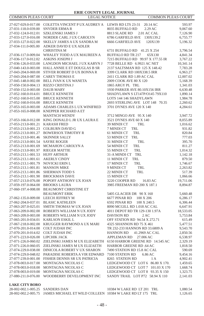| COMMON PLEAS COURT                                        | <b>LEGAL NOTICE</b>                                                           | <b>COMMON PLEAS COURT</b>                                         |                      |
|-----------------------------------------------------------|-------------------------------------------------------------------------------|-------------------------------------------------------------------|----------------------|
|                                                           | 27-027-029.0-017.00 COLETTA VINCENT P UX AUDREY A LEWIS RD LTS 23-31 20.14 AC |                                                                   | 593.97               |
| 27-031-118.0-039.00                                       | <b>SNYDER ERMAR</b>                                                           | 8035 BUFFALO RD<br>2.29 AC                                        | 9,067.60             |
| 27-032-124.0-012.01                                       | SZKLENSKI JAMES J                                                             | 8813 SLADE RD<br>2.01 AC CAL                                      | 7,126.90             |
| 27-033-127.0-016.00                                       | NORDER CARL J UX CAROLYN                                                      | 6786 GARFIELD AVE 130X139.2                                       | 6,755.77             |
| 27-033-127.0-022.00                                       | SKELLY JAMES A UX SANDRA M                                                    | 6666 GARFIELD AVE<br>120X139                                      | 5,196.32             |
| 27-034-111.0-005.00                                       | ADKER DAVID E UX ADLER                                                        |                                                                   |                      |
|                                                           | <b>CHRISTINA M</b>                                                            | 6731 BUFFALO RD 41.25 X 254                                       | 3,796.54             |
| 27-036-117.0-009.04                                       | WHALEY TODD A UX MAUREEN A                                                    | BUFFALO RD TR 217<br>65X130                                       | 4,841.34             |
| 27-036-117.0-012.02                                       | ASKINS JOSEPH J                                                               | 7215 BUFFALO RD 99.97 X 177.55 IR                                 | 3,767.22             |
|                                                           | 27-036-126.0-033.00 LANGDON MICHAEL J UX KARYN J                              | 7728 BELLE RD 6.9921 AC NET                                       | 10,341.14            |
| 27-040-143.0-003.00                                       | HALL ANNIE E ET DOUGLAS B SR                                                  | 2137 SALTSMAN RD 125 X 148.42                                     | 7,783.28             |
| 27-043-204.0-069.00                                       | STIVER ROBERT D UX BONNA R                                                    | 3399 CLARK RD 100X338.5 IRR                                       | 6,963.27             |
| 27-043-204.0-087.00                                       | CAREY THOMAS E                                                                | 2411 CLARK RD 1.89 AC CAL                                         | 12,007.02            |
| 27-045-148.0-002.00                                       | BELL IVAN K UX WANETA                                                         | 2009 COOK AVE 80 X 120                                            | 5,168.39             |
| 27-050-150.0-004.13                                       | RIZZO CRISTINA J                                                              | 1865 ARGY PL TRL                                                  | 1,341.03             |
| 27-050-152.0-003.00                                       | DAUB MARY                                                                     | 1930 PARKER AVE 80.10X156 IRR                                     | 6,630.48             |
| 27-052-160.0-014.01                                       | <b>BRUCE KENNETH</b>                                                          | SHADYLAWN S LT147P/O145 79X110                                    | 1,890.14             |
| 27-052-160.0-015.00 BRUCE KENNETH                         |                                                                               | LOTS 144 146 SHADYLAWN                                            | 1,984.78             |
| 27-052-160.0-016.00                                       | <b>BRUCE KENNETH</b>                                                          | 2693 STERLING AVE LOT 148 70.35                                   | 2,260.62             |
| 27-053-165.0-003.00                                       | ADAMS CHARLES L UX WINIFRED                                                   | 3701 DYNES AVE 120 X 140                                          | 4,284.61             |
| 27-053-165.0-008.00                                       | KNEPPER RICHARD A ET                                                          |                                                                   |                      |
|                                                           | <b>MANTSCH WENDY</b>                                                          | 3712 MINGO AVE 95 X 140                                           | 3,947.72             |
| 27-053-166.0-012.00                                       | KING DONALD L JR UX LAURA E                                                   | 3521 DYNES AVE 60 X 140                                           | 8,055.89             |
| 27-053-213.0-001.21                                       | <b>KARASH FRED</b>                                                            | 39 MINDI CT<br>TRL                                                | 1,016.62             |
| 27-053-213.0-001.23                                       | <b>COLBURN DAVID G</b>                                                        | <b>TRL</b><br>7 MINDI CT                                          | 931.82               |
| 27-053-213.0-001.27                                       | <b>BOWERSOX TIMOTHY R</b>                                                     | 61 MINDI CT<br>TRL                                                | 820.84               |
| 27-053-213.0-001.46                                       | <b>SKINNER SALLY</b>                                                          | 53 MINDI CT TRL                                                   | 777.03               |
| 27-053-213.0-001.54                                       | <b>SAYRE ROGER</b>                                                            | 31 MINDI CT<br>TRL                                                | 395.70               |
| 27-053-213.0-001.69                                       | MCMAHON CAROLYN A                                                             | 54 MINDI CT<br>TRL                                                | 811.27               |
| 27-053-213.0-001.97                                       | <b>RIEGER MATTIE</b>                                                          | 55 MINDI CT<br>TRL                                                | 1,014.32             |
| 27-053-213.1-001.53                                       | <b>HUFF ARTHUR</b>                                                            | 31-A MINDI CT TRL                                                 | 1,142.18             |
| 27-053-213.1-001.61                                       | <b>AKERLY CINDY</b>                                                           | 11 MINDI CT<br>TRL<br>17 MINDI CT                                 | 879.50               |
| 27-053-213.1-001.79 NOVICKI ERIN L<br>27-053-213.1-001.81 | <b>MANSON MIKE</b>                                                            | TRL<br>9 MINDI CT                                                 | 1,746.67<br>2,263.82 |
| 27-053-213.1-001.86                                       | SHERMAN TODD S                                                                | TRL<br>TRL<br>22 MINDI CT                                         | 517.39               |
| 27-053-213.1-001.90                                       | <b>BROCKMAN DAVE</b>                                                          | 15 MINDI CT                                                       | 1,066.66             |
| 27-057-213.0-076.00                                       | POPOFF ANTHONY UX JOAN                                                        | 3220 COOPER RD<br>16.83 AC                                        | 19,711.06            |
| 27-059-197.0-064.00                                       | <b>BROOKS LAURA</b>                                                           | 3985 FREEMAN RD 200 X 187.1                                       | 8,894.87             |
| 27-060-197.4-008.00                                       | <b>BEAUMONT CHRISTINE ET</b>                                                  |                                                                   |                      |
|                                                           | <b>BEAUMONT ERIK</b>                                                          | 5405 GLACIER DR 90 X 160                                          | 5,660.48             |
| 27-062-135.0-009.00                                       | LEECH JEFFREY M                                                               | 6677 PINAR RD<br>100 X 206                                        | 6,286.17             |
| 27-062-204.0-037.01                                       | <b>BLASIC KATHLEEN</b>                                                        | 6592 PINAR RD<br>100 X 240.5                                      | 6,306.44             |
| 27-063-207.0-025.01                                       | SMITH THOMAS W UX JOAN                                                        | 8090 MCGILL RD 1.018 AC CAL                                       | 6,647.91             |
| 27-063-209.0-002.00                                       | ROBERTS WILLIAM N UX JODY                                                     | 4011 DEPOT RD TR 129-130 1.97A                                    | 18,533.05            |
| 27-063-209.0-003.00                                       | ROBERTS WILLIAM N UX JODY                                                     | <b>DAVISON RD</b><br>2AC                                          | 5,753.84             |
| 27-065-201.0-034.01                                       | KARLSON ESKIL L                                                               | OFF STATION RD 94.54 X 272.71                                     | 615.49               |
|                                                           | 27-067-218.0-002.00 KRUGGER RAYMOND A UX MARI                                 | 4325 SHANNON RD 75 X 461                                          | 5,477.51             |
| 27-070-201.0-014.00                                       | COLT JUDAH INC                                                                | TR 232-233 HANNON RD 33.6809 A                                    | 9,543.70             |
| 27-070-201.0-014.02                                       | COLT JUDAH INC                                                                | <b>HANNON RD</b><br>41.2969 AC CAL                                | 2,850.56             |
| 27-071-223.0-026.00 LIPCHIK JACK                          |                                                                               | APPLEMAN RD<br>27.006 AC                                          | 6,538.97             |
| 27-071-226.0-060.02                                       | ZIELINSKI JAMES M UX ELIZABETH                                                | 6150 HARBOR GREENE RD 14.545 AC                                   | 2,329.19             |
| 27-071-226.0-060.05                                       | ZIELINSKI JAMES M UX ELIZAETH                                                 | HARBOR GREENE RD .64 AC                                           | 1,818.50             |
| 27-074-229.0-038.00                                       | DINICOLA ROBERT V UX SHARON                                                   | 7490 STATION RD 15.8 AC CAL                                       | 590.69               |
| 27-074-229.0-048.02                                       | PARADISE ROBERTA A VIR EDWARD                                                 | 7100 STATION RD<br>6.86 AC                                        | 9,454.16             |
| 27-077-239.0-001.00                                       | FISHER DENNIS SR UX PATRICIA                                                  | 8265 STATION RD<br>1 A                                            | 4,902.41             |
| 27-078-003.0-017.00                                       | MONTAGNA NICOLAS C                                                            | LEDGEWOOD CT LOT 6 86.80 X 170.                                   | 1,459.65             |
| 27-078-003.0-018.00<br>27-078-003.0-019.00                | MONTAGNA NICOLAS C                                                            | LEDGEWOOD CT LOT 7 101.03 X 170                                   | 1,668.74             |
| 27-080-211.0-076.00                                       | MONTAGNA NICOLAS C<br>WOODBERRY DEVELOPMENT INC                               | LEDGEWOOD CT LOT 8 93.35 X 150<br>SANDY TRAIL LOT P72 58.94 X 110 | 1,323.75<br>2,141.03 |
|                                                           |                                                                               |                                                                   |                      |
| <b>LAKE CITY BORO</b>                                     |                                                                               |                                                                   |                      |
|                                                           |                                                                               |                                                                   |                      |

28-002-002.1-005.25 SANDERS DAN 10384 W LAKE RD LT 201 TRL 1,080.54<br>28-002-002.2-005.75 JAMES MICHAEL ET WILD COLLEEN 10384 W LAKE RD LT 175 TRL 1,126.65 28-002-002.2-005.75 JAMES MICHAEL ET WILD COLLEEN 10384 W LAKE RD LT 175 TRL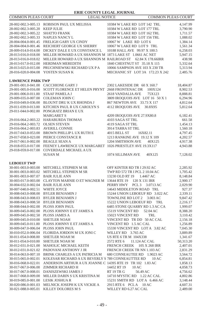| <b>COMMON PLEAS COURT</b>          | <b>LEGAL NOTICE</b>                                        |                                 | <b>COMMON PLEAS COURT</b> |
|------------------------------------|------------------------------------------------------------|---------------------------------|---------------------------|
|                                    | 28-002-002.3-005.13 ROBISON PAUL UX MELISSA                | 10384 W LAKE RD LOT 142 TRL     | 4,147.99                  |
| 28-002-002.3-005.20                | <b>KEEP JULIE</b>                                          | 10384 W LAKE RD LOT 177 TRL     | 3,790.90                  |
| 28-002-002.3-005.22                | <b>SHATTO FRANK</b>                                        | 10384 W LAKE RD LOT 162 TRL     | 1,711.57                  |
| 28-002-002.3-005.33 NAPLES NANCY L |                                                            | 10384 W LAKE RD LOT 156 TRL     | 1,088.02                  |
| 28-004-004.0-001.45                | FRELIGH GARY UX CINDY                                      | 10067 W LAKE RD LOT 6           | 1,384.14                  |
| 28-004-004.0-001.46                | REICHERT GEORGE UX SHERRY                                  | 10067 W LAKE RD LOT 9 TRL       | 1,561.34                  |
| 28-009-014.0-014.00                | DICKEY DALE E UX CONSTANCE L                               | 10188 HALL AVE 99.97 X 100.5    | 6,258.03                  |
| 28-013-016.0-018.00                | MILLER HOWARD A UX SHANNON M 1873 LAKE ST 1.0661 AC NET    |                                 | 5,947.15                  |
| 28-013-016.0-018.02                | MILLER HOWARD A UX SHANNON M RAILROAD ST 62.84 X 178.66IRR |                                 | 438.98                    |
| 28-013-017.0-012.00                | HERDMAN MEREDITH                                           | 1840 CHESTNUT ST 35.18 X 115    | 5,332.64                  |
| 28-013-025.0-015.00                | PRUCHNIEWSKI RICHARD UX PA                                 | 10066 SAMPSON AVE 103 X 230 TR  | 5,313.94                  |
| 28-016-020.0-004.08                | YOSTEN SUSAN K                                             | MECHANIC ST LOT 3A 172.23 X 242 | 2,485.76                  |
| <b>LAWRENCE PARK TWP</b>           |                                                            |                                 |                           |
|                                    | 29-001-001.0-041.00 CACCHIONE GARY J                       | 2302 LAKESIDE DR 60 X 160.7     | 18,404.87                 |
| 29-001-005.0-016.00                | SCOTT FLORENCE ET HELEN PRYNT 2668 FRONTENAC DR            | 100X124                         | 8,902.53                  |
| 29-001-006.0-011.00                | <b>STAAF PAMELA J</b>                                      | 2618 VANDALIA AVE<br>75X123     | 8,888.81                  |
|                                    | 29-009-035.0-007.00 COLEMAN JOHN C                         | 3809 IROQUOIS AVE LOT 16 50 X 1 | 6,294.96                  |
| 29-010-049.0-036.00                | BLOUNT DRU K UX RHONDA J                                   | 867 NEWTON AVE 33.73 X 117      | 4,812.64                  |
| 29-011-039.0-013.00                | KITCHEN PAUL R UX CAROLYN S                                | 4112 IROQUOIS AVE 30.8X95       | 5,812.64                  |
| 29-011-044.0-002.00                | PONGRATZ BRIAN E UX                                        |                                 |                           |
|                                    | <b>MARGARETS</b>                                           | 4209 IROQUOIS AVE 27.9X80.8     | 6,182.41                  |
| 29-016-064.2-003.22                | <b>HARABURDA THOMAS</b>                                    | 4103 SAGA ST TRL                | 661.58                    |
| 29-016-064.2-003.72                | <b>OLSEN STEVEN</b>                                        | 4119 SAGA ST TRL                | 1,454.13                  |
| 29-016-064.2-003.83                | <b>AVERILL CONNIE</b>                                      | 3914 TARRA ST TRL               | 1,560.18                  |
|                                    | 29-017-043.0-053.00 BROWN PHILLIP L UX RUTH E              | 4015 BELL ST<br>16X82.11        | 4,797.45                  |
|                                    | 29-017-058.0-023.00 PIERCE CONSTANCE R                     | 1213 RANKINE AVE 19.12 X 109    | 4,202.57                  |
| 29-017-061.0-002.00                | <b>BEAGLE SEAN A</b>                                       | 1204 SMITHSON AVE<br>40X125     | 4,917.38                  |
| 29-018-055.0-017.00                | FEENEY LAWRENCE UX MARGARET 1026 PRIESTLEY AVE 19.3X117    |                                 | 4,943.88                  |
| 29-018-059.0-017.00                | COVERDALE MICHAEL A UX<br><b>SUSAN M</b>                   | 1074 SILLIMAN AVE<br>40X125     | 7,128.02                  |
|                                    |                                                            |                                 |                           |
| <b>LEBOEUF TWP</b>                 |                                                            |                                 |                           |
| 30-001-003.0-003.00                | MITCHELL STEPHEN M SR                                      | OFF KINTER RD TR I 29.92 AC     | 2,285.92                  |
| 30-001-003.0-003.02                | MITCHELL STEPHEN M SR                                      | TWP RD 572 TR I PCL 2 10.04 AC  | 1,705.42                  |
| 30-001-003.0-007.07                | <b>BAIR JULIE ANN</b>                                      | 13230 OLD RT 19<br>1.4467 AC    | 8,148.84                  |
| 30-003-017.0-003.00                | CLAYTON MARNIE O ET WAGNER M                               | 13644 RTE 19 120 X 131 IRR      | 2,900.17                  |
| 30-004-032.0-002.04                | <b>BAIR JULIE ANN</b>                                      | PERRY HWY PCL 3 3.0713 AC       | 2,029.90                  |
| 30-007-040.0-002.51                | WHITE JOYCE                                                | 14643 MIDDLETON ROAD TRL        | 927.37                    |
| 30-008-043.0-008.00                | <b>BYLER BENJAMIN J</b>                                    | 15244 UNION LEBOEUF RD 3.022 AC | 2,339.11                  |
| 30-008-043.0-008.03                | <b>BYLER BENJAMIN J</b>                                    | TOWNLINE RD LOT 2<br>3.003 AC   | 9,847.42                  |
|                                    | 30-008-043.0-008.50 BYLER BENJAMIN                         | 15222 UNION LEBOEUF RD<br>TRL   | 2,216.17                  |
| 30-008-044.0-002.00                | PLOSS JOHN PAUL                                            | 6485 STONE QUARRY RD 1.3 AC CA  | 1,999.07                  |
| 30-009-045.0-002.00                | PLOSS JOHNNY E ET JAMES A                                  | 15119 VINCENT RD<br>52.04 AC    | 8,388.20                  |
| 30-009-045.0-002.50                | PLOSS JAMES A                                              | 15023 VINCENT RD<br>TRL         | 3,110.42                  |
| 30-009-045.0-010.00                | <b>SHETLER NOAH</b>                                        | VINCENT RD TR DD 50 AC CAL      | 2,156.18                  |
| 30-009-045.0-011.00                | PLOSS JOHNNY E ET JAMES A                                  | VINCENT RD 1.5 AC CAL           | 1,256.89                  |
| 30-009-047.0-006.04                | PLOSS JOHN PAUL                                            | 15330 VINCENT RD LOT A 3.82 AC  | 7,045.30                  |
| 30-010-052.0-006.04                | FLORIDA JORDON M UX JONI C                                 | WILLEY RD 3.765 AC              | 3,889.89                  |
| 30-011-054.0-008.00                | SHETLER NOAH M                                             | US RTE 6 TR M 104X338           | 1,341.67                  |
|                                    | 30-011-054.0-010.00 SHETLER NOAH M                         | 2572 RTE 6<br>11.124 AC CAL     | 50,313.20                 |
|                                    | 30-012-031.0-021.00 MAHOLIC MICHAEL KEITH                  | FRENCH CREEK 105 X 268 IRR      | 2,407.01                  |
|                                    | 30-012-031.0-021.02 PADOVANI ANTHONY J JR                  | FRENCH CREEK TR NN 1.103 AC     | 2,831.29                  |
|                                    | 30-014-063.0-007.10 BRINK CHARLES A UX PATRICIA M          | 680 CONNEAUTEE RD 1.9023 AC     | 3,564.72                  |
| 30-015-065.0-002.01                | KOLESAR RICHARD A UX BEVERLY S 789 CONNEAUTTEE RD          | 10 AC                           | 6,854.81                  |
| 30-016-068.0-022.01                | ANDERSON ARTHUR A UX JOANNE C 14395 RTE 19 TR 102 1.83 AC  |                                 | 1,858.13                  |
| 30-017-067.0-006.00                | ZIMMER RICHARD H                                           | 14452 RT 19<br>10AC             | 4,058.73                  |
| 30-017-067.0-008.01                | DANISZEWSKI JAMES J                                        | RT 19 TR G<br>56.49 AC          | 4,756.62                  |
| 30-017-068.0-009.00                | MILLER DARIN S UX KRISTINA M                               | 14710 MYSTIC RD 1.22 AC CAL     | 4,802.86                  |
| 30-019-085.0-001.00                | LESIK JOSHUA R                                             | 15231 SMITH RD LOTA 6.466 AC    | 3,148.44                  |
| 30-020-086.0-001.03                | MELNICK JOSEPH K UX VICKIE A                               | 2915 RTE 6 PCLA 10 AC           | 4,607.31                  |

30-021-088.0-005.01 KILLEY DOLORES M S WILLEY RD 6.27 AC CAL 2,489.00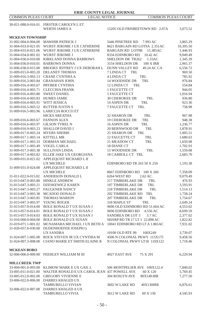|                                            | <b>ERIE COUNTY LEGAL JOURNAL</b>                                                                                                  |                                      |                      |
|--------------------------------------------|-----------------------------------------------------------------------------------------------------------------------------------|--------------------------------------|----------------------|
| <b>COMMON PLEAS COURT</b>                  | <b>LEGAL NOTICE</b>                                                                                                               | <b>COMMON PLEAS COURT</b>            |                      |
|                                            | 30-021-088.0-016.01 FIRSTER CAROLYN L ET                                                                                          |                                      |                      |
|                                            | <b>WERTH JAMES A</b>                                                                                                              | 15205 OLD FRISBEETOWN RD 2.07A       | 3,073.52             |
|                                            |                                                                                                                                   |                                      |                      |
| <b>MCKEAN TOWNSHIP</b>                     | 31-002-004.0-004.00 MAWHIR PATRICK J                                                                                              | 5446 PINETREE RD<br>7.993 AC         | 3,865.29             |
| 31-004-033.0-021.05                        | WURST JEROME J UX CATHERINE                                                                                                       | 8621 BARGAIN RD LOT9A 2.351AC        | 10,395.50            |
| 31-004-033.0-021.06                        | WURST JEROME J UX CATHERINE                                                                                                       | <b>BARGAIN RD LOT9B</b><br>15.385AC  | 1,446.93             |
| 31-004-034.0-001.02                        | WURST JEROME J                                                                                                                    | 8334 EDINBORO RD<br>10.42 AC         | 9,049.49             |
| 31-004-036.0-010.00                        | KIRKLAND DONNA BARROWS                                                                                                            | SHELDON DR TR262<br>1.33AC           | 1,345.39             |
| 31-004-036.0-010.01                        | <b>BARROWS DONNA</b>                                                                                                              | 3154 SHELDON DR<br><b>100 X IRR</b>  | 2,965.37             |
| 31-006-038.0-015.00                        | <b>BROOKS JEFFREY J UX DEBORAH L</b>                                                                                              | <b>DUNN VALLEY RD</b><br>49.24 AC CA | 6,556.72             |
|                                            | 31-009-015.0-003.20 DELANEY THOMAS                                                                                                | 7 LINDA CT<br>TRL                    | 969.50               |
| 31-009-016.3-003.13                        | CRANE CYNTHIA A                                                                                                                   | 4 LINDA CT<br>TRL                    | 785.92               |
| 31-009-016.3-003.84                        | <b>GRANAHAN JOHN</b>                                                                                                              | 14 WOODSIDE DR<br>TRL                | 976.84               |
| 31-009-016.4-003.67                        | PRYBER CYNTHIA                                                                                                                    | 12 LINDA CT<br>TRL<br>1 FAUCETTE CT  | 554.84               |
| 31-009-016.4-003.71<br>31-009-016.4-003.80 | <b>CLECCHIA FRANK</b><br><b>SWEET DANIEL</b>                                                                                      | 5 FAUCETTE CT                        | 944.05<br>1,016.94   |
| 31-009-016.4-003.83                        | <b>HUMES JAMIE</b>                                                                                                                | <b>30 CHEROKEE DR</b><br>TRL         | 936.80               |
| 31-009-016.4-003.91                        | WITT JESSICA                                                                                                                      | 14 ASPEN DR<br>TRL                   | 923.36               |
| 31-009-016.5-003.52                        | <b>RUTTER JUSTIN S</b>                                                                                                            | 7 FAUCETTE CT<br>TRL                 | 758.98               |
| 31-009-016.5-003.96                        | <b>LARICCIA ROCCO ET</b>                                                                                                          |                                      |                      |
|                                            | <b>HICKS AREATHA</b>                                                                                                              | 32 SHARON DR<br>TRL                  | 967.98               |
| 31-009-016.6-003.67                        | <b>FANNON ALEX</b>                                                                                                                | <b>19 CHEROKEE DR</b><br>TRL         | 948.38               |
| 31-009-016.6-003.97                        | <b>GILSON TYREL N</b>                                                                                                             | 16 ASPEN DR<br>TRL                   | 1,236.77             |
| 31-009-016.9-003.23                        | SHALLOP DAVID J                                                                                                                   | 20 BERNWOOD DR<br>TRL                | 1,878.91             |
| 31-009-017.0-003.24                        | <b>MYERS SHERRI</b>                                                                                                               | 25 SHARON DR<br>TRL                  | 1,005.51             |
| 31-009-017.1-003.14                        | <b>KITTELL MR</b>                                                                                                                 | 12 FAUCETTE CT<br>TRL                | 1,680.63             |
| 31-009-017.1-003.33                        | DORMAN MICHAEL                                                                                                                    | 21 MEADOW CT<br>TRL                  | 1,659.98             |
| 31-009-017.1-003.49                        | VOGEL CARLA                                                                                                                       | 18 DIANE CT                          | 1,702.93             |
| 31-009-017.3-003.38                        | <b>SULLIVAN LINDA</b>                                                                                                             | 15 WOODSIDE DR<br>TRL                | 1,559.08             |
| 31-009-017.4-003.82                        | ELLER JAKE UX GEORGIANA                                                                                                           | 18 CARROLL CT TRL                    | 2,683.70             |
|                                            | 31-009-031.0-021.02 APPLEQUIST RICHARD L II                                                                                       |                                      |                      |
| 31-009-031.0-024.00                        | <b>UX MICHELE</b>                                                                                                                 | EDINBORO RD TR 263 50 X 250          | 1,193.38             |
|                                            | APPLEQUIST RICHARD L II<br><b>UX MICHELE</b>                                                                                      | 8667 EDINBORO RD 100 X 260           | 7,358.09             |
| 31-011-022.0-015.02                        | ANDERSON DONALD L                                                                                                                 | 6264 WEST RD<br>2.62 AC.             | 9,079.49             |
| 31-013-047.0-003.80 HINKLE ANDREW          |                                                                                                                                   | 217 TIMBERLAKE DR<br>TRL             | 476.93               |
| 31-013-047.3-003.21                        | DZESKEWICZ KAREN                                                                                                                  | 107 TIMBERLAKE DR<br>TRL             | 3,593.91             |
| 31-013-047.3-003.27                        | <b>FAULKNER NANCY</b>                                                                                                             | 218 TIMBERLAKE DR<br>TRL             | 1,514.13             |
| 31-013-047.3-003.38                        | MCADOO DONALD                                                                                                                     | <b>202 TIMBERLAKE RD</b><br>TRL      | 1,758.24             |
| 31-013-047.3-003.85                        | <b>THOMAS MARION</b>                                                                                                              | <b>207 TIMBERLAKE DR</b><br>TRL      | 1,754.67             |
| 31-013-047.3-003.97                        | YOUNG ROGER                                                                                                                       | 318 MAPLE ST<br>TRL                  | 2,649.24             |
| 31-013-057.0-014.00                        | BOLE RONALD TUX SUSAN J                                                                                                           | 9696 OLD EDINBORO RD 51.664 AC       | 4,553.02             |
| 31-013-057.0-014.01                        | <b>BOLE RONALD T UX SUSAN J</b>                                                                                                   | 9696 EDINBORO RD<br>4.556 AC         | 8,699.59             |
| 31-013-057.0-014.03                        | <b>BOLE RONALD T UX SUSAN J</b>                                                                                                   | SANDREA DR LOT 3<br>3.7 AC           | 2,377.02             |
| 31-016-060.0-004.00                        | <b>BOLE RONALD UX SUSAN</b>                                                                                                       | SHARP RD TR 17 LT 1 22.898 AC        | 1,822.82             |
| 31-019-071.1-001.02                        | MCNAMARA MICHAEL J UX BETH A                                                                                                      | 10041 EDINBORO RD LT A 1.865AC       | 7,931.02             |
| 31-020-057.0-030.00                        | DUDENHOEFER JOSEPH G                                                                                                              |                                      |                      |
|                                            | <b>UX SANDRA</b>                                                                                                                  | 10100 OLD RTE 99<br>100X249          | 3,739.07             |
|                                            | 31-024-007.1-005.00 ROCK STEVEN JR UX CYNTHIA M<br>31-024-007.3-008.00 CIANO MARIE ET SMITH ELAINE R N COLONIAL PKWY LT18 110X122 | 4506 N COLONIAL PKWY 115X175         | 9,458.56<br>1,718.46 |
|                                            |                                                                                                                                   |                                      |                      |
| <b>MCKEAN BORO</b>                         |                                                                                                                                   |                                      |                      |
|                                            | 32-006-006.0-009.00 FEEHLEY WILLIAM M III                                                                                         | 4927 EAST AVE<br>75 X 291            | 6,229.94             |
|                                            |                                                                                                                                   |                                      |                      |
| <b>MILLCREEK TWP</b>                       |                                                                                                                                   |                                      |                      |
|                                            | 33-004-001.0-093.00 KLIMOW MARK E UX GAIL L                                                                                       | 506 MONTPELIER AVE 100X122.4         | 7,840.02             |
|                                            | 33-005-011.0-021.00 WALTER RONALD E UX CAROL JEAN 437 POWELL AVE                                                                  | 60 X 120                             | 5,769.45             |
|                                            | 33-005-012.0-002.00 GREGORY VIVIENNE E                                                                                            | 304 ROSLYN AVE<br>80X140.8IR         | 7,277.50             |
|                                            | 33-006-022.0-006.00 DARRES KHALED UX                                                                                              |                                      |                      |
|                                            | TAMBURELLO VIVIAN                                                                                                                 | 3602 W LAKE RD<br>40X130IRR          | 6,876.61             |
|                                            | 33-006-022.0-007.00 DARRES KHALED A UX                                                                                            |                                      |                      |
|                                            | TAMBURELLO VIVIA                                                                                                                  | 3612 W LAKE RD<br>60 X 130           | 4,545.93             |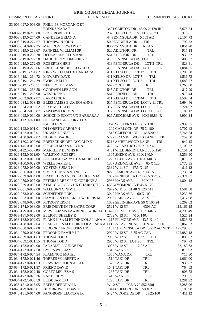# COMMON PLEAS COURT LEGAL NOTICE COMMON PLEAS COURT

|                                            | 33-006-027.0-003.00 PHILLIPS MORGAN C ET                                      |                                   |            |
|--------------------------------------------|-------------------------------------------------------------------------------|-----------------------------------|------------|
|                                            | BRINKS KARA E                                                                 | 3401 CLIFTON DR 43.09 X 178 IRR   | 6,675.54   |
| 33-007-019.0-213.00                        | <b>BECK ROBERT J JR</b>                                                       | 232 KELSO DR<br>51.41 X 93.73     | 5,310.01   |
|                                            | 33-008-019.0-274.00 CANDELA BRIAN A                                           | 44 PENINSULA DR 5.569 AC          | 85,107.73  |
| 33-008-019.0-274.57                        | THOMPSON JOHN                                                                 | 50 PENINSULA DR<br>TRL            | 792.33     |
| 33-008-034.0-002.25                        | <b>MAJERONI EDWARD E</b>                                                      | 83 PENINSULA DR TRS 45            | 1,851.20   |
|                                            | 33-016-019.0-268.67 PANNELL WILLIAM SR                                        | 520 ADIUTORI DR<br>TRL            | 917.18     |
| 33-016-019.0-268.78                        | DEOLA JOSEPH UX ANN                                                           | <b>564 ADIUTORI DR</b><br>TRL     | 930.32     |
|                                            | 33-016-019.0-272.58 DAUGHERTY KIMBERLY A                                      | 418 PENINSULA DR LOT 6 TRL        | 406.57     |
| 33-016-019.0-272.65                        | ROBERTS CHRIS                                                                 | 418 PENINSULA DR<br>LOT 2 TRL     | 823.81     |
| 33-016-019.0-272.66                        | BRETSCHNEIDER DONALD                                                          | 418 PENINSULA DR LOT 3 TRL        | 1,084.25   |
|                                            | 33-016-019.1-264.62 KING WILLIAM UX BARBARA                                   | 411 KELSO DR LOT 17<br>TRL        | 2,293.58   |
| 33-016-019.1-264.72                        | <b>MOWREY DAVE</b>                                                            | 411 KELSO DR LOT 7<br>TRL         | 1.536.73   |
| 33-016-019.1-264.79 EWING KELLY            |                                                                               | 411 KELSO DR LOT 5<br>TRL         | 1,683.27   |
| 33-016-019.1-268.51                        | NEELEY THOMAS                                                                 | TRL<br>569 CONTI DR               | 1,268.08   |
| 33-016-019.1-268.58                        | <b>GOODWIN LEE ANN</b>                                                        | 545 ADIUTORI DR<br>TRL            | 817.99     |
| 33-016-019.1-268.90 WEST KIPP C            |                                                                               | 561 PERINELLI DR<br>TRL           | 970.44     |
| 33-016-032.0-002.87                        | <b>BARR LINDA</b>                                                             | 411 KELSO DR LOT 44<br>TRL        | 1,502.34   |
|                                            | 33-016-034.2-003.45 BLISS JAMES B UX ROSANNE                                  | 517 PENINSULA DR LOT A-11 TRL     | 5,694.46   |
| 33-016-034.2-003.52 FRYE MICHELLE          |                                                                               | 317 PENINSULA DR LOT 12 TRL       | 724.07     |
| 33-016-034.2-003.87                        | YAWORSKI KEVIN                                                                | 317 PENINSULA DR LOT 14 TRL       | 3,109.12   |
|                                            | 33-018-093.0-010.00 SCHICK D SCOTT UX BARBARA J                               | 926 ARDMORE AVE 90X119.89 IR      | 8,900.14   |
| 33-020-112.0-021.00                        | <b>HOLLAND GREGORY J UX</b>                                                   |                                   |            |
|                                            | <b>KATHLEEN</b>                                                               | 1120 WESTERN LN 80 X 120.18       | 7,939.55   |
| 33-022-123.0-001.01                        | DI LORETO CAROLYN                                                             | 1202 GARLOCK DR 75 X 180          | 9,707.43   |
| 33-023-127.0-018.01                        | UKASIK DENISE L                                                               | 1518 CLIFFORD DR<br>65X209.5      | 6,765.64   |
| 33-023-130.0-009.82 NUGENT WADE J          |                                                                               | 5227 BRAMBLEWOOD LANE<br>TRL      | 759.30     |
| 33-023-130.2-009.66                        | BRETSCHNEIDER DONALD E                                                        | TRL<br>5218 AMBERWOOD LANE        | 942.15     |
|                                            | 33-024-145.0-002.00 FISCHER MAYA N LYNN                                       | 4723 W LAKE RD 260 X 207.43       | 7,108.37   |
| 33-025-112.0-007.00                        | <b>MARKLEY DENNIS R</b>                                                       | 4431 WILDBERRY LANE 80 X 120      | 10,151.54  |
| 33-026-153.0-011.00                        | <b>WALSTON ROBERT</b>                                                         | 1305 SHENK AVE 80 X 140.04        | 3,259.90   |
|                                            | 33-026-153.0-012.00 BURLEIGH GARY P UX MARSHA C                               | 1225 SHENK AVE 120 X 140.04       | 6,073.53   |
| 33-027-160.0-022.00                        | <b>WELLE JAMES L</b>                                                          | 1307 ARDMORE AVE<br>60 X 120      | 5,772.95   |
| 33-028-072.0-037.00                        | YOSTEN SUSAN K                                                                | 3332 W 11 ST 47.5 X 165           | 4,911.12   |
| 33-029-056.0-006.00                        | SIMOS CONSTANTINOS G JR                                                       | 922 FILMORE AVE 40 X 146.5        | 6,735.64   |
| 33-029-059.0-004.00                        | BRATIC DUSAN UX KATHLEEN M                                                    | 1002 PENINSULA DR 279.5 X97.53    | 27,321.67  |
|                                            | 33-029-059.0-007.00 PETERS LARRY J UX CORINNE A                               | 2936 HAAS AVE<br>60 X 95          | 4,804.18   |
| 33-029-059.0-080.00                        | KEMP GEORGE G UX CHARLOTTE E                                                  | 633 WYOMING AVE 45 X 129          | 6,116.21   |
| 33-029-061.0-009.00                        | WALBURN CINDY L                                                               | 2972 W 11 ST 61.48 X 120.44 I     | 4,581.38   |
| 33-029-063.0-004.00                        | <b>SCHNEIDER ERIC</b>                                                         | 3049 HAAS AVE<br>60 X 100         | 5,239.36   |
| 33-029-063.0-019.00                        | HAMILTON EDGAR F UX DORIS M                                                   | 2956 LAIRD AVE<br>120 X 100       | 7,417.98   |
| 33-030-048.0-020.00 PETROFF ERIC T         |                                                                               | 1002 SELINGER AVE 56 X 106.24     | 3,269.63   |
| 33-032-174.0-038.00                        | ERIE DRIVE IN THEATRE CORP                                                    | 2521 W 12 ST<br>4.6303 AC         | 112,161.15 |
|                                            | 33-033-179.0-007.00 MCWILLIAMS LAWRENCE W JR UX D 1422 FILMORE AVE 80 X 146.5 |                                   | 4,793.49   |
| 33-033-187.0-012.00                        | ELLIOTT SHELBY E                                                              | 2709 W 13 ST 40 X 140.44          | 4,525.24   |
| 33-033-188.0-002.03                        | PLANK LISA M ET DINICOLA LANA A 1215 FILMORE AVE 43.5 X 140                   |                                   | 1,528.83   |
| 33-033-188.0-002.04                        | PLANK LISA M ET DINICOLA LANA A LOT 273 AVONDALE ADN 43.5X140                 |                                   | 2,067.03   |
| 33-034-058.0-009.00                        | FEDORKO PROPERTIES INC                                                        | 1101 11 PENINSULA DR 3.732 AC NET | 177,798.01 |
|                                            | 33-034-059.0-026.00 FEDORKO FAMILY LP                                         | 2920 W 12 ST 3.55 AC CAL          | 122,982.18 |
| 33-034-059.0-031.63                        | <b>THOMA TODD</b>                                                             | 2968 W 12 ST<br>LOT 27<br>TRL     | 895.82     |
| 33-034-059.1-031.55                        | <b>THOMA TODD</b>                                                             | 2968 W 12 ST LOT 28<br>TRL        | 797.73     |
|                                            | 33-034-172.0-004.00 PARADISE LOUNGE INC                                       | 3005 W 12 ST<br>2.03 AC           | 33,180.63  |
| 33-034-172.0-004.50                        | <b>BYERS WILLIAM</b>                                                          | 1348 WANA DR<br>TRL               | 873.93     |
|                                            | 33-034-172.0-004.54 FLAMINGO MOTEL                                            | 1350 WANA DR<br>TRL               | 715.80     |
|                                            | 33-034-172.0-021.46 TORRES WILBERTO A                                         | 1510 TAKI DR<br>TRL               | 1,060.00   |
| 33-034-172.0-021.53                        | PRAWDZIK JOHN ALLEN                                                           | 1526 TAKI DR<br>TRL               | 936.87     |
| 33-034-172.0-021.57 FRIEND DAVID           |                                                                               | TRL<br>1541 TAKI DR               | 764.63     |
| 33-034-172.0-022.48                        | <b>GOETZ MELISSAS</b>                                                         | TRL<br>1235 TAKI DR               | 906.53     |
| 33-034-172.0-023.36 RAKE JUDY              |                                                                               | 1418 WANA DR<br>TRL               | 798.65     |
| 33-034-172.1-005.59                        | <b>BUDD JAMES J</b>                                                           | TRL<br>1226 TAKI DR               | 1,281.92   |
| 33-035-171.0-015.05<br>33-040-129.0-013.01 | BEERS DEBORAH L                                                               | <b>W12 ST</b><br>PCL A 70.55X350I | 8,285.96   |
|                                            | DOMBROWSKI DAVID                                                              | 1944 CLIFFORD DR 50 X 210         | 3,180.98   |
|                                            | 33-040-131.0-014.00 PANGBORN LLOYD A JR                                       | 5424 WOODSIDE DR<br>63.2X100      | 4,411.12   |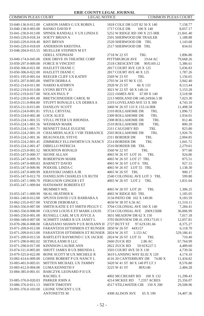| COMMON PLEAS COURT                                       | <b>LEGAL NOTICE</b>                                                   |                                                | <b>COMMON PLEAS COURT</b> |
|----------------------------------------------------------|-----------------------------------------------------------------------|------------------------------------------------|---------------------------|
|                                                          | 33-040-136.0-012.00 CARSON JAMES G UX ROBIN L                         | 1818 COLE DR LOT 82 50 X 140                   | 7,158.77                  |
| 33-040-138.0-003.00 BANKO DAVID P                        |                                                                       | 1717 COLE DR<br>100 X 140                      | 8,057.17                  |
|                                                          | 33-041-230.0-013.00 SPINEK RANDALL V UX LINDA E                       | 5252 W RIDGE RD 100 X 215 IRR                  | 21,841.40                 |
| 33-043-229.0-018.34                                      | <b>SOETY BRIAN A</b>                                                  | 2501 SHERWOOD DR TRAILER                       | 1,188.88                  |
| 33-043-229.0-018.40                                      | <b>RIST BRYAN</b>                                                     | 2520 SHERWOOD DR TRL                           | 1,143.68                  |
| 33-043-229.0-018.69                                      | ANDERSON KRISTINA                                                     | 2517 SHERWOOD DR TRL                           | 834.65                    |
|                                                          | 33-048-204.0-015.55 MUELLER STEPHEN M ET                              |                                                |                           |
|                                                          | <b>ODELL STEPHANI</b>                                                 | 2718 W 22 ST<br>TRL                            | 1,896.80                  |
| 33-049-174.0-045.00                                      | ERIE DRIVE IN THEATRE CORP                                            | PITTSBURGH AVE<br>19.64 AC                     | 79,668.26                 |
|                                                          | 33-050-297.0-009.00 FORCE H VINCENT                                   | 2518 CRESCENT DR<br>90X169.12                  | 5,386.61                  |
| 33-050-306.0-021.00                                      | <b>HAZLETT DIANE C</b>                                                | 2817 COURT AVE 120 X 125                       | 5,036.83                  |
|                                                          | 33-050-306.0-022.00 HAZLETT DIANE C                                   | 2817 COURT AVE 40 X 125                        | 1,787.26                  |
|                                                          | 33-051-195.0-001.64 REEGER CLIFF UX KATHY                             | 2569 W 23 ST<br>TRL                            | 1,156.65                  |
| 33-051-207.0-005.00                                      | <b>SMITH DEBRAA</b>                                                   | 2703 W 24 ST 90 X 135                          | 3,942.40                  |
| 33-052-214.0-011.00 NARDO KATHRYN                        |                                                                       | 2928 W 25 ST<br>66 X 133                       | 8,113.44                  |
| 33-052-219.0-013.00 LYONS BETTY JO                       |                                                                       | 3021 W 22 ST 60 X 140.14                       | 5,153.28                  |
| 33-052-219.0-017.00 NOLAN PAUL P                         |                                                                       | 2222 JAMES AVE<br>67.89 X 140                  | 3,518.98                  |
|                                                          | 33-052-220.0-001.00 BRETSCHNEIDER CAROL M                             | 2213 MIDLAND DR 140.24X66.5 IR                 | 7,023.30                  |
| 33-053-211.0-004.00                                      | STUFFT RONALD L UX DEBRA A                                            | 2319 LOVELAND AVE 53 X 300                     | 4,743.10                  |
| 33-053-211.0-015.00                                      | <b>DANILOV SCOTT</b>                                                  | 3460 W 26 ST 133 X 133.14 IRR                  | 11,498.58                 |
| 33-053-224.0-001.81                                      | STULL CRYSTAL                                                         | 2310 ROLLAHOME DR<br>TRL                       | 1,096.72                  |
| 33-053-224.0-002.48 LOCK ALICE                           |                                                                       | 2309 ROLLAHOME DR<br>TRL                       | 1,934.01                  |
| 33-053-224.1-001.55                                      | STULL PETER UX RHONDA                                                 | 2308 ROLLAHOME DR<br>TRL                       | 812.46                    |
| 33-053-224.1-001.56                                      | <b>WEISMAN MARK</b>                                                   | 2510 ROLLAHOME DR<br>TRL                       | 800.20                    |
| 33-053-224.1-001.71                                      | BENNETT DALE EUGENE                                                   | 2311 CAUGHEY RD<br><b>TRL</b>                  | 823.80                    |
| 33-053-224.2-001.18                                      | <b>CHALMERS ALICE J VIR TERRANCE</b>                                  | 2503 ROLLAHOME DR<br>TRL                       | 1,926.76                  |
|                                                          | 33-053-224.2-001.36 BEAUSOLEIL STEVE                                  | 2311 BORDER DR<br>TRL                          | 2,004.85                  |
|                                                          | 33-053-224.2-001.45 ZIMMERLY ELLSWORTH UX NANCY 2514 BORDER DR        | TRL                                            | 1,041.72                  |
| 33-053-224.2-001.47                                      | DIBELLO PATRICIA                                                      | 2510 BORDER DR TRL                             | 2,279.61                  |
|                                                          | 33-053-225.0-001.52 MOURTON RONALD                                    | 3560 W 22 ST<br>TRL                            | 977.60                    |
| 33-055-247.0-009.37                                      | <b>SEONE ALLAN</b>                                                    | 4065 W 26 ST LOT 16<br>TRL                     | 924.86                    |
|                                                          | 33-055-247.0-009.70 ROBERTSON MARK                                    | 4065 W 26 ST LOT 27 TRL                        | 875.51                    |
| 33-055-247.0-009.83                                      | <b>BARNETT DAVID</b>                                                  | 4065 W 26 ST LOT 6 TRL                         | 927.15                    |
| 33-055-247.0-009.96                                      | PODOJIL LINDA C                                                       | 4065 W 26 ST LOT 55 TRL                        | 1,138.30                  |
| 33-055-247.0-009.99                                      | <b>KRAYESKI JAMES A JR</b>                                            | 4065 W 26 ST TRL                               | 900.17                    |
| 33-055-247.0-012.70                                      | DANIELSON CHARLES UX RUTH                                             | 2540 COLONIAL AVE LOT 3 TRL                    | 599.80                    |
| 33-055-247.1-009.70                                      | FERGUSON GINGER I ET                                                  | 4065 W 26 ST LOT 2<br>TRL                      | 1,831.64                  |
| 33-055-247.1-009.84                                      | HATHAWAY ROBERTA ET                                                   |                                                |                           |
|                                                          | <b>MUMMEY WIL</b>                                                     | 4065 W 26 ST LOT 20<br>TRL                     | 1,306.25                  |
| 33-055-247.1-009.99                                      | <b>SKAL HEATHER K</b>                                                 | 4065 W RIDGE RD TRL                            | 1,185.05                  |
| 33-061-240.0-012.00                                      | SPUSTA DAVID J UX BARBARA A                                           | 3134 PATIO DR 102 X 149.06                     | 9,183.59                  |
| 33-062-235.0-057.00                                      | YATZOR DEBORAH L                                                      | 4650 W 38 ST 6.56 AC                           | 11,510.11                 |
| 33-063-356.0-007.00                                      | SMITH KATIE E ET SMITH PEGGY C                                        | 3704 COLONIAL AVE 160 X 140                    | 7,284.41                  |
| 33-063-356.0-008.00                                      | COLUSSI LOUIS E ET MARK LOUIS                                         | 3724 COLONIAL AVE 200X150IR                    | 36,006.99                 |
| 33-065-250.0-001.00                                      | RUSSELL CARL M UX JOYCE A                                             | 3831 MEADOW DR 62 X 150                        | 7,017.18                  |
| 33-066-349.0-007.00                                      | SCHMITT JAMES R UX JANET L                                            | 3703 BONVIEW DR 41.19X173.01 I                 | 12,057.81                 |
| 33-070-286.0-008.00                                      | GRAZIANO SHAWN P UX ROXANN H 2727 BUTT ST                             | 97.62X181.66                                   | 8,375.27                  |
|                                                          | 33-071-209.0-012.00 FARANTZOS EFTHIMIOS ET RUNSER 2850 W 26 ST 44X157 |                                                | 6,118.70                  |
| 33-071-209.0-013.00                                      | FARANTZOS EFTHIMIOS ET RUNSER 2824 W 26 ST                            | 3.153 AC                                       | 529,186.41                |
|                                                          | 33-071-209.0-013.50 BARTLETT RAYMOND C UX JACKIE                      | 2824 W 26 ST LOT 31<br>TRL                     | 710.40                    |
| 33-071-290.0-002.02                                      | SETHULAXMI II LLC                                                     | 2660 ZUCK RD<br>2.86 AC                        | 67,764.99                 |
| 33-071-290.0-017.00                                      | KINNISON LAURIE ANN                                                   | 2822 ZUCK RD<br>59.92X227.5                    | 4,489.60                  |
| 33-074-311.0-005.00                                      | SHOTT JAMES B UX BRENDA L                                             | 3503 COURT AVE 50 X 130                        | 4,739.56                  |
| 33-079-325.0-022.00                                      | BONE SCOTT M UX MICHELE R                                             | 3619 LANSING WAY 82.02 X 120                   | 4,174.10                  |
| 33-082-414.6-009.00                                      | LOHSE ROBERT P UX NANCY L                                             | 4116 20 CANTERBURY DR<br>74.80 X               | 11,434.82                 |
| 33-083-401.0-005.01                                      | MITTEN MICHAEL UX TAMMY                                               | 3420 W 41 ST 80 X 140 PT LT 3                  | 8,576.80                  |
| 33-083-412.0-004.00                                      | LUMA KENNETH F                                                        | 3225 W 41 ST<br>80X140                         | 2,484.28                  |
| 33-084-385.0-001.01                                      | BARCZYK LEONARD P II UX                                               |                                                |                           |
|                                                          | <b>RACHEL S</b>                                                       | 4002 MCCREARY RD<br>100 X 132<br>7.2357 ACRES  | 11,298.43                 |
| 33-085-376.0-020.03 PARKER JOHN A<br>33-086-376.0-011.13 | <b>SMITH TIMOTHY</b>                                                  | 4214 MCKEE RD<br>4517 STILLWATER CIR 150 X 200 | 25,356.07<br>29,508.96    |
|                                                          | 33-091-376.0-103.00 LEONE VINCENT LUX                                 |                                                |                           |
|                                                          | <b>ANTONETTE M</b>                                                    | 4308 ALISON AVE<br>65 X 190                    | 14,407.36                 |
|                                                          |                                                                       |                                                |                           |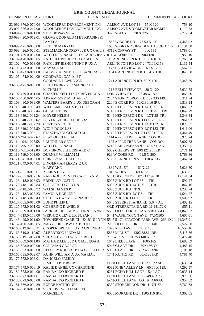| <b>COMMON PLEAS COURT</b>         | <b>LEGAL NOTICE</b>                                                                 | <b>COMMON PLEAS COURT</b>                                       |                      |
|-----------------------------------|-------------------------------------------------------------------------------------|-----------------------------------------------------------------|----------------------|
| 33-092-376.0-070.04               | WOODBERRY DEVELOPMENT INC                                                           | ALISON AVE LOT 13 65 X 120                                      | 758.10               |
| 33-092-376.0-217.00               | WOODBERRY DEVELOPMENT INC                                                           | ALISON AVE STORMWATER MGMT""                                    | 1,110.53             |
| 33-094-555.0-021.00               | <b>STROUP WAYNE W</b>                                                               | 3425 W 43 ST<br>70 X 276.6                                      | 7,719.84             |
| 33-098-420.0-012.01               | GLOVER DONALD M ET KRASINSKI                                                        |                                                                 |                      |
|                                   | <b>PAMELA</b>                                                                       | 1858 W GORE RD<br>77.50 X 100                                   | 4,443.92             |
|                                   | <b>BUTLER MARYLEE</b>                                                               | 1605 W GRANDVIEW BLVD 161.93 X 172                              |                      |
| 33-099-425.0-005.00               |                                                                                     |                                                                 | 13, 131.58           |
| 33-099-426.0-020.01               | STELMACK ANDREW J JR UX GAIL S 4719 CONWAY ST                                       | 40 X 135                                                        | 4,783.01             |
| 33-101-459.0-007.00               | WALTER RONALD E UX CAROL JEAN 814 W GORE RD<br>RATCLIFF BISHOP T UX ASELIEN         | 90X130<br>113 ARLINGTON RD 80 X 180.74                          | 5,953.10             |
| 33-102-470.0-013.05               |                                                                                     |                                                                 | 9,768.34             |
|                                   | 33-102-470.0-013.06 RATCLIFF BISHOP TONY R UX A<br><b>MAY SUE M</b>                 | ARLINGTON RD LOT 24 73.06X158<br>1173 BELLEVIEW DR              | 2,131.54             |
| 33-105-473.0-009.00               | 33-105-473.0-014.00 HARVEY KENNETH UX SANDRA B                                      | 60 X 120<br>1184 E ARLINGTON RD 64 X 120                        | 5,567.55<br>6,040.58 |
| 33-105-474.0-024.00               | <b>GOODARD JOAN MET</b>                                                             |                                                                 |                      |
|                                   | <b>GOODARD LAWRENCE</b>                                                             | 1241 ARLINGTON RD 60 X 120                                      | 5,348.59             |
|                                   | 33-105-475.0-003.00 LICHTENBERGER MARK CUX                                          |                                                                 |                      |
|                                   | <b>MICHELLE</b>                                                                     | 1213 BELLEVIEW DR 80 X 120                                      | 5,630.75             |
| 33-107-479.0-001.00               | CRAMER KEITH D UX BEVERLY A                                                         | LONGVIEW ST<br>26.48 X 150                                      | 868.80               |
| 33-108-480.0-014.05               | ABRAMCZYK MICHAEL C                                                                 | 2134 STONEYBROOK DR 52.33X149.                                  | 8,311.94             |
| 33-108-480.0-039.09               | WALTERS BARRY L UX DEBORAH                                                          | 2204 E GORE RD 60X130.16 IRR                                    | 6,813.24             |
| 33-113-640.0-002.40               | WILLIAMS JIM UX BRENDA                                                              | 5149 HENDERSON RD LOT 90 TRL                                    | 1,068.57             |
| 33-113-640.0-002.44               | <b>GURAF CHRIS</b>                                                                  | 5149 HENDERSON RD LOT 75<br>TRL                                 | 1,047.79             |
| 33-113-640.2-002.24               | <b>MOYER HELEN</b>                                                                  | 5149 HENDERSON DR LOT 28 TRL                                    | 2,348.34             |
| 33-113-640.2-002.62               | BOYER BARRY UX DEBRA                                                                | 5149 HENDERSON RD LOT 79 TRL                                    | 961.93               |
| 33-113-640.2-002.78               | <b>CORTES NICOLE</b>                                                                | 5149 HENDERSON RD LOT 132 TRL                                   | 1,028.57             |
| 33-113-640.2-002.80               | <b>WOLF DOUGLAS</b>                                                                 | 5149 HENDERSON RD LOT 133 TRL                                   | 1,611.06             |
| 33-113-640.3-002.11               | STASZEWSKI GERALD M                                                                 | 5149 HENDERSON DR LOT 31 TRL                                    | 1,441.49             |
| 33-114-494.0-027.67               | ELWOOD CLELLIA                                                                      | 1114 APPLE TREE LANE CONDO                                      | 5,923.24             |
| 33-114-494.1-027.58               | LAUGHNER GENE F                                                                     | 1105 APPLE TREE LANE CONDO                                      | 5,007.88             |
| 33-115-495.0-036.00               | <b>WALTER RONALD</b>                                                                | 5246 LAKE PLEASANT 148.5X123.5                                  | 1,359.25             |
| 33-118-461.0-012.00               | DOMBROWSKI BERNARD C                                                                | 5002 CHERRY ST 50X121.96 IRR                                    | 5,771.14             |
| 33-119-519.0-003.00               | DURNEY WILLIAM M                                                                    | 929 W GORE RD<br>61.5 X 200                                     | 5,768.36             |
| 33-121-541.0-003.00               | SHIRLEY MICHELLE C                                                                  | 5129 LEXINGTON ST 110 X 135                                     | 5,467.74             |
| 33-121-549.0-004.01               | LINGERMAN LEROY CUX                                                                 |                                                                 |                      |
|                                   | <b>MARY ANN</b>                                                                     | 1839 W 51 ST<br>60X121                                          | 5,023.30             |
| 33-121-551.0-009.01               | <b>ZELINA DENISE</b>                                                                | 1846 W 50 ST<br>60 X 125                                        | 5,639.81             |
| 33-122-665.0-052.16               | RAPP ROBERT V UX CAROLYN M                                                          | 5131 DIXSON DR 87.21X199.10                                     | 12,141.34            |
| 33-123-418.0-028.93               | <b>BRINKLEY JUSTIN</b>                                                              | 5005 ZUCK RD LOT 33<br>TRL                                      | 592.27               |
| 33-123-418.1-028.84               | <b>COLETTA TONI LYNN</b>                                                            | 5005 ZUCK RD LOT 36<br>TRL                                      | 847.16               |
| 33-123-418.2-028.92               | <b>WALSH JAMES P</b>                                                                | 5005 ZUCK RD TRL                                                | 1,230.74             |
|                                   | 33-123-418.3-028.33 PAMULA DARLENE                                                  | 5005 ZUCK RD LOT 6<br>TRL                                       | 1,544.27             |
| 33-123-418.3-028.43               | STRUPCZEWSKI LEONARD R                                                              | 5005 ZUCK RD LOT 9<br>TRL                                       | 1,500.97             |
| 33-127-565.0-013.00 LOHR PHILIP L |                                                                                     | 5043 STERRETTANIA RD 5.047 AC                                   | 9,402.15             |
|                                   | 33-127-672.0-001.02 GOEHRING DANIEL E                                               | OLD STERRETTANIA RD L1 141.72X                                  | 955.11               |
|                                   | 33-129-569.0-001.00 PARKER JULIE W P ET FINN JEANNE P 5535 OLD STERRETTANIA RD 4.43 |                                                                 | 11,845.07            |
| 33-144-619.0-178.00               | WERNTZ CLEVE UX SUSAN I                                                             | 5441 WASHINGTON AVE 47.5X500                                    | 4,605.01             |
| 33-146-499.0-011.00               |                                                                                     | TOWNSEND GARRICK UX JONI LYNN 5545 51 GLENWOOD PARK AVE 268.1X2 | 11,345.91            |
| 33-152-490.2-015.05               | NAGY PHILLIP W UX BETH E                                                            | 2263 DELPHOS DR<br>80 X 140                                     | 7,522.30             |
| 33-163-619.0-108.31               | COOPER BRUCE E UX DARLENE A                                                         | 1023 RUTH AVE<br>80 X 155                                       | 10,552.16            |
| 33-163-619.0-110.07               | <b>ALBERTSON LINDA M</b>                                                            | 5836 MILL ST  130X88.81 IRR                                     | 7,415.86             |
| 33-163-619.1-007.00               | SHEASLEY C LEWIS UX RUTH A                                                          | 710 W 59 ST 81.25X140.63 IR                                     | 9,477.40             |
| 33-165-609.0-011.00               | MATHA DALE L JR UX MELISSA A                                                        | 1642 BIEBEL AVE<br>100X165                                      | 1,682.69             |
| 33-166-593.0-009.00               | <b>COLEMAN GEORGE</b>                                                               | 5946 GLADE DR<br>50X456.39                                      | 4,488.15             |
|                                   | 33-166-593.0-010.00 HELSLEY ROBERT B UX COLLEEN R 5950 GLADE DR                     | 75X465.32IR                                                     | 6,106.18             |
| 33-166-595.0-002.07               | KUHN WILLIAM A UX MARIA L                                                           | 1741 KUNTZ RD<br>60X120 IRR                                     | 4,781.40             |
| 33-177-573.0-006.01               | <b>DANGELO FAMILY</b>                                                               |                                                                 |                      |
|                                   | <b>LIMITED PTNRSHP</b>                                                              | ECHO HILL LANE LOT 20 5.72 AC                                   | 8,636.54             |
| 33-177-573.0-006.19               | KALIE DANIEL UX CHRISTINE                                                           | 6032 PINE VALLEY LN 60.06 X 129.                                | 7,292.57             |
| 33-180-573.0-014.00               | RAMBALDO RICHARD F                                                                  | 6281 ECHO HILL LANE 5.40 AC                                     | 100,935.14           |
| 33-180-573.0-014.01               | RAMBALDO RICHARD F                                                                  | ECHO HILL LANE L5B 249.40X260                                   | 5,973.36             |
| 33-180-573.0-020.00               | <b>RAMBALDO RICHARD F</b>                                                           | ECHO HILL LANE LOT 9 4.60 AC                                    | 7,957.62             |
| 33-181-566.0-004.39               | <b>BUEGE KATHRYNE L</b>                                                             | 6330 STONEBROOK DR UNIT 3B                                      | 6,760.63             |
|                                   | 33-187-668.0-019.00 SECHRIST WILLIAM J UX                                           |                                                                 |                      |
|                                   | MARCELLA                                                                            | 6080 MORAINE DR 150X110 IRR                                     | 4,302.65             |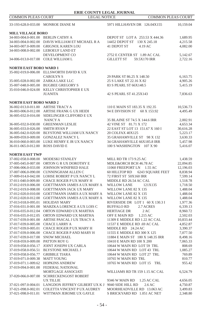| ERIE COUNTY LEGAL JOURNAL          |                                                  |                                   |           |
|------------------------------------|--------------------------------------------------|-----------------------------------|-----------|
| <b>COMMON PLEAS COURT</b>          | <b>LEGAL NOTICE</b>                              | <b>COMMON PLEAS COURT</b>         |           |
|                                    | 33-193-628.0-033.00 MONROE DIANE M               | 5971 HILLHAVEN DR 126.04X155      | 10,159.04 |
| <b>MILL VILLAGE BORO</b>           |                                                  |                                   |           |
| 34-003-004.0-001.00 BERLIN CATHY A |                                                  | DEPOT ST LOT A 253.53 X 444.36    | 1,689.95  |
|                                    | 34-003-004.0-002.00 DAVIS WILLIAM ET MICHAEL R A | 14452 DEPOT ST 130 X 245.18       | 4,215.58  |
|                                    | 34-003-007.0-009.00 GRIGNOL KAREN LOU            | 41 DEPOT ST<br>4.19 AC            | 4,082.00  |
|                                    | 34-003-008.0-002.00 LEBOEUF LAND ET              |                                   |           |
|                                    | DEVELOPMENT CO                                   | 2752 E CENTER ST 1.89 AC CAL      | 5,142.67  |
| 34-006-013.0-017.00 COLE WILLIAM L |                                                  | <b>GILLETT ST</b><br>59.5X170 IRR | 2,722.16  |
| <b>NORTH EAST BORO WARD 1</b>      |                                                  |                                   |           |
|                                    | 35-002-019.0-006.00 ELLSWORTH DAVID K UX         |                                   |           |
|                                    | <b>CAROLYN S</b>                                 | 29 PARK ST 86.25 X 148.50         | 6,163.75  |
|                                    | 35-005-028.0-002.00 ZARKA LAKE LLC               | 25 S LAKE ST 22.16 X 82           | 4,905.26  |
|                                    | 35-007-048.0-005.00 BUGBEE GREGORY S             | 83 S PEARL ST 66X148.5            | 5,415.19  |
|                                    | 35-010-046.0-024.00 KELLY CHRISTOPHER E UX       |                                   |           |
|                                    | <b>JUANITA</b>                                   | 42 S PEARL ST 41.25X143           | 7,836.63  |
| <b>NORTH EAST BORO WARD 2</b>      |                                                  |                                   |           |
| 36-002-013.0-011.00 ARTISE TRACY A |                                                  | 110 E MAIN ST 183.35 X 192.35     | 10,536.73 |
|                                    | 36-003-006.0-012.00 ARTISE FRANK G UX HEIDI      | 94 E DIVISION ST 60 X 153.92      | 4,495.49  |
|                                    | 36-005-032.0-016.00 SIDELINGER CLIFFORD E UX     |                                   |           |
|                                    | NANCY A                                          | 35 BLAINE ST 74.5 X 144.6 IRR     | 2,002.91  |
|                                    | 36-005-032.0-030.00 GREENMAN LESLIE              | 42 VINE ST 81.71 X 172            | 4,653.34  |
| 36-005-033.0-026.00                | <b>SMITH RYAN P</b>                              | 22 EAST ST LOT 13 151.67 X 160 I  | 30,616.28 |
|                                    | 36-005-042.0-020.00 BLYSTONE WILLIAM UX NANCY    | 20 COLFAX 40X125                  | 5,223.17  |
|                                    | 36-009-059.0-009.00 GONZALEZ NANCY L             | 35 GRAHAMVILLE ST 98 X 132        | 3,630.33  |
|                                    | 36-010-060.0-003.00 LUKE HENRY E JR UX NANCY     | 34 GRAHAMVILLE 66X185.8 IRR       | 5,457.98  |
| 36-011-065.0-012.00                | ROSS DAVID E                                     | 100 S WASHINGTON 107 X 90         | 5,416.07  |
| <b>NORTH EAST TWP</b>              |                                                  |                                   |           |
|                                    | 37-002-058.0-008.00 MODESKI STANLEY              | MILL RD TR 173 9.25 AC            | 1,438.59  |
| 37-005-045.0-007.00                | ORTON G R UX DOROTHY E                           | MDLE&ORCH BCH 46.78 AC            | 22,094.85 |
| 37-006-006.0-033.00                | JOHNSON WINIFRED HALE                            | 11060 FREEPORT LN 1.55 AC         | 12,196.03 |
| 37-007-006.0-090.00                | <b>CUNNINGHAM ALLEN C</b>                        | 60 HILLTOP RD<br>6243 SQUARE FEET | 8,838.94  |
|                                    | 37-009-014.0-042.00 LOHSE ROBERT P UX NANCY L    | 72 FIRST ST 50X160 IRR            | 7,599.14  |
|                                    | 37-011-040.0-009.00 CHACE ROGER P UX MARY H      | MIDDLE RD 26.54 AC CAL            | 1,518.78  |
| 37-012-019.0-006.00                | <b>GOETTMANN JAMES A UX MARY A</b>               | <b>WILLOW LANE</b><br>121X135     | 1,718.50  |
| 37-012-019.0-008.00                | <b>GOETTMANN JACK UX MARY</b>                    | WILLOW LANE 82 X 135              | 1,488.04  |
| 37-012-020.0-010.00                | GOETTMANN JAMES A UX MARY A                      | WILLOW LANE 82 X 135              | 1,488.04  |
| 37-012-020.0-012.00                | <b>GOETTMANN JAMES A UX MARY A</b>               | WILLOW LANE 82 X 135              | 1,488.04  |
| 37-013-018.0-095.01                | <b>HOLIDAY MARY</b>                              | RIVERSIDE DR LOT 1 60 X 130.3 I   | 1,977.36  |
| 37-016-031.0-001.00                | MARZKA LORENCE A UX LOIS C                       | BUFFALO RD<br>2.7 ACRES           | 6,339.13  |
| 37-016-035.0-012.04                | ORTON EDWARD UX MARTHA                           | <b>HERTIAGE DR</b><br>2AC         | 8,960.72  |
| 37-016-035.0-012.05                | ORTON EDWARD UX MARTHA                           | OFF E MAIN RD<br>1.215 AC         | 2,502.03  |
| 37-017-039.0-001.00                | ARTISE PASCAL J UX TRACY A                       | 11309 E MIDDLE RD 1.22 AC CAL     | 10,833.44 |
| 37-017-039.0-005.00 CHACE LARRY A  |                                                  | 11537 E MIDDLE RD .69 AC CAL      | 4,852.87  |
|                                    | 37-017-039.0-005.01 CHACE ROGER P UX MARY H      | MIDDLE RD 24.24 AC                | 3,390.37  |
|                                    | 37-017-039.0-006.00 CHACE ROGER P AND MARY H     | 11555 E MIDDLE RD 300 X 125       | 7,077.50  |
| 37-017-039.0-017.00 SNOW MICHAEL   |                                                  | 11884 E MAIN ST 180 X 148.35 IRR  | 8,498.16  |
| 37-018-059.0-009.00 PATTON ROY G   |                                                  | 10410 E MAIN RD 100 X 200         | 7,065.33  |
|                                    | 37-019-058.0-056.17 JOINT JOSEPH UX CARLA        | 10644 W MAIN RD LOT 59 TRL        | 808.69    |
|                                    | 37-019-058.0-056.51 BLYSTONE MICHAEL J           | 10644 W MAIN RD LOT 43 TRL        | 1,085.27  |
| 37-019-058.0-056.77 GRIBBLE TIARA  |                                                  | 10644 W MAIN RD LOT 27 TRL        | 769.89    |
| 37-019-071.0-009.38 MATT YOUNG     |                                                  | 10765 W MAIN RD TRL               | 810.77    |
|                                    | 37-019-071.1-009.62 HOPKINS ANDREW               | 10765 W MAIN RD LOT 15 TRL        | 955.42    |
|                                    | 37-019-094.0-001.00 FEDERAL NATIONAL             |                                   |           |
|                                    | MORTGAGE ASSOCIATI                               | WILLIAMS RD TR 159 1.15 AC CAL    | 6,524.79  |
|                                    | 37-020-066.0-007.00 SCHRECKENGOST ROBERT         |                                   |           |
|                                    | <b>UX TILLIE</b>                                 | 9346 W MAIN RD<br>1.25 AC CAL     | 4,656.05  |
| 37-021-097.0-004.01                | LANGDON JEFFREY GILBERT UX K J 9040 SIDE HILL RD | 2.6 AC                            | 4,750.87  |
| 37-021-098.0-002.01                | COLETTA VINCENT P UX AUDREY                      | MOORHEADVILLE RD 13.063 AC        | 3,499.83  |
|                                    | 37-021-098.0-011.01 WITTMAN JEROME UX GAYLE      | S BRICKYARD RD 1.051 AC NET       | 2,348.80  |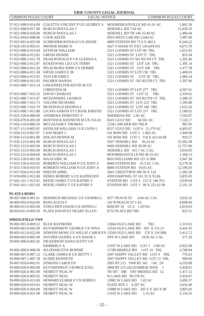| COMMON PLEAS COURT                         | <b>LEGAL NOTICE</b>                                                          | <b>COMMON PLEAS COURT</b>            |           |
|--------------------------------------------|------------------------------------------------------------------------------|--------------------------------------|-----------|
|                                            | 37-021-098.0-014.00 COLETTA VINCENT P UX AUDREY A MOOREHEADVILLE RD 41.91 AC |                                      | 1,802.30  |
| 37-021-098.0-017.00                        | <b>BURCH DOUGLAS J</b>                                                       | SIDEHILL RD 7.64 AC                  | 15,430.35 |
| 37-021-098.0-018.00                        | <b>BURCH DOUGLAS J</b>                                                       | SIDEHILL RD TR 146 35.49 AC          | 1,486.64  |
|                                            | <b>COOK KEITH</b>                                                            | 9910 WEST LAW RD 2.644 AC            |           |
| 37-022-094.0-008.00                        |                                                                              |                                      | 7,087.00  |
| 37-023-091.0-035.00                        | SCHRODER RONALD UX DIANE                                                     | 4089 STATION RD 75.9 X 402.6         | 8,244.22  |
| 37-024-105.0-002.01                        | PROPER MARK D                                                                | 4427 S WASH ST EXT 130.64X163        | 4,673.70  |
| 37-025-088.4-015.64                        | <b>SZYPLIK WILLIAM</b>                                                       | 5321 LOOMIS ST LOT 98 TRL            | 1,031.05  |
| 37-025-088.4-015.82 GRESH DENISE           |                                                                              | 5321 LOOMIS ST LOT 57 TRL            | 855.94    |
| 37-025-088.5-015.78                        | DEAH RONALD P UX GLENDA A                                                    | 5321 LOOMIS ST 501 RUTH CT TRL       | 1,392.46  |
| 37-025-088.5-015.87                        | KOSZEWSKI LEO UX TERRY                                                       | 5321 LOOMIS ST LOT 126 TRL           | 1,395.14  |
| 37-025-088.6-015.26                        | PELKOWSKI JOHN UX DEBBIE                                                     | 5321 LOOMIS ST LOT 108 TRL           | 1,477.78  |
| 37-025-088.6-015.38                        | KIFER JAMES E JR                                                             | 5321 LOOMIS ST LOT 230 TRL           | 1,400.63  |
| 37-025-088.6-015.65                        | <b>TAYLOR EMILY</b>                                                          | 5321 LOOMIS ST<br>LOT 30 TRL         | 1,084.14  |
| 37-025-088.6-015.93                        | PALMER WANDA                                                                 | 5321 LOOMIS ST 502 RUTH CT TRL       | 1,307.96  |
| 37-025-088.7-015.14                        | LINGENFELTER KEVIN MUX                                                       |                                      |           |
|                                            | <b>CHRISTINA M</b>                                                           | 5321 LOOMIS ST LOT 277 TRL           | 4,567.61  |
| 37-025-088.7-015.35                        | <b>DAVIS CHARLES</b>                                                         | 5321 LOOMIS ST LOT 52 TRL            | 2,339.65  |
| 37-025-088.7-015.47                        | MCDANNEKL GEORGE                                                             | 5321 LOOMIS ST 503 RUTH CT TRL       | 3,388.33  |
| 37-025-088.7-015.73                        | VALONE RICHARD                                                               | 5321 LOOMIS ST LOT 223 TRL           | 1,599.88  |
| 37-025-088.7-015.79                        | MCDONALD DIANNA L                                                            | 5321 LOOMIS ST LOT 246 TRL           | 1,625.20  |
| 37-025-088.7-015.88                        | LICATA AARON ET CHASE KRISTIE                                                | 5321 LOOMIS ST LOT 217 TRL           | 2,188.82  |
| 37-025-109.0-008.00                        | ANDREWS DOROTHY Y                                                            | SHERMAN RD 2.65 AC                   | 7,543.87  |
| 37-026-079.0-005.00                        | BOSTWICK KENNETH M UX JULIA                                                  | 8241 GULF RD<br>64.561 AC            | 7,126.17  |
| 37-026-110.0-006.50                        | MCGAUGHEY THOMAS                                                             | 12361 ARCHER RD TRLR                 | 987.05    |
| 37-027-111.0-005.05                        | KESSLER WILLIAM J UX LYNN L                                                  | 8537 GULF RD LOT 6 15.379 AC         | 4,493.67  |
| 37-030-115.0-001.07                        | <b>CASS MARY L</b>                                                           | OX BOW RD LOT 3 1.065 AC             | 1,940.08  |
| 37-030-115.0-001.08                        | DOLAN DENNIS M                                                               | OX BOW RD LOT 2 110 X 421.64 IR      | 929.57    |
|                                            | 37-032-123.0-001.00 BURCH DOUGLAS J                                          | 9207 SIDEHILL RD 36.24 AC            | 23,302.38 |
| 37-032-123.0-002.00                        | <b>BURCH DOUGLAS J</b>                                                       | 9409 SIDEHILL RD 30.09 AC            | 11,757.80 |
| 37-032-123.0-003.00                        | <b>BURCH DOUGLAS J</b>                                                       | SIDEHILL RD 101.7 AC CAL.            | 3.034.93  |
| 37-032-125.0-004.00                        | <b>BURCH DOUGLAS J</b>                                                       | MOORHEADVILLE RD 40.16 AC            | 1,368.13  |
| 37-033-128.0-001.00                        | <b>MAAS ERIC M</b>                                                           | 8016 WILLIAMS RD 125 X IRR           | 2,047.30  |
|                                            | 37-033-130.0-010.02 ROBERTS WILLIAM N UX JODY A                              | 8680 STATION RD 10.3 AC CAL          | 8,278.50  |
| 37-033-130.0-010.03                        | ROBERTS WILLIAM N UX JODY A                                                  | 8680 STATION RD 10.01 AC             | 12,196.03 |
| 37-037-056.0-012.00                        | PHELPS APRIL                                                                 | 2841 CRESTVIEW DR 50 X 124           | 5,385.58  |
| 37-039-090.2-012.00                        | FERKO ROBERT A UX KATHLEEN                                                   | 4399 HARTWIG ST 161.55 X 91.86       | 5,835.05  |
| 37-042-101.1-015.01                        | REESE JAMES TUX KATHIE S                                                     | STATION RD LOT 4 125 X 146.78 I      | 2,030.04  |
| 37-042-101.1-015.03                        | REESE JAMES TUX KATHIE S                                                     | STATION RD LOT 3 90 X 251.62 IR      | 2,191.33  |
|                                            |                                                                              |                                      |           |
| <b>PLATEA BORO</b>                         |                                                                              |                                      |           |
| 38-007-008.0-001.01                        | HEINRICH MICHAEL UX SANDRA L                                                 | 9577 PEACH ST<br>4.04 AC CAL         | 3,916.32  |
| 38-009-003.0-024.00                        | <b>ROSS ALETA F</b>                                                          | 10170 PEACH ST 5 AC                  | 4,008.99  |
| 38-009-015.0-003.00                        | STRUCHEN DAVID UX DONNA J                                                    | 8458 RT 18 LT A 1.207AC              | 2,610.63  |
| 38-020-011.0-009.50                        | PLATZ DAVID ET NEARY ELLEN                                                   | 8732 PLATZ RD TRL                    | 832.51    |
|                                            |                                                                              |                                      |           |
| <b>SPRINGFIELD TWP</b>                     |                                                                              |                                      |           |
| 39-002-001.0-009.52 BLUE RAYMOND           |                                                                              | 13664 OLD LAKE RD<br>TRL             | 1,313.01  |
|                                            | 39-003-001.0-045.00 KUVSHINIKOV GEORGE UX NINA                               | 12556 OLD LAKE RD 305 X 151.21       | 6,442.45  |
| 39-003-012.0-022.00                        | JENKINS MOSE UX WILLIE CAROLYN 12509 OLD LAKE RD 270 X 110 IRR               |                                      | 3,413.72  |
|                                            | SNYDER DANIEL A UX DIANE L                                                   | <b>OFF W LAKE RD</b><br>18.95 AC CAL | 571.20    |
| 39-004-003.0-005.00<br>39-005-006.0-001.02 | DICKERSON DANA SCOTT UX                                                      |                                      |           |
|                                            |                                                                              |                                      |           |
|                                            | KIMBERLY A                                                                   | 11937 W LAKE RD LOT 3 2.08 AC        | 4,922.00  |
|                                            | 39-005-006.0-008.50 WLODARCZYK BONNIE                                        | 11780 MIDDLE RD LOT 14 TRL           | 2,709.04  |
|                                            | 39-006-007.0-007.12 CLARK JAMES R UX BETTY J                                 | 2947 HAPPY VALLEY RD LOT 4 TRL       | 776.63    |
| 39-006-007.1-007.78                        | <b>ELDER KENNETH</b>                                                         | 2947 HAPPY VALLEY RD LOT 13 TRL      | 909.83    |
| 39-007-010.0-001.01                        | <b>JENKINS CAROLYN</b>                                                       | 2095 RT 215 TWP RT 342 1AC (N        | 4,259.08  |
| 39-008-028.0-003.00                        | KUVSHINIKOV GEORGE ETAL                                                      | 3006 RT 215 (ALSO3008 & 3010)<br>- 1 | 3,428.91  |
| 39-009-026.0-002.00                        | NESBITT NEAL W                                                               | TR 587 - 588 OFF MIDDLE RD 52        | 1,417.12  |
| 39-009-026.0-003.03                        | NESBITT NEAL                                                                 | W LAKE RD 89.578 AC                  | 5,418.07  |
| 39-009-026.0-015.00                        | HOWARD ELMER E UX ROBIN L                                                    | 12882 W LAKE RD 1.02 AC              | 3,696.37  |
| 39-009-026.0-019.03                        | NESBITT NEAL W                                                               | STATE RTE 5 6.267 AC                 | 3,654.40  |
| 39-009-026.0-020.00 NESBITT NEAL W         |                                                                              | 13088 W LAKE RD 265 S X 265 X IR     | 3,805.03  |
| 39-009-026.0-021.00 NESBITT NEAL W         |                                                                              | 13102 W LAKE RD<br>1.25 AC           | 5,134.25  |

- 55 -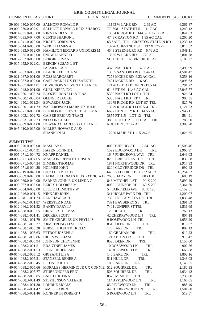| <b>COMMON PLEAS COURT</b>                                 | <b>LEGAL NOTICE</b>                                                          | <b>COMMON PLEAS COURT</b>                                      |                      |
|-----------------------------------------------------------|------------------------------------------------------------------------------|----------------------------------------------------------------|----------------------|
| 39-009-030.0-007.00                                       | <b>SALHOFF RONALD R</b>                                                      | 13163 W LAKE RD<br>2.69 AC                                     | 6,361.87             |
|                                                           | SALHOFF RONALD R UX SHARON                                                   | 1.17 AC                                                        |                      |
| 39-009-030.0-007.01<br>39-014-035.0-033.00 KINNAN DIANE M |                                                                              | TR 598 STATE RT 5                                              | 1,240.12             |
|                                                           | <b>CURTIS SHARON L</b>                                                       | 13664 RIDGE RD 144.59 X 175 IRR<br>4743 CRAYTON RD 1.35 AC CAL | 3,841.63             |
| 39-014-035.0-047.00                                       |                                                                              |                                                                | 3,260.20<br>1,233.13 |
|                                                           | 39-014-041.0-020.00 KRAHE GORDON S                                           | 63 SALE TR1 CRAYTON STATION RD                                 |                      |
| 39-015-044.0-035.00                                       | <b>WERTH JAMES A</b>                                                         | 13776 CHESTNUT ST 132 X 176.25                                 | 3,816.52<br>3,948.11 |
|                                                           | 39-016-033.0-012.00 HAMILTON EDGAR F UX DORIS M                              | 4543 STEENBURG RD 6.76 AC                                      |                      |
| 39-016-035.0-016.00 SNOW DIANNE O                         |                                                                              | 13535 W LAKE RD 1.729 AC                                       | 2,801.78             |
| 39-017-052.0-003.00                                       | <b>BERGIN SUSAN L</b>                                                        | SCOTT RD TR 586 10.318 AC                                      | 2,189.27             |
|                                                           | 39-017-052.0-022.01 BERGIN SUSAN L ET<br>PALMER CAROL L                      |                                                                |                      |
|                                                           |                                                                              | 4375 NASH RD<br>4.08 AC                                        | 3,499.99             |
|                                                           | 39-018-063.0-005.00 BLACK REBECCA M                                          | 13065 SANFORD RD 3.44 AC                                       | 4,581.47             |
| 39-021-087.0-001.00 ROSS MARGARET                         | CASE JACK H UX ELIZABETH                                                     | 7273 MCKEE RD 6.23 AC CAL<br>6AC                               | 3,358.16<br>3,895.63 |
| 39-021-087.0-002.00                                       |                                                                              | 7401 MCKEE RD                                                  |                      |
| 39-021-087.0-014.01                                       | DOVICHOW STEVEN UX JANICE<br><b>GURU KIRPA INC</b>                           | 12176 OLD ALBION RD 12.5 AC                                    | 5,291.22             |
| 39-024-048.0-001.00                                       |                                                                              | 6143 RT 6N 11.48 AC CAL                                        | 27,945.77            |
| 39-024-050.1-008.74                                       | <b>BOOZER RONALD &amp; TINA</b>                                              | 5300 NASH RD LOT 1 TRL                                         | 926.24               |
| 39-024-050.1-008.84                                       | <b>OLINGER JACKIE</b>                                                        | 5300 NASH RD LT 4 TRL                                          | 903.35               |
| 39-024-050.1-011.34                                       | <b>EDWARDS JACK</b>                                                          | 13079 RIDGE RD LOT B7 TRL                                      | 827.76               |
| 39-024-050.1-011.79                                       | NAPIEROWSKI MARK UX JULIE<br>39-024-071.0-005.00 BOKROS JEFFREY T ET KELLY A | 13079 RIDGE RD LOT A-4 TRL<br>6697 HUNTLEY RD 14.55 AC         | 1,121.53             |
|                                                           |                                                                              | 3855 RT 215 LOT 12 TRL                                         | 7,945.11             |
| 39-028-003.1-002.73 NELSON CHAD                           | 39-028-003.1-002.72 GAISER ERIC UX TRACI                                     |                                                                | 584.91               |
|                                                           | HOWARD CHARLES G UX JANET                                                    | 3855 ROUTE 215 LOT A<br>TRL<br>ROUTE 215 21.47 AC              | 785.60               |
| 39-033-009.0-004.00                                       |                                                                              |                                                                | 1,385.70             |
| 39-045-010.0-017.00                                       | MILLER HOWARD A UX                                                           |                                                                |                      |
|                                                           | <b>SHANNON M</b>                                                             | 12220 MAIN ST 111 X 247.5                                      | 2,826.65             |
| <b>SUMMIT TWP</b>                                         |                                                                              |                                                                |                      |
| 40-005-070.0-006.00 MASI JAY S                            |                                                                              | 8080 CHERRY ST<br>12.841 AC                                    | 10,505.46            |
| 40-005-071.1-004.31 HAZEN BONNIE L                        |                                                                              | 1592 EDGEWOOD DR<br>TRL                                        | 2,968.97             |
| 40-005-071.2-004.72 KNAPP DANIEL                          |                                                                              | 1647 PINEGROVE WAY<br>TRL                                      | 2,649.03             |
|                                                           | 40-005-071.3-004.65 MANGONI RENA ET TRISHA                                   | 8208 BRIERCREST DR<br>TRL                                      | 838.68               |
| 40-005-071.5-004.24 ZIMMER THOMAS                         |                                                                              | 1871 NORTHWOOD DR TRL                                          | 2,917.93             |
| 40-005-071.6-004.28 HOLMES JOHN                           |                                                                              | 8204 CLOVERIDGE DR TRL                                         | 992.42               |
| 40-007-019.0-045.00 BICKEL TIMOTHY                        |                                                                              | 6480 VEIT DR 115 X 272.61 IR                                   | 16,254.52            |
|                                                           | 40-008-069.0-020.00 LATIMER THOMAS H UX PATRICIA D 765 SHADY DR              | 80X150                                                         | 5,680.19             |
|                                                           | 40-008-069.0-040.00 FARNEN JOHN R UX LINDA C                                 | 848 MITCHELL ST<br>90 X 200                                    | 5,899.29             |
|                                                           | 40-009-067.0-008.00 BERRY DOLORES M                                          | 8082 JOHNSON RD<br>60 X 200                                    | 3,361.60             |
|                                                           | 40-010-054.0-003.00 LEUBE THIMOTHY W                                         | 80 X 120<br>54 FAIRFIELD AVE                                   | 6,159.51             |
| 40-012-046.0-001.15 KINKAID JOHN                          |                                                                              | 341 HOLLY PARK DR TRL                                          | 1,200.07             |
| 40-012-046.1-001.73 RENSHAW EARL                          |                                                                              | 7330 HOLLY VISTA DR TRL                                        | 1,033.48             |
| 40-012-046.1-001.87 WEBSTER NOAH                          |                                                                              | 7391 BAYBERRY ST TRL                                           | 1,391.69             |
| 40-012-046.2-001.52 BANEY DARYL J                         |                                                                              | 7401 JUNIPER ST TRL                                            | 1,531.69             |
|                                                           | 40-014-088.0-005.55 HINKLER THOMAS                                           | 120 HULL DR<br>TRL                                             | 768.13               |
| 40-014-088.1-001.41 DECKER SCOTT                          |                                                                              | 42 CHERRYWOOD LN<br>TRL                                        | 807.18               |
| 40-014-088.1-001.79                                       | SMITH CHARLES UX PHYLLIS                                                     | 9 ROSEWOOD LN TRL                                              | 1,053.20             |
|                                                           | 40-014-088.1-005.27 ARMSTRONG LESLIE A                                       | 8510 DEER DR<br>TRL                                            | 819.07               |
|                                                           | 40-014-088.1-005.28 PURSELL JOHN ET KELLY                                    | 120 EARL DR<br>TRL                                             | 802.13               |
| 40-014-088.1-005.63 PETROF JOSEPH J                       |                                                                              | 160 GRAHAM DR<br>TRL                                           | 619.23               |
| 40-014-088.1-005.86 HICKS WILLIAM                         |                                                                              | 121 AFTON DR<br>TRL                                            | 913.47               |
| 40-014-088.1-005.94                                       | <b>JOHNSON CHEYENNE</b>                                                      | 8520 DEER DR<br>TRL                                            | 1,158.60             |
| 40-014-088.2-001.51                                       | <b>BRANTNER JAMES</b>                                                        | 10 ROSEWOOD LN<br>TRL                                          | 902.76               |
| 40-014-088.2-001.53                                       | <b>JOHNSON JEREMY</b>                                                        | 14 ROSEWOOD LN<br>TRL                                          | 663.88               |
| 40-014-088.2-005.12                                       | <b>GRIZANTI LISA</b>                                                         | 140 EARL DR<br>TRL                                             | 1,802.16             |
| 40-014-088.2-005.31                                       | STANSELL RENEE A                                                             | 511 HULL DR<br>TRL                                             | 1,348.03             |
| 40-014-088.2-005.45                                       | <b>LICONE ARTHUR</b>                                                         | 180 EARL DR<br>TRL                                             | 1,145.65             |
| 40-014-088.2-005.66                                       | MORALES HERMINIO JR UX CONNIE 512 SQUIRREL DR                                | TRL                                                            | 2,180.35             |
| 40-014-088.2-005.77                                       | STUBENHOFER ERIC                                                             | 508 SQUIRREL DR<br>TRL                                         | 4,634.42             |
| 40-014-088.2-005.85                                       | <b>BABCOCK TINA</b>                                                          | 8520 MINK DR TRL                                               | 3,738.00             |
| 40-014-088.3-001.49                                       | STEPHENSON VALERIE                                                           | 114 APPLEWOOD LN<br>TRL                                        | 1,168.05             |
| 40-014-088.4-001.30                                       | <b>LOHRKE MOLLY</b>                                                          | 83 PINEWOOD LN<br>TRL                                          | 985.49               |
| 40-014-088.4-001.42                                       | <b>JAMES KAREN</b>                                                           | 44 CHERRYWOOD LN<br>TRL                                        | 1,581.00             |
| 40-014-088.5-001.46                                       | KONNERTH ROBERT J                                                            | TRL<br>5 ROSEWOOD LN                                           | 519.57               |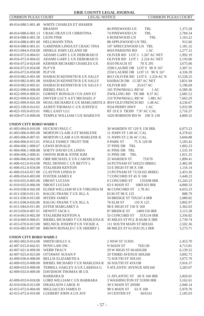| COMMON PLEAS COURT                | <b>LEGAL NOTICE</b>                              |                                        | <b>COMMON PLEAS COURT</b> |
|-----------------------------------|--------------------------------------------------|----------------------------------------|---------------------------|
|                                   | 40-014-088.5-001.48 WHITE CHARLES ET SHARER      |                                        |                           |
|                                   | <b>BRANDY</b>                                    |                                        |                           |
|                                   |                                                  | 84 PINEWOOD LN<br>TRL<br>TRL           | 1,373.28                  |
| 40-014-088.6-001.50 LEON FINK     | 40-014-088.6-001.13 CRAIG DEAN UX CHRISTINA      | 74 PINEWOOD LN<br>6 ROSEWOOD LN<br>TRL | 2,784.34                  |
| 40-014-088.6-001.60 HELLMANN TINA |                                                  | <b>88 APPLEWOOD LN TRL</b>             | 1,163.22                  |
| 40-014-088.6-001.61               | <b>GARDNER LINDA ET CRAIG TINA</b>               | 107 SPRUCEWOOD LN TRL                  | 912.66<br>1,181.32        |
|                                   | 40-015-084.0-018.00 HINKLE JOHN LELAND SR        | 8410 PARSONS RD<br>1 AC                | 2,277.22                  |
| 40-016-072.0-004.01               | ADAMS GARY L UX DEBORAH D                        | OLIVER RD LOT 3 1.267 AC NET           | 1,992.19                  |
| 40-016-072.0-004.02               | ADAMS GARY L UX DEBORAH D                        | OLIVER RD LOT 1 2.224 AC NET           | 2,193.06                  |
|                                   | 40-016-072.0-024.00 KERNER RICHARD CHARLES UX    | 8310 PEACH ST<br>78 X 291              | 3,675.06                  |
| 40-016-072.0-054.00 PLP VII       |                                                  | 2590 LAURIE DR LOT 9 90 X 167          | 3,307.31                  |
| 40-016-072.0-058.00 PLP VII       |                                                  | 2550 LAURIE DR LOT 13 90 X 167         | 4,336.39                  |
|                                   | 40-019-082.0-001.00 HAIBACH KENNETH R UX SALLY   | 8615 OLIVER RD LOT 6 2.224 AC N        | 15,528.25                 |
| 40-019-082.0-001.08               | HAIBACH KENNETH R UX SALLY                       | HAIBACH DR 15.587 AC NET               | 3,831.94                  |
| 40-019-082.0-005.01               | HAIBACH KENNETH R UX SALLY J                     | <b>OLIVER RD</b><br>35.617 AC          | 5,196.69                  |
| 40-022-098.0-008.00               | <b>BIEBEL PAUL E</b>                             | 165 TOWNHALL RD W<br>1 AC              | 6,589.36                  |
| 40-022-099.0-009.01               | GORNEY RONALD J UX ANN ET                        | ZWILLING RD TR 388 8.37 AC             | 2,685.52                  |
|                                   | 40-022-099.0-026.02 DWYER LUCY A ET MICHAEL P    | 210 TOWNHALL RD W<br>1.881 AC          | 7,663.29                  |
| 40-022-099.0-041.00               | HOAG RICHARD E UX MARGARITA A 8919 OLD FRENCH RD | 1.48 AC                                | 4,236.67                  |
| 40-023-109.0-014.01               | AURITI THOMAS C UX JUDITH E                      | 9534 PERRY HWY<br>1 AC                 | 5,932.90                  |
| 40-025-105.0-033.01               | NRLL EAST LLC                                    | RT 19 E S TR399 7.97 AC CAL            | 2,716.37                  |
|                                   | 40-028-071.0-008.00 TEMPLE WILLIAM J UX MARILYN  | 1620 ROBISON RD W 100 X 130            | 4,869.32                  |
|                                   |                                                  |                                        |                           |
| <b>UNION CITY BORO WARD 1</b>     |                                                  |                                        |                           |
| 41-003-004.0-010.00 HUCKNO PAUL C |                                                  | 36 WARDEN ST 129 X 150 IRR.            | 6,073.23                  |
| 41-003-006.0-005.00               | MORTON CLAIR A ET MARLENE                        | 11 JOHN ST 1.09 AC CAL                 | 4,378.62                  |
| 41-003-006.0-007.01               | MORTON CLAIR A UX MARLENE K                      | 11 JOHN ST 2.36 AC CAL.                | 3,604.88                  |
| 41-004-006.0-015.01               | ENGLE FAMILY TRUST THE                           | 9 PARK ST<br>75 X 120 IR               | 5,183.42                  |
| 41-004-006.1-008.67               | <b>LEWIS RONALD</b>                              | 37 PINE DR TRL                         | 1,002.23                  |
| 41-004-006.1-008.88               | SOETY DAVID UX LINDA                             | 41 PINE DR TRL                         | 1,535.19                  |
| 41-004-006.2-008.41               | <b>OWENS BOB &amp; STINE KIM</b>                 | 31 PINE DR<br>TRL                      | 1,021.25                  |
|                                   | 41-006-006.0-042.00 ORR MICHAEL E UX CARON M     | 25 WARDEN ST<br>75X70                  | 1,890.41                  |
|                                   | 41-006-012.0-014.00 PEEL DENNIS C UX BETTY L     | 54 PUTNAM ST 54X253 IRREG              | 2,482.99                  |
| 41-006-012.0-034.00               | <b>STALHEIM KENTON</b>                           | 53 E HIGH ST 98 X 198                  | 1,116.14                  |
|                                   | 41-006-014.0-017.00 CLAYTON LINDA D              | 13 PUTNAM ST 73.5X165 IRREG            | 2,453.26                  |
| 41-009-034.0-003.00               | <b>FOSTER JAMES E</b>                            | 7 CONCORD ST 45 X 100                  | 3,440.23                  |
| 41-010-035.0-005.00 DROST LUCIAN  |                                                  | <b>6 CONCORD ST</b><br>135X98 IRR      | 15,243.23                 |
| 41-010-035.0-006.00 DROST LUCIAN  |                                                  | 63 S MAIN ST<br>108X103 IRR            | 4,000.33                  |
| 41-010-038.0-042.00               | ELDER WILLIAM M UX VIRGINIA M                    | 46 CONCORD ST 1.78 AC                  | 4,653.23                  |
| 41-011-038.0-011.01               | <b>BALOG FRANK TUX JILL A</b>                    | ELM ST 98 X 125                        | 888.79                    |
| 41-011-038.0-015.00               | <b>MYERS JAMES</b>                               | 50 BRIDGE ST 70X167.4 IRR              | 2,080.82                  |
| 41-011-038.0-026.00               | <b>BALOG FRANK T UX JILL A</b>                   | 76 ELM ST<br>110 X 125                 | 3,892.97                  |
| 41-011-044.0-011.00               | <b>ESTER MARGARET A</b>                          | 98 E HIGH ST 150 X 160                 | 3,362.63                  |
| 41-013-050.0-007.01               | HEWITT JACK C                                    | 87 BRIDGE ST<br>148X150 IRR            | 3,115.28                  |
| 41-014-063.0-002.00               | STALHEIM KENTON A                                | 55 CONCORD ST<br>35X134 IRR            | 3,356.82                  |
| 41-014-069.0-006.01               | BIEBEL RICHARD TUX MARLENA R                     | 45 MILES ST PCL B 69.88 X IRR          | 2,739.74                  |
| 41-015-070.0-013.00               | MELNICK JOSEPH P UX VICKIE A                     | 111 SOUTH MAIN ST 60X165               | 2,502.36                  |
| 41-016-085.0-007.00               | BROWN RONALD C UX SHERRY L                       | 68 MILES ST 61.05X135.2 IRR            | 3,273.71                  |
| <b>UNION CITY BORO WARD 2</b>     |                                                  |                                        |                           |
| 42-002-002.0-014.00 SMITH HOLLY A |                                                  | 2 NEW ST 31X95                         | 2,453.70                  |
| 42-007-015.0-042.01 PENN LAW INC  |                                                  | N MAIN ST<br>76X130                    | 4,713.81                  |
| 42-007-021.0-009.00               | <b>WEBB TRACY</b>                                | 29 W HIGH ST 66.66X206                 | 6,139.52                  |
| 42-007-025.0-023.00               | OTTAWAY SUSAN P                                  | 29 THIRD AVENUE 60X268                 | 3,092.75                  |
| 42-009-030.0-008.00               | <b>BELLIS ELIZABETH A</b>                        | 72 SOUTH ST 50X165                     | 3,075.79                  |
| 42-009-032.0-008.00               | BIEBEL RICHARD TUX MARLENAR                      | 26 SOUTH ST 45X198                     | 3,916.37                  |
| 42-009-033.0-008.00               | TERRILL OAKLEY A UX LARISSA G                    | 9 ATLANTIC AVENUE 60X160               | 3,283.07                  |
| 42-009-033.0-009.00               | DAVIDSON THOMAS JR UX                            |                                        |                           |
|                                   | <b>BARBARA B</b>                                 | 11 ATLANTIC ST 60 X 160 IRR            | 2,826.01                  |
|                                   | 42-009-033.0-018.00 LORD WILLIAM C UX BARBARA    | 3 WASHINGTON ST 55X90 IRR              | 3,162.61                  |
| 42-010-036.0-013.00               | <b>ISRAELSON CAROL H</b>                         | 30 S MAIN ST 20X80                     | 2,046.14                  |
|                                   | 42-015-072.0-004.00 MIGLIACCIO JAMES D           | 98 S MAIN ST<br>63 X 100               | 5,970.70                  |
|                                   | 42-015-072.0-019.00 LUEBERT JOHN A UX JOY        | 19 CENTER ST<br>66X161                 | 2,185.03                  |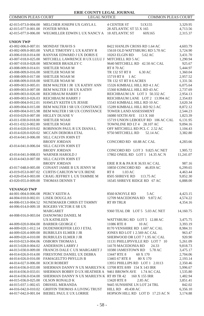| <b>COMMON PLEAS COURT</b><br><b>LEGAL NOTICE</b><br><b>COMMON PLEAS COURT</b><br><b>4 CENTER ST</b><br>42-015-073.0-004.00 MELCHER JOSEPH UX GAYLA L<br>51X155<br>3,329.95<br>42-015-077.0-001.00<br><b>FOSTER MYRA</b><br>28 ATLANTIC ST 55 X 165<br>4,713.56<br>42-015-077.0-006.00<br>WEGMILLER EDWIN L UX NANCY A 18 ATLANTIC ST<br>2,315.37<br>60X165<br><b>UNION TWP</b><br>43-002-006.0-007.01<br><b>MONDAY TRAVIS S</b><br>8422 HANLIN CROSS RD 1.64 AC<br>4,603.79<br>43-002-009.0-003.00<br>YAPLE TIMOTHY L UX KATHY R<br>15618 OLD WATTSBURG RD 5.70 AC<br>3,724.90<br>43-006-018.0-014.00<br>RANYAK EDWARD J UX DORIS E<br>10263 ELGIN RD<br>5.62 AC<br>3,431.70<br>1,290.94<br>43-007-018.0-025.00<br>MITCHELL LAWRENCE H UX LULU J<br>MITCHELL RD 5 AC<br>MENOHER BRADLEY C<br>9640 MITCHELL RD 42.50 AC CAL<br>43-007-018.0-028.00<br>925.67<br>SHETLER NOAH M<br><b>RT 8 70 AC</b><br>5,444.97<br>43-008-009.0-014.01<br>43-008-009.0-016.00<br><b>SHETLER NOAH M</b><br>TR 132 ST RT 8<br>6.30 AC<br>1,360.04<br>43-008-009.0-017.00<br>SHETLER NOAH M<br>15719 RT 8<br>1 AC<br>2,957.52<br>SHETLER NOAH M<br>TR 132 ST RT 8 6 ACRES<br>43-008-009.0-018.00<br>1,331.56<br>BEM WALTER I JR UX KATHY ANN<br>15326 KIMBALL HILL RD 4.1 AC<br>6,075.64<br>43-009-003.0-005.01<br><b>BEM WALTER I JR UX KATHY</b><br>15360 KIMBALL HILL RD 43 AC<br>2,737.69<br>43-009-003.0-007.00<br>43-009-003.0-026.00<br>REICHBAUM HARRY J<br>REICHBAUM LN LOT 3 50.332 AC<br>2,954.13<br>REICHBAUM LANE LOT 2 13.994 AC<br>2,354.83<br>43-009-003.0-026.03<br>REICHBAUM HARRY J<br>43-009-004.0-012.01<br>HAWLEY KEITH UX JESSIE<br>15543 KIMBALL HILL RD 10 AC<br>3,620.34<br>BEM WALTER I SR UX CONSTANCE<br>15289 KIMBALL HILL RD 92.5 AC<br>8,872.12<br>43-009-004.0-015.00<br>BEM WALTER I SR UX CONSTANCE<br><b>TOWER LAND ASSESSMENT</b><br>2,544.23<br>43-009-004.0-015.98<br>43-010-029.0-007.00<br>HIGLEY DUANE V<br>16080 SIXTH AVE 113 X 160<br>1,823.39<br>15719 UNION LEBOEUF RD 106 AC CAL<br>43-011-030.0-018.00<br><b>SHETLER NOAH</b><br>6,131.95<br><b>SHETLER NOAH</b><br>TOWNLINE RD LT 4 28.107 AC<br>43-011-032.0-002.00<br>9,094.16<br>ROBINSON PAUL R UX DIANA L<br>OFF MITCHELL RD PCL C 2.52 AC<br>1,104.43<br>43-014-020.0-019.02<br>MCCAIN DEBORA ETAL<br>9750 MITCHELL RD<br>3,382.80<br>43-014-020.0-020.02<br>52.14 AC<br>43-014-041.0-006.00<br>SILL CALVIN JOHN ET<br><b>BRODY JORDAN</b><br>CONCORD RD 60.88 AC CAL<br>4,283.66<br>SILL CALVIN JOHN ET<br>43-014-041.0-006.04<br><b>BRODY JORDAN</b><br>CONCORD RD LOT 3 9.825 AC NET<br>1,905.72<br><b>WARNER HAROLD J</b><br>17802 ONEIL RD LOT 1 14.35 AC N<br>43-014-041.0-008.03<br>11,241.07<br>43-014-043.0-007.00<br>SILL CALVIN JOHN ET<br><b>BRODY JORDAN</b><br>ERIE R R & PA R R 36.93 AC CAL<br>987.16<br>CONANT JAMIE B UX JENNY M<br>10850 CONCORD RD<br>43-017-048.0-005.00<br>46.859 AC<br>6,299.65<br><b>CURTIS CARLTON W UX IRENE</b><br>1.03 AC<br>4,463.44<br>43-019-053.0-007.02<br>RT 8<br>CRAIG JEFFREY L UX TAMMIE M<br>8505 SHREVE RD<br>9,852.30<br>43-020-054.0-003.00<br>113.75 AC<br>43-020-055.0-009.00<br>THOMAS DENNIS T<br>16545 SHREVE RIDGE RD 67 AC<br>6,888.00<br><b>VENANGO TWP</b><br>44-001-004.0-006.08 PERCY KEITH A<br>8560 KNOYLE RD<br>5 AC<br>4,423.15<br><b>LISEK DOUGLAS</b><br>4,574.22<br>44-004-010.0-002.01<br>12709 MACEDONIA RD 9.872 AC<br>44-006-013.0-004.52<br>NUNEMAKER CHRIS ET TAMMY<br>RT 89 TRLR<br>4,354.16<br>44-006-014.0-009.18<br>ROGERS VICTOR E SR UX<br><b>MARGARET</b><br>9360 TEAL DR LOT 5 5.03 AC NET<br>14,160.75<br>44-008-016.0-003.04 DANOWSKI DANIEL M<br><b>UX KATHLEEN</b><br>WATTSBURG RD LOT 5 12.88 AC<br>3,475.75<br>44-009-020.0-004.00<br><b>BARBER GEORGE C</b><br>11086 RTE 8<br>10AC<br>3,393.19<br>44-009-020.1-012.14 DUDENHOEFFER LEO J ETAL<br>8170 VENSHIRE RD 1.607 AC CAL<br>8,984.31<br>44-009-020.4-009.00<br><b>BURBULES ELMER J JR</b><br>JONES RD LOT 1 2.569 AC CAL<br>963.47<br>44-009-020.4-010.00 BURBULES ELMER J JR<br>SHERWOOD DR LOT 7 1.95 AC CAL<br>920.90<br>44-010-023.0-004.06 OSBORN THOMAS L<br>11131 PHILLIPSVILLE RD LOT 7 10<br>5,261.09<br>44-013-028.0-004.02 ANDERSON LARRY J<br>14170 MACEDONIA RD 24.33<br>9,818.73<br>44-013-030.0-009.00 FRANCIS DALE C UX MARGARET J<br>10380 JAMESTOWN RD 5.78 AC<br>3,475.17<br>44-014-026.0-014.00 FIRESTONE DANIEL UX DEBRA<br>2,704.06<br>13447 RTE 8<br>60 X 170<br>44-014-026.0-016.00 FAMAGELTTO PHYLLIS B<br>13465 67 RTE 8<br>80 X 170<br>2,193.14<br>KOCH ROBERT<br>13951 PHILLIPS RD LOT 1 2.0113<br>2,350.46<br>SHERMAN DANNY N UX MARILYN K 13708 RTE 8/89 154 X 143 IRR<br>5,996.67<br>44-014-036.0-033.01<br>SHERMAN BOBBY D UX HEATHER A 9461 BROWN AVE 1.74 AC CAL<br>1,535.80<br>SHERMAN DANNY N UX MARILYN K RT 89 TR 42<br>160 X 155 IRR<br>44-014-036.0-034.00<br>1,482.94<br>44-015-036.0-025.00<br>OLSON RONALD K<br>13420 RTE 8<br>2.85 AC<br>3,851.41<br>44-015-037.1-002.65<br>DRISSEL MERANDA<br>9445 SUNSHINE LN LOT 24 TRL<br>842.02<br>44-016-042.0-010.02<br><b>GRIFFIN THOMAS A LIVING TRUST</b><br>HILL RD 49.438 AC<br>6,356.10<br>44-017-042.0-001.04 BIEBEL PAUL E UX LORRIE<br>HOPSON HILL RD LOT D 17.23 AC N<br>3,174.88 | ERIE COUNTY LEGAL JOURNAL |  |  |  |
|--------------------------------------------------------------------------------------------------------------------------------------------------------------------------------------------------------------------------------------------------------------------------------------------------------------------------------------------------------------------------------------------------------------------------------------------------------------------------------------------------------------------------------------------------------------------------------------------------------------------------------------------------------------------------------------------------------------------------------------------------------------------------------------------------------------------------------------------------------------------------------------------------------------------------------------------------------------------------------------------------------------------------------------------------------------------------------------------------------------------------------------------------------------------------------------------------------------------------------------------------------------------------------------------------------------------------------------------------------------------------------------------------------------------------------------------------------------------------------------------------------------------------------------------------------------------------------------------------------------------------------------------------------------------------------------------------------------------------------------------------------------------------------------------------------------------------------------------------------------------------------------------------------------------------------------------------------------------------------------------------------------------------------------------------------------------------------------------------------------------------------------------------------------------------------------------------------------------------------------------------------------------------------------------------------------------------------------------------------------------------------------------------------------------------------------------------------------------------------------------------------------------------------------------------------------------------------------------------------------------------------------------------------------------------------------------------------------------------------------------------------------------------------------------------------------------------------------------------------------------------------------------------------------------------------------------------------------------------------------------------------------------------------------------------------------------------------------------------------------------------------------------------------------------------------------------------------------------------------------------------------------------------------------------------------------------------------------------------------------------------------------------------------------------------------------------------------------------------------------------------------------------------------------------------------------------------------------------------------------------------------------------------------------------------------------------------------------------------------------------------------------------------------------------------------------------------------------------------------------------------------------------------------------------------------------------------------------------------------------------------------------------------------------------------------------------------------------------------------------------------------------------------------------------------------------------------------------------------------------------------------------------------------------------------------------------------------------------------------------------------------------------------------------------------------------------------------------------------------------------------------------------------------------------------------------------------------------------------------------------------------------------------------------------------------------------------------------------------------------------------------------------------------------------------------------------------------------------------------------------------------------------------------------------------------------------------------------------------------------------------------------------------------------------------------------------------------------------------------------------------------------------------------------------------------------------------------------------------|---------------------------|--|--|--|
|                                                                                                                                                                                                                                                                                                                                                                                                                                                                                                                                                                                                                                                                                                                                                                                                                                                                                                                                                                                                                                                                                                                                                                                                                                                                                                                                                                                                                                                                                                                                                                                                                                                                                                                                                                                                                                                                                                                                                                                                                                                                                                                                                                                                                                                                                                                                                                                                                                                                                                                                                                                                                                                                                                                                                                                                                                                                                                                                                                                                                                                                                                                                                                                                                                                                                                                                                                                                                                                                                                                                                                                                                                                                                                                                                                                                                                                                                                                                                                                                                                                                                                                                                                                                                                                                                                                                                                                                                                                                                                                                                                                                                                                                                                                                                                                                                                                                                                                                                                                                                                                                                                                                                                                                                          |                           |  |  |  |
|                                                                                                                                                                                                                                                                                                                                                                                                                                                                                                                                                                                                                                                                                                                                                                                                                                                                                                                                                                                                                                                                                                                                                                                                                                                                                                                                                                                                                                                                                                                                                                                                                                                                                                                                                                                                                                                                                                                                                                                                                                                                                                                                                                                                                                                                                                                                                                                                                                                                                                                                                                                                                                                                                                                                                                                                                                                                                                                                                                                                                                                                                                                                                                                                                                                                                                                                                                                                                                                                                                                                                                                                                                                                                                                                                                                                                                                                                                                                                                                                                                                                                                                                                                                                                                                                                                                                                                                                                                                                                                                                                                                                                                                                                                                                                                                                                                                                                                                                                                                                                                                                                                                                                                                                                          |                           |  |  |  |
|                                                                                                                                                                                                                                                                                                                                                                                                                                                                                                                                                                                                                                                                                                                                                                                                                                                                                                                                                                                                                                                                                                                                                                                                                                                                                                                                                                                                                                                                                                                                                                                                                                                                                                                                                                                                                                                                                                                                                                                                                                                                                                                                                                                                                                                                                                                                                                                                                                                                                                                                                                                                                                                                                                                                                                                                                                                                                                                                                                                                                                                                                                                                                                                                                                                                                                                                                                                                                                                                                                                                                                                                                                                                                                                                                                                                                                                                                                                                                                                                                                                                                                                                                                                                                                                                                                                                                                                                                                                                                                                                                                                                                                                                                                                                                                                                                                                                                                                                                                                                                                                                                                                                                                                                                          |                           |  |  |  |
|                                                                                                                                                                                                                                                                                                                                                                                                                                                                                                                                                                                                                                                                                                                                                                                                                                                                                                                                                                                                                                                                                                                                                                                                                                                                                                                                                                                                                                                                                                                                                                                                                                                                                                                                                                                                                                                                                                                                                                                                                                                                                                                                                                                                                                                                                                                                                                                                                                                                                                                                                                                                                                                                                                                                                                                                                                                                                                                                                                                                                                                                                                                                                                                                                                                                                                                                                                                                                                                                                                                                                                                                                                                                                                                                                                                                                                                                                                                                                                                                                                                                                                                                                                                                                                                                                                                                                                                                                                                                                                                                                                                                                                                                                                                                                                                                                                                                                                                                                                                                                                                                                                                                                                                                                          |                           |  |  |  |
|                                                                                                                                                                                                                                                                                                                                                                                                                                                                                                                                                                                                                                                                                                                                                                                                                                                                                                                                                                                                                                                                                                                                                                                                                                                                                                                                                                                                                                                                                                                                                                                                                                                                                                                                                                                                                                                                                                                                                                                                                                                                                                                                                                                                                                                                                                                                                                                                                                                                                                                                                                                                                                                                                                                                                                                                                                                                                                                                                                                                                                                                                                                                                                                                                                                                                                                                                                                                                                                                                                                                                                                                                                                                                                                                                                                                                                                                                                                                                                                                                                                                                                                                                                                                                                                                                                                                                                                                                                                                                                                                                                                                                                                                                                                                                                                                                                                                                                                                                                                                                                                                                                                                                                                                                          |                           |  |  |  |
|                                                                                                                                                                                                                                                                                                                                                                                                                                                                                                                                                                                                                                                                                                                                                                                                                                                                                                                                                                                                                                                                                                                                                                                                                                                                                                                                                                                                                                                                                                                                                                                                                                                                                                                                                                                                                                                                                                                                                                                                                                                                                                                                                                                                                                                                                                                                                                                                                                                                                                                                                                                                                                                                                                                                                                                                                                                                                                                                                                                                                                                                                                                                                                                                                                                                                                                                                                                                                                                                                                                                                                                                                                                                                                                                                                                                                                                                                                                                                                                                                                                                                                                                                                                                                                                                                                                                                                                                                                                                                                                                                                                                                                                                                                                                                                                                                                                                                                                                                                                                                                                                                                                                                                                                                          |                           |  |  |  |
|                                                                                                                                                                                                                                                                                                                                                                                                                                                                                                                                                                                                                                                                                                                                                                                                                                                                                                                                                                                                                                                                                                                                                                                                                                                                                                                                                                                                                                                                                                                                                                                                                                                                                                                                                                                                                                                                                                                                                                                                                                                                                                                                                                                                                                                                                                                                                                                                                                                                                                                                                                                                                                                                                                                                                                                                                                                                                                                                                                                                                                                                                                                                                                                                                                                                                                                                                                                                                                                                                                                                                                                                                                                                                                                                                                                                                                                                                                                                                                                                                                                                                                                                                                                                                                                                                                                                                                                                                                                                                                                                                                                                                                                                                                                                                                                                                                                                                                                                                                                                                                                                                                                                                                                                                          |                           |  |  |  |
|                                                                                                                                                                                                                                                                                                                                                                                                                                                                                                                                                                                                                                                                                                                                                                                                                                                                                                                                                                                                                                                                                                                                                                                                                                                                                                                                                                                                                                                                                                                                                                                                                                                                                                                                                                                                                                                                                                                                                                                                                                                                                                                                                                                                                                                                                                                                                                                                                                                                                                                                                                                                                                                                                                                                                                                                                                                                                                                                                                                                                                                                                                                                                                                                                                                                                                                                                                                                                                                                                                                                                                                                                                                                                                                                                                                                                                                                                                                                                                                                                                                                                                                                                                                                                                                                                                                                                                                                                                                                                                                                                                                                                                                                                                                                                                                                                                                                                                                                                                                                                                                                                                                                                                                                                          |                           |  |  |  |
|                                                                                                                                                                                                                                                                                                                                                                                                                                                                                                                                                                                                                                                                                                                                                                                                                                                                                                                                                                                                                                                                                                                                                                                                                                                                                                                                                                                                                                                                                                                                                                                                                                                                                                                                                                                                                                                                                                                                                                                                                                                                                                                                                                                                                                                                                                                                                                                                                                                                                                                                                                                                                                                                                                                                                                                                                                                                                                                                                                                                                                                                                                                                                                                                                                                                                                                                                                                                                                                                                                                                                                                                                                                                                                                                                                                                                                                                                                                                                                                                                                                                                                                                                                                                                                                                                                                                                                                                                                                                                                                                                                                                                                                                                                                                                                                                                                                                                                                                                                                                                                                                                                                                                                                                                          |                           |  |  |  |
|                                                                                                                                                                                                                                                                                                                                                                                                                                                                                                                                                                                                                                                                                                                                                                                                                                                                                                                                                                                                                                                                                                                                                                                                                                                                                                                                                                                                                                                                                                                                                                                                                                                                                                                                                                                                                                                                                                                                                                                                                                                                                                                                                                                                                                                                                                                                                                                                                                                                                                                                                                                                                                                                                                                                                                                                                                                                                                                                                                                                                                                                                                                                                                                                                                                                                                                                                                                                                                                                                                                                                                                                                                                                                                                                                                                                                                                                                                                                                                                                                                                                                                                                                                                                                                                                                                                                                                                                                                                                                                                                                                                                                                                                                                                                                                                                                                                                                                                                                                                                                                                                                                                                                                                                                          |                           |  |  |  |
|                                                                                                                                                                                                                                                                                                                                                                                                                                                                                                                                                                                                                                                                                                                                                                                                                                                                                                                                                                                                                                                                                                                                                                                                                                                                                                                                                                                                                                                                                                                                                                                                                                                                                                                                                                                                                                                                                                                                                                                                                                                                                                                                                                                                                                                                                                                                                                                                                                                                                                                                                                                                                                                                                                                                                                                                                                                                                                                                                                                                                                                                                                                                                                                                                                                                                                                                                                                                                                                                                                                                                                                                                                                                                                                                                                                                                                                                                                                                                                                                                                                                                                                                                                                                                                                                                                                                                                                                                                                                                                                                                                                                                                                                                                                                                                                                                                                                                                                                                                                                                                                                                                                                                                                                                          |                           |  |  |  |
|                                                                                                                                                                                                                                                                                                                                                                                                                                                                                                                                                                                                                                                                                                                                                                                                                                                                                                                                                                                                                                                                                                                                                                                                                                                                                                                                                                                                                                                                                                                                                                                                                                                                                                                                                                                                                                                                                                                                                                                                                                                                                                                                                                                                                                                                                                                                                                                                                                                                                                                                                                                                                                                                                                                                                                                                                                                                                                                                                                                                                                                                                                                                                                                                                                                                                                                                                                                                                                                                                                                                                                                                                                                                                                                                                                                                                                                                                                                                                                                                                                                                                                                                                                                                                                                                                                                                                                                                                                                                                                                                                                                                                                                                                                                                                                                                                                                                                                                                                                                                                                                                                                                                                                                                                          |                           |  |  |  |
|                                                                                                                                                                                                                                                                                                                                                                                                                                                                                                                                                                                                                                                                                                                                                                                                                                                                                                                                                                                                                                                                                                                                                                                                                                                                                                                                                                                                                                                                                                                                                                                                                                                                                                                                                                                                                                                                                                                                                                                                                                                                                                                                                                                                                                                                                                                                                                                                                                                                                                                                                                                                                                                                                                                                                                                                                                                                                                                                                                                                                                                                                                                                                                                                                                                                                                                                                                                                                                                                                                                                                                                                                                                                                                                                                                                                                                                                                                                                                                                                                                                                                                                                                                                                                                                                                                                                                                                                                                                                                                                                                                                                                                                                                                                                                                                                                                                                                                                                                                                                                                                                                                                                                                                                                          |                           |  |  |  |
|                                                                                                                                                                                                                                                                                                                                                                                                                                                                                                                                                                                                                                                                                                                                                                                                                                                                                                                                                                                                                                                                                                                                                                                                                                                                                                                                                                                                                                                                                                                                                                                                                                                                                                                                                                                                                                                                                                                                                                                                                                                                                                                                                                                                                                                                                                                                                                                                                                                                                                                                                                                                                                                                                                                                                                                                                                                                                                                                                                                                                                                                                                                                                                                                                                                                                                                                                                                                                                                                                                                                                                                                                                                                                                                                                                                                                                                                                                                                                                                                                                                                                                                                                                                                                                                                                                                                                                                                                                                                                                                                                                                                                                                                                                                                                                                                                                                                                                                                                                                                                                                                                                                                                                                                                          |                           |  |  |  |
|                                                                                                                                                                                                                                                                                                                                                                                                                                                                                                                                                                                                                                                                                                                                                                                                                                                                                                                                                                                                                                                                                                                                                                                                                                                                                                                                                                                                                                                                                                                                                                                                                                                                                                                                                                                                                                                                                                                                                                                                                                                                                                                                                                                                                                                                                                                                                                                                                                                                                                                                                                                                                                                                                                                                                                                                                                                                                                                                                                                                                                                                                                                                                                                                                                                                                                                                                                                                                                                                                                                                                                                                                                                                                                                                                                                                                                                                                                                                                                                                                                                                                                                                                                                                                                                                                                                                                                                                                                                                                                                                                                                                                                                                                                                                                                                                                                                                                                                                                                                                                                                                                                                                                                                                                          |                           |  |  |  |
|                                                                                                                                                                                                                                                                                                                                                                                                                                                                                                                                                                                                                                                                                                                                                                                                                                                                                                                                                                                                                                                                                                                                                                                                                                                                                                                                                                                                                                                                                                                                                                                                                                                                                                                                                                                                                                                                                                                                                                                                                                                                                                                                                                                                                                                                                                                                                                                                                                                                                                                                                                                                                                                                                                                                                                                                                                                                                                                                                                                                                                                                                                                                                                                                                                                                                                                                                                                                                                                                                                                                                                                                                                                                                                                                                                                                                                                                                                                                                                                                                                                                                                                                                                                                                                                                                                                                                                                                                                                                                                                                                                                                                                                                                                                                                                                                                                                                                                                                                                                                                                                                                                                                                                                                                          |                           |  |  |  |
|                                                                                                                                                                                                                                                                                                                                                                                                                                                                                                                                                                                                                                                                                                                                                                                                                                                                                                                                                                                                                                                                                                                                                                                                                                                                                                                                                                                                                                                                                                                                                                                                                                                                                                                                                                                                                                                                                                                                                                                                                                                                                                                                                                                                                                                                                                                                                                                                                                                                                                                                                                                                                                                                                                                                                                                                                                                                                                                                                                                                                                                                                                                                                                                                                                                                                                                                                                                                                                                                                                                                                                                                                                                                                                                                                                                                                                                                                                                                                                                                                                                                                                                                                                                                                                                                                                                                                                                                                                                                                                                                                                                                                                                                                                                                                                                                                                                                                                                                                                                                                                                                                                                                                                                                                          |                           |  |  |  |
|                                                                                                                                                                                                                                                                                                                                                                                                                                                                                                                                                                                                                                                                                                                                                                                                                                                                                                                                                                                                                                                                                                                                                                                                                                                                                                                                                                                                                                                                                                                                                                                                                                                                                                                                                                                                                                                                                                                                                                                                                                                                                                                                                                                                                                                                                                                                                                                                                                                                                                                                                                                                                                                                                                                                                                                                                                                                                                                                                                                                                                                                                                                                                                                                                                                                                                                                                                                                                                                                                                                                                                                                                                                                                                                                                                                                                                                                                                                                                                                                                                                                                                                                                                                                                                                                                                                                                                                                                                                                                                                                                                                                                                                                                                                                                                                                                                                                                                                                                                                                                                                                                                                                                                                                                          |                           |  |  |  |
|                                                                                                                                                                                                                                                                                                                                                                                                                                                                                                                                                                                                                                                                                                                                                                                                                                                                                                                                                                                                                                                                                                                                                                                                                                                                                                                                                                                                                                                                                                                                                                                                                                                                                                                                                                                                                                                                                                                                                                                                                                                                                                                                                                                                                                                                                                                                                                                                                                                                                                                                                                                                                                                                                                                                                                                                                                                                                                                                                                                                                                                                                                                                                                                                                                                                                                                                                                                                                                                                                                                                                                                                                                                                                                                                                                                                                                                                                                                                                                                                                                                                                                                                                                                                                                                                                                                                                                                                                                                                                                                                                                                                                                                                                                                                                                                                                                                                                                                                                                                                                                                                                                                                                                                                                          |                           |  |  |  |
|                                                                                                                                                                                                                                                                                                                                                                                                                                                                                                                                                                                                                                                                                                                                                                                                                                                                                                                                                                                                                                                                                                                                                                                                                                                                                                                                                                                                                                                                                                                                                                                                                                                                                                                                                                                                                                                                                                                                                                                                                                                                                                                                                                                                                                                                                                                                                                                                                                                                                                                                                                                                                                                                                                                                                                                                                                                                                                                                                                                                                                                                                                                                                                                                                                                                                                                                                                                                                                                                                                                                                                                                                                                                                                                                                                                                                                                                                                                                                                                                                                                                                                                                                                                                                                                                                                                                                                                                                                                                                                                                                                                                                                                                                                                                                                                                                                                                                                                                                                                                                                                                                                                                                                                                                          |                           |  |  |  |
|                                                                                                                                                                                                                                                                                                                                                                                                                                                                                                                                                                                                                                                                                                                                                                                                                                                                                                                                                                                                                                                                                                                                                                                                                                                                                                                                                                                                                                                                                                                                                                                                                                                                                                                                                                                                                                                                                                                                                                                                                                                                                                                                                                                                                                                                                                                                                                                                                                                                                                                                                                                                                                                                                                                                                                                                                                                                                                                                                                                                                                                                                                                                                                                                                                                                                                                                                                                                                                                                                                                                                                                                                                                                                                                                                                                                                                                                                                                                                                                                                                                                                                                                                                                                                                                                                                                                                                                                                                                                                                                                                                                                                                                                                                                                                                                                                                                                                                                                                                                                                                                                                                                                                                                                                          |                           |  |  |  |
|                                                                                                                                                                                                                                                                                                                                                                                                                                                                                                                                                                                                                                                                                                                                                                                                                                                                                                                                                                                                                                                                                                                                                                                                                                                                                                                                                                                                                                                                                                                                                                                                                                                                                                                                                                                                                                                                                                                                                                                                                                                                                                                                                                                                                                                                                                                                                                                                                                                                                                                                                                                                                                                                                                                                                                                                                                                                                                                                                                                                                                                                                                                                                                                                                                                                                                                                                                                                                                                                                                                                                                                                                                                                                                                                                                                                                                                                                                                                                                                                                                                                                                                                                                                                                                                                                                                                                                                                                                                                                                                                                                                                                                                                                                                                                                                                                                                                                                                                                                                                                                                                                                                                                                                                                          |                           |  |  |  |
|                                                                                                                                                                                                                                                                                                                                                                                                                                                                                                                                                                                                                                                                                                                                                                                                                                                                                                                                                                                                                                                                                                                                                                                                                                                                                                                                                                                                                                                                                                                                                                                                                                                                                                                                                                                                                                                                                                                                                                                                                                                                                                                                                                                                                                                                                                                                                                                                                                                                                                                                                                                                                                                                                                                                                                                                                                                                                                                                                                                                                                                                                                                                                                                                                                                                                                                                                                                                                                                                                                                                                                                                                                                                                                                                                                                                                                                                                                                                                                                                                                                                                                                                                                                                                                                                                                                                                                                                                                                                                                                                                                                                                                                                                                                                                                                                                                                                                                                                                                                                                                                                                                                                                                                                                          |                           |  |  |  |
|                                                                                                                                                                                                                                                                                                                                                                                                                                                                                                                                                                                                                                                                                                                                                                                                                                                                                                                                                                                                                                                                                                                                                                                                                                                                                                                                                                                                                                                                                                                                                                                                                                                                                                                                                                                                                                                                                                                                                                                                                                                                                                                                                                                                                                                                                                                                                                                                                                                                                                                                                                                                                                                                                                                                                                                                                                                                                                                                                                                                                                                                                                                                                                                                                                                                                                                                                                                                                                                                                                                                                                                                                                                                                                                                                                                                                                                                                                                                                                                                                                                                                                                                                                                                                                                                                                                                                                                                                                                                                                                                                                                                                                                                                                                                                                                                                                                                                                                                                                                                                                                                                                                                                                                                                          |                           |  |  |  |
|                                                                                                                                                                                                                                                                                                                                                                                                                                                                                                                                                                                                                                                                                                                                                                                                                                                                                                                                                                                                                                                                                                                                                                                                                                                                                                                                                                                                                                                                                                                                                                                                                                                                                                                                                                                                                                                                                                                                                                                                                                                                                                                                                                                                                                                                                                                                                                                                                                                                                                                                                                                                                                                                                                                                                                                                                                                                                                                                                                                                                                                                                                                                                                                                                                                                                                                                                                                                                                                                                                                                                                                                                                                                                                                                                                                                                                                                                                                                                                                                                                                                                                                                                                                                                                                                                                                                                                                                                                                                                                                                                                                                                                                                                                                                                                                                                                                                                                                                                                                                                                                                                                                                                                                                                          |                           |  |  |  |
|                                                                                                                                                                                                                                                                                                                                                                                                                                                                                                                                                                                                                                                                                                                                                                                                                                                                                                                                                                                                                                                                                                                                                                                                                                                                                                                                                                                                                                                                                                                                                                                                                                                                                                                                                                                                                                                                                                                                                                                                                                                                                                                                                                                                                                                                                                                                                                                                                                                                                                                                                                                                                                                                                                                                                                                                                                                                                                                                                                                                                                                                                                                                                                                                                                                                                                                                                                                                                                                                                                                                                                                                                                                                                                                                                                                                                                                                                                                                                                                                                                                                                                                                                                                                                                                                                                                                                                                                                                                                                                                                                                                                                                                                                                                                                                                                                                                                                                                                                                                                                                                                                                                                                                                                                          |                           |  |  |  |
|                                                                                                                                                                                                                                                                                                                                                                                                                                                                                                                                                                                                                                                                                                                                                                                                                                                                                                                                                                                                                                                                                                                                                                                                                                                                                                                                                                                                                                                                                                                                                                                                                                                                                                                                                                                                                                                                                                                                                                                                                                                                                                                                                                                                                                                                                                                                                                                                                                                                                                                                                                                                                                                                                                                                                                                                                                                                                                                                                                                                                                                                                                                                                                                                                                                                                                                                                                                                                                                                                                                                                                                                                                                                                                                                                                                                                                                                                                                                                                                                                                                                                                                                                                                                                                                                                                                                                                                                                                                                                                                                                                                                                                                                                                                                                                                                                                                                                                                                                                                                                                                                                                                                                                                                                          |                           |  |  |  |
|                                                                                                                                                                                                                                                                                                                                                                                                                                                                                                                                                                                                                                                                                                                                                                                                                                                                                                                                                                                                                                                                                                                                                                                                                                                                                                                                                                                                                                                                                                                                                                                                                                                                                                                                                                                                                                                                                                                                                                                                                                                                                                                                                                                                                                                                                                                                                                                                                                                                                                                                                                                                                                                                                                                                                                                                                                                                                                                                                                                                                                                                                                                                                                                                                                                                                                                                                                                                                                                                                                                                                                                                                                                                                                                                                                                                                                                                                                                                                                                                                                                                                                                                                                                                                                                                                                                                                                                                                                                                                                                                                                                                                                                                                                                                                                                                                                                                                                                                                                                                                                                                                                                                                                                                                          |                           |  |  |  |
|                                                                                                                                                                                                                                                                                                                                                                                                                                                                                                                                                                                                                                                                                                                                                                                                                                                                                                                                                                                                                                                                                                                                                                                                                                                                                                                                                                                                                                                                                                                                                                                                                                                                                                                                                                                                                                                                                                                                                                                                                                                                                                                                                                                                                                                                                                                                                                                                                                                                                                                                                                                                                                                                                                                                                                                                                                                                                                                                                                                                                                                                                                                                                                                                                                                                                                                                                                                                                                                                                                                                                                                                                                                                                                                                                                                                                                                                                                                                                                                                                                                                                                                                                                                                                                                                                                                                                                                                                                                                                                                                                                                                                                                                                                                                                                                                                                                                                                                                                                                                                                                                                                                                                                                                                          |                           |  |  |  |
|                                                                                                                                                                                                                                                                                                                                                                                                                                                                                                                                                                                                                                                                                                                                                                                                                                                                                                                                                                                                                                                                                                                                                                                                                                                                                                                                                                                                                                                                                                                                                                                                                                                                                                                                                                                                                                                                                                                                                                                                                                                                                                                                                                                                                                                                                                                                                                                                                                                                                                                                                                                                                                                                                                                                                                                                                                                                                                                                                                                                                                                                                                                                                                                                                                                                                                                                                                                                                                                                                                                                                                                                                                                                                                                                                                                                                                                                                                                                                                                                                                                                                                                                                                                                                                                                                                                                                                                                                                                                                                                                                                                                                                                                                                                                                                                                                                                                                                                                                                                                                                                                                                                                                                                                                          |                           |  |  |  |
|                                                                                                                                                                                                                                                                                                                                                                                                                                                                                                                                                                                                                                                                                                                                                                                                                                                                                                                                                                                                                                                                                                                                                                                                                                                                                                                                                                                                                                                                                                                                                                                                                                                                                                                                                                                                                                                                                                                                                                                                                                                                                                                                                                                                                                                                                                                                                                                                                                                                                                                                                                                                                                                                                                                                                                                                                                                                                                                                                                                                                                                                                                                                                                                                                                                                                                                                                                                                                                                                                                                                                                                                                                                                                                                                                                                                                                                                                                                                                                                                                                                                                                                                                                                                                                                                                                                                                                                                                                                                                                                                                                                                                                                                                                                                                                                                                                                                                                                                                                                                                                                                                                                                                                                                                          |                           |  |  |  |
|                                                                                                                                                                                                                                                                                                                                                                                                                                                                                                                                                                                                                                                                                                                                                                                                                                                                                                                                                                                                                                                                                                                                                                                                                                                                                                                                                                                                                                                                                                                                                                                                                                                                                                                                                                                                                                                                                                                                                                                                                                                                                                                                                                                                                                                                                                                                                                                                                                                                                                                                                                                                                                                                                                                                                                                                                                                                                                                                                                                                                                                                                                                                                                                                                                                                                                                                                                                                                                                                                                                                                                                                                                                                                                                                                                                                                                                                                                                                                                                                                                                                                                                                                                                                                                                                                                                                                                                                                                                                                                                                                                                                                                                                                                                                                                                                                                                                                                                                                                                                                                                                                                                                                                                                                          |                           |  |  |  |
|                                                                                                                                                                                                                                                                                                                                                                                                                                                                                                                                                                                                                                                                                                                                                                                                                                                                                                                                                                                                                                                                                                                                                                                                                                                                                                                                                                                                                                                                                                                                                                                                                                                                                                                                                                                                                                                                                                                                                                                                                                                                                                                                                                                                                                                                                                                                                                                                                                                                                                                                                                                                                                                                                                                                                                                                                                                                                                                                                                                                                                                                                                                                                                                                                                                                                                                                                                                                                                                                                                                                                                                                                                                                                                                                                                                                                                                                                                                                                                                                                                                                                                                                                                                                                                                                                                                                                                                                                                                                                                                                                                                                                                                                                                                                                                                                                                                                                                                                                                                                                                                                                                                                                                                                                          |                           |  |  |  |
|                                                                                                                                                                                                                                                                                                                                                                                                                                                                                                                                                                                                                                                                                                                                                                                                                                                                                                                                                                                                                                                                                                                                                                                                                                                                                                                                                                                                                                                                                                                                                                                                                                                                                                                                                                                                                                                                                                                                                                                                                                                                                                                                                                                                                                                                                                                                                                                                                                                                                                                                                                                                                                                                                                                                                                                                                                                                                                                                                                                                                                                                                                                                                                                                                                                                                                                                                                                                                                                                                                                                                                                                                                                                                                                                                                                                                                                                                                                                                                                                                                                                                                                                                                                                                                                                                                                                                                                                                                                                                                                                                                                                                                                                                                                                                                                                                                                                                                                                                                                                                                                                                                                                                                                                                          |                           |  |  |  |
|                                                                                                                                                                                                                                                                                                                                                                                                                                                                                                                                                                                                                                                                                                                                                                                                                                                                                                                                                                                                                                                                                                                                                                                                                                                                                                                                                                                                                                                                                                                                                                                                                                                                                                                                                                                                                                                                                                                                                                                                                                                                                                                                                                                                                                                                                                                                                                                                                                                                                                                                                                                                                                                                                                                                                                                                                                                                                                                                                                                                                                                                                                                                                                                                                                                                                                                                                                                                                                                                                                                                                                                                                                                                                                                                                                                                                                                                                                                                                                                                                                                                                                                                                                                                                                                                                                                                                                                                                                                                                                                                                                                                                                                                                                                                                                                                                                                                                                                                                                                                                                                                                                                                                                                                                          |                           |  |  |  |
|                                                                                                                                                                                                                                                                                                                                                                                                                                                                                                                                                                                                                                                                                                                                                                                                                                                                                                                                                                                                                                                                                                                                                                                                                                                                                                                                                                                                                                                                                                                                                                                                                                                                                                                                                                                                                                                                                                                                                                                                                                                                                                                                                                                                                                                                                                                                                                                                                                                                                                                                                                                                                                                                                                                                                                                                                                                                                                                                                                                                                                                                                                                                                                                                                                                                                                                                                                                                                                                                                                                                                                                                                                                                                                                                                                                                                                                                                                                                                                                                                                                                                                                                                                                                                                                                                                                                                                                                                                                                                                                                                                                                                                                                                                                                                                                                                                                                                                                                                                                                                                                                                                                                                                                                                          |                           |  |  |  |
|                                                                                                                                                                                                                                                                                                                                                                                                                                                                                                                                                                                                                                                                                                                                                                                                                                                                                                                                                                                                                                                                                                                                                                                                                                                                                                                                                                                                                                                                                                                                                                                                                                                                                                                                                                                                                                                                                                                                                                                                                                                                                                                                                                                                                                                                                                                                                                                                                                                                                                                                                                                                                                                                                                                                                                                                                                                                                                                                                                                                                                                                                                                                                                                                                                                                                                                                                                                                                                                                                                                                                                                                                                                                                                                                                                                                                                                                                                                                                                                                                                                                                                                                                                                                                                                                                                                                                                                                                                                                                                                                                                                                                                                                                                                                                                                                                                                                                                                                                                                                                                                                                                                                                                                                                          |                           |  |  |  |
|                                                                                                                                                                                                                                                                                                                                                                                                                                                                                                                                                                                                                                                                                                                                                                                                                                                                                                                                                                                                                                                                                                                                                                                                                                                                                                                                                                                                                                                                                                                                                                                                                                                                                                                                                                                                                                                                                                                                                                                                                                                                                                                                                                                                                                                                                                                                                                                                                                                                                                                                                                                                                                                                                                                                                                                                                                                                                                                                                                                                                                                                                                                                                                                                                                                                                                                                                                                                                                                                                                                                                                                                                                                                                                                                                                                                                                                                                                                                                                                                                                                                                                                                                                                                                                                                                                                                                                                                                                                                                                                                                                                                                                                                                                                                                                                                                                                                                                                                                                                                                                                                                                                                                                                                                          |                           |  |  |  |
|                                                                                                                                                                                                                                                                                                                                                                                                                                                                                                                                                                                                                                                                                                                                                                                                                                                                                                                                                                                                                                                                                                                                                                                                                                                                                                                                                                                                                                                                                                                                                                                                                                                                                                                                                                                                                                                                                                                                                                                                                                                                                                                                                                                                                                                                                                                                                                                                                                                                                                                                                                                                                                                                                                                                                                                                                                                                                                                                                                                                                                                                                                                                                                                                                                                                                                                                                                                                                                                                                                                                                                                                                                                                                                                                                                                                                                                                                                                                                                                                                                                                                                                                                                                                                                                                                                                                                                                                                                                                                                                                                                                                                                                                                                                                                                                                                                                                                                                                                                                                                                                                                                                                                                                                                          |                           |  |  |  |
|                                                                                                                                                                                                                                                                                                                                                                                                                                                                                                                                                                                                                                                                                                                                                                                                                                                                                                                                                                                                                                                                                                                                                                                                                                                                                                                                                                                                                                                                                                                                                                                                                                                                                                                                                                                                                                                                                                                                                                                                                                                                                                                                                                                                                                                                                                                                                                                                                                                                                                                                                                                                                                                                                                                                                                                                                                                                                                                                                                                                                                                                                                                                                                                                                                                                                                                                                                                                                                                                                                                                                                                                                                                                                                                                                                                                                                                                                                                                                                                                                                                                                                                                                                                                                                                                                                                                                                                                                                                                                                                                                                                                                                                                                                                                                                                                                                                                                                                                                                                                                                                                                                                                                                                                                          |                           |  |  |  |
|                                                                                                                                                                                                                                                                                                                                                                                                                                                                                                                                                                                                                                                                                                                                                                                                                                                                                                                                                                                                                                                                                                                                                                                                                                                                                                                                                                                                                                                                                                                                                                                                                                                                                                                                                                                                                                                                                                                                                                                                                                                                                                                                                                                                                                                                                                                                                                                                                                                                                                                                                                                                                                                                                                                                                                                                                                                                                                                                                                                                                                                                                                                                                                                                                                                                                                                                                                                                                                                                                                                                                                                                                                                                                                                                                                                                                                                                                                                                                                                                                                                                                                                                                                                                                                                                                                                                                                                                                                                                                                                                                                                                                                                                                                                                                                                                                                                                                                                                                                                                                                                                                                                                                                                                                          |                           |  |  |  |
|                                                                                                                                                                                                                                                                                                                                                                                                                                                                                                                                                                                                                                                                                                                                                                                                                                                                                                                                                                                                                                                                                                                                                                                                                                                                                                                                                                                                                                                                                                                                                                                                                                                                                                                                                                                                                                                                                                                                                                                                                                                                                                                                                                                                                                                                                                                                                                                                                                                                                                                                                                                                                                                                                                                                                                                                                                                                                                                                                                                                                                                                                                                                                                                                                                                                                                                                                                                                                                                                                                                                                                                                                                                                                                                                                                                                                                                                                                                                                                                                                                                                                                                                                                                                                                                                                                                                                                                                                                                                                                                                                                                                                                                                                                                                                                                                                                                                                                                                                                                                                                                                                                                                                                                                                          |                           |  |  |  |
|                                                                                                                                                                                                                                                                                                                                                                                                                                                                                                                                                                                                                                                                                                                                                                                                                                                                                                                                                                                                                                                                                                                                                                                                                                                                                                                                                                                                                                                                                                                                                                                                                                                                                                                                                                                                                                                                                                                                                                                                                                                                                                                                                                                                                                                                                                                                                                                                                                                                                                                                                                                                                                                                                                                                                                                                                                                                                                                                                                                                                                                                                                                                                                                                                                                                                                                                                                                                                                                                                                                                                                                                                                                                                                                                                                                                                                                                                                                                                                                                                                                                                                                                                                                                                                                                                                                                                                                                                                                                                                                                                                                                                                                                                                                                                                                                                                                                                                                                                                                                                                                                                                                                                                                                                          |                           |  |  |  |
|                                                                                                                                                                                                                                                                                                                                                                                                                                                                                                                                                                                                                                                                                                                                                                                                                                                                                                                                                                                                                                                                                                                                                                                                                                                                                                                                                                                                                                                                                                                                                                                                                                                                                                                                                                                                                                                                                                                                                                                                                                                                                                                                                                                                                                                                                                                                                                                                                                                                                                                                                                                                                                                                                                                                                                                                                                                                                                                                                                                                                                                                                                                                                                                                                                                                                                                                                                                                                                                                                                                                                                                                                                                                                                                                                                                                                                                                                                                                                                                                                                                                                                                                                                                                                                                                                                                                                                                                                                                                                                                                                                                                                                                                                                                                                                                                                                                                                                                                                                                                                                                                                                                                                                                                                          |                           |  |  |  |
|                                                                                                                                                                                                                                                                                                                                                                                                                                                                                                                                                                                                                                                                                                                                                                                                                                                                                                                                                                                                                                                                                                                                                                                                                                                                                                                                                                                                                                                                                                                                                                                                                                                                                                                                                                                                                                                                                                                                                                                                                                                                                                                                                                                                                                                                                                                                                                                                                                                                                                                                                                                                                                                                                                                                                                                                                                                                                                                                                                                                                                                                                                                                                                                                                                                                                                                                                                                                                                                                                                                                                                                                                                                                                                                                                                                                                                                                                                                                                                                                                                                                                                                                                                                                                                                                                                                                                                                                                                                                                                                                                                                                                                                                                                                                                                                                                                                                                                                                                                                                                                                                                                                                                                                                                          |                           |  |  |  |
|                                                                                                                                                                                                                                                                                                                                                                                                                                                                                                                                                                                                                                                                                                                                                                                                                                                                                                                                                                                                                                                                                                                                                                                                                                                                                                                                                                                                                                                                                                                                                                                                                                                                                                                                                                                                                                                                                                                                                                                                                                                                                                                                                                                                                                                                                                                                                                                                                                                                                                                                                                                                                                                                                                                                                                                                                                                                                                                                                                                                                                                                                                                                                                                                                                                                                                                                                                                                                                                                                                                                                                                                                                                                                                                                                                                                                                                                                                                                                                                                                                                                                                                                                                                                                                                                                                                                                                                                                                                                                                                                                                                                                                                                                                                                                                                                                                                                                                                                                                                                                                                                                                                                                                                                                          |                           |  |  |  |
|                                                                                                                                                                                                                                                                                                                                                                                                                                                                                                                                                                                                                                                                                                                                                                                                                                                                                                                                                                                                                                                                                                                                                                                                                                                                                                                                                                                                                                                                                                                                                                                                                                                                                                                                                                                                                                                                                                                                                                                                                                                                                                                                                                                                                                                                                                                                                                                                                                                                                                                                                                                                                                                                                                                                                                                                                                                                                                                                                                                                                                                                                                                                                                                                                                                                                                                                                                                                                                                                                                                                                                                                                                                                                                                                                                                                                                                                                                                                                                                                                                                                                                                                                                                                                                                                                                                                                                                                                                                                                                                                                                                                                                                                                                                                                                                                                                                                                                                                                                                                                                                                                                                                                                                                                          |                           |  |  |  |
|                                                                                                                                                                                                                                                                                                                                                                                                                                                                                                                                                                                                                                                                                                                                                                                                                                                                                                                                                                                                                                                                                                                                                                                                                                                                                                                                                                                                                                                                                                                                                                                                                                                                                                                                                                                                                                                                                                                                                                                                                                                                                                                                                                                                                                                                                                                                                                                                                                                                                                                                                                                                                                                                                                                                                                                                                                                                                                                                                                                                                                                                                                                                                                                                                                                                                                                                                                                                                                                                                                                                                                                                                                                                                                                                                                                                                                                                                                                                                                                                                                                                                                                                                                                                                                                                                                                                                                                                                                                                                                                                                                                                                                                                                                                                                                                                                                                                                                                                                                                                                                                                                                                                                                                                                          |                           |  |  |  |
|                                                                                                                                                                                                                                                                                                                                                                                                                                                                                                                                                                                                                                                                                                                                                                                                                                                                                                                                                                                                                                                                                                                                                                                                                                                                                                                                                                                                                                                                                                                                                                                                                                                                                                                                                                                                                                                                                                                                                                                                                                                                                                                                                                                                                                                                                                                                                                                                                                                                                                                                                                                                                                                                                                                                                                                                                                                                                                                                                                                                                                                                                                                                                                                                                                                                                                                                                                                                                                                                                                                                                                                                                                                                                                                                                                                                                                                                                                                                                                                                                                                                                                                                                                                                                                                                                                                                                                                                                                                                                                                                                                                                                                                                                                                                                                                                                                                                                                                                                                                                                                                                                                                                                                                                                          |                           |  |  |  |
|                                                                                                                                                                                                                                                                                                                                                                                                                                                                                                                                                                                                                                                                                                                                                                                                                                                                                                                                                                                                                                                                                                                                                                                                                                                                                                                                                                                                                                                                                                                                                                                                                                                                                                                                                                                                                                                                                                                                                                                                                                                                                                                                                                                                                                                                                                                                                                                                                                                                                                                                                                                                                                                                                                                                                                                                                                                                                                                                                                                                                                                                                                                                                                                                                                                                                                                                                                                                                                                                                                                                                                                                                                                                                                                                                                                                                                                                                                                                                                                                                                                                                                                                                                                                                                                                                                                                                                                                                                                                                                                                                                                                                                                                                                                                                                                                                                                                                                                                                                                                                                                                                                                                                                                                                          |                           |  |  |  |
|                                                                                                                                                                                                                                                                                                                                                                                                                                                                                                                                                                                                                                                                                                                                                                                                                                                                                                                                                                                                                                                                                                                                                                                                                                                                                                                                                                                                                                                                                                                                                                                                                                                                                                                                                                                                                                                                                                                                                                                                                                                                                                                                                                                                                                                                                                                                                                                                                                                                                                                                                                                                                                                                                                                                                                                                                                                                                                                                                                                                                                                                                                                                                                                                                                                                                                                                                                                                                                                                                                                                                                                                                                                                                                                                                                                                                                                                                                                                                                                                                                                                                                                                                                                                                                                                                                                                                                                                                                                                                                                                                                                                                                                                                                                                                                                                                                                                                                                                                                                                                                                                                                                                                                                                                          |                           |  |  |  |
|                                                                                                                                                                                                                                                                                                                                                                                                                                                                                                                                                                                                                                                                                                                                                                                                                                                                                                                                                                                                                                                                                                                                                                                                                                                                                                                                                                                                                                                                                                                                                                                                                                                                                                                                                                                                                                                                                                                                                                                                                                                                                                                                                                                                                                                                                                                                                                                                                                                                                                                                                                                                                                                                                                                                                                                                                                                                                                                                                                                                                                                                                                                                                                                                                                                                                                                                                                                                                                                                                                                                                                                                                                                                                                                                                                                                                                                                                                                                                                                                                                                                                                                                                                                                                                                                                                                                                                                                                                                                                                                                                                                                                                                                                                                                                                                                                                                                                                                                                                                                                                                                                                                                                                                                                          |                           |  |  |  |
|                                                                                                                                                                                                                                                                                                                                                                                                                                                                                                                                                                                                                                                                                                                                                                                                                                                                                                                                                                                                                                                                                                                                                                                                                                                                                                                                                                                                                                                                                                                                                                                                                                                                                                                                                                                                                                                                                                                                                                                                                                                                                                                                                                                                                                                                                                                                                                                                                                                                                                                                                                                                                                                                                                                                                                                                                                                                                                                                                                                                                                                                                                                                                                                                                                                                                                                                                                                                                                                                                                                                                                                                                                                                                                                                                                                                                                                                                                                                                                                                                                                                                                                                                                                                                                                                                                                                                                                                                                                                                                                                                                                                                                                                                                                                                                                                                                                                                                                                                                                                                                                                                                                                                                                                                          | 44-014-027.0-006.00       |  |  |  |
|                                                                                                                                                                                                                                                                                                                                                                                                                                                                                                                                                                                                                                                                                                                                                                                                                                                                                                                                                                                                                                                                                                                                                                                                                                                                                                                                                                                                                                                                                                                                                                                                                                                                                                                                                                                                                                                                                                                                                                                                                                                                                                                                                                                                                                                                                                                                                                                                                                                                                                                                                                                                                                                                                                                                                                                                                                                                                                                                                                                                                                                                                                                                                                                                                                                                                                                                                                                                                                                                                                                                                                                                                                                                                                                                                                                                                                                                                                                                                                                                                                                                                                                                                                                                                                                                                                                                                                                                                                                                                                                                                                                                                                                                                                                                                                                                                                                                                                                                                                                                                                                                                                                                                                                                                          | 44-014-036.0-033.00       |  |  |  |
|                                                                                                                                                                                                                                                                                                                                                                                                                                                                                                                                                                                                                                                                                                                                                                                                                                                                                                                                                                                                                                                                                                                                                                                                                                                                                                                                                                                                                                                                                                                                                                                                                                                                                                                                                                                                                                                                                                                                                                                                                                                                                                                                                                                                                                                                                                                                                                                                                                                                                                                                                                                                                                                                                                                                                                                                                                                                                                                                                                                                                                                                                                                                                                                                                                                                                                                                                                                                                                                                                                                                                                                                                                                                                                                                                                                                                                                                                                                                                                                                                                                                                                                                                                                                                                                                                                                                                                                                                                                                                                                                                                                                                                                                                                                                                                                                                                                                                                                                                                                                                                                                                                                                                                                                                          |                           |  |  |  |
|                                                                                                                                                                                                                                                                                                                                                                                                                                                                                                                                                                                                                                                                                                                                                                                                                                                                                                                                                                                                                                                                                                                                                                                                                                                                                                                                                                                                                                                                                                                                                                                                                                                                                                                                                                                                                                                                                                                                                                                                                                                                                                                                                                                                                                                                                                                                                                                                                                                                                                                                                                                                                                                                                                                                                                                                                                                                                                                                                                                                                                                                                                                                                                                                                                                                                                                                                                                                                                                                                                                                                                                                                                                                                                                                                                                                                                                                                                                                                                                                                                                                                                                                                                                                                                                                                                                                                                                                                                                                                                                                                                                                                                                                                                                                                                                                                                                                                                                                                                                                                                                                                                                                                                                                                          |                           |  |  |  |
|                                                                                                                                                                                                                                                                                                                                                                                                                                                                                                                                                                                                                                                                                                                                                                                                                                                                                                                                                                                                                                                                                                                                                                                                                                                                                                                                                                                                                                                                                                                                                                                                                                                                                                                                                                                                                                                                                                                                                                                                                                                                                                                                                                                                                                                                                                                                                                                                                                                                                                                                                                                                                                                                                                                                                                                                                                                                                                                                                                                                                                                                                                                                                                                                                                                                                                                                                                                                                                                                                                                                                                                                                                                                                                                                                                                                                                                                                                                                                                                                                                                                                                                                                                                                                                                                                                                                                                                                                                                                                                                                                                                                                                                                                                                                                                                                                                                                                                                                                                                                                                                                                                                                                                                                                          |                           |  |  |  |
|                                                                                                                                                                                                                                                                                                                                                                                                                                                                                                                                                                                                                                                                                                                                                                                                                                                                                                                                                                                                                                                                                                                                                                                                                                                                                                                                                                                                                                                                                                                                                                                                                                                                                                                                                                                                                                                                                                                                                                                                                                                                                                                                                                                                                                                                                                                                                                                                                                                                                                                                                                                                                                                                                                                                                                                                                                                                                                                                                                                                                                                                                                                                                                                                                                                                                                                                                                                                                                                                                                                                                                                                                                                                                                                                                                                                                                                                                                                                                                                                                                                                                                                                                                                                                                                                                                                                                                                                                                                                                                                                                                                                                                                                                                                                                                                                                                                                                                                                                                                                                                                                                                                                                                                                                          |                           |  |  |  |
|                                                                                                                                                                                                                                                                                                                                                                                                                                                                                                                                                                                                                                                                                                                                                                                                                                                                                                                                                                                                                                                                                                                                                                                                                                                                                                                                                                                                                                                                                                                                                                                                                                                                                                                                                                                                                                                                                                                                                                                                                                                                                                                                                                                                                                                                                                                                                                                                                                                                                                                                                                                                                                                                                                                                                                                                                                                                                                                                                                                                                                                                                                                                                                                                                                                                                                                                                                                                                                                                                                                                                                                                                                                                                                                                                                                                                                                                                                                                                                                                                                                                                                                                                                                                                                                                                                                                                                                                                                                                                                                                                                                                                                                                                                                                                                                                                                                                                                                                                                                                                                                                                                                                                                                                                          |                           |  |  |  |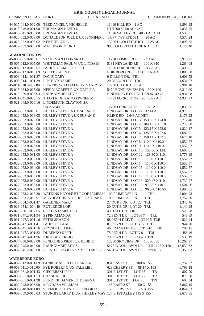| <b>COMMON PLEAS COURT</b>                  | <b>LEGAL NOTICE</b>                                                           | COMMON PLEAS COURT                       |                      |  |
|--------------------------------------------|-------------------------------------------------------------------------------|------------------------------------------|----------------------|--|
|                                            | 44-017-044.0-012.00 TEED ANGELA MICHELLE                                      | 11410 HILL RD 1 AC                       | 1,899.25             |  |
| 44-018-046.0-001.00                        | <b>BRUMAGIN DAVID L</b>                                                       | RT T700 52.58 AC CAL                     | 2,838.25             |  |
| 44-019-045.0-008.00                        | <b>BRUMAGIN DAVID L</b>                                                       | 11516 VALLEY RD 40.21 AC CAL             | 4,530.31             |  |
| 44-020-052.0-003.00                        | DONALDSON JOEL E UX JENNIFER L TR 77 TWP RTE 591                              | 20 AC                                    | 4,570.24             |  |
| 44-020-052.0-005.02 KENT HELEN C           |                                                                               | 13906 DOOLITTLE RD<br>2.25 AC            | 3,898.35             |  |
|                                            | 44-022-032.0-020.00 MATTESON JOHN J                                           | 9988 OLD STATE LINE RD 8 AC              | 4,127.40             |  |
|                                            |                                                                               |                                          |                      |  |
| <b>WASHINGTON TWP</b>                      |                                                                               |                                          |                      |  |
| 45-003-005.0-010.01                        | STAHLMAN LEONARD L                                                            | 11750 COMER RD<br>7.93 AC                | 3,973.75             |  |
| 45-007-012.0-005.00                        | WHITEMAN PAUL W UX LINDA M                                                    | 5131 NEYLAND RD<br>100 X 310             | 1,264.08             |  |
| 45-007-012.0-010.07                        | PACILEO JAMES JOSEPH                                                          | 12000 EDINBORO RD<br>3.775 AC            | 8,490.81             |  |
| 45-007-012.0-010.09                        | SCOTTS GLEN LLC                                                               | EDINBORO RD LOTC 1.654 AC                | 1,886.50             |  |
| 45-008-014.1-001.37                        | <b>DAVIS GARY</b>                                                             | 9 DILLON DR. TRL                         | 1,601.52             |  |
| 45-008-014.1-001.39 LIPCHICK JAMIE         |                                                                               | 20 DILLON DR TRL                         | 1,634.97             |  |
| 45-011-018.0-007.00                        | BOWERS WILLIAM G UX NANCY M                                                   | 12900 HILL RD 2.5 AC                     | 7,981.18             |  |
| 45-015-034.0-015.00                        | NEELY ROBERT R UX GAYLE A                                                     | 5470 BONNIEVIEW DR 60 X 100              | 6,319.00             |  |
| 45-016-029.0-003.03                        | RAUP KIMBERLEY S                                                              | LINDEN AVE OFF LOT 3 90X140.75           | 4,931.08             |  |
| 45-021-045.0-006.15                        | THAYER DIFRANCO RENEE M                                                       | 12793 FORREST DR L90 1.327 AC            | 44,934.73            |  |
|                                            | 45-021-045.0-006.16 LINDEMUTH CLAYTON SR<br><b>UX ANGELA</b>                  | 12730 FORREST DR<br>1.075 AC             | 22,838.05            |  |
| 45-022-053.0-018.01                        | HURLEY STEVE A UX SUSAN E                                                     | LINDSAY DR LOT 22 32.14 AC               | 4,970.61             |  |
| 45-022-053.0-018.05                        | HURLEY STEVE A UX SUSAN E                                                     | KLINE RD 2.643 AC NET                    | 2,178.22             |  |
| 45-022-053.0-022.00                        | HURLEY STEVE A                                                                | LINDSAY DR LOT 3 153.86 X 124.8          | 63,712.40            |  |
| 45-022-053.0-023.00 HURLEY STEVE A         |                                                                               | LINDSAY DR LOT 4 204.16 X 137.0          | 2,273.00             |  |
| 45-022-053.0-024.00 HURLEY STEVE A         |                                                                               | LINDSAY DR LOT 5 123.15 X 152.6          | 1,820.17             |  |
| 45-022-053.0-025.00                        | HURLEY STEVE A                                                                | LINDSAY DR LOT 6 125.05 X 152.6          | 1,682.91             |  |
| 45-022-053.0-026.00 HURLEY STEVE A         |                                                                               | LINDSAY DR LOT 7 150.11 X 112.6          | 1,676.10             |  |
| 45-022-053.0-027.00                        | HURLEY STEVE A                                                                | LINDSAY DR LOT 8 110.0 X 110.0           | 1,552.57             |  |
| 45-022-053.0-028.00 HURLEY STEVE A         |                                                                               | LINDSAY DR LOT 9 110.0 X 110.0           | 1,552.57             |  |
| 45-022-053.0-029.00 HURLEY STEVE A         |                                                                               | LINDSAY DR LOT 10 155.66 X 124.          | 1,600.61             |  |
| 45-022-053.0-031.00                        | HURLEY STEVE A                                                                | LINDSAY DR LOT 12 128.30 X 110.          | 1,778.99             |  |
| 45-022-053.0-032.00 HURLEY STEVE A         |                                                                               | LINDSAY DR LOT 13 110.0 X 110.0          | 1,552.57             |  |
| 45-022-053.0-033.00                        | <b>HURLEY STEVE A</b>                                                         | LINDSAY DR LOT 14 110.0 X 110.0          | 1,552.57             |  |
| 45-022-053.0-034.00 HURLEY STEVE A         |                                                                               | LINDSAY DR LOT 15 110.0 X 110.0          | 1,552.57             |  |
| 45-022-053.0-035.00 HURLEY STEVE A         |                                                                               | LINDSAY DR LOT 16 110.0 X 110.0          | 1,552.57             |  |
| 45-022-053.0-036.00                        | HURLEY STEVE A                                                                | LINDSAY DR LOT 17 110.0 X 110.0          | 1,552.57             |  |
| 45-022-053.0-037.00 HURLEY STEVE A         |                                                                               | LINDSAY DR LOT 18 329.47 X 110.          | 1,730.97             |  |
| 45-022-053.0-038.00                        | HURLEY STEVE A                                                                | LINDSAY DR LOT 19 97.98 X 110.1          | 1,504.56             |  |
| 45-022-053.0-039.00 HURLEY STEVE A         |                                                                               | LINDSAY DR LOT 20 96.0 X 110.58          | 1,497.65             |  |
| 45-022-053.2-018.28                        | WATKINS NICOLE ET ROOF JAMES H 109 PRIMROSE LN<br>MENDEZ CHRISTOPHER UX DIANE | TRL<br>TRL                               | 2,004.23             |  |
| 45-022-053.2-018.91<br>45-023-054.1-001.47 | <b>GARDNER MARY</b>                                                           | 106 PRIMROSE LN<br>27 DUKE DR LOT 27 TRL | 1,757.20<br>1,348.46 |  |
| 45-023-054.1-004.40                        | RUTLEDGE LORI                                                                 | 20 DUKE DR LOT 20 TRL                    | 1,140.28             |  |
| 45-029-050.1-007.65                        | <b>COATES JAMES LEO</b>                                                       | 43 HALL DR TRL                           | 529.28               |  |
| 45-031-047.2-001.94 SYPIN AMANDA           |                                                                               | 72 PENN DR LOT H-7<br>TRL                | 543.69               |  |
| 45-031-047.3-001.16 PETRI SHARON           |                                                                               | 68 PENN DRIVE<br>LOT H-5 TLR             | 820.44               |  |
| 45-031-047.3-001.41 PAHLS ELLA M           |                                                                               | 87 PENN DR LOT G15 TRL                   | 944.20               |  |
|                                            | 45-031-047.3-001.56 REYNOLDS AIMEE                                            | 46 FRANKLIN DR LOT F-10 TRL              | 707.15               |  |
| 45-031-047.3-001.82 DUBENKO KEITH          |                                                                               | 75 PENN DR LOT G-9<br>TRL                | 488.46               |  |
| 45-031-047.3-001.96 KRUGGER CRAIG          |                                                                               | 79 PENN DR LOT G-11 TRL                  | 533.19               |  |
|                                            | 45-034-038.0-008.00 FENDONE JOSEPH UX DEBBIE                                  | 12230 SKYVIEW DR 150 X 250               | 10,263.97            |  |
|                                            | 45-037-045.0-040.00 RAUP KIMBERLEY S                                          | 5475 WOODLAWN DR LT 51 125 X 150         | 18,639.62            |  |
|                                            | 45-037-045.2-010.00 FERSTER DAVID A UX VICTORIA L                             | 5451 WOODLAWN DR<br>128 X 150            | 9,359.83             |  |
|                                            |                                                                               |                                          |                      |  |
| <b>WATERFORD BORO</b>                      | 46-002-013.0-001.09 GUNKEL ALFRED UX ARLENE                                   | 831 EAST ST<br>100 X 155                 | 8,751.62             |  |
| 46-003-011.0-016.00                        | FYE ROBERT G UX VALERIE J                                                     | 623 CHERRY ST<br>88.14 X 165             | 6,799.18             |  |
| 46-008-061.0-001.43                        | <b>CIECIERSKI JEFF</b>                                                        | 301 E 1ST ST<br>LOT <sub>35</sub><br>TR  | 807.90               |  |
| 46-008-061.0-001.53                        | <b>CHASE APRIL</b>                                                            | 301 E 1ST ST<br>LOT <sub>27</sub><br>TR  | 875.20               |  |
| 46-008-061.0-001.98                        | BURDICK DAMEN ET DEANNA                                                       | 301 E 1ST ST<br>LOT <sub>25</sub><br>TRL | 603.34               |  |
| 46-009-048.0-006.00                        | MENDOZA WILLIAM                                                               | 145 EAST 2 ST<br>50 X 155                | 3,867.15             |  |
|                                            | 46-009-048.0-011.00 SEYMOUR CHESTER O UX GRACE E 150 E FIRST ST               | 82.5 X 155                               | 4,844.83             |  |

46-009-059.0-010.03 STURGIS LARRY D UX SHIRLEY MAY 127 E 1ST ALLEY 115 X 155 2,673.65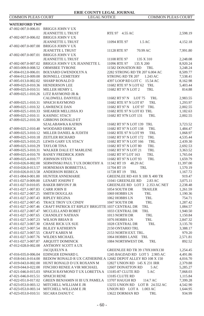# **WATERFORD TWP**

| 47-002-007.0-006.01 | <b>BRIGGS JOHN V UX</b>                                      |                                    |           |
|---------------------|--------------------------------------------------------------|------------------------------------|-----------|
|                     | <b>JEANNETTE L TRUST</b>                                     | RTE 97 4.55 AC                     | 2,598.19  |
| 47-002-007.0-006.02 | <b>BRIGGS JOHN V UX</b>                                      |                                    |           |
|                     | <b>JEANNETTE L TRUST</b>                                     | 11094 RTE 97<br>1.5AC              | 4,152.18  |
| 47-002-007.0-007.00 | <b>BRIGGS JOHN V UX</b>                                      |                                    |           |
|                     | <b>JEANETTE L TRUST</b>                                      | 11128 RTE 97<br>70.99 AC           | 7,991.80  |
| 47-002-007.0-007.01 | <b>BRIGGS JOHN V UX</b>                                      |                                    |           |
|                     | <b>JEANNETTE L TRUST</b>                                     | 11108 RTE 97<br>135 X 310          | 2,248.08  |
| 47-002-007.0-007.02 | BRIGGS JOHN V UX JEANNETTE L                                 | 11096 RTE 97<br>135 X 200          | 8,920.24  |
| 47-003-009.0-008.52 | <b>ORMSBEE TYRONE</b>                                        | 11582 DONATION RD<br>TRL           | 3,248.24  |
| 47-004-012.0-006.01 | <b>BOLYARD GWENDOLYN A</b>                                   | 2282 STRONG RD TR 207 6.004 AC     | 8,509.77  |
| 47-004-012.0-009.00 | <b>BONNELL CEMETERY</b>                                      | STRONG RD TR 207<br>1.243 AC       | 7,538.41  |
| 47-005-013.0-002.02 | <b>SHARP RONALD D</b>                                        | 4397 LOOP RD LOT C<br>15.54 AC     | 8,162.98  |
| 47-009-025.0-010.36 | <b>HENDERSON LEE</b>                                         | 11682 RTE 97 N LOT 62<br>TRL       | 5,403.44  |
| 47-009-025.0-010.51 | MILLER HENRY L                                               | 11682 RT 97 N LOT 2<br>TRL         | 814.88    |
| 47-009-025.1-010.26 | LITZ RAYMOND JR &                                            |                                    |           |
|                     | <b>CALDWELL DANYELE</b>                                      | 11682 RT 97 N<br>LOT 75<br>TRL     | 2,983.55  |
| 47-009-025.1-010.31 | <b>SPAICH RAYMOND</b>                                        | 11682 RTE 97 N LOT 87<br>TRL       | 1,293.97  |
| 47-009-025.1-010.32 | <b>LAWRENCE DAN</b>                                          | 11682 RT 97 N LOT 97<br>TRL        | 2,002.55  |
| 47-009-025.1-010.33 | SHEARER MELLISSA JO                                          | 11682 RTE 97 N LOT 83 TRL          | 1,182.63  |
| 47-009-025.2-010.11 | <b>KASINEC STACY</b>                                         | 11682 RT 97N LOT 131<br>TRL        | 2,002.55  |
| 47-009-025.2-010.30 | <b>GIBBONS DONALD ET</b>                                     |                                    |           |
|                     | SZALABAWKA KATRIN                                            | 11682 RT 97 N LOT 139 TRL          | 3,723.52  |
| 47-009-025.2-010.40 | <b>WOODARD ERRICK</b>                                        | 11682 RT 97 N LOT 138<br>TRL       | 1,484.47  |
| 47-009-025.3-010.12 | MILLER DANIEL & JUDITH                                       | 11682 RTE 97 N LOT 99<br>TRL       | 1,068.97  |
| 47-009-025.3-010.18 | <b>ZEITLER RICHARD</b>                                       | 11682 RT 97 N LOT 172<br>TRL       | 4,535.44  |
| 47-009-025.3-010.25 | <b>LEWIS GARY UX STACY</b>                                   | 11682 RT 97 N LOT 166<br>TRL       | 2,439.30  |
| 47-009-025.3-010.29 | <b>TAYLOR TINA</b>                                           | 11682 RT 97 N LOT 80<br>TRL        | 2,692.53  |
| 47-009-025.3-010.31 | WALKER DALE ET MARLENE                                       | 11682 RT 97 N LOT 21<br><b>TRL</b> | 3,363.52  |
| 47-009-025.4-010.70 | <b>BANEY FREDRICK JOHN</b>                                   | 11682 RT 97 LOT 163                | 1,765.04  |
| 47-009-025.4-010.77 | <b>JOHNSON STEVE</b>                                         | TRL<br>11682 RT 97 N LOT 93<br>TRL | 1,659.79  |
| 47-010-026.0-002.00 | SERWINSKI PAUL T UX DOROTHY A                                | 11342 RT 19<br>48.29 AC            |           |
|                     |                                                              | TRL                                | 11,397.00 |
| 47-010-026.0-013.57 | HORNEMAN BOBBETTA L                                          | 11704 RT 19                        | 1,570.19  |
| 47-010-026.0-013.58 | <b>ANDERSON REBECA</b>                                       | 11728 RT 19<br>TRL                 | 1,167.72  |
| 47-011-004.0-001.00 | <b>HUNTER ANNEMARIE</b>                                      | GREENLEE RD 410 X 100 X 400 TR     | 919.47    |
| 47-011-027.0-009.00 | <b>LENART JOSEPH T</b>                                       | 11041 GREENLEE RD<br>2.83 AC       | 3,075.11  |
| 47-011-027.0-010.05 | <b>BAKER BRYON F JR</b>                                      | GREENLEE RD LOT 3 2.353 AC NET     | 2,238.48  |
| 47-011-027.1-007.83 | <b>CARR JOHN II</b>                                          | 1054 SOUTH DR<br><b>TRAILER</b>    | 1,261.59  |
| 47-011-027.2-007.25 | <b>SMITH DOUGLAS</b>                                         | 1069 HOBBS LN<br>TRL               | 1,190.36  |
| 47-011-027.2-007.43 | <b>RIPLEY REGINA</b>                                         | 1062 HOBBS LN<br>TRL               | 754.71    |
| 47-011-027.2-007.45 | TRACE TROY UX CINDY                                          | 1047 SOUTH DR<br>TRL               | 1,287.42  |
| 47-011-027.2-007.46 | CRAFT PATRICK ET RIPLEY BRIGITTE 1037 CENTRAL DR             | TRL                                | 1,084.57  |
| 47-011-027.2-007.47 | MCCLELLAND ROBET                                             | 1033 CENTRAL DR<br>TRL             | 1,940.50  |
| 47-011-027.2-007.65 | <b>CHANDLEY NATHAN</b>                                       | 1013 NORTH DR<br>TRL               | 1,150.84  |
| 47-011-027.3-007.23 | <b>WILSON BRIAN B</b>                                        | 1076 HOBBS LN<br>TRL               | 2,847.32  |
| 47-011-027.3-007.30 | <b>CHASE RICK UX SUE</b>                                     | 1028 CENTRAL DR<br>TRL             | 3,135.70  |
| 47-011-027.3-007.54 | <b>BLILEY KATHERYN</b>                                       | 2150 ONTARIO TRL                   | 3,388.17  |
| 47-011-027.3-007.55 | <b>CRAFT KAREN M</b>                                         | 2153 NORTH EXT. TRL.               | 979.20    |
| 47-011-027.3-007.76 | WILDES MICHAEL                                               | 1064 HOBBS LANE TRL                | 2,571.81  |
| 47-011-027.3-007.87 | <b>ARQUITT DOMINICK</b>                                      | 1084 NORTHWEST DR.<br>TRL          | 892.52    |
| 47-012-028.0-002.00 | ANTHONY SCOTT A UX                                           |                                    |           |
|                     | <b>JACQUELYN A</b>                                           | GREENLEE RD TR 39 170X100X130      | 1,254.45  |
| 47-016-035.0-006.04 | EDINGER EDWARD L                                             | 1245 BAGDAD RD LOT 5 2.905 AC      | 4,491.86  |
| 47-018-041.0-014.00 | BEDOW RONALD R UX CATHERINE A 12682 DEPOT ALLEY RD 108 X 150 |                                    | 4,016.70  |
| 47-019-043.0-002.00 | HUNT RONALD D UX ROXANN M                                    | 12827 UNION RD 145 X 231 IRR       | 2,379.88  |
| 47-019-044.0-022.00 | FINCHIO RENEE A VIR MICHAEL                                  | 12607 DONATTON RD<br>5AC           | 5,285.27  |
| 47-021-046.0-015.03 | SPAICH RAYMOND TUX LORETTA A 13185-87 CLUTE RD               | 5AC                                | 7,068.03  |
| 47-021-046.0-015.51 | <b>SPAICH RENE</b>                                           | 13185 CLUTE RD                     | 1.115.84  |
| 47-022-051.0-017.02 | GREEN BENJAMIN H III UX PAMELA                               | 13707 HAUGH RD<br>114.7 AC         | 7,399.28  |
| 47-023-053.0-003.12 | MITCHELL WILLIAM E JR                                        | 13255 UNION RD LOT B 24.552 AC     | 4,542.90  |
| 47-023-053.0-003.14 | MITCHELL WILLIAM E JR                                        | UNION RD LOTA 1.003 AC             | 1,644.95  |
| 47-023-053.0-010.51 | <b>SECARA DANUT C</b>                                        | 13622 DORMAN RD<br>TRL             | 934.99    |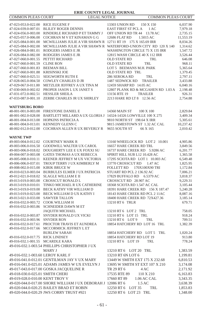| <b>COMMON PLEAS COURT</b>         | <b>LEGAL NOTICE</b>                                                               | <b>COMMON PLEAS COURT</b>                                        |           |
|-----------------------------------|-----------------------------------------------------------------------------------|------------------------------------------------------------------|-----------|
| 47-023-053.0-022.00 RICE EUGENE F |                                                                                   | 13303 UNION RD<br>150 X 150                                      | 6,037.90  |
| 47-024-039.0-007.01               | <b>BLILEY ROGER DENNIS</b>                                                        | <b>EAST FIRST ST PCL A</b><br>1AC                                | 7,979.18  |
| 47-024-056.0-003.00               | RINDERLE RICHARD P ET TAMMY J                                                     | OFF UNION RD TR 44 13.78 AC                                      | 2,735.15  |
| 47-025-057.0-006.00               | COCHRAN M V ET KINAMAN G G                                                        | 12686 FLAT RD<br>1.5015 AC                                       | 11,553.19 |
| 47-025-084.0-001.00               | MCWILLIAMS JULIE A VIR SHAWN R 12711 RT 19 175 X 165.69 IRR                       |                                                                  | 8,034.26  |
| 47-025-084.0-002.00               |                                                                                   | MCWILLIAMS JULIE A VIR SHAWN R WATERFORD-UNION CITY RD 120 X 140 | 1,314.62  |
| 47-026-084.0-081.01               | RODGERS JAMES E JR                                                                | WASHINGTON CIRCLE 75 X 135 IRR                                   | 1,547.72  |
| 47-026-084.0-082.00               | RODGERS JAMES E JR                                                                | 12815 WASH CIRCLE 40 X 112 IRR                                   | 3,526.44  |
| 47-027-060.0-001.55               | PETTIT RICHARD                                                                    | <b>OLD STATE RD</b><br><b>TRL</b>                                | 646.08    |
| 47-027-060.0-001.59               | <b>CLINE RON</b>                                                                  | OLD STATE RD<br>TRL                                              | 968.11    |
| 47-027-060.0-001.83               | <b>BEEMAN BILL</b>                                                                | LOT 5 BEEMANS M.H. PARK                                          | 5,365.64  |
| 47-027-060.0-001.88               | <b>KRISINSKI JOE</b>                                                              | OLD STATE RD TRL                                                 | 1,379.45  |
| 47-027-060.0-025.51               | SEIGWORTH RUTH E                                                                  | 286 SEROKA RD<br>TRL                                             | 2,797.11  |
| 47-028-065.0-004.50               | COWLEY CHARLES D JR                                                               | 1487 SEDWICK RD TRAILER                                          | 3,433.88  |
| 47-029-067.0-011.00               | METZLER JEFFREY A UX TINA M                                                       | 12459 SHARP RD 14.05 AC                                          | 6,040.16  |
|                                   | 47-030-069.0-002.02 PROPER JASON L UX JANET S                                     | 12807 PLANK RD & MCGAHEN RD 1.03 A                               | 2,198.48  |
| 47-031-072.0-002.51               | <b>HESSLER SHEILA</b>                                                             | TRAILER<br>13156 RTE 19                                          | 926.31    |
|                                   | 47-033-087.0-001.10 ZERBE CHARLES JR UX SHIRLEY                                   | 2213 HARE RD LT 8 12.56 AC                                       | 2,754.88  |
| <b>WATTSBURG BORO</b>             |                                                                                   |                                                                  |           |
|                                   | 48-001-001.0-003.00 FIRESTONE DANIEL E                                            | 14360 MAIN ST<br>100 X 100                                       | 2,829.84  |
|                                   | 48-001-002.0-028.00 BARTLETT MILLARD A UX GLORIA J 14324-14326 LOWVILLE 100 X 275 |                                                                  | 3,409.34  |
|                                   | 48-001-004.0-013.00 HOPKINS PATRICIA A                                            | 9810 NORTH ST 198.64 X IRR                                       | 5,305.61  |
| 48-001-004.0-013.01               | KENNEDY GLENN C                                                                   | 9815 JAMESTOWN ST 1.32 AC CAL                                    | 10,237.42 |
| 48-002-012.0-012.00               | COCHRAN ALLEN R UX BEVERLY R 9655 SOUTH ST                                        | 66 X 165                                                         | 2,010.42  |
| <b>WAYNE TWP</b>                  |                                                                                   |                                                                  |           |
|                                   | 49-003-004.0-012.02 COURTNEY MARK R                                               | 13160 WHEELOCK RD LOT 2 10.001                                   | 4,905.86  |
| 49-003-006.0-016.50               | <b>GOODWILL WALTER UX CAROL</b>                                                   | 16657 HARE CREEK RD TRL                                          | 3,849.56  |
| 49-003-006.0-018.02               | DOUGHERTY LEE E UX FOXXI SU                                                       | 16737 HARE CREEK RD 5.9286 AC                                    | 6,201.77  |
| 49-004-007.0-003.08               | GATES THOMAS A UX REBECCA                                                         | SPIRIT HILL SUB L12 10.428 AC                                    | 1,365.58  |
| 49-005-008.0-010.11               | KEENER JEFFREY M UX VICTORIA                                                      | 17295 SCIOTA RD LOT 1 10.003 AC                                  | 6,549.48  |
| 49-006-006.0-037.01               | TROUP TERRY J UX KIMBERLY M                                                       | 13770 CROSSCUT RD<br>1.47 AC                                     | 1,825.95  |
| 49-008-002.0-015.00               | <b>KIRIK BRUCE W</b>                                                              | FOLLETT RD<br>170X100X90 TRI                                     | 1,172.84  |
| 49-010-023.0-003.04               | <b>BURBULES ELMER J UX PATRICIA</b>                                               | STUART RD PCL 2 136.92 AC                                        | 7,006.21  |
| 49-012-021.0-018.02               | SLAGLE WILLIAM E II                                                               | 17829 BUFFALO RD 6.5379 AC                                       | 3,818.37  |
| 49-013-019.0-003.00               | CROSSCUT RONALD L                                                                 | CROSSCUT RD 28.907 AC                                            | 9,229.31  |
| 49-013-019.0-010.01               | TINKO MICHAEL R UX CATHERINE                                                      | 18368 SCIOTA RD 1.547 AC CAL                                     | 3,105.44  |
| 49-013-019.0-019.00               | BECK KATHY VIR WILLIAM D                                                          | 18391 HARE CREEK RD 156 X 187.47                                 | 5,240.28  |
| 49-013-019.0-023.00               | BECK WILLIAM D UX KATHY I                                                         | 18143 HARE CREEK RD PCL 2 11AC                                   | 8,087.16  |
| 49-013-021.0-033.00               | <b>SAWYER TALLON</b>                                                              | 18400 HARE CREEK RD 72X427.36                                    | 3,185.14  |
| 49-016-032.0-003.72               | COOK WILLIAM H                                                                    | 13210 RT 6 TRLR                                                  | 679.71    |
| 49-016-032.0-003.86               | SCHNEIDER DAWN M ET                                                               |                                                                  |           |
|                                   | <b>JAQUITH MICHAEL</b>                                                            | 13210 RT 6 LOT 2 TRL                                             | 758.05    |
| 49-016-032.0-003.87               | SNYDER RONALD UX VICKI                                                            | 13210 RT 6 LOT 15 TRL                                            | 918.24    |
| 49-016-032.0-003.96               | <b>SNYDER RON</b>                                                                 | 13210 RT 6 LOT 9<br>TRL                                          | 709.51    |
| 49-016-032.0-017.61               | PROCTOR TRAVIS ET AUNDREA                                                         | 18854 HATCHERY RD LOT 16 TRL                                     | 1,382.39  |
|                                   | 49-016-032.0-017.66 MCCORMICK JEFFREY L ET<br><b>BURLEW SARAH</b>                 | 18854 HATCHERY RD LOT 5<br>TRL                                   | 1,020.24  |
| 49-016-032.0-017.75               | <b>RICK LINDSEY</b>                                                               | 18854 HATCHERY RD LOT 19                                         | 913.80    |
| 49-016-032.1-001.55 MCARDLE KARA  |                                                                                   | 13210 RT 6 LOT 19<br>TRL                                         | 778.24    |
|                                   | 49-016-032.1-003.54 PHILLIPS CHRISTOPHER J UX                                     |                                                                  |           |
|                                   | MARY J                                                                            | 13210 RT 6 LOT 20 TRL                                            | 1,383.59  |
| 49-016-032.1-003.60 LEROY KARL F  |                                                                                   | 13210 RT 6N LOT 6                                                | 1,199.81  |
|                                   | 49-016-041.0-012.01 GENTILMAN JAY V UX MARY                                       | 13449 W SMITH EXT 175 X 232.68                                   | 6,810.53  |
|                                   | 49-016-041.0-025.01 ADAMS JAMES W UX EVELYN J                                     | 13695 W SMITH ST EXT 107 X 210                                   | 3,174.08  |
|                                   | 49-017-043.0-017.00 GOSKA JACQUELINE R                                            | TR 29 RT 6<br>4 AC                                               | 2,171.92  |
| 49-018-030.0-025.01 SMITH CHERI   |                                                                                   | 17535 RTE 89<br>110 X 210                                        | 6,163.83  |
| 49-019-028.0-010.00 KENT TROY V   |                                                                                   | 17660 RT 89<br>1.06 AC CAL                                       | 3,343.35  |
|                                   | 49-020-044.0-017.00 SHORE WILLIAM J UX DEBORAH J 12086 RT 6                       | 1.5 AC                                                           | 3,638.39  |
|                                   | 49-020-044.0-020.25 BAILEY BRAD ET ROBIN                                          | 12250 RT 6 LOT 35<br>TRL                                         | 1,853.83  |
|                                   | 49-020-044.0-020.29 JWS CORRY TRUST #921                                          | 12250 RT 6 LOT 23 TRL                                            | 1,348.00  |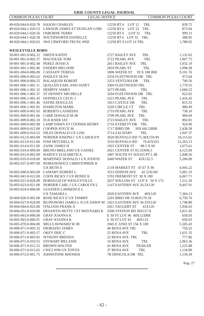| ERIE COUNTY LEGAL JOURNAL                  |                                                                                    |                                                             |                           |
|--------------------------------------------|------------------------------------------------------------------------------------|-------------------------------------------------------------|---------------------------|
| <b>COMMON PLEAS COURT</b>                  | <b>LEGAL NOTICE</b>                                                                |                                                             | <b>COMMON PLEAS COURT</b> |
|                                            |                                                                                    |                                                             |                           |
| 49-020-044.0-020.78 HASON CHARLES          |                                                                                    | 12250 RT 6 LOT 12<br>TRL                                    | 839.72                    |
| 49-020-044.1-020.53                        | LAWSON JAMES ET DUNGAN LORI<br><b>OSBORNE TERRY</b>                                | 12250 RT 6 LOT 22<br>TRL<br>12250 RT 6<br>LOT <sub>31</sub> | 873.04<br>TRL             |
| 49-020-044.1-020.56                        |                                                                                    |                                                             | 999.13                    |
| 49-020-044.1-020.58<br>49-020-044.1-020.63 | SOUTHWORTH DANIELLE<br><b>JWS CRWFORD TRUSU #950</b>                               | 12250 RT 6 LOT 32 TRL<br>12250 RT 6 LOT 14 TRL              | 388.95<br>1,780.92        |
|                                            |                                                                                    |                                                             |                           |
| <b>WESLEYVILLE BORO</b>                    |                                                                                    |                                                             |                           |
| 50-001-001.0-002.22                        | <b>SMITH KATHY</b>                                                                 | 2727 BAILEY AVE<br>TRL                                      | 1,132.62                  |
| 50-001-001.0-002.37                        | <b>MACIOLEK TOM</b>                                                                | 2722 PEARL AVE                                              | TRL<br>1,007.75           |
| 50-001-001.0-002.44                        | PEREZ JESSICA                                                                      | 2811 BAILEY AVE<br>TRL                                      | 1,032.19                  |
|                                            | 50-001-001.1-002.46 ENDERS MELODIE                                                 | 2818 PEARL ST<br>TRL                                        | 1,098.38                  |
| 50-001-004.0-006.00                        | <b>CASSADY TERESA</b>                                                              | 1806 WATER ST<br>39 X 108 IRR                               | 9,101.76                  |
| 50-001-006.0-002.62 HADLEY SEAN            |                                                                                    | 3334 FLEETWOOD DR TRL                                       | 973.64                    |
| 50-001-006.0-006.55                        | <b>BALAQUER ROBERT</b>                                                             | 3253 VENTURA DR<br>TRL                                      | 749.56                    |
| 50-001-006.1-001.11                        | <b>OUILLEN EARL AND JANET</b>                                                      | 3304 FLEETWOOD TRL                                          | 1,779.55                  |
| 50-001-006.1-001.32                        | <b>DEMPSY JAMES</b>                                                                | 3273 PEARL<br>TRL                                           | 1,684.22                  |
| 50-001-006.1-001.37                        | <b>ST DENNEY MICHELLE</b>                                                          | 3294 FLEETWOOD DR TRL                                       | 922.65                    |
| 50-001-006.1-001.43                        | DONNELLY CECIL J                                                                   | 3223 PEARL AVE<br>TRL                                       | 1,416.45                  |
| 50-001-006.1-001.46                        | <b>SAYRE DOUGLAS</b>                                                               | 1815 CASTLE DR<br>TRL                                       | 815.53                    |
| 50-001-006.1-001.95                        | <b>HAMILTON MARK</b>                                                               | 3320 CIRCLE CT<br>TRL                                       | 980.49                    |
| 50-001-009.0-001.65                        | ROBERTS LASHEDIA                                                                   | 2719 PEARL AVE<br>TRL                                       | 738.16                    |
| 50-001-009.0-001.66                        | CARR DONALD M JR                                                                   | 2709 PEARL AVE<br>TRL                                       | 900.69                    |
| 50-001-009.0-002.18 FLICKNER JAY           |                                                                                    | 2723 BAILEY AVE<br>TRL                                      | 892.81                    |
|                                            | 50-001-009.0-002.98 LAMP DAWN ET COONER HENRY                                      | 2716 EVERETT DR<br>TRL                                      | 924.90                    |
| 50-001-009.0-012.00                        | COOPER JOYCE M                                                                     | 1717 BIRD DR<br>39X160.53IRR                                | 2,438.58                  |
| 50-001-009.0-016.55                        | NILES DONALD UX LOIS                                                               | 2714 ZACHARY<br>TRL                                         | 1,047.37                  |
|                                            | 50-001-012.0-003.00 NORDER JOSEPH C UX CAROLYN                                     | 3020 BUFFALO RD 75.38X159.99                                | 10,115.61                 |
| 50-001-013.0-012.00                        | FISH MITCHELL H                                                                    | 3310 BUFFALO RD                                             | 79.45X103<br>12,263.13    |
| 50-001-014.0-011.00                        | ZANK JAMES H                                                                       | 1923 CENTER ST                                              | 88.5 X 69<br>1,675.61     |
|                                            | 50-002-019.0-009.00 BRUNO BRELAND UX GAINEL                                        | 2021 CENTER ST 65.33X96.5                                   | 4,123.69                  |
| 50-002-033.0-002.00                        | HARVEY ELIZABETH A                                                                 | 3407 SOUTH ST 56X165 PT L 88                                | 2,848.56                  |
| 50-002-035.0-018.00                        | MARTINEZ DONALD J UX JUDITH                                                        | 2049 WATER ST<br>45X132.5                                   | 5,206.89                  |
| 50-002-037.0-007.00                        | ROMANOWICZ CHRISTOPHER B                                                           |                                                             |                           |
|                                            | <b>UX BETH A</b>                                                                   | 2118 MARKET ST 47.67 X 96                                   | 4,945.22                  |
|                                            | 50-002-040.0-003.00 LAMARY ROBERT L                                                | 3515 EDISON AVE                                             | 42.53X100<br>5,001.33     |
| 50-002-041.0-012.00                        | COON RICKY J UX RENEE K                                                            | 3701 FREMONT ST 30 X 100                                    | 6,067.71                  |
| 50-003-021.0-026.00                        | <b>BOROUGH OF WESLEYVILLE</b>                                                      | 2037 WILLOW ST LOT 8 50 X 175                               | 1,511.20                  |
| 50-003-023.0-021.00                        | NORDER CARL J UX CAROLYN L                                                         | 2147 EASTERN AVE 26.5X120                                   | 9,447.91                  |
| 50-003-024.0-006.00                        | <b>GUIANEN LAWRENCE L</b>                                                          |                                                             |                           |
|                                            | UX TAMARA L                                                                        | 2020 EASTERN AVE                                            | 40X120<br>7,364.13        |
| 50-004-026.0-001.00                        | ROSE RICKY E UX TAMMY<br>BUJNOWSKI JAMES L II UX DAWN M 2422 EASTERN AVE 36.35X120 | 2201 BIRD DR 33.86X170.18                                   | 6,750.76<br>1,748.80      |
| 50-004-027.0-024.00<br>50-004-044.0-025.00 | <b>ITALIANI FRANK A</b>                                                            | 2411 TAGGERT ST                                             | 41X120                    |
| 50-004-051.0-010.00                        | DESANTIS BETTY J ET MAYNARD R                                                      | 2508 STATION RD 38X127.8                                    | 1,936.63<br>5,811.92      |
| 50-005-063.0-006.00                        | <b>GRAY JOANNAK</b>                                                                | E 30 ST LOT 46 40X123IRR                                    | 650.93                    |
| 50-005-063.0-006.01                        | <b>GRAY JOANNAK</b>                                                                | E 30 ST LOT 45<br>40X123                                    | 650.93                    |
| 50-005-070.0-004.00                        | MILLS HOWARD W JR                                                                  | 2945 E 32ND ST 156 X 100                                    | 5,505.43                  |
| 50-006-071.0-003.32                        | <b>DIORAZIO JAMES</b>                                                              | <b>46 RENA AVE TRL</b>                                      | 756.52                    |
| 50-006-071.0-003.57                        | OKEY ERIC C                                                                        | 25 RENA AVE<br>TRL                                          | 1,631.35                  |
| 50-006-071.0-003.65                        | <b>WYKOFF BRENDA</b>                                                               | 22 RENA AVE TRL                                             | 777.86                    |
| 50-006-071.0-010.55                        | <b>STEWART MELANIE</b>                                                             | TRL<br>16 RENA AVE                                          | 2,063.36                  |
| 50-006-071.0-012.55                        | <b>BROWN WALTER</b>                                                                | <b>41 RENA AVE</b><br><b>TRAILER</b>                        | 1,225.88                  |
| 50-006-071.0-012.65                        | CIOCI WM UX TONYA                                                                  | 37 RENA AVE<br>TRL                                          | 1,118.89                  |
| 50-006-072.0-001.75                        | JOHNSTONE RHONDA                                                                   | 7B DINICOLA DR TRL                                          | 1,139.39                  |

Aug. 27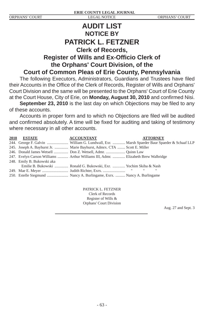# **AUDIT LIST NOTICE BY PATRICK L. FETZNER Clerk of Records, Register of Wills and Ex-Officio Clerk of the Orphans' Court Division, of the Court of Common Pleas of Erie County, Pennsylvania**

The following Executors, Administrators, Guardians and Trustees have filed their Accounts in the Office of the Clerk of Records, Register of Wills and Orphans' Court Division and the same will be presented to the Orphans' Court of Erie County at the Court House, City of Erie, on Monday, August 30, 2010 and confirmed Nisi.

**September 23, 2010** is the last day on which Objections may be filed to any of these accounts.

Accounts in proper form and to which no Objections are filed will be audited and confirmed absolutely. A time will be fixed for auditing and taking of testimony where necessary in all other accounts.

| <b>2010 ESTATE</b>         | <b>ACCOUNTANT</b>                                                                 | <b>ATTORNEY</b> |
|----------------------------|-----------------------------------------------------------------------------------|-----------------|
|                            |                                                                                   |                 |
|                            | 245. Joseph A. Bayhurst Jr.  Marie Bayhurst, Admrx. CTA  Scott E. Miller          |                 |
|                            | 246. Donald James Wetsell  Don Z. Wetsell, Admr.  Ouinn Law                       |                 |
|                            | 247. Evelyn Carson Williams  Arthur Williams III, Admr.  Elizabeth Brew Walbridge |                 |
| 248. Emily B. Bukowski aka |                                                                                   |                 |
|                            | Emilie B. Bukowski  Ronald G. Bukowski, Exr.  Yochim Skiba & Nash                 |                 |
|                            |                                                                                   |                 |
|                            |                                                                                   |                 |

PATRICK L. FETZNER Clerk of Records Register of Wills & Orphans' Court Division

Aug. 27 and Sept. 3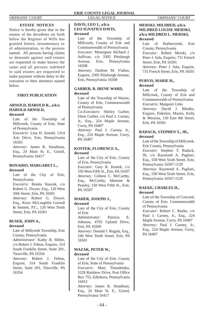# **ESTATE NOTICES**

Notice is hereby given that in the estates of the decedents set forth below the Register of Wills has granted letters, testamentary or of administration, to the persons named. All persons having claims or demands against said estates are requested to make known the same and all persons indebted to said estates are requested to make payment without delay to the executors or their attorneys named below.

# **FIRST PUBLICATION**

## **ARNOLD, HAROLD R., a/k/a HAROLD ARNOLD, deceased**

Late of the Township of Millcreek, County of Erie, State of Pennsylvania

*Executrix:* Lina H. Arnold, 1314 Aris Drive, Erie, Pennsylvania 16505

*Attorney:* James R. Steadman, Esq., 24 Main St. E., Girard, Pennsylvania 16417

# **BONADIO, MARGARET L., deceased**

Late of the City of Erie, Pennsylvania *Executrix:* Bonita Staszak, c/o Robert G. Dwyer, Esq., 120 West 10th Street, Erie, PA 16501 *Attorney:* Robert G. Dwyer, Esq., Knox McLaughlin Gornall & Sennett, P.C., 120 West Tenth Street, Erie, PA 16501

## **BUSER, JOHN A., deceased**

Late of Millcreek Township, Erie County, Pennsylvania

*Administrator:* Kathy B. Miller, c/o Robert J. Felton, Esquire, 314 South Franklin Street, Suite 201, Titusville, PA 16354

*Attorney:* Robert J. Felton, Esquire, 314 South Franklin Street, Suite 201, Titusville, PA 16354

## **DAVIS, LEO I., a/k/a LEO IGNATIUS DAVIS, deceased**

Late of the Township of Millcreek, County of Erie and Commonwealth of Pennsylvania *Executor:* Monsignor Richard J. Sullivan, c/o 3305 Pittsburgh Avenue, Erie, Pennsylvania 16508

*Attorney:* Darlene M. Vlahos, Esquire, 3305 Pittsburgh Avenue, Erie, Pennsylvania 16508

# **GARBER, B. IRENE WARD, deceased**

Late of the Township of Wayne, County of Erie, Commonwealth of Pennsylvania *Co-Executors:* Shirley Garber, Elton Garber, c/o Paul J. Carney, Jr., Esq., 224 Maple Avenue, Corry, PA 16407 *Attorney:* Paul J. Carney, Jr., Esq., 224 Maple Avenue, Corry, PA 16407

# **KOSTEK, FLORENCE A., deceased**

Late of the City of Erie, County of Erie, Pennsylvania *Executor:* Gary R. Kostek, c/o 105 West Fifth St., Erie, PA 16507 *Attorney:* Colleen C. McCarthy, Esq., McCarthy, Martone & Peasley, 150 West Fifth St., Erie, PA 16507

# **MAHER, JOSEPH J.,**

**deceased**

Late of the City of Erie, County of Erie *Administrator:* Patricia E. Johnson, 4703 Upland Drive,

Erie, PA 16509 *Attorney:* Donald J. Rogala, Esq.,

246 West Tenth Street, Erie, PA 16501

### **MAZAK, PETER W., deceased**

Late of the City of Erie, County of Erie, State of Pennsylvania *Executrix:* Mary Timashenka, 5228 Rainbow Drive, Post Office Box 755, Edinboro, Pennsylvania 16412 *Attorney:* James R. Steadman, Esq., 24 Main St. E., Girard, Pennsylvania 16417

# **MERSKI, MILDRED, a/k/a**

# **MILDRED LOUISE MERSKI, a/k/a MILDRED L. MERSKI, deceased**

Late of Harborcreek, Erie County, Pennsylvania *Executor:* Robert Merski, c/o Peter J. Sala, Esquire, 731 French Street, Erie, PA 16501 *Attorney:* Peter J. Sala, Esquire, 731 French Street, Erie, PA 16501

### **PURVIS, MARIE H., deceased**

Late of the Township of Millcreek, County of Erie and Commonwealth of Pennsylvania *Executrix:* Margaret Unks *Attorney:* David J. Rhodes, Esquire, Elderkin, Martin, Kelly & Messina, 150 East 8th Street, Erie, PA 16501

# **RADACK, STEPHEN T., JR., deceased**

Late of the Township of Millcreek, Erie County, Pennsylvania *Executor:* Stephen T. Radack, III, c/o Raymond A. Pagliari, Esq., 558 West Sixth Street, Erie, Pennsylvania 16507-1129 *Attorney:* Raymond A. Pagliari, Esq., 558 West Sixth Street, Erie,

Pennsylvania 16507-1129

# **RAEKE, CHARLES H., deceased**

Late of the Township of Concord, County of Erie, Commonwealth of Pennsylvania

*Executor:* Robert C. Raeke, c/o Paul J. Carney, Jr., Esq., 224 Maple Avenue, Corry, PA 16407 *Attorney:* Paul J. Carney, Jr., Esq., 224 Maple Avenue, Corry, PA 16407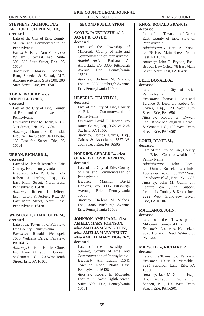# **STEPHENS, ARTHUR, a/k/a ARTHUR L. STEPHENS, JR., deceased**

Late of the City of Erie, County of Erie and Commonwealth of Pennsylvania

*Executrix:* Karen Ann Marks, c/o William J. Schaaf, Esq., Suite 300, 300 State Street, Erie, PA 16507

*Attorneys:* Marsh, Spaeder, Baur, Spaeder & Schaaf, LLP, Attorneys-at-Law, Suite 300, 300 State Street, Erie, PA 16507

# **TOBIN, ROBERT, a/k/a ROBERT J. TOBIN, deceased**

Late of the City of Erie, County of Erie, and Commonwealth of Pennsylvania *Executor:* David M. Tobin, 613 E.

31st Street, Erie, PA 16504 *Attorney:* Thomas S. Kubinski, Esquire, The Gideon Ball House, 135 East 6th Street, Erie, PA 16501

# **URBAN, RICHARD J.,**

# **deceased**

Late of Millcreek Township, Erie County, Erie, Pennsylvania *Executor:* John R. Urban, c/o Robert J. Jeffery, Esq., 33 East Main Street, North East, Pennsylvania 16428 *Attorney:* Robert J. Jeffery,

Esq., Orton & Jeffery, P.C., 33 East Main Street, North East, Pennsylvania 16428

# **WEISLOGEL, CHARLOTTE M., deceased**

Late of the Township of Fairview, Erie County, Pennsylvania

*Executor:* Ronald Weislogel, 7655 Welcana Drive, Fairview, PA 16415

*Attorney:* Christine Hall McClure, Esq., Knox McLaughlin Gornall & Sennett, P.C., 120 West Tenth Street, Erie, PA 16501

# **SECOND PUBLICATION**

# **COYLE, JANET RUTH, a/k/a JANET R. COYLE, deceased**

Late of the Township of Millcreek, County of Erie and Commonwealth of Pennsylvania *Administratrix:* Barbara A. Alberstadt, c/o 3305 Pittsburgh Avenue, Erie, Pennsylvania 16508 *Attorney:* Darlene M. Vlahos, Esquire, 3305 Pittsburgh Avenue, Erie, Pennsylvania 16508

# **HEBERLE, TIMOTHY J., deceased**

Late of the City of Erie, County of Erie and Commonwealth of Pennsylvania *Executor:* David T. Heberle, c/o James Cairns, Esq., 3527 W. 26th St., Erie, PA 16506 *Attorney:* James Cairns, Esq., Cairns & Associates, 3527 W. 26th Street, Erie, PA 16506

# **HOPKINS, GERALD L., a/k/a GERALD LLOYD HOPKINS, deceased**

Late of the City of Erie, County of Erie and Commonwealth of Pennsylvania *Executor:* Marshall David

Hopkins, c/o 3305 Pittsburgh Avenue, Erie, Pennsylvania 16508

*Attorney:* Darlene M. Vlahos, Esq., 3305 Pittsburgh Avenue, Erie, Pennsylvania 16508

# **JOHNSON, AMELIA M., a/k/a AMELIA MARY JOHNSON, a/k/a AMELIA MARY GOETZ, a/k/a AMELIA MARY HEINTZ, a/k/a AMELIA MARY MOWERY, deceased**

Late of the Township of Summit, County of Erie, and Commonwealth of Pennsylvania *Executrix:* Ann Luden, 11541 Townline Road, North East, Pennsylvania 16428 *Attorney:* Robert E. McBride, Esquire, 32 West Eighth Street, Suite 600, Erie, Pennsylvania 16501

# **KNOX, DONALD FRANCIS, deceased**

Late of the Township of North East, County of Erie, State of Pennsylvania *Administratrix:* Betti A. Knox, c/o 78 East Main Street, North East, PA 16428 *Attorney:* John C. Brydon, Esq., Brydon Law Office, 78 East Main Street, North East, PA 16428

## **LEET, DONALD A., deceased**

Late of the City of Erie, Pennsylvania *Executors:* Thomas R. Leet and Terence S. Leet, c/o Robert G. Dwyer, Esq., 120 West 10th Street, Erie, PA 16501

*Attorney:* Robert G. Dwyer, Esq., Knox McLaughlin Gornall & Sennett, P.C., 120 West Tenth Street, Erie, PA 16501

# **LOREI, RENEE M.,**

# **deceased**

Late of the City of Erie, County of Erie, Commonwealth of Pennsylvania

*Administrator:* John Lorei, c/o Quinn, Buseck, Leemhuis, Toohey & Kroto, Inc., 2222 West Grandview Blvd., Erie, PA 16506 *Attorney:* John M. Quinn, Jr., Esquire, c/o Quinn, Buseck, Leemhuis, Toohey & Kroto, Inc., 2222 West Grandview Blvd., Erie, PA 16506

# **MACKANOS, JOHN, deceased**

Late of the Township of Millcreek, County of Erie *Executrix:* Louise A. Heidecker, 9870 Donation Road, Waterford, PA 16441

# **MARSCHKA, RICHARD P., deceased**

Late of the Township of Fairview *Executrix:* Helen B. Marschka, 3225 Suburban Lane, Erie, PA 16506

*Attorney:* Jack M. Gornall, Esq., Knox McLaughlin Gornall & Sennett, P.C., 120 West Tenth Street, Erie, PA 16501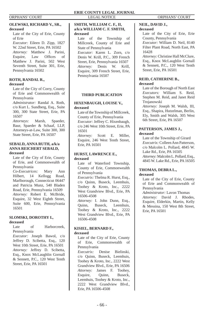# **OLEWSKI, RICHARD V., SR., deceased**

Late of the City of Erie, County of Erie

*Executor:* Eileen D. Zipp, 1827 W. 22nd Street, Erie, PA 16502 *Attorney:* Matthew J. Parini, Esquire, Law Offices of Matthew J. Parini, 502 West Seventh Street, Suite 301, Erie, Pennsylvania 16502

# **ROTH, RANDAL R.,**

# **deceased**

Late of the City of Corry, County of Erie and Commonwealth of Pennsylvania

*Administrator:* Randal A. Roth, c/o Kurt L. Sundberg, Esq., Suite 300, 300 State Street, Erie, PA 16507

*Attorneys:* Marsh, Spaeder, Baur, Spaeder & Schaaf, LLP, Attorneys-at-Law, Suite 300, 300 State Street, Erie, PA 16507

# **SEBALD, ANNA RUTH, a/k/a ANNA REICHERT SEBALD, deceased**

Late of the City of Erie, County of Erie, and Commonwealth of Pennsylvania

*Co-Executrices:* Mary Ann Hilbert, 14 Kellogg Road, Marlborough, Connecticut 06447 and Patricia Munz, 540 Bladen Road, Erie, Pennsylvania 16509 *Attorney:* Robert E. McBride, Esquire, 32 West Eighth Street, Suite 600, Erie, Pennsylvania 16501

# **SLOMSKI, DOROTHY I.,**

# **deceased**

Late of Harborcreek, Pennsylvania

*Executor:* Joseph Bawol, c/o Jeffrey D. Scibetta, Esq., 120 West 10th Street, Erie, PA 16501 *Attorney:* Jeffrey D. Scibetta, Esq., Knox McLaughlin Gornall & Sennett, P.C., 120 West Tenth Street, Erie, PA 16501

# **SMITH, WILLIAM C. F., II, a/k/a WILLIAM C. F. SMITH, deceased**

Late of the Township of Millcreek, County of Erie and State of Pennsylvania *Executor:* Karen L. Zorn, c/o Denis W. Krill, P.C., 309 French Street, Erie, Pennsylvania 16507 *Attorney:* Denis W. Krill, Esquire, 309 French Street, Erie, Pennsylvania 16507

# **THIRD PUBLICATION**

# **HIXENBAUGH, LOUISE V., deceased**

Late of the Township of Millcreek, County of Erie, Pennsylvania *Executor:* Jeffrey C. Hixenbaugh, c/o 246 West 10th Street, Erie, PA 16501 *Attorney:* Scott E. Miller,

Esquire, 246 West Tenth Street, Erie, PA 16501

# **HURST, LAWRENCE E., deceased**

Late of Waterford Township, County of Erie, Commonwealth of Pennsylvania *Executrix:* Thelma R. Hurst, Esq., c/o Quinn, Buseck, Leemhuis, Toohey & Kroto, Inc., 2222 West Grandview Blvd., Erie, PA 16506-4508 *Attorney:* I. John Dunn, Esq.,<br>Ouinn. Buseck. Leemhuis.

Quinn, Buseck, Leemhuis, Toohey & Kroto, Inc., 2222 West Grandview Blvd., Erie, PA 16506-4508

# **KISIEL, BERNARD F.,**

# **deceased**

Late of the City of Erie, County of Erie, Commonwealth of Pennsylvania

*Executrix:* Denise Bielinski, c/o Quinn, Buseck, Leemhuis, Toohey & Kroto, Inc., 2222 West Grandview Blvd., Erie, PA 16506 *Attorney:* James F. Toohey, Esquire, Quinn, Buseck, Leemhuis, Toohey & Kroto, Inc., 2222 West Grandview Blvd., Erie, PA 16506-4508

## **NEIL, DAVID J., deceased**

Late of the City of Erie, Erie County, Pennsylvania

*Executor:* William D. Neil, 8140 Filter Plant Road, North East, PA 16428

*Attorney:* Christine Hall McClure, Esq., Knox McLaughlin Gornall & Sennett, P.C., 120 West Tenth Street, Erie, PA 16501

### **REID, CATHERINE B., deceased**

Late of the Borough of North East *Executors:* William S. Reid, Stephen M. Reid, and Janet Reid Trojanowski

*Attorney:* Joseph M. Walsh, III, Esq., Shapira, Hutzelman, Berlin, Ely, Smith and Walsh, 305 West 6th Street, Erie, PA 16507

## **PATTERSON, JAMES J., deceased**

Late of the Township of Girard *Executrix:* Colleen Ann Patterson, c/o Malcolm L. Pollard, 4845 W. Lake Rd., Erie, PA 16505 *Attorney:* Malcolm L. Pollard, Esq., 4845 W. Lake Rd., Erie, PA 16505

# **THOMAS, DEBRA L., deceased**

Late of the City of Erie, County of Erie and Commonwealth of Pennsylvania

*Administrator:* Lavon Thomas *Attorney:* David J. Rhodes, Esquire, Elderkin, Martin, Kelly & Messina, 150 West 8th Street, Erie, PA 16501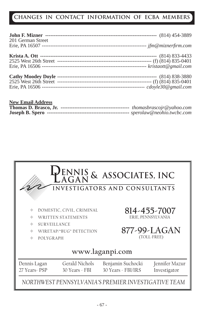# **CHANGES IN CONTACT INFORMATION OF ECBA MEMBERS**

| 201 German Street |  |
|-------------------|--|
|                   |  |
|                   |  |
|                   |  |
|                   |  |
|                   |  |
|                   |  |
|                   |  |

| <b>New Email Address</b> |  |
|--------------------------|--|
|                          |  |
|                          |  |